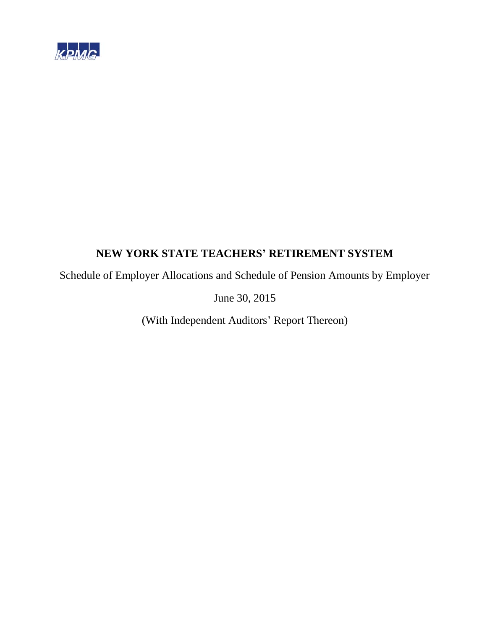

Schedule of Employer Allocations and Schedule of Pension Amounts by Employer

June 30, 2015

(With Independent Auditors' Report Thereon)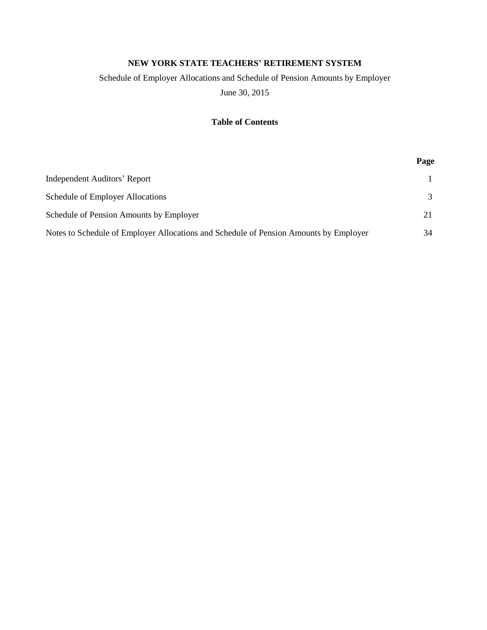Schedule of Employer Allocations and Schedule of Pension Amounts by Employer

June 30, 2015

# **Table of Contents**

# **Page**  Independent Auditors' Report 1 Schedule of Employer Allocations 3 Schedule of Pension Amounts by Employer 21 Notes to Schedule of Employer Allocations and Schedule of Pension Amounts by Employer 34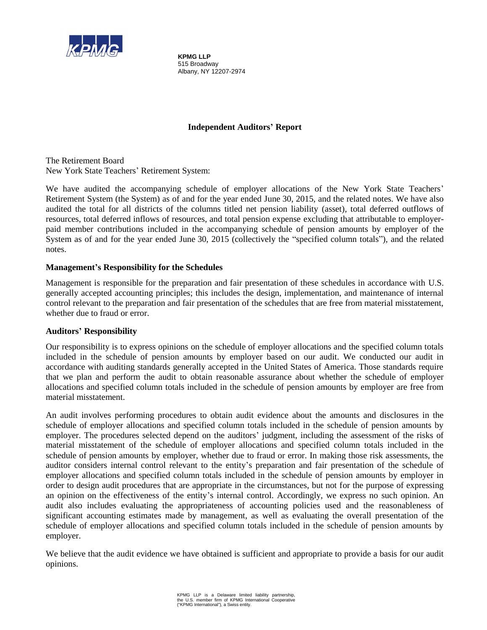

**KPMG LLP**  515 Broadway Albany, NY 12207-2974

# **Independent Auditors' Report**

The Retirement Board New York State Teachers' Retirement System:

We have audited the accompanying schedule of employer allocations of the New York State Teachers' Retirement System (the System) as of and for the year ended June 30, 2015, and the related notes. We have also audited the total for all districts of the columns titled net pension liability (asset), total deferred outflows of resources, total deferred inflows of resources, and total pension expense excluding that attributable to employerpaid member contributions included in the accompanying schedule of pension amounts by employer of the System as of and for the year ended June 30, 2015 (collectively the "specified column totals"), and the related notes.

### **Management's Responsibility for the Schedules**

Management is responsible for the preparation and fair presentation of these schedules in accordance with U.S. generally accepted accounting principles; this includes the design, implementation, and maintenance of internal control relevant to the preparation and fair presentation of the schedules that are free from material misstatement, whether due to fraud or error.

#### **Auditors' Responsibility**

Our responsibility is to express opinions on the schedule of employer allocations and the specified column totals included in the schedule of pension amounts by employer based on our audit. We conducted our audit in accordance with auditing standards generally accepted in the United States of America. Those standards require that we plan and perform the audit to obtain reasonable assurance about whether the schedule of employer allocations and specified column totals included in the schedule of pension amounts by employer are free from material misstatement.

An audit involves performing procedures to obtain audit evidence about the amounts and disclosures in the schedule of employer allocations and specified column totals included in the schedule of pension amounts by employer. The procedures selected depend on the auditors' judgment, including the assessment of the risks of material misstatement of the schedule of employer allocations and specified column totals included in the schedule of pension amounts by employer, whether due to fraud or error. In making those risk assessments, the auditor considers internal control relevant to the entity's preparation and fair presentation of the schedule of employer allocations and specified column totals included in the schedule of pension amounts by employer in order to design audit procedures that are appropriate in the circumstances, but not for the purpose of expressing an opinion on the effectiveness of the entity's internal control. Accordingly, we express no such opinion. An audit also includes evaluating the appropriateness of accounting policies used and the reasonableness of significant accounting estimates made by management, as well as evaluating the overall presentation of the schedule of employer allocations and specified column totals included in the schedule of pension amounts by employer.

We believe that the audit evidence we have obtained is sufficient and appropriate to provide a basis for our audit opinions.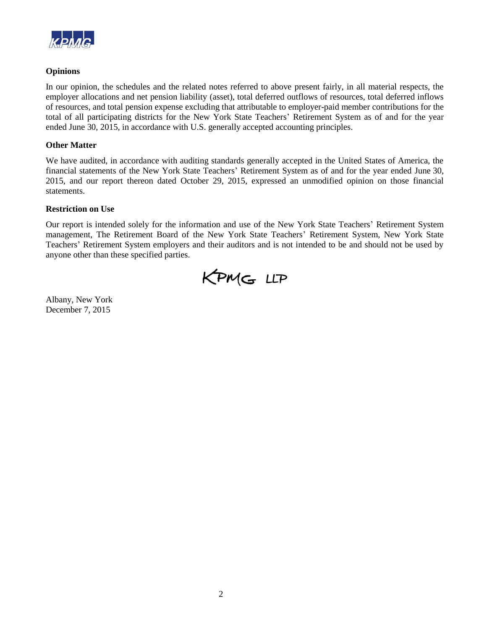

# **Opinions**

In our opinion, the schedules and the related notes referred to above present fairly, in all material respects, the employer allocations and net pension liability (asset), total deferred outflows of resources, total deferred inflows of resources, and total pension expense excluding that attributable to employer-paid member contributions for the total of all participating districts for the New York State Teachers' Retirement System as of and for the year ended June 30, 2015, in accordance with U.S. generally accepted accounting principles.

### **Other Matter**

We have audited, in accordance with auditing standards generally accepted in the United States of America, the financial statements of the New York State Teachers' Retirement System as of and for the year ended June 30, 2015, and our report thereon dated October 29, 2015, expressed an unmodified opinion on those financial statements.

### **Restriction on Use**

Our report is intended solely for the information and use of the New York State Teachers' Retirement System management, The Retirement Board of the New York State Teachers' Retirement System, New York State Teachers' Retirement System employers and their auditors and is not intended to be and should not be used by anyone other than these specified parties.



Albany, New York December 7, 2015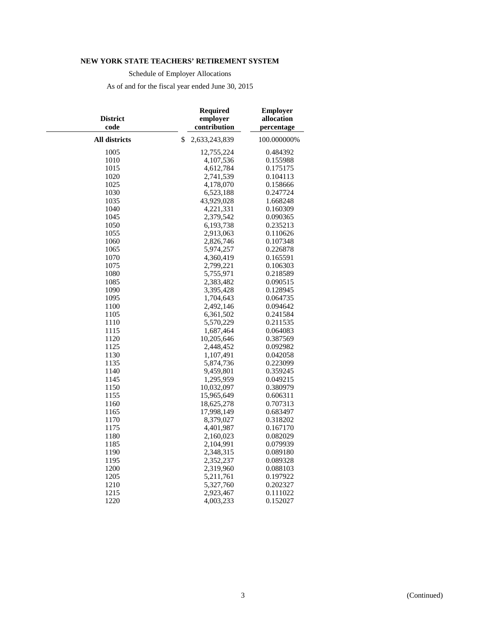Schedule of Employer Allocations

| <b>District</b><br>code | <b>Required</b><br>employer<br>contribution | <b>Employer</b><br>allocation<br>percentage |
|-------------------------|---------------------------------------------|---------------------------------------------|
| All districts           | \$<br>2,633,243,839                         | 100.000000%                                 |
| 1005                    | 12,755,224                                  | 0.484392                                    |
| 1010                    | 4,107,536                                   | 0.155988                                    |
| 1015                    | 4,612,784                                   | 0.175175                                    |
| 1020                    | 2,741,539                                   | 0.104113                                    |
| 1025                    | 4,178,070                                   | 0.158666                                    |
| 1030                    | 6,523,188                                   | 0.247724                                    |
| 1035                    | 43,929,028                                  | 1.668248                                    |
| 1040                    | 4,221,331                                   | 0.160309                                    |
| 1045                    | 2,379,542                                   | 0.090365                                    |
| 1050                    | 6,193,738                                   | 0.235213                                    |
| 1055                    | 2,913,063                                   | 0.110626                                    |
| 1060                    | 2,826,746                                   | 0.107348                                    |
| 1065                    | 5,974,257                                   | 0.226878                                    |
| 1070                    | 4,360,419                                   | 0.165591                                    |
| 1075                    | 2,799,221                                   | 0.106303                                    |
| 1080                    | 5,755,971                                   | 0.218589                                    |
| 1085                    | 2,383,482                                   | 0.090515                                    |
| 1090                    | 3,395,428                                   | 0.128945                                    |
| 1095                    | 1,704,643                                   | 0.064735                                    |
| 1100                    | 2,492,146                                   | 0.094642                                    |
| 1105                    | 6,361,502                                   | 0.241584                                    |
| 1110                    | 5,570,229                                   | 0.211535                                    |
| 1115                    | 1,687,464                                   | 0.064083                                    |
| 1120                    | 10,205,646                                  | 0.387569                                    |
| 1125                    | 2,448,452                                   | 0.092982                                    |
| 1130                    | 1,107,491                                   | 0.042058                                    |
| 1135                    | 5,874,736                                   | 0.223099                                    |
| 1140                    | 9,459,801                                   | 0.359245                                    |
| 1145                    | 1,295,959                                   | 0.049215                                    |
| 1150                    | 10,032,097                                  | 0.380979                                    |
| 1155                    | 15,965,649                                  | 0.606311                                    |
| 1160                    | 18,625,278                                  | 0.707313                                    |
| 1165                    | 17,998,149                                  | 0.683497                                    |
| 1170                    | 8,379,027                                   | 0.318202                                    |
| 1175                    | 4,401,987                                   | 0.167170                                    |
| 1180                    | 2,160,023                                   | 0.082029                                    |
| 1185                    | 2,104,991                                   | 0.079939                                    |
| 1190                    | 2,348,315                                   | 0.089180                                    |
| 1195                    | 2,352,237                                   | 0.089328                                    |
| 1200                    | 2,319,960                                   | 0.088103                                    |
| 1205                    | 5,211,761                                   | 0.197922                                    |
| 1210                    | 5,327,760                                   | 0.202327                                    |
| 1215                    | 2,923,467                                   | 0.111022                                    |
| 1220                    | 4,003,233                                   | 0.152027                                    |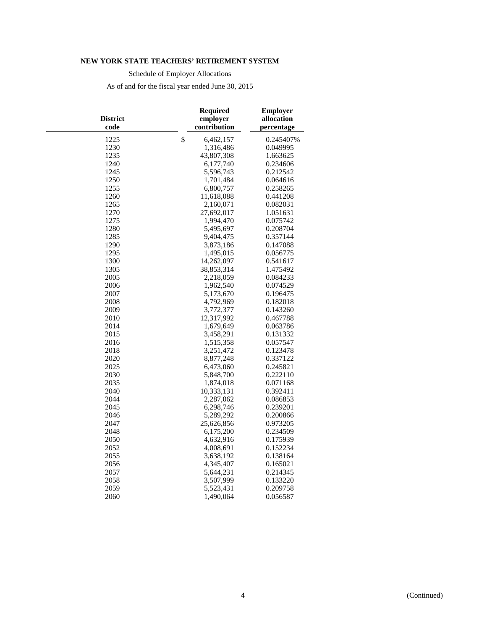Schedule of Employer Allocations

| <b>District</b><br>code | <b>Required</b><br>employer<br>contribution | <b>Employer</b><br>allocation<br>percentage |
|-------------------------|---------------------------------------------|---------------------------------------------|
| 1225                    | \$<br>6,462,157                             | 0.245407%                                   |
| 1230                    | 1,316,486                                   | 0.049995                                    |
| 1235                    | 43,807,308                                  | 1.663625                                    |
| 1240                    | 6,177,740                                   | 0.234606                                    |
| 1245                    | 5,596,743                                   | 0.212542                                    |
| 1250                    | 1,701,484                                   | 0.064616                                    |
| 1255                    | 6,800,757                                   | 0.258265                                    |
| 1260                    | 11,618,088                                  | 0.441208                                    |
| 1265                    | 2,160,071                                   | 0.082031                                    |
| 1270                    | 27,692,017                                  | 1.051631                                    |
| 1275                    | 1,994,470                                   | 0.075742                                    |
| 1280                    | 5,495,697                                   | 0.208704                                    |
| 1285                    | 9,404,475                                   | 0.357144                                    |
| 1290                    | 3,873,186                                   | 0.147088                                    |
| 1295                    | 1,495,015                                   | 0.056775                                    |
| 1300                    | 14,262,097                                  | 0.541617                                    |
| 1305                    | 38,853,314                                  | 1.475492                                    |
| 2005                    | 2,218,059                                   | 0.084233                                    |
| 2006                    | 1,962,540                                   | 0.074529                                    |
| 2007                    | 5,173,670                                   | 0.196475                                    |
| 2008                    | 4,792,969                                   | 0.182018                                    |
| 2009                    | 3,772,377                                   | 0.143260                                    |
| 2010                    | 12,317,992                                  | 0.467788                                    |
| 2014                    | 1,679,649                                   | 0.063786                                    |
| 2015                    | 3,458,291                                   | 0.131332                                    |
| 2016                    | 1,515,358                                   | 0.057547                                    |
| 2018                    | 3,251,472                                   | 0.123478                                    |
| 2020                    | 8,877,248                                   | 0.337122                                    |
| 2025                    | 6,473,060                                   | 0.245821                                    |
| 2030                    | 5,848,700                                   | 0.222110                                    |
| 2035                    | 1,874,018                                   | 0.071168                                    |
| 2040                    | 10,333,131                                  | 0.392411                                    |
| 2044                    | 2,287,062                                   | 0.086853                                    |
| 2045                    | 6,298,746                                   | 0.239201                                    |
| 2046                    | 5,289,292                                   | 0.200866                                    |
| 2047                    | 25,626,856                                  | 0.973205                                    |
| 2048                    | 6,175,200                                   | 0.234509                                    |
| 2050                    | 4,632,916                                   | 0.175939                                    |
| 2052                    | 4,008,691                                   | 0.152234                                    |
| 2055                    | 3,638,192                                   | 0.138164                                    |
| 2056                    | 4,345,407                                   | 0.165021                                    |
| 2057                    | 5,644,231                                   | 0.214345                                    |
| 2058                    | 3,507,999                                   | 0.133220                                    |
| 2059                    | 5,523,431                                   | 0.209758                                    |
| 2060                    | 1,490,064                                   | 0.056587                                    |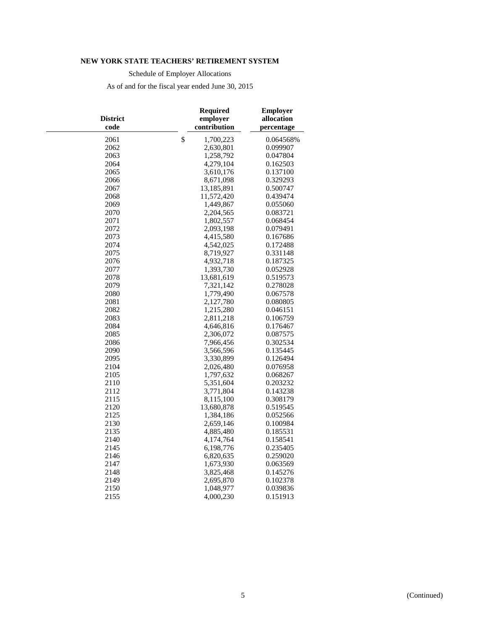Schedule of Employer Allocations

| <b>District</b><br>code | <b>Required</b><br>employer<br>contribution | <b>Employer</b><br>allocation<br>percentage |
|-------------------------|---------------------------------------------|---------------------------------------------|
| 2061                    | \$<br>1,700,223                             | 0.064568%                                   |
| 2062                    | 2,630,801                                   | 0.099907                                    |
| 2063                    | 1,258,792                                   | 0.047804                                    |
| 2064                    | 4,279,104                                   | 0.162503                                    |
| 2065                    | 3,610,176                                   | 0.137100                                    |
| 2066                    | 8,671,098                                   | 0.329293                                    |
| 2067                    | 13,185,891                                  | 0.500747                                    |
| 2068                    | 11,572,420                                  | 0.439474                                    |
| 2069                    | 1,449,867                                   | 0.055060                                    |
| 2070                    | 2,204,565                                   | 0.083721                                    |
| 2071                    | 1,802,557                                   | 0.068454                                    |
| 2072                    | 2,093,198                                   | 0.079491                                    |
| 2073                    | 4,415,580                                   | 0.167686                                    |
| 2074                    | 4,542,025                                   | 0.172488                                    |
| 2075                    | 8,719,927                                   | 0.331148                                    |
| 2076                    | 4,932,718                                   | 0.187325                                    |
| 2077                    | 1,393,730                                   | 0.052928                                    |
| 2078                    | 13,681,619                                  | 0.519573                                    |
| 2079                    | 7,321,142                                   | 0.278028                                    |
| 2080                    | 1,779,490                                   | 0.067578                                    |
| 2081                    | 2,127,780                                   | 0.080805                                    |
| 2082                    | 1,215,280                                   | 0.046151                                    |
| 2083                    | 2,811,218                                   | 0.106759                                    |
| 2084                    | 4,646,816                                   | 0.176467                                    |
| 2085                    | 2,306,072                                   | 0.087575                                    |
| 2086                    | 7,966,456                                   | 0.302534                                    |
| 2090                    | 3,566,596                                   | 0.135445                                    |
| 2095                    | 3,330,899                                   | 0.126494                                    |
| 2104                    | 2,026,480                                   | 0.076958                                    |
| 2105                    | 1,797,632                                   | 0.068267                                    |
| 2110                    | 5,351,604                                   | 0.203232                                    |
| 2112                    | 3,771,804                                   | 0.143238                                    |
| 2115                    | 8,115,100                                   | 0.308179                                    |
| 2120                    | 13,680,878                                  | 0.519545                                    |
| 2125                    | 1,384,186                                   | 0.052566                                    |
| 2130                    | 2,659,146                                   | 0.100984                                    |
| 2135                    | 4,885,480                                   | 0.185531                                    |
| 2140                    | 4,174,764                                   | 0.158541                                    |
| 2145                    | 6,198,776                                   | 0.235405                                    |
| 2146                    | 6,820,635                                   | 0.259020                                    |
| 2147                    | 1,673,930                                   | 0.063569                                    |
| 2148                    | 3,825,468                                   | 0.145276                                    |
| 2149                    | 2,695,870                                   | 0.102378                                    |
| 2150                    | 1,048,977                                   | 0.039836                                    |
| 2155                    | 4,000,230                                   | 0.151913                                    |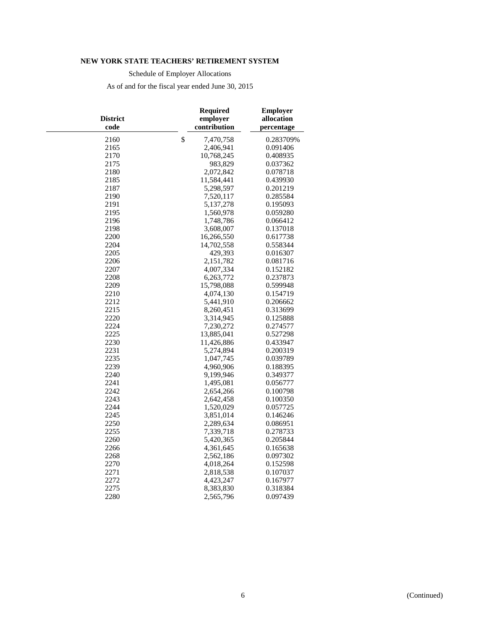Schedule of Employer Allocations

| <b>District</b><br>code | Required<br>emplover<br>contribution | <b>Employer</b><br>allocation<br>percentage |
|-------------------------|--------------------------------------|---------------------------------------------|
| 2160                    | \$<br>7,470,758                      | 0.283709%                                   |
| 2165                    | 2,406,941                            | 0.091406                                    |
| 2170                    | 10,768,245                           | 0.408935                                    |
| 2175                    | 983,829                              | 0.037362                                    |
| 2180                    | 2,072,842                            | 0.078718                                    |
| 2185                    | 11,584,441                           | 0.439930                                    |
| 2187                    | 5,298,597                            | 0.201219                                    |
| 2190                    | 7,520,117                            | 0.285584                                    |
| 2191                    | 5,137,278                            | 0.195093                                    |
| 2195                    | 1,560,978                            | 0.059280                                    |
| 2196                    | 1,748,786                            | 0.066412                                    |
| 2198                    | 3,608,007                            | 0.137018                                    |
| 2200                    | 16,266,550                           | 0.617738                                    |
| 2204                    | 14,702,558                           | 0.558344                                    |
| 2205                    | 429,393                              | 0.016307                                    |
| 2206                    | 2,151,782                            | 0.081716                                    |
| 2207                    | 4,007,334                            | 0.152182                                    |
| 2208                    | 6,263,772                            | 0.237873                                    |
| 2209                    | 15,798,088                           | 0.599948                                    |
| 2210                    | 4,074,130                            | 0.154719                                    |
| 2212                    | 5,441,910                            | 0.206662                                    |
| 2215                    | 8,260,451                            | 0.313699                                    |
| 2220                    | 3,314,945                            | 0.125888                                    |
| 2224                    | 7,230,272                            | 0.274577                                    |
| 2225                    | 13,885,041                           | 0.527298                                    |
| 2230                    | 11,426,886                           | 0.433947                                    |
| 2231                    | 5,274,894                            | 0.200319                                    |
| 2235                    | 1,047,745                            | 0.039789                                    |
| 2239                    | 4,960,906                            | 0.188395                                    |
| 2240                    | 9,199,946                            | 0.349377                                    |
| 2241                    | 1,495,081                            | 0.056777                                    |
| 2242                    | 2,654,266                            | 0.100798                                    |
| 2243                    | 2,642,458                            | 0.100350                                    |
| 2244                    | 1,520,029                            | 0.057725                                    |
| 2245                    | 3,851,014                            | 0.146246                                    |
| 2250                    | 2,289,634                            | 0.086951                                    |
| 2255                    | 7,339,718                            | 0.278733                                    |
| 2260                    | 5,420,365                            | 0.205844                                    |
| 2266                    | 4,361,645                            | 0.165638                                    |
| 2268                    | 2,562,186                            | 0.097302                                    |
| 2270                    | 4,018,264                            | 0.152598                                    |
| 2271                    | 2,818,538                            | 0.107037                                    |
| 2272                    | 4,423,247                            | 0.167977                                    |
| 2275                    | 8,383,830                            | 0.318384                                    |
| 2280                    | 2,565,796                            | 0.097439                                    |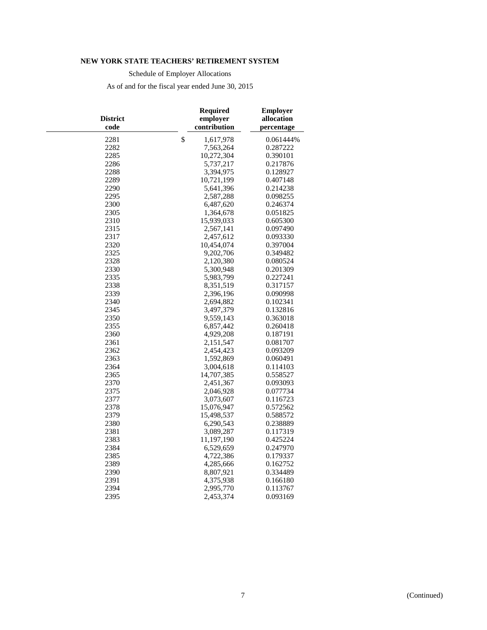Schedule of Employer Allocations

| <b>District</b><br>code | <b>Required</b><br>employer<br>contribution | <b>Employer</b><br>allocation<br>percentage |
|-------------------------|---------------------------------------------|---------------------------------------------|
| 2281                    | \$<br>1,617,978                             | 0.061444%                                   |
| 2282                    | 7,563,264                                   | 0.287222                                    |
| 2285                    | 10,272,304                                  | 0.390101                                    |
| 2286                    | 5,737,217                                   | 0.217876                                    |
| 2288                    | 3,394,975                                   | 0.128927                                    |
| 2289                    | 10,721,199                                  | 0.407148                                    |
| 2290                    | 5,641,396                                   | 0.214238                                    |
| 2295                    | 2,587,288                                   | 0.098255                                    |
| 2300                    | 6,487,620                                   | 0.246374                                    |
| 2305                    | 1,364,678                                   | 0.051825                                    |
| 2310                    | 15,939,033                                  | 0.605300                                    |
| 2315                    | 2,567,141                                   | 0.097490                                    |
| 2317                    | 2,457,612                                   | 0.093330                                    |
| 2320                    | 10,454,074                                  | 0.397004                                    |
| 2325                    | 9,202,706                                   | 0.349482                                    |
| 2328                    | 2,120,380                                   | 0.080524                                    |
| 2330                    | 5,300,948                                   | 0.201309                                    |
| 2335                    | 5,983,799                                   | 0.227241                                    |
| 2338                    | 8,351,519                                   | 0.317157                                    |
| 2339                    | 2,396,196                                   | 0.090998                                    |
| 2340                    | 2,694,882                                   | 0.102341                                    |
| 2345                    | 3,497,379                                   | 0.132816                                    |
| 2350                    | 9,559,143                                   | 0.363018                                    |
| 2355                    | 6,857,442                                   | 0.260418                                    |
| 2360                    | 4,929,208                                   | 0.187191                                    |
| 2361                    | 2,151,547                                   | 0.081707                                    |
| 2362                    | 2,454,423                                   | 0.093209                                    |
| 2363                    | 1,592,869                                   | 0.060491                                    |
| 2364                    | 3,004,618                                   | 0.114103                                    |
| 2365                    | 14,707,385                                  | 0.558527                                    |
| 2370                    | 2,451,367                                   | 0.093093                                    |
| 2375                    | 2,046,928                                   | 0.077734                                    |
| 2377                    | 3,073,607                                   | 0.116723                                    |
| 2378                    | 15,076,947                                  | 0.572562                                    |
| 2379                    | 15,498,537                                  | 0.588572                                    |
| 2380                    | 6,290,543                                   | 0.238889                                    |
| 2381                    | 3,089,287                                   | 0.117319                                    |
| 2383                    | 11,197,190                                  | 0.425224                                    |
| 2384                    | 6,529,659                                   | 0.247970                                    |
| 2385                    | 4,722,386                                   | 0.179337                                    |
| 2389                    | 4,285,666                                   | 0.162752                                    |
| 2390                    | 8,807,921                                   | 0.334489                                    |
| 2391                    | 4,375,938                                   | 0.166180                                    |
| 2394                    | 2,995,770                                   | 0.113767                                    |
| 2395                    | 2,453,374                                   | 0.093169                                    |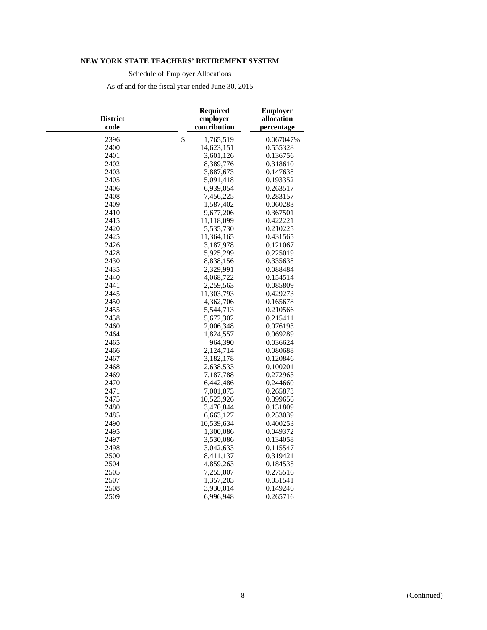Schedule of Employer Allocations

| <b>District</b><br>code | <b>Required</b><br>employer<br>contribution | <b>Employer</b><br>allocation<br>percentage |
|-------------------------|---------------------------------------------|---------------------------------------------|
| 2396                    | \$<br>1,765,519                             | 0.067047%                                   |
| 2400                    | 14,623,151                                  | 0.555328                                    |
| 2401                    | 3,601,126                                   | 0.136756                                    |
| 2402                    | 8,389,776                                   | 0.318610                                    |
| 2403                    | 3,887,673                                   | 0.147638                                    |
| 2405                    | 5,091,418                                   | 0.193352                                    |
| 2406                    | 6,939,054                                   | 0.263517                                    |
| 2408                    | 7,456,225                                   | 0.283157                                    |
| 2409                    | 1,587,402                                   | 0.060283                                    |
| 2410                    | 9,677,206                                   | 0.367501                                    |
| 2415                    | 11,118,099                                  | 0.422221                                    |
| 2420                    | 5,535,730                                   | 0.210225                                    |
| 2425                    | 11,364,165                                  | 0.431565                                    |
| 2426                    | 3,187,978                                   | 0.121067                                    |
| 2428                    | 5,925,299                                   | 0.225019                                    |
| 2430                    | 8,838,156                                   | 0.335638                                    |
| 2435                    | 2,329,991                                   | 0.088484                                    |
| 2440                    | 4,068,722                                   | 0.154514                                    |
| 2441                    | 2,259,563                                   | 0.085809                                    |
| 2445                    | 11,303,793                                  | 0.429273                                    |
| 2450                    | 4,362,706                                   | 0.165678                                    |
| 2455                    | 5,544,713                                   | 0.210566                                    |
| 2458                    | 5,672,302                                   | 0.215411                                    |
| 2460                    | 2,006,348                                   | 0.076193                                    |
| 2464                    | 1,824,557                                   | 0.069289                                    |
| 2465                    | 964,390                                     | 0.036624                                    |
| 2466                    | 2,124,714                                   | 0.080688                                    |
| 2467                    | 3,182,178                                   | 0.120846                                    |
| 2468                    | 2,638,533                                   | 0.100201                                    |
| 2469                    | 7,187,788                                   | 0.272963                                    |
| 2470                    | 6,442,486                                   | 0.244660                                    |
| 2471                    | 7,001,073                                   | 0.265873                                    |
| 2475                    | 10,523,926                                  | 0.399656                                    |
| 2480                    | 3,470,844                                   | 0.131809                                    |
| 2485                    | 6,663,127                                   | 0.253039                                    |
| 2490                    | 10,539,634                                  | 0.400253                                    |
| 2495                    | 1,300,086                                   | 0.049372                                    |
| 2497                    | 3,530,086                                   | 0.134058                                    |
| 2498                    | 3,042,633                                   | 0.115547                                    |
| 2500                    | 8,411,137                                   | 0.319421                                    |
| 2504                    | 4,859,263                                   | 0.184535                                    |
| 2505                    | 7,255,007                                   | 0.275516                                    |
| 2507                    | 1,357,203                                   | 0.051541                                    |
| 2508                    | 3,930,014                                   | 0.149246                                    |
| 2509                    | 6,996,948                                   | 0.265716                                    |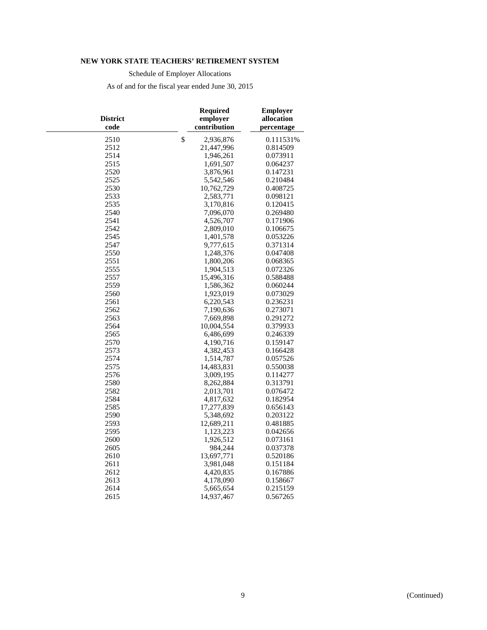Schedule of Employer Allocations

| <b>District</b><br>code | <b>Required</b><br>employer<br>contribution | <b>Employer</b><br>allocation<br>percentage |
|-------------------------|---------------------------------------------|---------------------------------------------|
| 2510                    | \$<br>2,936,876                             | 0.111531%                                   |
| 2512                    | 21,447,996                                  | 0.814509                                    |
| 2514                    | 1,946,261                                   | 0.073911                                    |
| 2515                    | 1,691,507                                   | 0.064237                                    |
| 2520                    | 3,876,961                                   | 0.147231                                    |
| 2525                    | 5,542,546                                   | 0.210484                                    |
| 2530                    | 10,762,729                                  | 0.408725                                    |
| 2533                    | 2,583,771                                   | 0.098121                                    |
| 2535                    | 3,170,816                                   | 0.120415                                    |
| 2540                    | 7,096,070                                   | 0.269480                                    |
| 2541                    | 4,526,707                                   | 0.171906                                    |
| 2542                    | 2,809,010                                   | 0.106675                                    |
| 2545                    | 1,401,578                                   | 0.053226                                    |
| 2547                    | 9,777,615                                   | 0.371314                                    |
| 2550                    | 1,248,376                                   | 0.047408                                    |
| 2551                    | 1,800,206                                   | 0.068365                                    |
| 2555                    | 1,904,513                                   | 0.072326                                    |
| 2557                    | 15,496,316                                  | 0.588488                                    |
| 2559                    | 1,586,362                                   | 0.060244                                    |
| 2560                    | 1,923,019                                   | 0.073029                                    |
| 2561                    | 6,220,543                                   | 0.236231                                    |
| 2562                    | 7,190,636                                   | 0.273071                                    |
| 2563                    | 7,669,898                                   | 0.291272                                    |
| 2564                    | 10,004,554                                  | 0.379933                                    |
| 2565                    | 6,486,699                                   | 0.246339                                    |
| 2570                    | 4,190,716                                   | 0.159147                                    |
| 2573                    | 4,382,453                                   | 0.166428                                    |
| 2574                    | 1,514,787                                   | 0.057526                                    |
| 2575                    | 14,483,831                                  | 0.550038                                    |
| 2576                    | 3,009,195                                   | 0.114277                                    |
| 2580                    | 8,262,884                                   | 0.313791                                    |
| 2582                    | 2,013,701                                   | 0.076472                                    |
| 2584                    | 4,817,632                                   | 0.182954                                    |
| 2585                    | 17,277,839                                  | 0.656143                                    |
| 2590                    | 5,348,692                                   | 0.203122                                    |
| 2593                    | 12,689,211                                  | 0.481885                                    |
| 2595                    | 1,123,223                                   | 0.042656                                    |
| 2600                    | 1,926,512                                   | 0.073161                                    |
| 2605                    | 984,244                                     | 0.037378                                    |
| 2610                    | 13,697,771                                  | 0.520186                                    |
| 2611                    | 3,981,048                                   | 0.151184                                    |
| 2612                    | 4,420,835                                   | 0.167886                                    |
| 2613                    | 4,178,090                                   | 0.158667                                    |
| 2614                    | 5,665,654                                   | 0.215159                                    |
| 2615                    | 14,937,467                                  | 0.567265                                    |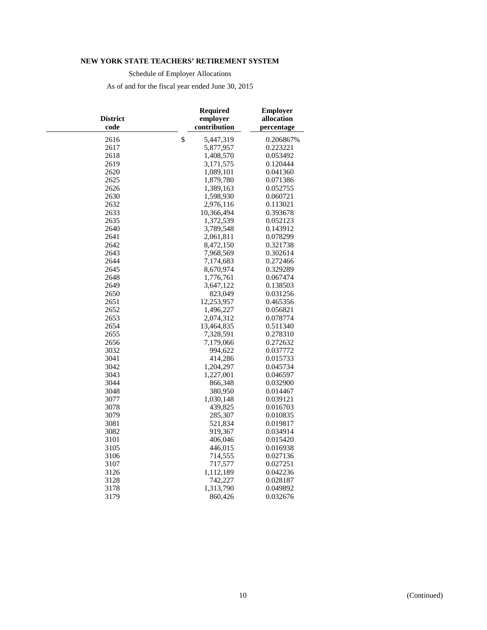Schedule of Employer Allocations

| <b>District</b><br>code | <b>Required</b><br>employer<br>contribution | <b>Employer</b><br>allocation<br>percentage |
|-------------------------|---------------------------------------------|---------------------------------------------|
| 2616                    | \$<br>5,447,319                             | 0.206867%                                   |
| 2617                    | 5,877,957                                   | 0.223221                                    |
| 2618                    | 1,408,570                                   | 0.053492                                    |
| 2619                    | 3,171,575                                   | 0.120444                                    |
| 2620                    | 1,089,101                                   | 0.041360                                    |
| 2625                    | 1,879,780                                   | 0.071386                                    |
| 2626                    | 1,389,163                                   | 0.052755                                    |
| 2630                    | 1,598,930                                   | 0.060721                                    |
| 2632                    | 2,976,116                                   | 0.113021                                    |
| 2633                    | 10,366,494                                  | 0.393678                                    |
| 2635                    | 1,372,539                                   | 0.052123                                    |
| 2640                    | 3,789,548                                   | 0.143912                                    |
| 2641                    | 2,061,811                                   | 0.078299                                    |
| 2642                    | 8,472,150                                   | 0.321738                                    |
| 2643                    | 7,968,569                                   | 0.302614                                    |
| 2644                    | 7,174,683                                   | 0.272466                                    |
| 2645                    | 8,670,974                                   | 0.329289                                    |
| 2648                    | 1,776,761                                   | 0.067474                                    |
| 2649                    | 3,647,122                                   | 0.138503                                    |
| 2650                    | 823,049                                     | 0.031256                                    |
| 2651                    | 12,253,957                                  | 0.465356                                    |
| 2652                    | 1,496,227                                   | 0.056821                                    |
| 2653                    | 2,074,312                                   | 0.078774                                    |
| 2654                    | 13,464,835                                  | 0.511340                                    |
| 2655                    | 7,328,591                                   | 0.278310                                    |
| 2656                    | 7,179,066                                   | 0.272632                                    |
| 3032                    | 994,622                                     | 0.037772                                    |
| 3041                    | 414,286                                     | 0.015733                                    |
| 3042                    | 1,204,297                                   | 0.045734                                    |
| 3043                    | 1,227,001                                   | 0.046597                                    |
| 3044                    | 866,348                                     | 0.032900                                    |
| 3048                    | 380,950                                     | 0.014467                                    |
| 3077                    | 1,030,148                                   | 0.039121                                    |
| 3078                    | 439,825                                     | 0.016703                                    |
| 3079                    | 285,307                                     | 0.010835                                    |
| 3081                    | 521,834                                     | 0.019817                                    |
| 3082                    | 919,367                                     | 0.034914                                    |
| 3101                    | 406,046                                     | 0.015420                                    |
| 3105                    | 446,015                                     | 0.016938                                    |
| 3106                    | 714,555                                     | 0.027136                                    |
| 3107                    | 717,577                                     | 0.027251                                    |
| 3126                    | 1,112,189                                   | 0.042236                                    |
| 3128                    | 742,227                                     | 0.028187                                    |
| 3178                    | 1,313,790                                   | 0.049892                                    |
| 3179                    | 860,426                                     | 0.032676                                    |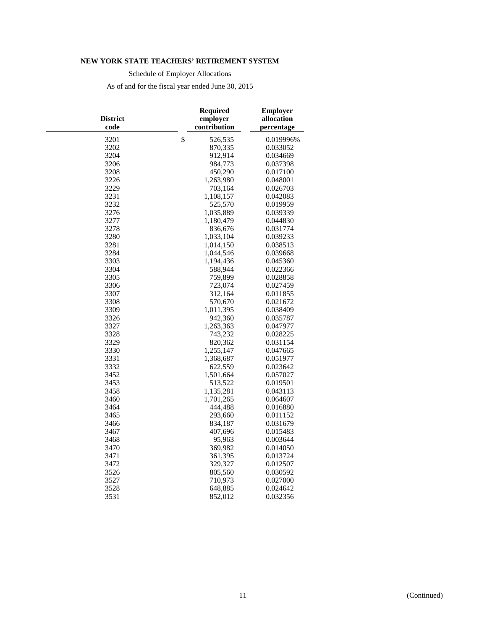Schedule of Employer Allocations

| <b>District</b><br>code | <b>Required</b><br>employer<br>contribution | <b>Employer</b><br>allocation<br>percentage |
|-------------------------|---------------------------------------------|---------------------------------------------|
| 3201                    | \$<br>526,535                               | 0.019996%                                   |
| 3202                    | 870,335                                     | 0.033052                                    |
| 3204                    | 912,914                                     | 0.034669                                    |
| 3206                    | 984,773                                     | 0.037398                                    |
| 3208                    | 450,290                                     | 0.017100                                    |
| 3226                    | 1,263,980                                   | 0.048001                                    |
| 3229                    | 703,164                                     | 0.026703                                    |
| 3231                    | 1,108,157                                   | 0.042083                                    |
| 3232                    | 525,570                                     | 0.019959                                    |
| 3276                    | 1,035,889                                   | 0.039339                                    |
| 3277                    | 1,180,479                                   | 0.044830                                    |
| 3278                    | 836,676                                     | 0.031774                                    |
| 3280                    | 1,033,104                                   | 0.039233                                    |
| 3281                    | 1,014,150                                   | 0.038513                                    |
| 3284                    | 1,044,546                                   | 0.039668                                    |
| 3303                    | 1,194,436                                   | 0.045360                                    |
| 3304                    | 588,944                                     | 0.022366                                    |
| 3305                    | 759,899                                     | 0.028858                                    |
| 3306                    | 723,074                                     | 0.027459                                    |
| 3307                    | 312,164                                     | 0.011855                                    |
| 3308                    | 570,670                                     | 0.021672                                    |
| 3309                    | 1,011,395                                   | 0.038409                                    |
| 3326                    | 942,360                                     | 0.035787                                    |
| 3327                    | 1,263,363                                   | 0.047977                                    |
| 3328                    | 743,232                                     | 0.028225                                    |
| 3329                    | 820,362                                     | 0.031154                                    |
| 3330                    | 1,255,147                                   | 0.047665                                    |
| 3331                    | 1,368,687                                   | 0.051977                                    |
| 3332                    | 622,559                                     | 0.023642                                    |
| 3452                    | 1,501,664                                   | 0.057027                                    |
| 3453                    | 513,522                                     | 0.019501                                    |
| 3458                    | 1,135,281                                   | 0.043113                                    |
| 3460                    | 1,701,265                                   | 0.064607                                    |
| 3464                    | 444,488                                     | 0.016880                                    |
| 3465                    | 293,660                                     | 0.011152                                    |
| 3466                    | 834,187                                     | 0.031679                                    |
| 3467                    | 407,696                                     | 0.015483                                    |
| 3468                    | 95,963                                      | 0.003644                                    |
| 3470                    | 369,982                                     | 0.014050                                    |
| 3471                    | 361,395                                     | 0.013724                                    |
| 3472                    | 329,327                                     | 0.012507                                    |
| 3526                    | 805,560                                     | 0.030592                                    |
| 3527                    | 710,973                                     | 0.027000                                    |
| 3528                    | 648,885                                     | 0.024642                                    |
| 3531                    | 852,012                                     | 0.032356                                    |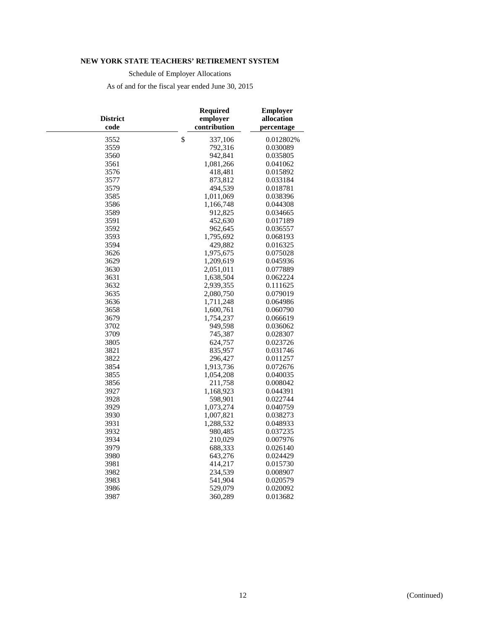Schedule of Employer Allocations

| <b>District</b><br>code | <b>Required</b><br>employer<br>contribution | <b>Employer</b><br>allocation<br>percentage |
|-------------------------|---------------------------------------------|---------------------------------------------|
| 3552                    | \$<br>337,106                               | 0.012802%                                   |
| 3559                    | 792,316                                     | 0.030089                                    |
| 3560                    | 942,841                                     | 0.035805                                    |
| 3561                    | 1,081,266                                   | 0.041062                                    |
| 3576                    | 418,481                                     | 0.015892                                    |
| 3577                    | 873,812                                     | 0.033184                                    |
| 3579                    | 494,539                                     | 0.018781                                    |
| 3585                    | 1,011,069                                   | 0.038396                                    |
| 3586                    | 1,166,748                                   | 0.044308                                    |
| 3589                    | 912,825                                     | 0.034665                                    |
| 3591                    | 452,630                                     | 0.017189                                    |
| 3592                    | 962,645                                     | 0.036557                                    |
| 3593                    | 1,795,692                                   | 0.068193                                    |
| 3594                    | 429,882                                     | 0.016325                                    |
| 3626                    | 1,975,675                                   | 0.075028                                    |
| 3629                    | 1,209,619                                   | 0.045936                                    |
| 3630                    | 2,051,011                                   | 0.077889                                    |
| 3631                    | 1,638,504                                   | 0.062224                                    |
| 3632                    | 2,939,355                                   | 0.111625                                    |
| 3635                    | 2,080,750                                   | 0.079019                                    |
| 3636                    | 1,711,248                                   | 0.064986                                    |
| 3658                    | 1,600,761                                   | 0.060790                                    |
| 3679                    | 1,754,237                                   | 0.066619                                    |
| 3702                    | 949,598                                     | 0.036062                                    |
| 3709                    | 745,387                                     | 0.028307                                    |
| 3805                    | 624,757                                     | 0.023726                                    |
| 3821                    | 835,957                                     | 0.031746                                    |
| 3822                    | 296,427                                     | 0.011257                                    |
| 3854                    | 1,913,736                                   | 0.072676                                    |
| 3855                    | 1,054,208                                   | 0.040035                                    |
| 3856                    | 211,758                                     | 0.008042                                    |
| 3927                    | 1,168,923                                   | 0.044391                                    |
| 3928                    | 598,901                                     | 0.022744                                    |
| 3929                    | 1,073,274                                   | 0.040759                                    |
| 3930                    | 1,007,821                                   | 0.038273                                    |
| 3931                    | 1,288,532                                   | 0.048933                                    |
| 3932                    | 980,485                                     | 0.037235                                    |
| 3934                    | 210,029                                     | 0.007976                                    |
| 3979                    | 688,333                                     | 0.026140                                    |
| 3980                    | 643,276                                     | 0.024429                                    |
| 3981                    | 414,217                                     | 0.015730                                    |
| 3982                    | 234,539                                     | 0.008907                                    |
| 3983                    | 541,904                                     | 0.020579                                    |
| 3986                    | 529,079                                     | 0.020092                                    |
| 3987                    | 360,289                                     | 0.013682                                    |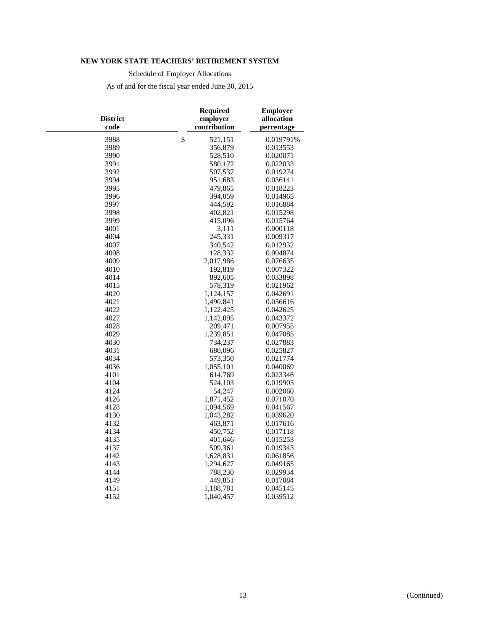Schedule of Employer Allocations

| <b>District</b><br>code | <b>Required</b><br>employer<br>contribution | <b>Employer</b><br>allocation<br>percentage |
|-------------------------|---------------------------------------------|---------------------------------------------|
| 3988                    | \$<br>521,151                               | 0.019791%                                   |
| 3989                    | 356,879                                     | 0.013553                                    |
| 3990                    | 528,510                                     | 0.020071                                    |
| 3991                    | 580,172                                     | 0.022033                                    |
| 3992                    | 507,537                                     | 0.019274                                    |
| 3994                    | 951,683                                     | 0.036141                                    |
| 3995                    | 479,865                                     | 0.018223                                    |
| 3996                    | 394,059                                     | 0.014965                                    |
| 3997                    | 444,592                                     | 0.016884                                    |
| 3998                    | 402,821                                     | 0.015298                                    |
| 3999                    | 415,096                                     | 0.015764                                    |
| 4001                    | 3,111                                       | 0.000118                                    |
| 4004                    | 245,331                                     | 0.009317                                    |
| 4007                    | 340,542                                     | 0.012932                                    |
| 4008                    | 128,332                                     | 0.004874                                    |
| 4009                    | 2,017,986                                   | 0.076635                                    |
| 4010                    | 192,819                                     | 0.007322                                    |
| 4014                    | 892,605                                     | 0.033898                                    |
| 4015                    | 578,319                                     | 0.021962                                    |
| 4020                    | 1,124,157                                   | 0.042691                                    |
| 4021                    | 1,490,841                                   | 0.056616                                    |
| 4022                    | 1,122,425                                   | 0.042625                                    |
| 4027                    | 1,142,095                                   | 0.043372                                    |
| 4028                    | 209,471                                     | 0.007955                                    |
| 4029                    | 1,239,851                                   | 0.047085                                    |
| 4030                    | 734,237                                     | 0.027883                                    |
| 4031                    | 680,096                                     | 0.025827                                    |
| 4034                    | 573,350                                     | 0.021774                                    |
| 4036                    | 1,055,101                                   | 0.040069                                    |
| 4101                    | 614,769                                     | 0.023346                                    |
| 4104                    | 524,103                                     | 0.019903                                    |
| 4124                    | 54,247                                      | 0.002060                                    |
| 4126                    | 1,871,452                                   | 0.071070                                    |
| 4128                    | 1,094,569                                   | 0.041567                                    |
| 4130                    | 1,043,282                                   | 0.039620                                    |
| 4132                    | 463,871                                     | 0.017616                                    |
| 4134                    | 450,752                                     | 0.017118                                    |
| 4135                    | 401,646                                     | 0.015253                                    |
| 4137                    | 509,361                                     | 0.019343                                    |
| 4142                    | 1,628,831                                   | 0.061856                                    |
| 4143                    | 1,294,627                                   | 0.049165                                    |
| 4144                    | 788,230                                     | 0.029934                                    |
| 4149                    | 449,851                                     | 0.017084                                    |
| 4151                    | 1,188,781                                   | 0.045145                                    |
| 4152                    | 1,040,457                                   | 0.039512                                    |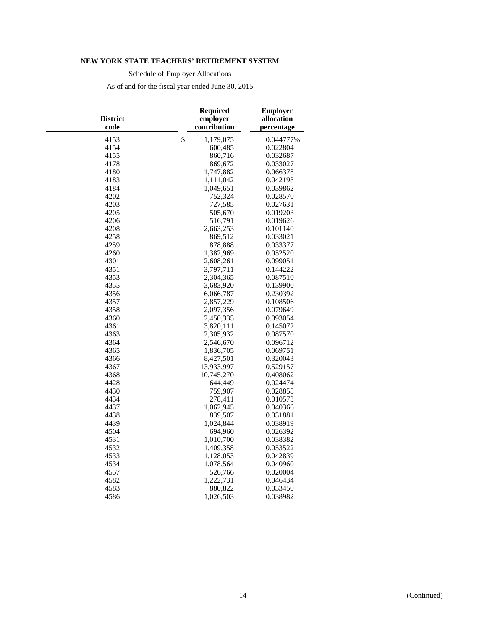Schedule of Employer Allocations

| <b>District</b><br>code | <b>Required</b><br>employer<br>contribution | <b>Employer</b><br>allocation<br>percentage |
|-------------------------|---------------------------------------------|---------------------------------------------|
| 4153                    | \$<br>1,179,075                             | 0.044777%                                   |
| 4154                    | 600,485                                     | 0.022804                                    |
| 4155                    | 860,716                                     | 0.032687                                    |
| 4178                    | 869,672                                     | 0.033027                                    |
| 4180                    | 1,747,882                                   | 0.066378                                    |
| 4183                    | 1,111,042                                   | 0.042193                                    |
| 4184                    | 1,049,651                                   | 0.039862                                    |
| 4202                    | 752,324                                     | 0.028570                                    |
| 4203                    | 727,585                                     | 0.027631                                    |
| 4205                    | 505,670                                     | 0.019203                                    |
| 4206                    | 516,791                                     | 0.019626                                    |
| 4208                    | 2,663,253                                   | 0.101140                                    |
| 4258                    | 869,512                                     | 0.033021                                    |
| 4259                    | 878,888                                     | 0.033377                                    |
| 4260                    | 1,382,969                                   | 0.052520                                    |
| 4301                    | 2,608,261                                   | 0.099051                                    |
| 4351                    | 3,797,711                                   | 0.144222                                    |
| 4353                    | 2,304,365                                   | 0.087510                                    |
| 4355                    | 3,683,920                                   | 0.139900                                    |
| 4356                    | 6,066,787                                   | 0.230392                                    |
| 4357                    | 2,857,229                                   | 0.108506                                    |
| 4358                    | 2,097,356                                   | 0.079649                                    |
| 4360                    | 2,450,335                                   | 0.093054                                    |
| 4361                    | 3,820,111                                   | 0.145072                                    |
| 4363                    | 2,305,932                                   | 0.087570                                    |
| 4364                    | 2,546,670                                   | 0.096712                                    |
| 4365                    | 1,836,705                                   | 0.069751                                    |
| 4366                    | 8,427,501                                   | 0.320043                                    |
| 4367                    | 13,933,997                                  | 0.529157                                    |
| 4368                    | 10,745,270                                  | 0.408062                                    |
| 4428                    | 644,449                                     | 0.024474                                    |
| 4430                    | 759,907                                     | 0.028858                                    |
| 4434                    | 278,411                                     | 0.010573                                    |
| 4437                    | 1,062,945                                   | 0.040366                                    |
| 4438                    | 839,507                                     | 0.031881                                    |
| 4439                    | 1,024,844                                   | 0.038919                                    |
| 4504                    | 694,960                                     | 0.026392                                    |
| 4531                    | 1,010,700                                   | 0.038382                                    |
| 4532                    | 1,409,358                                   | 0.053522                                    |
| 4533                    | 1,128,053                                   | 0.042839                                    |
| 4534                    | 1,078,564                                   | 0.040960                                    |
| 4557                    | 526,766                                     | 0.020004                                    |
| 4582                    | 1,222,731                                   | 0.046434                                    |
| 4583                    | 880,822                                     | 0.033450                                    |
| 4586                    | 1,026,503                                   | 0.038982                                    |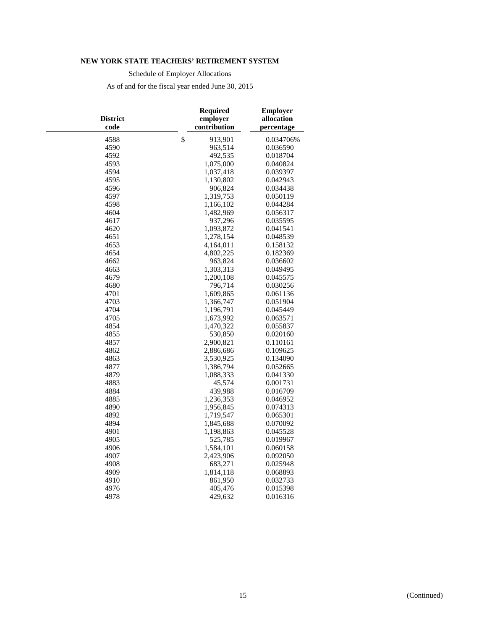Schedule of Employer Allocations

| <b>District</b><br>code | <b>Required</b><br>employer<br>contribution | <b>Employer</b><br>allocation<br>percentage |
|-------------------------|---------------------------------------------|---------------------------------------------|
| 4588                    | \$<br>913,901                               | 0.034706%                                   |
| 4590                    | 963,514                                     | 0.036590                                    |
| 4592                    | 492,535                                     | 0.018704                                    |
| 4593                    | 1,075,000                                   | 0.040824                                    |
| 4594                    | 1,037,418                                   | 0.039397                                    |
| 4595                    | 1,130,802                                   | 0.042943                                    |
| 4596                    | 906,824                                     | 0.034438                                    |
| 4597                    | 1,319,753                                   | 0.050119                                    |
| 4598                    | 1,166,102                                   | 0.044284                                    |
| 4604                    | 1,482,969                                   | 0.056317                                    |
| 4617                    | 937,296                                     | 0.035595                                    |
| 4620                    | 1,093,872                                   | 0.041541                                    |
| 4651                    | 1,278,154                                   | 0.048539                                    |
| 4653                    | 4,164,011                                   | 0.158132                                    |
| 4654                    | 4,802,225                                   | 0.182369                                    |
| 4662                    | 963,824                                     | 0.036602                                    |
| 4663                    | 1,303,313                                   | 0.049495                                    |
| 4679                    | 1,200,108                                   | 0.045575                                    |
| 4680                    | 796,714                                     | 0.030256                                    |
| 4701                    | 1,609,865                                   | 0.061136                                    |
| 4703                    | 1,366,747                                   | 0.051904                                    |
| 4704                    | 1,196,791                                   | 0.045449                                    |
| 4705                    | 1,673,992                                   | 0.063571                                    |
| 4854                    | 1,470,322                                   | 0.055837                                    |
| 4855                    | 530,850                                     | 0.020160                                    |
| 4857                    | 2,900,821                                   | 0.110161                                    |
| 4862                    | 2,886,686                                   | 0.109625                                    |
| 4863                    | 3,530,925                                   | 0.134090                                    |
| 4877                    | 1,386,794                                   | 0.052665                                    |
| 4879                    | 1,088,333                                   | 0.041330                                    |
| 4883                    | 45,574                                      | 0.001731                                    |
| 4884                    | 439,988                                     | 0.016709                                    |
| 4885                    | 1,236,353                                   | 0.046952                                    |
| 4890                    | 1,956,845                                   | 0.074313                                    |
| 4892                    | 1,719,547                                   | 0.065301                                    |
| 4894                    | 1,845,688                                   | 0.070092                                    |
| 4901                    | 1,198,863                                   | 0.045528                                    |
| 4905                    | 525,785                                     | 0.019967                                    |
| 4906                    | 1,584,101                                   | 0.060158                                    |
| 4907                    | 2,423,906                                   | 0.092050                                    |
| 4908                    | 683,271                                     | 0.025948                                    |
| 4909                    | 1,814,118                                   | 0.068893                                    |
| 4910                    | 861,950                                     | 0.032733                                    |
| 4976                    | 405,476                                     | 0.015398                                    |
| 4978                    | 429,632                                     | 0.016316                                    |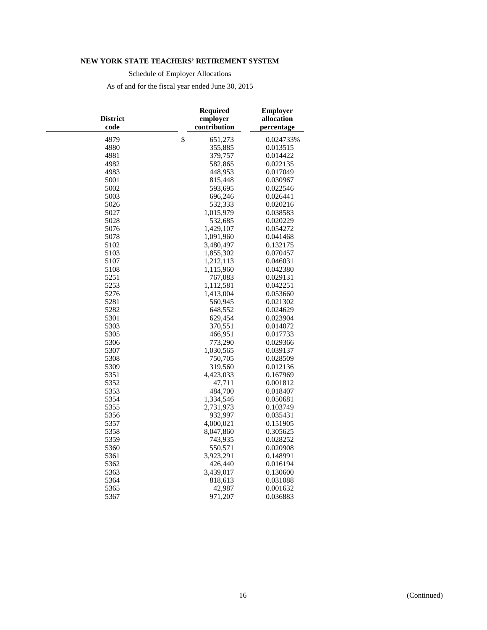Schedule of Employer Allocations

| <b>District</b><br>code | <b>Required</b><br>employer<br>contribution | <b>Employer</b><br>allocation<br>percentage |
|-------------------------|---------------------------------------------|---------------------------------------------|
| 4979                    | \$<br>651,273                               | 0.024733%                                   |
| 4980                    | 355,885                                     | 0.013515                                    |
| 4981                    | 379,757                                     | 0.014422                                    |
| 4982                    | 582,865                                     | 0.022135                                    |
| 4983                    | 448,953                                     | 0.017049                                    |
| 5001                    | 815,448                                     | 0.030967                                    |
| 5002                    | 593,695                                     | 0.022546                                    |
| 5003                    | 696,246                                     | 0.026441                                    |
| 5026                    | 532,333                                     | 0.020216                                    |
| 5027                    | 1,015,979                                   | 0.038583                                    |
| 5028                    | 532,685                                     | 0.020229                                    |
| 5076                    | 1,429,107                                   | 0.054272                                    |
| 5078                    | 1,091,960                                   | 0.041468                                    |
| 5102                    | 3,480,497                                   | 0.132175                                    |
| 5103                    | 1,855,302                                   | 0.070457                                    |
| 5107                    | 1,212,113                                   | 0.046031                                    |
| 5108                    | 1,115,960                                   | 0.042380                                    |
| 5251                    | 767,083                                     | 0.029131                                    |
| 5253                    | 1,112,581                                   | 0.042251                                    |
| 5276                    | 1,413,004                                   | 0.053660                                    |
| 5281                    | 560,945                                     | 0.021302                                    |
| 5282                    | 648,552                                     | 0.024629                                    |
| 5301                    | 629,454                                     | 0.023904                                    |
| 5303                    | 370,551                                     | 0.014072                                    |
| 5305                    | 466,951                                     | 0.017733                                    |
| 5306                    | 773,290                                     | 0.029366                                    |
| 5307                    | 1,030,565                                   | 0.039137                                    |
| 5308                    | 750,705                                     | 0.028509                                    |
| 5309                    | 319,560                                     | 0.012136                                    |
| 5351                    | 4,423,033                                   | 0.167969                                    |
| 5352                    | 47,711                                      | 0.001812                                    |
| 5353                    | 484,700                                     | 0.018407                                    |
| 5354                    | 1,334,546                                   | 0.050681                                    |
| 5355                    | 2,731,973                                   | 0.103749                                    |
| 5356                    | 932,997                                     | 0.035431                                    |
| 5357                    | 4,000,021                                   | 0.151905                                    |
| 5358                    | 8,047,860                                   | 0.305625                                    |
| 5359                    | 743,935                                     | 0.028252                                    |
| 5360                    | 550,571                                     | 0.020908                                    |
| 5361                    | 3,923,291                                   | 0.148991                                    |
| 5362                    | 426,440                                     | 0.016194                                    |
| 5363                    | 3,439,017                                   | 0.130600                                    |
| 5364                    | 818,613                                     | 0.031088                                    |
| 5365                    | 42,987                                      | 0.001632                                    |
| 5367                    | 971,207                                     | 0.036883                                    |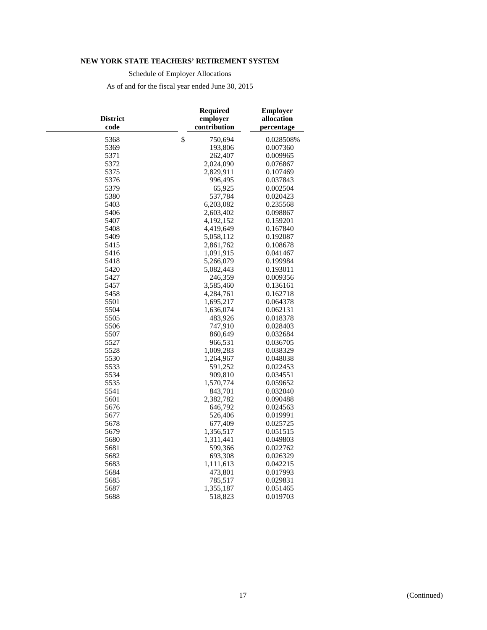Schedule of Employer Allocations

| <b>District</b><br>code | <b>Required</b><br>employer<br>contribution | <b>Employer</b><br>allocation<br>percentage |
|-------------------------|---------------------------------------------|---------------------------------------------|
| 5368                    | \$<br>750,694                               | 0.028508%                                   |
| 5369                    | 193,806                                     | 0.007360                                    |
| 5371                    | 262,407                                     | 0.009965                                    |
| 5372                    | 2,024,090                                   | 0.076867                                    |
| 5375                    | 2,829,911                                   | 0.107469                                    |
| 5376                    | 996,495                                     | 0.037843                                    |
| 5379                    | 65,925                                      | 0.002504                                    |
| 5380                    | 537,784                                     | 0.020423                                    |
| 5403                    | 6,203,082                                   | 0.235568                                    |
| 5406                    | 2,603,402                                   | 0.098867                                    |
| 5407                    | 4, 192, 152                                 | 0.159201                                    |
| 5408                    | 4,419,649                                   | 0.167840                                    |
| 5409                    | 5,058,112                                   | 0.192087                                    |
| 5415                    | 2,861,762                                   | 0.108678                                    |
| 5416                    | 1,091,915                                   | 0.041467                                    |
| 5418                    | 5,266,079                                   | 0.199984                                    |
| 5420                    | 5,082,443                                   | 0.193011                                    |
| 5427                    | 246,359                                     | 0.009356                                    |
| 5457                    | 3,585,460                                   | 0.136161                                    |
| 5458                    | 4,284,761                                   | 0.162718                                    |
| 5501                    | 1,695,217                                   | 0.064378                                    |
| 5504                    | 1,636,074                                   | 0.062131                                    |
| 5505                    | 483,926                                     | 0.018378                                    |
| 5506                    | 747,910                                     | 0.028403                                    |
| 5507                    | 860,649                                     | 0.032684                                    |
| 5527                    | 966,531                                     | 0.036705                                    |
| 5528                    | 1,009,283                                   | 0.038329                                    |
| 5530                    | 1,264,967                                   | 0.048038                                    |
| 5533                    | 591,252                                     | 0.022453                                    |
| 5534                    | 909,810                                     | 0.034551                                    |
| 5535                    | 1,570,774                                   | 0.059652                                    |
| 5541                    | 843,701                                     | 0.032040                                    |
| 5601                    | 2,382,782                                   | 0.090488                                    |
| 5676                    | 646,792                                     | 0.024563                                    |
| 5677                    | 526,406                                     | 0.019991                                    |
| 5678                    | 677,409                                     | 0.025725                                    |
| 5679                    | 1,356,517                                   | 0.051515                                    |
| 5680                    | 1,311,441                                   | 0.049803                                    |
| 5681                    | 599,366                                     | 0.022762                                    |
| 5682                    | 693,308                                     | 0.026329                                    |
| 5683                    | 1,111,613                                   | 0.042215                                    |
| 5684                    | 473,801                                     | 0.017993                                    |
| 5685                    | 785,517                                     | 0.029831                                    |
| 5687                    | 1,355,187                                   | 0.051465                                    |
| 5688                    | 518,823                                     | 0.019703                                    |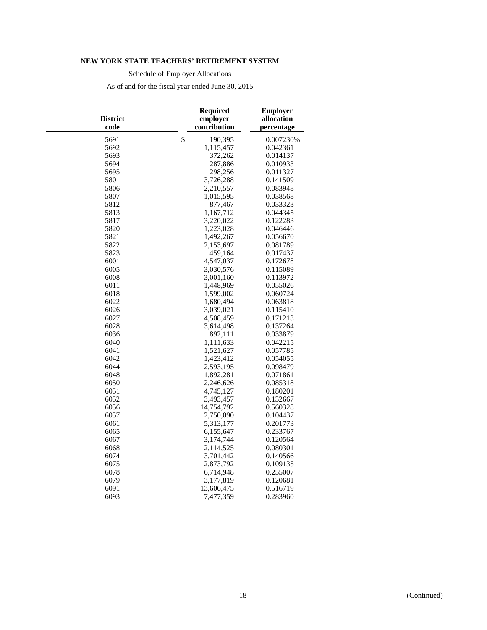Schedule of Employer Allocations

| <b>District</b><br>code | <b>Required</b><br>employer<br>contribution | <b>Employer</b><br>allocation<br>percentage |
|-------------------------|---------------------------------------------|---------------------------------------------|
| 5691                    | \$<br>190,395                               | 0.007230%                                   |
| 5692                    | 1,115,457                                   | 0.042361                                    |
| 5693                    | 372,262                                     | 0.014137                                    |
| 5694                    | 287,886                                     | 0.010933                                    |
| 5695                    | 298,256                                     | 0.011327                                    |
| 5801                    | 3,726,288                                   | 0.141509                                    |
| 5806                    | 2,210,557                                   | 0.083948                                    |
| 5807                    | 1,015,595                                   | 0.038568                                    |
| 5812                    | 877,467                                     | 0.033323                                    |
| 5813                    | 1,167,712                                   | 0.044345                                    |
| 5817                    | 3,220,022                                   | 0.122283                                    |
| 5820                    | 1,223,028                                   | 0.046446                                    |
| 5821                    | 1,492,267                                   | 0.056670                                    |
| 5822                    | 2,153,697                                   | 0.081789                                    |
| 5823                    | 459,164                                     | 0.017437                                    |
| 6001                    | 4,547,037                                   | 0.172678                                    |
| 6005                    | 3,030,576                                   | 0.115089                                    |
| 6008                    | 3,001,160                                   | 0.113972                                    |
| 6011                    | 1,448,969                                   | 0.055026                                    |
| 6018                    | 1,599,002                                   | 0.060724                                    |
| 6022                    | 1,680,494                                   | 0.063818                                    |
| 6026                    | 3,039,021                                   | 0.115410                                    |
| 6027                    | 4,508,459                                   | 0.171213                                    |
| 6028                    | 3,614,498                                   | 0.137264                                    |
| 6036                    | 892,111                                     | 0.033879                                    |
| 6040                    | 1,111,633                                   | 0.042215                                    |
| 6041                    | 1,521,627                                   | 0.057785                                    |
| 6042                    | 1,423,412                                   | 0.054055                                    |
| 6044                    | 2,593,195                                   | 0.098479                                    |
| 6048                    | 1,892,281                                   | 0.071861                                    |
| 6050                    | 2,246,626                                   | 0.085318                                    |
| 6051                    | 4,745,127                                   | 0.180201                                    |
| 6052                    | 3,493,457                                   | 0.132667                                    |
| 6056                    | 14,754,792                                  | 0.560328                                    |
| 6057                    | 2,750,090                                   | 0.104437                                    |
| 6061                    | 5,313,177                                   | 0.201773                                    |
| 6065                    | 6,155,647                                   | 0.233767                                    |
| 6067                    | 3,174,744                                   | 0.120564                                    |
| 6068                    | 2,114,525                                   | 0.080301                                    |
| 6074                    | 3,701,442                                   | 0.140566                                    |
| 6075                    | 2,873,792                                   | 0.109135                                    |
| 6078                    | 6,714,948                                   | 0.255007                                    |
| 6079                    | 3,177,819                                   | 0.120681                                    |
| 6091                    | 13,606,475                                  | 0.516719                                    |
| 6093                    | 7,477,359                                   | 0.283960                                    |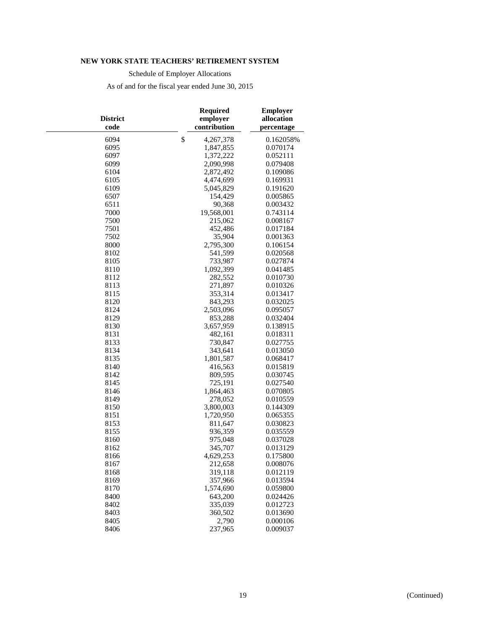Schedule of Employer Allocations

| <b>District</b><br>code | <b>Required</b><br>employer<br>contribution | <b>Employer</b><br>allocation<br>percentage |
|-------------------------|---------------------------------------------|---------------------------------------------|
| 6094                    | \$<br>4,267,378                             | 0.162058%                                   |
| 6095                    | 1,847,855                                   | 0.070174                                    |
| 6097                    | 1,372,222                                   | 0.052111                                    |
| 6099                    | 2,090,998                                   | 0.079408                                    |
| 6104                    | 2,872,492                                   | 0.109086                                    |
| 6105                    | 4,474,699                                   | 0.169931                                    |
| 6109                    | 5,045,829                                   | 0.191620                                    |
| 6507                    | 154,429                                     | 0.005865                                    |
| 6511                    | 90,368                                      | 0.003432                                    |
| 7000                    | 19,568,001                                  | 0.743114                                    |
| 7500                    | 215,062                                     | 0.008167                                    |
| 7501                    | 452,486                                     | 0.017184                                    |
| 7502                    | 35,904                                      | 0.001363                                    |
| 8000                    | 2,795,300                                   | 0.106154                                    |
| 8102                    | 541,599                                     | 0.020568                                    |
| 8105                    | 733,987                                     | 0.027874                                    |
| 8110                    | 1,092,399                                   | 0.041485                                    |
| 8112                    | 282,552                                     |                                             |
|                         |                                             | 0.010730<br>0.010326                        |
| 8113                    | 271,897                                     |                                             |
| 8115                    | 353,314                                     | 0.013417                                    |
| 8120                    | 843,293                                     | 0.032025                                    |
| 8124                    | 2,503,096                                   | 0.095057                                    |
| 8129                    | 853,288                                     | 0.032404                                    |
| 8130                    | 3,657,959                                   | 0.138915                                    |
| 8131                    | 482,161                                     | 0.018311                                    |
| 8133                    | 730,847                                     | 0.027755                                    |
| 8134                    | 343,641                                     | 0.013050                                    |
| 8135                    | 1,801,587                                   | 0.068417                                    |
| 8140                    | 416,563                                     | 0.015819                                    |
| 8142                    | 809,595                                     | 0.030745                                    |
| 8145                    | 725,191                                     | 0.027540                                    |
| 8146                    | 1,864,463                                   | 0.070805                                    |
| 8149                    | 278,052                                     | 0.010559                                    |
| 8150                    | 3,800,003                                   | 0.144309                                    |
| 8151                    | 1,720,950                                   | 0.065355                                    |
| 8153                    | 811,647                                     | 0.030823                                    |
| 8155                    | 936,359                                     | 0.035559                                    |
| 8160                    | 975,048                                     | 0.037028                                    |
| 8162                    | 345,707                                     | 0.013129                                    |
| 8166                    | 4,629,253                                   | 0.175800                                    |
| 8167                    | 212,658                                     | 0.008076                                    |
| 8168                    | 319,118                                     | 0.012119                                    |
| 8169                    | 357,966                                     | 0.013594                                    |
| 8170                    | 1,574,690                                   | 0.059800                                    |
| 8400                    | 643,200                                     | 0.024426                                    |
| 8402                    | 335,039                                     | 0.012723                                    |
| 8403                    | 360,502                                     | 0.013690                                    |
| 8405                    | 2,790                                       | 0.000106                                    |
| 8406                    | 237,965                                     | 0.009037                                    |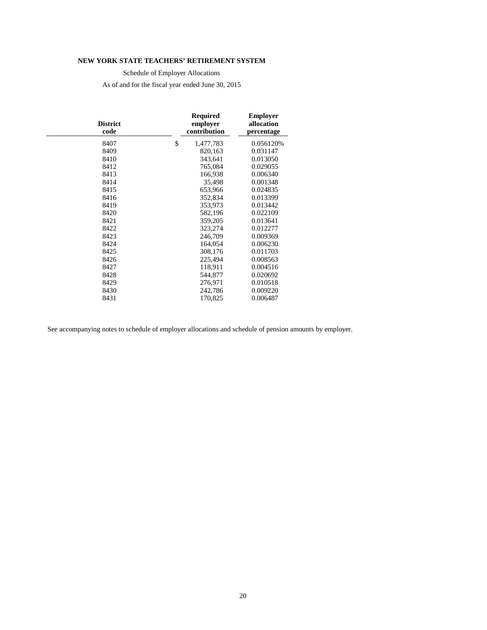Schedule of Employer Allocations

As of and for the fiscal year ended June 30, 2015

| <b>District</b><br>code | Required<br>employer<br>contribution | <b>Employer</b><br>allocation<br>percentage |
|-------------------------|--------------------------------------|---------------------------------------------|
| 8407                    | \$<br>1,477,783                      | 0.056120%                                   |
| 8409                    | 820,163                              | 0.031147                                    |
| 8410                    | 343,641                              | 0.013050                                    |
| 8412                    | 765,084                              | 0.029055                                    |
| 8413                    | 166,938                              | 0.006340                                    |
| 8414                    | 35,498                               | 0.001348                                    |
| 8415                    | 653,966                              | 0.024835                                    |
| 8416                    | 352,834                              | 0.013399                                    |
| 8419                    | 353,973                              | 0.013442                                    |
| 8420                    | 582,196                              | 0.022109                                    |
| 8421                    | 359,205                              | 0.013641                                    |
| 8422                    | 323,274                              | 0.012277                                    |
| 8423                    | 246,709                              | 0.009369                                    |
| 8424                    | 164,054                              | 0.006230                                    |
| 8425                    | 308,176                              | 0.011703                                    |
| 8426                    | 225,494                              | 0.008563                                    |
| 8427                    | 118,911                              | 0.004516                                    |
| 8428                    | 544,877                              | 0.020692                                    |
| 8429                    | 276,971                              | 0.010518                                    |
| 8430                    | 242,786                              | 0.009220                                    |
| 8431                    | 170,825                              | 0.006487                                    |

See accompanying notes to schedule of employer allocations and schedule of pension amounts by employer.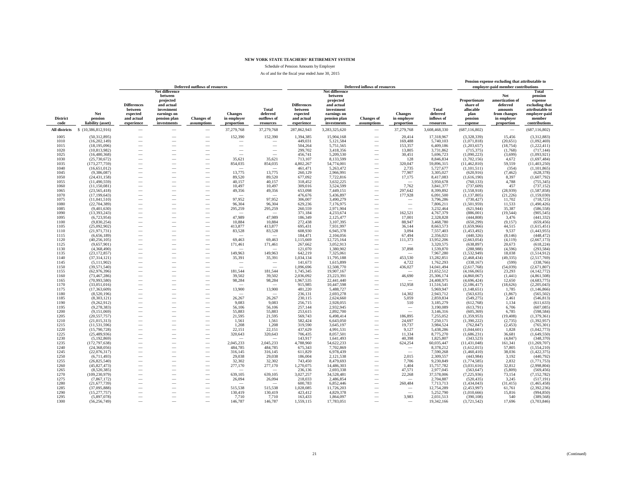Schedule of Pension Amounts by Employer

|                         |                                     |                                                                       |                                                                                                                         | <b>Deferred outflows of resources</b>                |                                             |                                               |                                                                       |                                                                                                                  | Deferred inflows of resources                        | Pension expense excluding that attributable to<br>employer-paid member contributions |                                              |                                                                             |                                                                                            |                                                                                                              |
|-------------------------|-------------------------------------|-----------------------------------------------------------------------|-------------------------------------------------------------------------------------------------------------------------|------------------------------------------------------|---------------------------------------------|-----------------------------------------------|-----------------------------------------------------------------------|------------------------------------------------------------------------------------------------------------------|------------------------------------------------------|--------------------------------------------------------------------------------------|----------------------------------------------|-----------------------------------------------------------------------------|--------------------------------------------------------------------------------------------|--------------------------------------------------------------------------------------------------------------|
| <b>District</b><br>code | Net<br>pension<br>liability (asset) | <b>Differences</b><br>between<br>expected<br>and actual<br>experience | <b>Net difference</b><br>between<br>projected<br>and actual<br>investment<br>earnings on<br>pension plan<br>investments | <b>Changes</b> of<br>assumptions                     | <b>Changes</b><br>in employer<br>proportion | Total<br>deferred<br>outflows of<br>resources | <b>Differences</b><br>between<br>expected<br>and actual<br>experience | Net difference<br>between<br>projected<br>and actual<br>investment<br>earnings on<br>pension plan<br>investments | <b>Changes</b> of<br>assumptions                     | <b>Changes</b><br>in employer<br>proportion                                          | Total<br>deferred<br>inflows of<br>resources | <b>Proportionate</b><br>share of<br>allocable<br>plan<br>pension<br>expense | Net<br>amortization of<br>deferred<br>amounts<br>from changes<br>in employer<br>proportion | Total<br>pension<br>expense<br>excluding that<br>attributable to<br>employer-paid<br>member<br>contributions |
| All districts           | \$ (10,386,812,916)                 | $\overline{\phantom{a}}$                                              | -                                                                                                                       |                                                      | 37,279,768                                  | 37,279,768                                    | 287,862,943                                                           | 3,283,325,620                                                                                                    | -                                                    | 37,279,768                                                                           | 3,608,468,330                                | (687, 116, 802)                                                             | $\overline{\phantom{a}}$                                                                   | (687, 116, 802)                                                                                              |
| 1005                    | (50,312,895)                        |                                                                       |                                                                                                                         |                                                      | 152,390                                     | 152,390                                       | 1,394,385                                                             | 15,904,168                                                                                                       | $\overline{\phantom{0}}$                             | 20,414                                                                               | 17,318,967                                   | (3,328,339)                                                                 | 15,456                                                                                     | (3,312,883)                                                                                                  |
| 1010                    | (16,202,149)                        |                                                                       |                                                                                                                         |                                                      |                                             |                                               | 449,031                                                               | 5,121,584                                                                                                        |                                                      | 169,488                                                                              | 5,740,103                                    | (1,071,818)                                                                 | (20, 651)                                                                                  | (1,092,469)                                                                                                  |
| 1015                    | (18, 195, 096)                      |                                                                       |                                                                                                                         |                                                      | $\overline{\phantom{0}}$                    | $\overline{\phantom{0}}$                      | 504,264                                                               | 5,751,565                                                                                                        |                                                      | 153,357                                                                              | 6,409,186                                    | (1,203,657)                                                                 | (18, 754)                                                                                  | (1,222,411)                                                                                                  |
| 1020                    | (10.813.982)                        |                                                                       | $\overline{\phantom{a}}$                                                                                                |                                                      | $\overline{\phantom{a}}$                    | $\overline{\phantom{a}}$                      | 299,702                                                               | 3,418,356                                                                                                        | -                                                    | 13,805                                                                               | 3,731,862                                    | (715, 375)                                                                  | (1,768)                                                                                    | (717, 144)                                                                                                   |
| 1025                    | (16, 480, 368)                      |                                                                       | -                                                                                                                       | -                                                    |                                             |                                               | 456,741                                                               | 5,209,530                                                                                                        | -                                                    | 30,451                                                                               | 5,696,723                                    | (1,090,223)                                                                 | (3,699)                                                                                    | (1,093,921)                                                                                                  |
| 1030                    | (25,730,672)                        |                                                                       | $\overline{\phantom{0}}$                                                                                                |                                                      | 35.621                                      | 35.621                                        | 713,107                                                               | 8,133,599                                                                                                        | $\overline{\phantom{0}}$                             | 128                                                                                  | 8,846,834                                    | (1,702,156)                                                                 | 4,672                                                                                      | (1,697,484)                                                                                                  |
| 1035<br>1040            | (173, 277, 759)<br>(16,651,012)     |                                                                       | $\overline{\phantom{a}}$<br>$\overline{\phantom{a}}$                                                                    | $\overline{\phantom{a}}$<br>$\overline{\phantom{0}}$ | 854,035                                     | 854,035                                       | 4,802,267<br>461,471                                                  | 54,774,001<br>5,263,472                                                                                          | $\overline{\phantom{a}}$<br>$\overline{\phantom{0}}$ | 320,047<br>2,735                                                                     | 59,896,315<br>5,727,677                      | (11, 462, 810)<br>(1,101,511)                                               | 59,559<br>(354)                                                                            | (11, 403, 250)<br>(1,101,865)                                                                                |
| 1045                    | (9,386,087)                         |                                                                       | $\overline{\phantom{0}}$                                                                                                | $\overline{\phantom{0}}$                             | 13,775                                      | 13,775                                        | 260,129                                                               | 2,966,991                                                                                                        | $\overline{\phantom{0}}$                             | 77,907                                                                               | 3,305,027                                    | (620, 916)                                                                  | (7, 462)                                                                                   | (628, 378)                                                                                                   |
| 1050                    | (24, 431, 158)                      |                                                                       |                                                                                                                         | -                                                    | 89,520                                      | 89,520                                        | 677,092                                                               | 7,722,816                                                                                                        |                                                      | 17,175                                                                               | 8,417,083                                    | (1,616,190)                                                                 | 8,397                                                                                      | (1,607,792)                                                                                                  |
| 1055                    | (11,490,559)                        |                                                                       |                                                                                                                         | $\overline{\phantom{0}}$                             | 40,157                                      | 40,157                                        | 318,452                                                               | 3,632,225                                                                                                        |                                                      |                                                                                      | 3,950,678                                    | (760, 133)                                                                  | 4,788                                                                                      | (755, 345)                                                                                                   |
| 1060                    | (11,150,081)                        |                                                                       |                                                                                                                         |                                                      | 10,497                                      | 10,497                                        | 309,016                                                               | 3,524,599                                                                                                        |                                                      | 7,762                                                                                | 3,841,377                                    | (737, 609)                                                                  | 457                                                                                        | (737, 152)                                                                                                   |
| 1065                    | (23, 565, 418)                      |                                                                       | $\overline{\phantom{0}}$                                                                                                | $\overline{\phantom{0}}$                             | 49,356                                      | 49,356                                        | 653.098                                                               | 7.449.151                                                                                                        | $\overline{\phantom{a}}$                             | 297.642                                                                              | 8.399.892                                    | (1,558,918)                                                                 | (28.939)                                                                                   | (1,587,858)                                                                                                  |
| 1070                    | (17, 199, 643)                      |                                                                       | -                                                                                                                       | -                                                    |                                             |                                               | 476,676                                                               | 5,436,897                                                                                                        | -                                                    | 177,928                                                                              | 6,091,500                                    | (1, 137, 805)                                                               | (21, 226)                                                                                  | (1, 159, 030)                                                                                                |
| 1075                    | (11,041,510)                        |                                                                       | $\overline{\phantom{a}}$                                                                                                | -                                                    | 97,952                                      | 97,952                                        | 306,007                                                               | 3,490,279                                                                                                        | -                                                    | $\sim$                                                                               | 3,796,286                                    | (730, 427)                                                                  | 11,702                                                                                     | (718, 725)                                                                                                   |
| 1080                    | (22, 704, 389)                      |                                                                       | $\overline{\phantom{a}}$                                                                                                | -                                                    | 96,304                                      | 96,304                                        | 629,236                                                               | 7,176,975                                                                                                        |                                                      | $\sim$                                                                               | 7,806,211                                    | (1,501,959)                                                                 | 11,533                                                                                     | (1,490,426)                                                                                                  |
| 1085                    | (9,401,630)                         |                                                                       | $\overline{\phantom{a}}$                                                                                                |                                                      | 295,259                                     | 295,259                                       | 260,559                                                               | 2,971,904                                                                                                        |                                                      |                                                                                      | 3,232,464                                    | (621, 944)                                                                  | 35,387                                                                                     | (586, 558)                                                                                                   |
| 1090<br>1095            | (13, 393, 243)<br>(6,723,954)       |                                                                       | -                                                                                                                       | -                                                    | 47.989                                      | 47,989                                        | 371,184<br>186,349                                                    | 4,233,674<br>2,125,477                                                                                           |                                                      | 162,521<br>17,001                                                                    | 4,767,379<br>2,328,828                       | (886,001)<br>(444, 808)                                                     | (19, 544)<br>3,476                                                                         | (905, 545)<br>(441, 332)                                                                                     |
| 1100                    | (9,830,254)                         |                                                                       |                                                                                                                         |                                                      | 10,884                                      | 10,884                                        | 272,438                                                               | 3,107,395                                                                                                        |                                                      | 88,947                                                                               | 3,468,780                                    | (650, 299)                                                                  | (9, 157)                                                                                   | (659, 456)                                                                                                   |
| 1105                    | (25,092,902)                        |                                                                       | $\overline{\phantom{0}}$                                                                                                | -                                                    | 413,877                                     | 413,877                                       | 695,431                                                               | 7,931,997                                                                                                        |                                                      | 36,144                                                                               | 8,663,573                                    | (1,659,966)                                                                 | 44,515                                                                                     | (1,615,451)                                                                                                  |
| 1110                    | (21, 971, 731)                      |                                                                       | $\overline{\phantom{a}}$                                                                                                |                                                      | 83,528                                      | 83,528                                        | 608,930                                                               | 6,945,378                                                                                                        | -                                                    | 3.094                                                                                | 7,557,403                                    | (1,453,492)                                                                 | 9,537                                                                                      | (1,443,955)                                                                                                  |
| 1115                    | (6,656,189)                         |                                                                       | $\overline{\phantom{0}}$                                                                                                |                                                      |                                             |                                               | 184,471                                                               | 2,104,056                                                                                                        | $\overline{\phantom{0}}$                             | 67,494                                                                               | 2,356,021                                    | (440, 326)                                                                  | (8,146)                                                                                    | (448, 472)                                                                                                   |
| 1120                    | (40, 256, 105)                      |                                                                       | $\overline{\phantom{a}}$                                                                                                | $\overline{\phantom{a}}$                             | 69,463                                      | 69,463                                        | 1,115,669                                                             | 12,725,164                                                                                                       | $\overline{\phantom{a}}$                             | 111,373                                                                              | 13,952,206                                   | (2,663,054)                                                                 | (4, 119)                                                                                   | (2,667,173)                                                                                                  |
| 1125                    | (9,657,901)                         |                                                                       |                                                                                                                         | -                                                    | 171,461                                     | 171,461                                       | 267,662                                                               | 3,052,913                                                                                                        |                                                      |                                                                                      | 3,320,575                                    | (638, 897)                                                                  | 20,673                                                                                     | (618, 224)                                                                                                   |
| 1130                    | (4,368,490)                         |                                                                       |                                                                                                                         | $\overline{\phantom{0}}$                             |                                             |                                               | 121,070                                                               | 1,380,902                                                                                                        |                                                      | 37,898                                                                               | 1,539,870                                    | (288,988)                                                                   | (4,596)                                                                                    | (293, 584)                                                                                                   |
| 1135                    | (23, 172, 857)                      |                                                                       |                                                                                                                         | -                                                    | 149,963                                     | 149,963                                       | 642,219                                                               | 7,325,061                                                                                                        |                                                      |                                                                                      | 7,967,280                                    | (1,532,949)                                                                 | 18,038                                                                                     | (1,514,912)                                                                                                  |
| 1140                    | (37, 314, 121)                      | -                                                                     | $\overline{\phantom{0}}$                                                                                                | $\overline{\phantom{0}}$                             | 35,391                                      | 35,391                                        | 1.034.134                                                             | 11.795.188                                                                                                       |                                                      | 453,530                                                                              | 13.282.851                                   | (2,468,434)                                                                 | (49.335)                                                                                   | (2,517,769)                                                                                                  |
| 1145                    | (5,111,902)                         | -                                                                     | -                                                                                                                       | -                                                    | $\overline{\phantom{a}}$                    | $\hspace{1.0cm} \rule{1.5cm}{0.15cm}$         | 141,673                                                               | 1,615,899                                                                                                        | -                                                    | 4,722                                                                                | 1,762,293                                    | (338, 167)                                                                  | (599)                                                                                      | (338, 766)                                                                                                   |
| 1150<br>1155            | (39,571,540)                        |                                                                       | $\overline{\phantom{0}}$<br>$\overline{\phantom{a}}$                                                                    | -                                                    | $\overline{\phantom{a}}$                    | $\overline{\phantom{a}}$                      | 1,096,696                                                             | 12,508,770                                                                                                       | $\overline{\phantom{0}}$<br>-                        | 436,027                                                                              | 14,041,494                                   | (2,617,768)                                                                 | (54,039)                                                                                   | (2,671,807)                                                                                                  |
| 1160                    | (62, 976, 396)<br>(73, 467, 286)    |                                                                       | $\overline{\phantom{a}}$                                                                                                |                                                      | 181,544<br>39,502                           | 181,544<br>39,502                             | 1,745,345<br>2,036,092                                                | 19,907,167<br>23,223,391                                                                                         | -                                                    | 46,690                                                                               | 21,652,512<br>25,306,174                     | (4,166,065)<br>(4,860,067)                                                  | 23,293<br>(1,441)                                                                          | (4, 142, 772)<br>(4,861,508)                                                                                 |
| 1165                    | (70,993,580)                        |                                                                       | $\overline{\phantom{a}}$                                                                                                | -                                                    | 98,284                                      | 98,284                                        | 1,967,535                                                             | 22,441,440                                                                                                       |                                                      |                                                                                      | 24,408,975                                   | (4,696,424)                                                                 | 12,650                                                                                     | (4,683,775)                                                                                                  |
| 1170                    | (33,051,016)                        |                                                                       |                                                                                                                         |                                                      |                                             |                                               | 915,985                                                               | 10,447,598                                                                                                       |                                                      | 152,958                                                                              | 11,516,541                                   | (2,186,417)                                                                 | (18,626)                                                                                   | (2,205,043)                                                                                                  |
| 1175                    | (17,363,609)                        |                                                                       |                                                                                                                         |                                                      | 13,900                                      | 13,900                                        | 481,220                                                               | 5,488,727                                                                                                        |                                                      |                                                                                      | 5,969,947                                    | (1,148,651)                                                                 | 1,785                                                                                      | (1,146,866)                                                                                                  |
| 1180                    | (8,520,196)                         |                                                                       |                                                                                                                         |                                                      |                                             |                                               | 236,131                                                               | 2,693,278                                                                                                        |                                                      | 14,302                                                                               | 2,943,712                                    | (563, 635)                                                                  | (1, 867)                                                                                   | (565, 502)                                                                                                   |
| 1185                    | (8.303.121)                         |                                                                       | $\overline{\phantom{a}}$                                                                                                | -                                                    | 26,267                                      | 26,267                                        | 230,115                                                               | 2,624,660                                                                                                        | -                                                    | 5.059                                                                                | 2.859.834                                    | (549, 275)                                                                  | 2.461                                                                                      | (546, 813)                                                                                                   |
| 1190                    | (9,262,912)                         |                                                                       | -                                                                                                                       |                                                      | 9,083                                       | 9,083                                         | 256,715                                                               | 2,928,055                                                                                                        | -                                                    | 510                                                                                  | 3,185,279                                    | (612, 768)                                                                  | 1,134                                                                                      | (611, 633)                                                                                                   |
| 1195                    | (9.278.383)                         |                                                                       | $\overline{\phantom{0}}$                                                                                                | $\overline{\phantom{0}}$                             | 56,106                                      | 56,106                                        | 257,144                                                               | 2,932,945                                                                                                        | -                                                    | $\sim$                                                                               | 3,190,089                                    | (613,791)                                                                   | 6,706                                                                                      | (607, 085)                                                                                                   |
| 1200                    | (9,151,069)                         |                                                                       | $\overline{\phantom{a}}$                                                                                                | $\overline{\phantom{a}}$                             | 55,883                                      | 55,883                                        | 253,615                                                               | 2,892,700                                                                                                        |                                                      |                                                                                      | 3,146,316                                    | (605, 369)                                                                  | 6,785                                                                                      | (598, 584)                                                                                                   |
| 1205<br>1210            | (20, 557, 757)<br>(21, 015, 313)    |                                                                       | $\overline{\phantom{a}}$<br>$\overline{\phantom{a}}$                                                                    | $\overline{\phantom{0}}$                             | 21,595<br>1,561                             | 21,595<br>1,561                               | 569,743<br>582,424                                                    | 6,498,414<br>6,643,050                                                                                           | $\overline{\phantom{0}}$                             | 186,895<br>24,697                                                                    | 7,255,052<br>7,250,171                       | (1,359,953)<br>(1,390,222)                                                  | (19, 408)<br>(2,735)                                                                       | (1,379,361)<br>(1,392,957)                                                                                   |
| 1215                    | (11, 531, 596)                      |                                                                       |                                                                                                                         | -                                                    | 1.208                                       | 1,208                                         | 319,590                                                               | 3,645,197                                                                                                        |                                                      | 19,737                                                                               | 3,984,524                                    | (762, 847)                                                                  | (2, 453)                                                                                   | (765, 301)                                                                                                   |
| 1220                    | (15,790,728)                        |                                                                       |                                                                                                                         |                                                      | 22,151                                      | 22,151                                        | 437,629                                                               | 4,991,531                                                                                                        |                                                      | 9,127                                                                                | 5,438,286                                    | (1,044,601)                                                                 | 1,828                                                                                      | (1,042,773)                                                                                                  |
| 1225                    | (25,489,936)                        |                                                                       | $\overline{\phantom{a}}$                                                                                                | $\overline{\phantom{0}}$                             | 320,643                                     | 320,643                                       | 706,435                                                               | 8,057,501                                                                                                        | $\overline{\phantom{0}}$                             | 11,334                                                                               | 8,775,270                                    | (1,686,231)                                                                 | 36,681                                                                                     | (1,649,550)                                                                                                  |
| 1230                    | (5.192.869)                         |                                                                       | $\overline{\phantom{a}}$                                                                                                | $\overline{\phantom{0}}$                             |                                             |                                               | 143.917                                                               | 1.641.493                                                                                                        | -                                                    | 40.398                                                                               | 1.825.807                                    | (343, 523)                                                                  | (4, 847)                                                                                   | (348, 370)                                                                                                   |
| 1235                    | (172, 797, 638)                     | $\overline{\phantom{a}}$                                              | $\overline{\phantom{a}}$                                                                                                | $\overline{\phantom{0}}$                             | 2,045,233                                   | 2,045,233                                     | 4,788,960                                                             | 54,622,233                                                                                                       | $\overline{\phantom{a}}$                             | 624,254                                                                              | 60,035,447                                   | (11, 431, 048)                                                              | 161,341                                                                                    | (11, 269, 707)                                                                                               |
| 1240                    | (24, 368, 056)                      |                                                                       | $\overline{\phantom{a}}$                                                                                                | $\overline{\phantom{a}}$                             | 484,785                                     | 484,785                                       | 675,343                                                               | 7,702,869                                                                                                        | -                                                    | $\overline{\phantom{a}}$                                                             | 8,378,212                                    | (1,612,015)                                                                 | 57,805                                                                                     | (1,554,210)                                                                                                  |
| 1245                    | (22,076,317)                        |                                                                       | $\overline{\phantom{a}}$                                                                                                | -                                                    | 316,145                                     | 316,145                                       | 611,829                                                               | 6,978,439                                                                                                        |                                                      | $\sim$                                                                               | 7,590,268                                    | (1,460,410)                                                                 | 38,036                                                                                     | (1,422,375)                                                                                                  |
| 1250                    | (6,711,493)                         |                                                                       |                                                                                                                         |                                                      | 29,038                                      | 29,038                                        | 186,004                                                               | 2,121,538                                                                                                        |                                                      | 2,015                                                                                | 2,309,557                                    | (443,984)                                                                   | 3,192                                                                                      | (440,792)                                                                                                    |
| 1255                    | (26,825,540)                        |                                                                       |                                                                                                                         |                                                      | 32,302                                      | 32,302                                        | 743,450                                                               | 8,479,693                                                                                                        |                                                      | 7,706                                                                                | 9,230,849                                    | (1,774,585)                                                                 | 2,832                                                                                      | (1,771,753)                                                                                                  |
| 1260<br>1265            | (45.827.473)<br>(8,520,385)         |                                                                       | $\overline{\phantom{0}}$<br>$\overline{\phantom{a}}$                                                                    |                                                      | 277,170                                     | 277,170                                       | 1.270.075<br>236,136                                                  | 14,486,303<br>2,693,338                                                                                          | -                                                    | 1.404<br>47,571                                                                      | 15.757.782<br>2,977,045                      | (3,031,616)<br>(563, 647)                                                   | 32,812<br>(5,809)                                                                          | (2,998,804)<br>(569, 456)                                                                                    |
| 1270                    | (109, 230, 979)                     |                                                                       | $\overline{\phantom{0}}$                                                                                                | $\overline{\phantom{0}}$                             | 639.105                                     | 639,105                                       | 3,027,257                                                             | 34,528,481                                                                                                       | $\overline{\phantom{a}}$                             | 22,268                                                                               | 37,578,006                                   | (7,225,936)                                                                 | 73,154                                                                                     | (7, 152, 782)                                                                                                |
| 1275                    | (7, 867, 172)                       |                                                                       | $\overline{\phantom{a}}$                                                                                                | $\overline{\phantom{a}}$                             | 26,094                                      | 26,094                                        | 218,033                                                               | 2,486,854                                                                                                        |                                                      |                                                                                      | 2,704,887                                    | (520, 435)                                                                  | 3,245                                                                                      | (517, 191)                                                                                                   |
| 1280                    | (21, 677, 739)                      |                                                                       | $\overline{\phantom{a}}$                                                                                                | -                                                    |                                             |                                               | 600,783                                                               | 6,852,446                                                                                                        |                                                      | 260,484                                                                              | 7,713,713                                    | (1,434,043)                                                                 | (31, 415)                                                                                  | (1,465,458)                                                                                                  |
| 1285                    | (37,095,888)                        |                                                                       | $\overline{\phantom{a}}$                                                                                                | $\overline{\phantom{0}}$                             | 515,538                                     | 515,538                                       | 1,028,085                                                             | 11,726,203                                                                                                       |                                                      |                                                                                      | 12,754,289                                   | (2,453,997)                                                                 | 61,761                                                                                     | (2,392,236)                                                                                                  |
| 1290                    | (15, 277, 757)                      |                                                                       |                                                                                                                         |                                                      | 130,419                                     | 130,419                                       | 423,412                                                               | 4,829,378                                                                                                        |                                                      |                                                                                      | 5,252,790                                    | (1,010,666)                                                                 | 15,816                                                                                     | (994, 850)                                                                                                   |
| 1295                    | (5,897,078)                         |                                                                       |                                                                                                                         |                                                      | 7,710                                       | 7,710                                         | 163,433                                                               | 1,864,097                                                                                                        |                                                      | 3,983                                                                                | 2,031,513                                    | (390, 108)                                                                  | 540                                                                                        | (389, 568)                                                                                                   |
| 1300                    | (56, 256, 749)                      |                                                                       |                                                                                                                         |                                                      | 146,787                                     | 146,787                                       | 1,559,115                                                             | 17,783,051                                                                                                       |                                                      |                                                                                      | 19,342,166                                   | (3,721,542)                                                                 | 17,696                                                                                     | (3,703,846)                                                                                                  |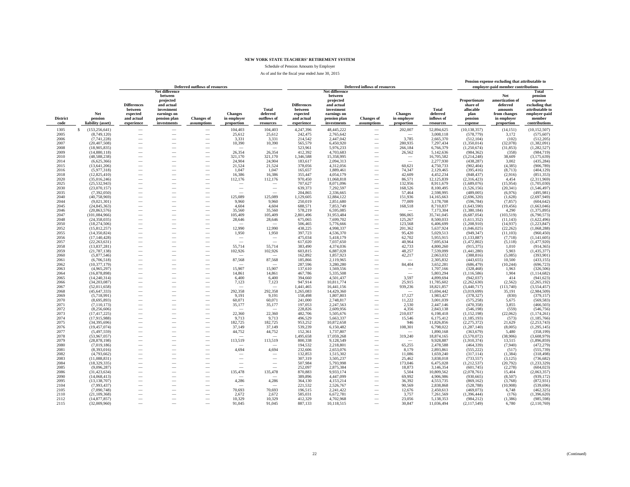Schedule of Pension Amounts by Employer

|                         |                                     |                                                                       |                                                                                                                  | <b>Deferred outflows of resources</b>                |                                             |                                                      |                                                                       |                                                                                                                  | <b>Deferred inflows of resources</b> | Pension expense excluding that attributable to<br>employer-paid member contributions |                                              |                                                                      |                                                                                            |                                                                                                              |
|-------------------------|-------------------------------------|-----------------------------------------------------------------------|------------------------------------------------------------------------------------------------------------------|------------------------------------------------------|---------------------------------------------|------------------------------------------------------|-----------------------------------------------------------------------|------------------------------------------------------------------------------------------------------------------|--------------------------------------|--------------------------------------------------------------------------------------|----------------------------------------------|----------------------------------------------------------------------|--------------------------------------------------------------------------------------------|--------------------------------------------------------------------------------------------------------------|
| <b>District</b><br>code | Net<br>pension<br>liability (asset) | <b>Differences</b><br>between<br>expected<br>and actual<br>experience | Net difference<br>between<br>projected<br>and actual<br>investment<br>earnings on<br>pension plan<br>investments | <b>Changes</b> of<br>assumptions                     | <b>Changes</b><br>in employer<br>proportion | <b>Total</b><br>deferred<br>outflows of<br>resources | <b>Differences</b><br>between<br>expected<br>and actual<br>experience | Net difference<br>between<br>projected<br>and actual<br>investment<br>earnings on<br>pension plan<br>investments | <b>Changes</b> of<br>assumptions     | <b>Changes</b><br>in employer<br>proportion                                          | Total<br>deferred<br>inflows of<br>resources | Proportionate<br>share of<br>allocable<br>plan<br>pension<br>expense | Net<br>amortization of<br>deferred<br>amounts<br>from changes<br>in employer<br>proportion | Total<br>pension<br>expense<br>excluding that<br>attributable to<br>employer-paid<br>member<br>contributions |
| 1305                    | S.<br>(153, 256, 641)               |                                                                       |                                                                                                                  |                                                      | 104,403                                     | 104,403                                              | 4,247,396                                                             | 48,445,222                                                                                                       |                                      | 202,007                                                                              | 52,894,625                                   | (10, 138, 357)                                                       | (14, 151)                                                                                  | (10, 152, 507)                                                                                               |
| 2005                    | (8,749,120)                         |                                                                       | $\overline{\phantom{0}}$                                                                                         |                                                      | 25,612                                      | 25,612                                               | 242,475                                                               | 2,765,642                                                                                                        |                                      |                                                                                      | 3,008,118                                    | (578, 779)                                                           | 3,172                                                                                      | (575, 607)                                                                                                   |
| 2006                    | (7,741,228)                         |                                                                       |                                                                                                                  |                                                      | 3,331                                       | 3,331                                                | 214,542                                                               | 2,447,042                                                                                                        |                                      | 3,785                                                                                | 2,665,370                                    | (512, 104)                                                           | (102)                                                                                      | (512, 205)                                                                                                   |
| 2007                    | (20, 407, 508)                      |                                                                       | $\overline{\phantom{0}}$                                                                                         | $\overline{\phantom{0}}$                             | 10,390                                      | 10,390                                               | 565,579                                                               | 6,450,920                                                                                                        |                                      | 280,935                                                                              | 7,297,434                                    | (1,350,014)                                                          | (32,078)                                                                                   | (1,382,091)                                                                                                  |
| 2008                    | (18,905,835)                        |                                                                       | $\overline{\phantom{0}}$                                                                                         | $\overline{\phantom{0}}$                             |                                             |                                                      | 523,961                                                               | 5,976,233                                                                                                        | $\overline{\phantom{a}}$             | 266,184                                                                              | 6,766,379                                    | (1,250,674)                                                          | (31, 853)                                                                                  | (1, 282, 527)                                                                                                |
| 2009                    | (14,880,118)                        | $\overline{\phantom{a}}$                                              | $\overline{\phantom{0}}$                                                                                         | $\overline{\phantom{0}}$                             | 26.354                                      | 26.354                                               | 412.392                                                               | 4,703,683                                                                                                        | $\hspace{0.1mm}-\hspace{0.1mm}$      | 26,562                                                                               | 5.142.636                                    | (984, 362)                                                           | (358)                                                                                      | (984, 719)                                                                                                   |
| 2010                    | (48.588.238)                        | $\overline{\phantom{a}}$                                              | -                                                                                                                | $\overline{\phantom{a}}$                             | 321.170                                     | 321.170                                              | 1,346,588                                                             | 15,358,995                                                                                                       | $\sim$                               | $\sim$                                                                               | 16,705,582                                   | (3,214,248)                                                          | 38,609                                                                                     | (3,175,639)                                                                                                  |
| 2014                    | (6,625,366)                         | $\overline{\phantom{a}}$                                              | $\overline{\phantom{0}}$                                                                                         | $\overline{\phantom{0}}$                             | 24,904                                      | 24,904                                               | 183,617                                                               | 2,094,313                                                                                                        | $\overline{\phantom{a}}$             | $\sim$                                                                               | 2,277,930                                    | (438, 287)                                                           | 3,002                                                                                      | (435, 284)                                                                                                   |
| 2015                    | (13, 641, 206)                      | $\overline{\phantom{a}}$                                              | -                                                                                                                | -                                                    | 21,524                                      | 21,524                                               | 378,056                                                               | 4,312,056                                                                                                        |                                      | 60,621                                                                               | 4,750,733                                    | (902, 404)                                                           | (4, 385)                                                                                   | (906, 789)                                                                                                   |
| 2016                    | (5,977,318)                         | $\overline{\phantom{a}}$                                              | -                                                                                                                | -                                                    | 1,047                                       | 1,047                                                | 165,657                                                               | 1,889,461                                                                                                        |                                      | 74,347                                                                               | 2,129,465                                    | (395, 416)                                                           | (8,713)                                                                                    | (404, 129)                                                                                                   |
| 2018                    | (12,825,410)                        |                                                                       | $\overline{\phantom{0}}$                                                                                         |                                                      | 16,386                                      | 16,386                                               | 355,447                                                               | 4,054,179                                                                                                        |                                      | 42,609                                                                               | 4,452,234<br>12,125,839                      | (848, 437)                                                           | (2,916)                                                                                    | (851, 353)                                                                                                   |
| 2020<br>2025            | (35,016,246)<br>(25, 532, 943)      |                                                                       |                                                                                                                  | $\overline{\phantom{0}}$                             | 112,176                                     | 112,176                                              | 970,450<br>707,627                                                    | 11,068,818<br>8,071,096                                                                                          |                                      | 86,571<br>132,956                                                                    | 8,911,679                                    | (2,316,423)<br>(1,689,076)                                           | 4,454<br>(15,954)                                                                          | (2,311.969)<br>(1,705,030)                                                                                   |
| 2030                    | (23,070,157)                        |                                                                       |                                                                                                                  | $\overline{\phantom{0}}$                             | $\overline{\phantom{0}}$                    | $\overline{\phantom{a}}$                             | 639,373                                                               | 7,292,597                                                                                                        |                                      | 168,526                                                                              | 8,100,495                                    | (1,526,156)                                                          | (20, 341)                                                                                  | (1,546,497)                                                                                                  |
| 2035                    | (7.392.050)                         |                                                                       | $\overline{\phantom{0}}$                                                                                         | -                                                    |                                             |                                                      | 204,865                                                               | 2.336.665                                                                                                        | $\overline{\phantom{a}}$             | 57.464                                                                               | 2.598.995                                    | (489.005)                                                            | (6.976)                                                                                    | (495.981)                                                                                                    |
| 2040                    | (40.758.969)                        |                                                                       | -                                                                                                                | $\overline{\phantom{0}}$                             | 125.089                                     | 125.089                                              | 1,129,605                                                             | 12.884.122                                                                                                       | $\sim$                               | 151,936                                                                              | 14.165.663                                   | (2,696,320)                                                          | (1,628)                                                                                    | (2,697,949)                                                                                                  |
| 2044                    | (9,021,301)                         | $\overline{\phantom{a}}$                                              | $\overline{\phantom{0}}$                                                                                         | $\overline{\phantom{0}}$                             | 9,960                                       | 9,960                                                | 250,019                                                               | 2,851,680                                                                                                        | $\overline{\phantom{a}}$             | 77,009                                                                               | 3,178,708                                    | (596, 784)                                                           | (7, 857)                                                                                   | (604, 642)                                                                                                   |
| 2045                    | (24, 845, 363)                      | $\overline{\phantom{a}}$                                              | $\overline{\phantom{0}}$                                                                                         | $\overline{\phantom{0}}$                             | 4,604                                       | 4,604                                                | 688,571                                                               | 7,853,749                                                                                                        | $\overline{\phantom{a}}$             | 168,518                                                                              | 8,710,837                                    | (1,643,590)                                                          | (19, 456)                                                                                  | (1,663,046)                                                                                                  |
| 2046                    | (20, 863, 576)                      | $\overline{\phantom{a}}$                                              | -                                                                                                                | $\overline{\phantom{a}}$                             | 35,560                                      | 35,560                                               | 578,219                                                               | 6.595.085                                                                                                        | $\overline{\phantom{a}}$             |                                                                                      | 7,173,304                                    | (1,380,184)                                                          | 4,290                                                                                      | (1,375,895)                                                                                                  |
| 2047                    | (101, 084, 966)                     | $\overline{\phantom{a}}$                                              | -                                                                                                                | $\overline{\phantom{0}}$                             | 105,409                                     | 105,409                                              | 2,801,496                                                             | 31,953,484                                                                                                       | $\overline{\phantom{a}}$             | 986,065                                                                              | 35,741,045                                   | (6,687,054)                                                          | (103, 519)                                                                                 | (6,790,573)                                                                                                  |
| 2048                    | (24,358,035)                        | $\overline{\phantom{a}}$                                              | $\overline{\phantom{0}}$                                                                                         |                                                      | 28,646                                      | 28,646                                               | 675,065                                                               | 7,699,702                                                                                                        | $\overline{\phantom{a}}$             | 125,267                                                                              | 8,500,033                                    | (1,611,352)                                                          | (11, 143)                                                                                  | (1,622,496)                                                                                                  |
| 2050                    | (18, 274, 506)                      | $\overline{\phantom{a}}$                                              | $\overline{\phantom{a}}$                                                                                         | $\overline{\phantom{0}}$                             |                                             |                                                      | 506,465                                                               | 5,776,666                                                                                                        | $\overline{\phantom{a}}$             | 123,568                                                                              | 6,406,699                                    | (1,208,910)                                                          | (14,937)                                                                                   | (1,223,847)                                                                                                  |
| 2052                    | (15,812,257)                        |                                                                       | $\overline{\phantom{0}}$                                                                                         |                                                      | 12,990                                      | 12,990                                               | 438,225                                                               | 4,998,337                                                                                                        | $\overline{\phantom{a}}$             | 201,362                                                                              | 5,637,924                                    | (1,046,025)                                                          | (22, 262)                                                                                  | (1,068,288)                                                                                                  |
| 2055<br>2056            | (14,350,824)<br>(17, 140, 428)      | $\overline{\phantom{a}}$                                              | $\overline{\phantom{0}}$                                                                                         |                                                      | 1,950                                       | 1,950                                                | 397,723<br>475,034                                                    | 4,536,370<br>5,418,179                                                                                           | $\overline{\phantom{a}}$             | 95,420<br>62,702                                                                     | 5,029,513<br>5,955,915                       | (949, 347)<br>(1, 133, 887)                                          | (11, 103)<br>(7,718)                                                                       | (960, 450)<br>(1, 141, 605)                                                                                  |
| 2057                    | (22, 263, 631)                      |                                                                       | $\overline{\phantom{0}}$                                                                                         | $\overline{\phantom{0}}$                             |                                             |                                                      | 617,020                                                               | 7,037,650                                                                                                        |                                      | 40,964                                                                               | 7,695,634                                    | (1,472,802)                                                          | (5,118)                                                                                    | (1,477,920)                                                                                                  |
| 2058                    | (13,837,281)                        |                                                                       | $\overline{\phantom{0}}$                                                                                         | $\overline{\phantom{0}}$                             | 55,714                                      | 55,714                                               | 383,490                                                               | 4,374,036                                                                                                        | $\overline{\phantom{a}}$             | 42,733                                                                               | 4,800,260                                    | (915, 375)                                                           | 1,010                                                                                      | (914, 365)                                                                                                   |
| 2059                    | (21.787.138)                        | $\overline{\phantom{a}}$                                              | $\overline{\phantom{0}}$                                                                                         | -                                                    | 102,926                                     | 102,926                                              | 603.815                                                               | 6.887.028                                                                                                        | $\overline{\phantom{m}}$             | 48.257                                                                               | 7.539.099                                    | (1,441,280)                                                          | 5.903                                                                                      | (1,435,377)                                                                                                  |
| 2060                    | (5,877,546)                         | $\overline{\phantom{a}}$                                              | $\overline{\phantom{0}}$                                                                                         | $\overline{\phantom{a}}$                             |                                             |                                                      | 162,892                                                               | 1.857.923                                                                                                        | $\hspace{0.1mm}-\hspace{0.1mm}$      | 42,217                                                                               | 2,063,032                                    | (388, 816)                                                           | (5.085)                                                                                    | (393,901)                                                                                                    |
| 2061                    | (6,706,518)                         | $\overline{\phantom{a}}$                                              | $\overline{\phantom{0}}$                                                                                         | $\overline{\phantom{a}}$                             | 87,568                                      | 87,568                                               | 185,866                                                               | 2,119,965                                                                                                        | $\hspace{0.1mm}-\hspace{0.1mm}$      |                                                                                      | 2,305,832                                    | (443, 655)                                                           | 10.500                                                                                     | (433, 155)                                                                                                   |
| 2062                    | (10, 377, 179)                      | $\overline{\phantom{a}}$                                              | $\overline{\phantom{0}}$                                                                                         | $\overline{\phantom{0}}$                             |                                             |                                                      | 287,596                                                               | 3,280,280                                                                                                        | $\overline{\phantom{a}}$             | 84,404                                                                               | 3,652,281                                    | (686, 479)                                                           | (10, 244)                                                                                  | (696, 723)                                                                                                   |
| 2063                    | (4,965,297)                         | $\overline{\phantom{a}}$                                              | -                                                                                                                | $\overline{\phantom{a}}$                             | 15,907                                      | 15,907                                               | 137,610                                                               | 1,569,556                                                                                                        | $\overline{\phantom{a}}$             | $\overline{\phantom{a}}$                                                             | 1,707,166                                    | (328, 468)                                                           | 1,963                                                                                      | (326, 506)                                                                                                   |
| 2064                    | (16,878,898)                        | $\overline{\phantom{a}}$                                              | -                                                                                                                | $\overline{\phantom{a}}$                             | 14,861                                      | 14,861                                               | 467,786                                                               | 5,335,508                                                                                                        | -                                    | $\overline{\phantom{a}}$                                                             | 5,803,294                                    | (1, 116, 586)                                                        | 1,904                                                                                      | (1, 114, 682)                                                                                                |
| 2065                    | (14, 240, 314)                      |                                                                       |                                                                                                                  |                                                      | 6,400                                       | 6,400                                                | 394,660                                                               | 4,501,437                                                                                                        |                                      | 3,597                                                                                | 4,899,694                                    | (942, 037)                                                           | 414                                                                                        | (941, 623)                                                                                                   |
| 2066                    | (34,203,087)                        |                                                                       |                                                                                                                  |                                                      | 7,123                                       | 7,123                                                | 947,914                                                               | 10,811,774                                                                                                       |                                      | 25,915                                                                               | 11,785,602                                   | (2,262,630)                                                          | (2,562)                                                                                    | (2,265,192)                                                                                                  |
| 2067                    | (52,011,658)                        |                                                                       |                                                                                                                  |                                                      |                                             |                                                      | 1,441,465                                                             | 16,441,156                                                                                                       |                                      | 939,236                                                                              | 18,821,857                                   | (3,440,717)                                                          | (113,740)                                                                                  | (3,554,457)                                                                                                  |
| 2068<br>2069            | (45, 647, 333)<br>(5.718.991)       |                                                                       | $\overline{\phantom{0}}$<br>$\overline{\phantom{0}}$                                                             | $\overline{\phantom{0}}$<br>$\overline{\phantom{0}}$ | 292,358<br>9.191                            | 292,358<br>9.191                                     | 1,265,083<br>158,498                                                  | 14,429,360<br>1,807,803                                                                                          |                                      | 17.127                                                                               | 15,694,442<br>1.983.427                      | (3,019,699)<br>(378, 327)                                            | 35,191<br>(830)                                                                            | (2,984,509)<br>(379, 157)                                                                                    |
| 2070                    | (8,695,893)                         | $\overline{\phantom{a}}$                                              | $\overline{\phantom{0}}$                                                                                         | $\overline{\phantom{0}}$                             | 60.071                                      | 60.071                                               | 241,000                                                               | 2,748,817                                                                                                        | $\hspace{0.1mm}-\hspace{0.1mm}$      | 11.222                                                                               | 3,001,039                                    | (575, 258)                                                           | 5,675                                                                                      | (569, 583)                                                                                                   |
| 2071                    | (7,110,173)                         | $\overline{\phantom{a}}$                                              | $\overline{\phantom{0}}$                                                                                         | $\overline{\phantom{0}}$                             | 35,177                                      | 35,177                                               | 197,053                                                               | 2,247,563                                                                                                        | $\overline{\phantom{a}}$             | 2,530                                                                                | 2,447,146                                    | (470, 358)                                                           | 3,855                                                                                      | (466, 503)                                                                                                   |
| 2072                    | (8,256,606)                         |                                                                       | $\overline{\phantom{0}}$                                                                                         | $\overline{\phantom{0}}$                             |                                             |                                                      | 228,826                                                               | 2,609,956                                                                                                        | $\overline{\phantom{a}}$             | 4.356                                                                                | 2,843,138                                    | (546, 198)                                                           | (559)                                                                                      | (546, 756)                                                                                                   |
| 2073                    | (17, 417, 225)                      | $\overline{\phantom{a}}$                                              | -                                                                                                                | $\overline{\phantom{a}}$                             | 22.360                                      | 22,360                                               | 482,706                                                               | 5,505,676                                                                                                        |                                      | 210,037                                                                              | 6,198,418                                    | (1,152,198)                                                          | (22,062)                                                                                   | (1,174,261)                                                                                                  |
| 2074                    | (17,915,988)                        | $\overline{\phantom{a}}$                                              | -                                                                                                                | $\overline{\phantom{0}}$                             | 9,713                                       | 9,713                                                | 496,529                                                               | 5,663,337                                                                                                        | $\sim$                               | 15,546                                                                               | 6,175,412                                    | (1, 185, 193)                                                        | (573)                                                                                      | (1, 185, 766)                                                                                                |
| 2075                    | (34,395,696)                        | $\overline{\phantom{a}}$                                              | $\overline{\phantom{0}}$                                                                                         | $\overline{\phantom{a}}$                             | 182,725                                     | 182,725                                              | 953,252                                                               | 10,872,658                                                                                                       | $\overline{\phantom{a}}$             | 946                                                                                  | 11,826,856                                   | (2,275,372)                                                          | 21,629                                                                                     | (2, 253, 743)                                                                                                |
| 2076                    | (19, 457, 074)                      | $\overline{\phantom{a}}$                                              | $\overline{\phantom{0}}$                                                                                         | $\overline{\phantom{a}}$                             | 37,149                                      | 37,149                                               | 539,239                                                               | 6,150,482                                                                                                        | $\overline{\phantom{a}}$             | 108,301                                                                              | 6,798,022                                    | (1, 287, 140)                                                        | (8,005)                                                                                    | (1,295,145)                                                                                                  |
| 2077                    | (5,497,559)                         | $\overline{\phantom{a}}$                                              | $\overline{\phantom{0}}$                                                                                         | $\overline{\phantom{0}}$                             | 44,752                                      | 44,752                                               | 152,361                                                               | 1,737,807                                                                                                        | $\overline{\phantom{a}}$             |                                                                                      | 1,890,168                                    | (363, 679)                                                           | 5,480                                                                                      | (358, 199)                                                                                                   |
| 2078                    | (53,967,057)                        |                                                                       | $\overline{\phantom{0}}$                                                                                         | $\overline{\phantom{0}}$                             |                                             |                                                      | 1,495,658                                                             | 17,059,268                                                                                                       |                                      | 319,240                                                                              | 18,874,165                                   | (3,570,072)                                                          | (38,906)                                                                                   | (3,608,979)                                                                                                  |
| 2079                    | (28, 878, 198)                      |                                                                       |                                                                                                                  |                                                      | 113,519                                     | 113,519                                              | 800,338                                                               | 9,128,549                                                                                                        |                                      |                                                                                      | 9,928,887                                    | (1,910,374)                                                          | 13,515                                                                                     | (1,896,859)<br>(472, 279)                                                                                    |
| 2080<br>2081            | (7,019,186)<br>(8,393,016)          |                                                                       | $\overline{\phantom{0}}$                                                                                         | $\overline{\phantom{0}}$<br>$\overline{\phantom{0}}$ | 4,694                                       | 4,694                                                | 194,532<br>232,606                                                    | 2,218,801<br>2,653,076                                                                                           | $\overline{\phantom{a}}$             | 65,255<br>8,179                                                                      | 2,478,588<br>2,893,861                       | (464, 339)<br>(555, 222)                                             | (7,940)<br>(517)                                                                           | (555, 739)                                                                                                   |
| 2082                    | (4.793.662)                         |                                                                       | $\overline{\phantom{0}}$                                                                                         | $\overline{\phantom{0}}$                             |                                             | -                                                    | 132.853                                                               | 1.515.302                                                                                                        | $\overline{\phantom{a}}$             | 11.086                                                                               | 1.659.240                                    | (317.114)                                                            | (1.384)                                                                                    | (318, 498)                                                                                                   |
| 2083                    | (11.088.831)                        | $\overline{\phantom{a}}$                                              | $\overline{\phantom{0}}$                                                                                         | $\overline{\phantom{a}}$                             | $\overline{\phantom{a}}$                    | $\overline{\phantom{0}}$                             | 307,319                                                               | 3.505.237                                                                                                        | $\hspace{0.1mm}-\hspace{0.1mm}$      | 25.462                                                                               | 3,838,018                                    | (733, 557)                                                           | (3,125)                                                                                    | (736, 682)                                                                                                   |
| 2084                    | (18, 329, 335)                      |                                                                       | $\overline{\phantom{0}}$                                                                                         | $\overline{\phantom{0}}$                             |                                             | $\overline{\phantom{a}}$                             | 507,984                                                               | 5,793,998                                                                                                        | $\overline{\phantom{a}}$             | 173,046                                                                              | 6,475,028                                    | (1,212,537)                                                          | (20, 792)                                                                                  | (1, 233, 329)                                                                                                |
| 2085                    | (9,096,287)                         | $\overline{\phantom{a}}$                                              | $\overline{\phantom{0}}$                                                                                         | $\overline{\phantom{0}}$                             |                                             |                                                      | 252,097                                                               | 2,875,384                                                                                                        | $\overline{\phantom{a}}$             | 18,873                                                                               | 3,146,354                                    | (601,745)                                                            | (2,278)                                                                                    | (604, 023)                                                                                                   |
| 2086                    | (31, 423, 634)                      | $\overline{\phantom{a}}$                                              | -                                                                                                                | $\overline{\phantom{a}}$                             | 135,478                                     | 135,478                                              | 870,883                                                               | 9.933.174                                                                                                        | $\sim$                               | 5,504                                                                                | 10,809,562                                   | (2,078,761)                                                          | 15,404                                                                                     | (2,063,357)                                                                                                  |
| 2090                    | (14,068,413)                        | $\overline{\phantom{a}}$                                              | -                                                                                                                | $\overline{\phantom{a}}$                             |                                             |                                                      | 389,896                                                               | 4,447,099                                                                                                        | $\sim$                               | 69,992                                                                               | 4,906,986                                    | (930, 665)                                                           | (8,507)                                                                                    | (939, 172)                                                                                                   |
| 2095                    | (13, 138, 707)                      | $\overline{\phantom{a}}$                                              | -                                                                                                                | $\overline{\phantom{a}}$                             | 4,286                                       | 4,286                                                | 364,130                                                               | 4,153,214                                                                                                        |                                      | 36,392                                                                               | 4,553,735                                    | (869, 162)                                                           | (3,768)                                                                                    | (872, 931)                                                                                                   |
| 2104                    | (7,993,437)                         |                                                                       |                                                                                                                  | $\overline{\phantom{a}}$                             |                                             |                                                      | 221,532                                                               | 2,526,767                                                                                                        |                                      | 90,569                                                                               | 2,838,868                                    | (528, 788)                                                           | (10,908)                                                                                   | (539, 696)                                                                                                   |
| 2105                    | (7,090,748)                         |                                                                       |                                                                                                                  | $\overline{\phantom{0}}$                             | 70,693                                      | 70,693                                               | 196,515                                                               | 2,241,422                                                                                                        |                                      | 12,676                                                                               | 2,450,613                                    | (469,073)                                                            | 6,748                                                                                      | (462, 325)                                                                                                   |
| 2110<br>2112            | (21,109,368)<br>(14.877.857)        |                                                                       | -                                                                                                                | $\overline{\phantom{0}}$<br>$\overline{\phantom{a}}$ | 2,672<br>10.329                             | 2,672<br>10.329                                      | 585,031<br>412.329                                                    | 6,672,781<br>4,702,968                                                                                           |                                      | 3,757<br>23,056                                                                      | 7,261,569<br>5.138.353                       | (1,396,444)<br>(984, 212)                                            | (176)<br>(1, 386)                                                                          | (1,396,620)<br>(985, 598)                                                                                    |
| 2115                    | (32,009,960)                        |                                                                       |                                                                                                                  |                                                      | 91.045                                      | 91.045                                               | 887.133                                                               | 10,118,515                                                                                                       |                                      | 30,847                                                                               | 11,036,494                                   | (2,117,549)                                                          | 6,780                                                                                      | (2,110,769)                                                                                                  |
|                         |                                     |                                                                       |                                                                                                                  |                                                      |                                             |                                                      |                                                                       |                                                                                                                  |                                      |                                                                                      |                                              |                                                                      |                                                                                            |                                                                                                              |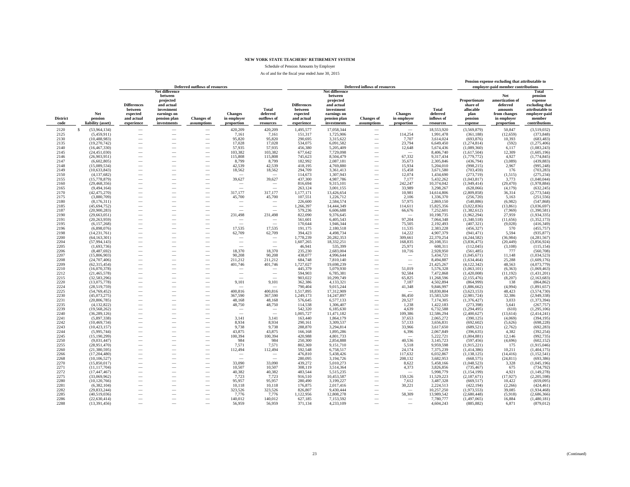Schedule of Pension Amounts by Employer

|                         |                                     |                                                                       |                                                                                                                  | <b>Deferred outflows of resources</b>                |                                             |                                               |                                                                       |                                                                                                                  | <b>Deferred inflows of resources</b>                 | Pension expense excluding that attributable to<br>employer-paid member contributions |                                                     |                                                                             |                                                                                            |                                                                                                              |
|-------------------------|-------------------------------------|-----------------------------------------------------------------------|------------------------------------------------------------------------------------------------------------------|------------------------------------------------------|---------------------------------------------|-----------------------------------------------|-----------------------------------------------------------------------|------------------------------------------------------------------------------------------------------------------|------------------------------------------------------|--------------------------------------------------------------------------------------|-----------------------------------------------------|-----------------------------------------------------------------------------|--------------------------------------------------------------------------------------------|--------------------------------------------------------------------------------------------------------------|
| <b>District</b><br>code | Net<br>pension<br>liability (asset) | <b>Differences</b><br>between<br>expected<br>and actual<br>experience | Net difference<br>between<br>projected<br>and actual<br>investment<br>earnings on<br>pension plan<br>investments | <b>Changes</b> of<br>assumptions                     | <b>Changes</b><br>in employer<br>proportion | Total<br>deferred<br>outflows of<br>resources | <b>Differences</b><br>between<br>expected<br>and actual<br>experience | Net difference<br>between<br>projected<br>and actual<br>investment<br>earnings on<br>pension plan<br>investments | <b>Changes</b> of<br>assumptions                     | <b>Changes</b><br>in employer<br>proportion                                          | <b>Total</b><br>deferred<br>inflows of<br>resources | <b>Proportionate</b><br>share of<br>allocable<br>plan<br>pension<br>expense | Net<br>amortization of<br>deferred<br>amounts<br>from changes<br>in employer<br>proportion | Total<br>pension<br>expense<br>excluding that<br>attributable to<br>employer-paid<br>member<br>contributions |
| 2120                    | $\mathbf{s}$<br>(53,964,134)        |                                                                       |                                                                                                                  |                                                      | 420,209                                     | 420,209                                       | 1,495,577                                                             | 17,058,344                                                                                                       |                                                      |                                                                                      | 18,553,920                                          | (3,569,879)                                                                 | 50,847                                                                                     | (3,519,032)                                                                                                  |
| 2125                    | (5,459,911)                         | $\overline{\phantom{a}}$                                              | $\overline{\phantom{0}}$                                                                                         | -                                                    | 7,161                                       | 7,161                                         | 151,317                                                               | 1,725,906                                                                                                        |                                                      | 114,254                                                                              | 1,991,478                                           | (361, 188)                                                                  | (12, 659)                                                                                  | (373, 848)                                                                                                   |
| 2130                    | (10, 488, 983)                      |                                                                       | $\overline{\phantom{0}}$                                                                                         |                                                      | 95,820                                      | 95,820                                        | 290,695                                                               | 3,315,622                                                                                                        | $\overline{\phantom{a}}$                             | 7,707                                                                                | 3,614,024                                           | (693, 876)                                                                  | 10,393                                                                                     | (683, 483)                                                                                                   |
| 2135                    | (19.270.742)                        | $\overline{\phantom{a}}$                                              | $\overline{\phantom{0}}$                                                                                         |                                                      | 17.028                                      | 17.028                                        | 534,075                                                               | 6,091,582                                                                                                        | -                                                    | 23.794                                                                               | 6,649,450                                           | (1,274,814)                                                                 | (592)                                                                                      | (1,275,406)                                                                                                  |
| 2140                    | (16, 467, 330)                      | $\overline{\phantom{a}}$                                              | -                                                                                                                | -                                                    | 57,935                                      | 57,935                                        | 456,380                                                               | 5,205,409                                                                                                        | -                                                    | 12,648                                                                               | 5,674,436                                           | (1,089,360)                                                                 | 6,117                                                                                      | (1,083,243)                                                                                                  |
| 2145                    | (24.451.030)                        | $\overline{\phantom{a}}$                                              | $\overline{\phantom{0}}$                                                                                         | $\overline{\phantom{a}}$                             | 103.382                                     | 103.382                                       | 677,642                                                               | 7.729.098                                                                                                        | -                                                    |                                                                                      | 8,406,740                                           | (1,617,504)                                                                 | 12,309                                                                                     | (1,605,196)                                                                                                  |
| 2146                    | (26,903,951)                        | $\overline{\phantom{a}}$                                              | -                                                                                                                | -                                                    | 115,808                                     | 115,808                                       | 745,623                                                               | 8,504,479                                                                                                        |                                                      | 67,332                                                                               | 9,317,434                                           | (1,779,772)                                                                 | 4,927                                                                                      | (1,774,845)                                                                                                  |
| 2147                    | (6,602,805)                         | $\overline{\phantom{a}}$                                              | -                                                                                                                | -                                                    | 8,799                                       | 8,799                                         | 182,992                                                               | 2,087,181                                                                                                        | $\overline{\phantom{a}}$                             | 35,673                                                                               | 2,305,846                                           | (436,794)                                                                   | (3,089)                                                                                    | (439, 883)                                                                                                   |
| 2148                    | (15,089,534)                        |                                                                       |                                                                                                                  |                                                      | 42,539                                      | 42.539                                        | 418,195                                                               | 4,769,880                                                                                                        |                                                      | 15,934                                                                               | 5,204,010                                           | (998, 215)                                                                  | 2,967                                                                                      | (995, 248)                                                                                                   |
| 2149                    | (10,633,843)                        |                                                                       |                                                                                                                  |                                                      | 18,562                                      | 18,562                                        | 294,709                                                               | 3,361,413                                                                                                        |                                                      | 15,458                                                                               | 3,671,580                                           | (703, 459)                                                                  | 176                                                                                        | (703, 283)                                                                                                   |
| 2150<br>2155            | (4,137,682)<br>(15.778.879)         | $\overline{\phantom{a}}$                                              | $\overline{\phantom{0}}$<br>$\overline{\phantom{0}}$                                                             |                                                      | 39,627                                      | 39,627                                        | 114,673<br>437.300                                                    | 1,307,943<br>4.987.786                                                                                           | -                                                    | 12,074<br>7.177                                                                      | 1,434,690<br>5.432.262                              | (273, 719)<br>(1,043,817)                                                   | (1,515)<br>3.773                                                                           | (275, 234)<br>(1.040.044)                                                                                    |
| 2160                    | (29, 468, 356)                      |                                                                       | $\overline{\phantom{0}}$                                                                                         | $\overline{\phantom{0}}$                             | -                                           | $\overline{\phantom{a}}$                      | 816,694                                                               | 9,315,101                                                                                                        | $\overline{\phantom{a}}$                             | 242,247                                                                              | 10.374.042                                          | (1,949,414)                                                                 | (29, 470)                                                                                  | (1,978,884)                                                                                                  |
| 2165                    | (9,494,164)                         |                                                                       | $\overline{\phantom{0}}$                                                                                         | $\overline{\phantom{a}}$                             |                                             |                                               | 263,124                                                               | 3,001,155                                                                                                        | $\overline{\phantom{0}}$                             | 33,989                                                                               | 3,298,267                                           | (628,066)                                                                   | (4,179)                                                                                    | (632, 245)                                                                                                   |
| 2170                    | (42, 475, 270)                      | $\overline{\phantom{a}}$                                              | -                                                                                                                | $\sim$                                               | 317,177                                     | 317,177                                       | 1,177,171                                                             | 13,426,654                                                                                                       | $\overline{\phantom{a}}$                             | 10,981                                                                               | 14,614,806                                          | (2,809,858)                                                                 | 36,314                                                                                     | (2,773,544)                                                                                                  |
| 2175                    | (3,880,709)                         | $\overline{\phantom{a}}$                                              | -                                                                                                                | $\overline{\phantom{a}}$                             | 45,700                                      | 45,700                                        | 107,551                                                               | 1,226,712                                                                                                        | $\overline{\phantom{a}}$                             | 2,106                                                                                | 1,336,370                                           | (256, 720)                                                                  | 5,163                                                                                      | (251, 556)                                                                                                   |
| 2180                    | (8,176,311)                         | $\sim$                                                                | $\overline{\phantom{0}}$                                                                                         | $\overline{\phantom{a}}$                             |                                             | $\overline{\phantom{a}}$                      | 226,600                                                               | 2,584,574                                                                                                        | $\overline{\phantom{a}}$                             | 57,975                                                                               | 2,869,150                                           | (540, 886)                                                                  | (6,982)                                                                                    | (547, 868)                                                                                                   |
| 2185                    | (45,694,752)                        | $\overline{\phantom{a}}$                                              | $\overline{\phantom{0}}$                                                                                         | $\overline{\phantom{a}}$                             | $\overline{\phantom{a}}$                    | $\overline{\phantom{a}}$                      | 1,266,397                                                             | 14,444,349                                                                                                       | $\overline{\phantom{a}}$                             | 114,611                                                                              | 15,825,356                                          | (3,022,836)                                                                 | (13, 861)                                                                                  | (3,036,697)                                                                                                  |
| 2187                    | (20,900,283)                        |                                                                       | $\overline{\phantom{0}}$                                                                                         | -                                                    |                                             |                                               | 579,236                                                               | 6,606,688                                                                                                        | $\overline{\phantom{0}}$                             | 66,676                                                                               | 7,252,601                                           | (1,382,612)                                                                 | (7,969)                                                                                    | (1,390,581)                                                                                                  |
| 2190                    | (29,663,051)                        |                                                                       | $\overline{\phantom{0}}$                                                                                         | -                                                    | 231,498                                     | 231,498                                       | 822,090                                                               | 9,376,645                                                                                                        |                                                      |                                                                                      | 10,198,735                                          | (1,962,294)                                                                 | 27,959                                                                                     | (1,934,335)                                                                                                  |
| 2191                    | (20, 263, 959)                      |                                                                       |                                                                                                                  | -                                                    |                                             |                                               | 561,601                                                               | 6,405,543                                                                                                        |                                                      | 97,204                                                                               | 7,064,348                                           | (1,340,518)                                                                 | (11,656)                                                                                   | (1,352,173)                                                                                                  |
| 2195                    | (6,157,268)                         |                                                                       | $\overline{\phantom{0}}$                                                                                         | -                                                    |                                             |                                               | 170,644                                                               | 1,946,344                                                                                                        |                                                      | 75,505                                                                               | 2,192,493                                           | (407, 321)                                                                  | (9,028)                                                                                    | (416, 349)                                                                                                   |
| 2196<br>2198            | (6,898,076)<br>(14.231.761)         |                                                                       | $\overline{\phantom{0}}$                                                                                         | -                                                    | 17.535<br>62.709                            | 17.535<br>62,709                              | 191.175<br>394,423                                                    | 2.180.518<br>4,498,734                                                                                           | $\overline{\phantom{0}}$                             | 11.535<br>14,222                                                                     | 2.383.228<br>4,907,379                              | (456, 327)<br>(941, 471)                                                    | 570<br>5.594                                                                               | (455, 757)                                                                                                   |
| 2200                    | (64, 163, 301)                      | $\overline{\phantom{a}}$                                              | $\overline{\phantom{0}}$<br>$\overline{\phantom{0}}$                                                             | $\overline{\phantom{a}}$                             | $\overline{\phantom{a}}$                    |                                               | 1,778,239                                                             | 20,282,353                                                                                                       | -                                                    | 309,661                                                                              | 22,370,254                                          | (4,244,582)                                                                 | (36,984)                                                                                   | (935, 877)<br>(4, 281, 567)                                                                                  |
| 2204                    | (57.994.143)                        |                                                                       | $\overline{\phantom{0}}$                                                                                         |                                                      |                                             | $\overline{\phantom{m}}$                      | 1,607,265                                                             | 18.332.251                                                                                                       | $\overline{\phantom{a}}$                             | 168,835                                                                              | 20,108,351                                          | (3,836,475)                                                                 | (20, 449)                                                                                  | (3,856,924)                                                                                                  |
| 2205                    | (1,693,736)                         | $\overline{\phantom{a}}$                                              | -                                                                                                                | -                                                    | $\overline{\phantom{a}}$                    | $\overline{\phantom{a}}$                      | 46,941                                                                | 535,399                                                                                                          | -                                                    | 25,971                                                                               | 608,311                                             | (112, 045)                                                                  | (3,108)                                                                                    | (115, 154)                                                                                                   |
| 2206                    | (8,487,692)                         | $\overline{\phantom{a}}$                                              | -                                                                                                                | -                                                    | 18,370                                      | 18,370                                        | 235,230                                                               | 2,683,004                                                                                                        | -                                                    | 10,716                                                                               | 2,928,950                                           | (561, 485)                                                                  | 777                                                                                        | (560, 708)                                                                                                   |
| 2207                    | (15,806,903)                        | $\overline{\phantom{a}}$                                              | $\overline{\phantom{a}}$                                                                                         | -                                                    | 90,208                                      | 90,208                                        | 438,077                                                               | 4,996,644                                                                                                        | -                                                    |                                                                                      | 5,434,721                                           | (1,045,671)                                                                 | 11,148                                                                                     | (1,034,523)                                                                                                  |
| 2208                    | (24,707,406)                        |                                                                       | -                                                                                                                | -                                                    | 211,212                                     | 211,212                                       | 684,748                                                               | 7,810,140                                                                                                        |                                                      | $\sim$                                                                               | 8,494,887                                           | (1,634,464)                                                                 | 25,288                                                                                     | (1,609,176)                                                                                                  |
| 2209                    | (62, 315, 454)                      |                                                                       | $\overline{\phantom{0}}$                                                                                         |                                                      | 401,746                                     | 401,746                                       | 1,727,027                                                             | 19,698,239                                                                                                       |                                                      |                                                                                      | 21,425,267                                          | (4,122,342)                                                                 | 48,563                                                                                     | (4,073,779)                                                                                                  |
| 2210                    | (16,070,378)                        |                                                                       |                                                                                                                  |                                                      |                                             |                                               | 445,379                                                               | 5,079,930                                                                                                        |                                                      | 51,019                                                                               | 5,576,328                                           | (1,063,101)                                                                 | (6,363)                                                                                    | (1,069,463)                                                                                                  |
| 2212                    | (21, 465, 578)                      |                                                                       | $\overline{\phantom{0}}$                                                                                         | -                                                    | $\overline{\phantom{m}}$                    | $\overline{\phantom{a}}$                      | 594,903                                                               | 6,785,381                                                                                                        |                                                      | 92,584                                                                               | 7,472,868                                           | (1,420,008)                                                                 | (11, 192)                                                                                  | (1,431,201)                                                                                                  |
| 2215                    | (32,583,296)                        | $\overline{\phantom{a}}$                                              | $\overline{\phantom{0}}$                                                                                         | $\overline{\phantom{0}}$                             |                                             |                                               | 903,022                                                               | 10,299,749                                                                                                       | $\overline{\phantom{a}}$                             | 65,825                                                                               | 11,268,596                                          | (2,155,476)                                                                 | (8,207)                                                                                    | (2,163,683)                                                                                                  |
| 2220<br>2224            | (13,075,778)                        | $\overline{\phantom{a}}$<br>$\overline{\phantom{a}}$                  | -<br>-                                                                                                           | -<br>$\overline{\phantom{a}}$                        | 9,101                                       | 9,101                                         | 362,386<br>790,404                                                    | 4,133,321<br>9,015,244                                                                                           | -<br>$\overline{\phantom{a}}$                        | 7,187<br>41,348                                                                      | 4,502,894<br>9,846,997                              | (864,999)<br>(1,886,662)                                                    | 138<br>(4,994)                                                                             | (864, 862)<br>(1,891,657)                                                                                    |
| 2225                    | (28,519,759)<br>(54,769,452)        |                                                                       | $\overline{\phantom{0}}$                                                                                         |                                                      | 400,816                                     | 400.816                                       | 1,517,895                                                             | 17,312,909                                                                                                       |                                                      |                                                                                      | 18,830,804                                          | (3,623,153)                                                                 | 48,423                                                                                     | (3,574,730)                                                                                                  |
| 2230                    | (45,073,275)                        | $\overline{\phantom{a}}$                                              | $\overline{\phantom{0}}$                                                                                         | $\overline{\phantom{a}}$                             | 367,590                                     | 367,590                                       | 1,249,173                                                             | 14,247,897                                                                                                       | $\overline{\phantom{a}}$                             | 86,450                                                                               | 15,583,520                                          | (2,981,724)                                                                 | 32,386                                                                                     | (2,949,338)                                                                                                  |
| 2231                    | (20, 806, 785)                      | $\overline{\phantom{0}}$                                              | $\overline{\phantom{0}}$                                                                                         | -                                                    | 48,168                                      | 48,168                                        | 576,645                                                               | 6,577,133                                                                                                        |                                                      | 20,527                                                                               | 7,174,305                                           | (1,376,427)                                                                 | 3,033                                                                                      | (1,373,394)                                                                                                  |
| 2235                    | (4,132,822)                         |                                                                       | $\overline{\phantom{0}}$                                                                                         |                                                      | 48,750                                      | 48,750                                        | 114,538                                                               | 1,306,407                                                                                                        |                                                      | 1,238                                                                                | 1,422,183                                           | (273, 398)                                                                  | 5,641                                                                                      | (267, 757)                                                                                                   |
| 2239                    | (19, 568, 262)                      |                                                                       | $\overline{\phantom{0}}$                                                                                         |                                                      |                                             |                                               | 542,320                                                               | 6,185,630                                                                                                        |                                                      | 4,639                                                                                | 6,732,588                                           | (1, 294, 495)                                                               | (610)                                                                                      | (1,295,106)                                                                                                  |
| 2240                    | (36, 289, 126)                      |                                                                       | $\overline{\phantom{0}}$                                                                                         | $\overline{\phantom{0}}$                             |                                             |                                               | 1,005,727                                                             | 11,471,182                                                                                                       |                                                      | 109,386                                                                              | 12,586,294                                          | (2,400,627)                                                                 | (13,614)                                                                                   | (2,414,241)                                                                                                  |
| 2241                    | (5.897.338)                         |                                                                       | $\overline{\phantom{0}}$                                                                                         | $\overline{\phantom{0}}$                             | 3.141                                       | 3.141                                         | 163,440                                                               | 1.864.179                                                                                                        | $\overline{\phantom{a}}$                             | 37.653                                                                               | 2.065.272                                           | (390, 125)                                                                  | (4.069)                                                                                    | (394, 195)                                                                                                   |
| 2242                    | (10.469.734)                        | $\overline{\phantom{a}}$                                              | $\overline{\phantom{0}}$                                                                                         | $\overline{\phantom{a}}$                             | 8.934                                       | 8.934                                         | 290,161                                                               | 3,309,537                                                                                                        | $\overline{\phantom{a}}$                             | 57,133                                                                               | 3,656,831                                           | (692, 602)                                                                  | (5,626)                                                                                    | (698, 228)                                                                                                   |
| 2243<br>2244            | (10, 423, 157)<br>(5,995,744)       | $\overline{\phantom{a}}$                                              | $\overline{\phantom{0}}$                                                                                         | $\overline{\phantom{a}}$                             | 9,738<br>43,875                             | 9,738<br>43,875                               | 288,870<br>166,168                                                    | 3,294,814                                                                                                        | $\overline{\phantom{a}}$<br>$\overline{\phantom{a}}$ | 33,966<br>6,396                                                                      | 3,617,650<br>2,067,849                              | (689, 521)<br>(396, 635)                                                    | (2,762)<br>4.382                                                                           | (692, 283)<br>(392, 254)                                                                                     |
| 2245                    | (15, 190, 299)                      | $\overline{\phantom{a}}$                                              | $\overline{\phantom{0}}$<br>-                                                                                    | $\overline{\phantom{a}}$<br>-                        | 100,394                                     | 100,394                                       | 420,988                                                               | 1,895,286<br>4,801,733                                                                                           |                                                      |                                                                                      | 5,222,721                                           | (1,004,881)                                                                 | 12,146                                                                                     | (992, 735)                                                                                                   |
| 2250                    | (9,031,447)                         | $\overline{\phantom{a}}$                                              | $\overline{\phantom{a}}$                                                                                         | -                                                    | 984                                         | 984                                           | 250,300                                                               | 2,854,888                                                                                                        | -                                                    | 40,536                                                                               | 3,145,723                                           | (597, 456)                                                                  | (4,696)                                                                                    | (602, 152)                                                                                                   |
| 2255                    | (28,951,470)                        | $\overline{\phantom{a}}$                                              | -                                                                                                                | -                                                    | 7,571                                       | 7,571                                         | 802,369                                                               | 9,151,710                                                                                                        | -                                                    | 5,518                                                                                | 9,959,598                                           | (1,915,221)                                                                 | 175                                                                                        | (1,915,046)                                                                                                  |
| 2260                    | (21,380,595)                        | $\overline{\phantom{a}}$                                              | -                                                                                                                | -                                                    | 112,494                                     | 112,494                                       | 592,548                                                               | 6,758,517                                                                                                        | -                                                    | 24,174                                                                               | 7,375,239                                           | (1,414,386)                                                                 | 10,211                                                                                     | (1,404,175)                                                                                                  |
| 2266                    | (17,204,480)                        |                                                                       |                                                                                                                  |                                                      |                                             |                                               | 476,810                                                               | 5,438,426                                                                                                        |                                                      | 117,632                                                                              | 6,032,867                                           | (1, 138, 125)                                                               | (14, 416)                                                                                  | (1,152,541)                                                                                                  |
| 2268                    | (10, 106, 527)                      |                                                                       |                                                                                                                  |                                                      |                                             |                                               | 280,095                                                               | 3,194,726                                                                                                        |                                                      | 208,132                                                                              | 3,682,953                                           | (668, 575)                                                                  | (24, 811)                                                                                  | (693, 386)                                                                                                   |
| 2270                    | (15,850,017)                        |                                                                       |                                                                                                                  |                                                      | 33,090                                      | 33,090                                        | 439,272                                                               | 5,010,273                                                                                                        |                                                      | 8,622                                                                                | 5,458,166                                           | (1,048,523)                                                                 | 3,328                                                                                      | (1,045,196)                                                                                                  |
| 2271                    | (11, 117, 704)                      |                                                                       | -                                                                                                                |                                                      | 10,507                                      | 10,507                                        | 308,119                                                               | 3,514,364                                                                                                        | $\overline{\phantom{a}}$                             | 4,373                                                                                | 3,826,856                                           | (735, 467)                                                                  | 675                                                                                        | (734, 792)                                                                                                   |
| 2272                    | (17, 447, 467)                      |                                                                       | -                                                                                                                |                                                      | 40.382                                      | 40.382                                        | 483.544                                                               | 5.515.235                                                                                                        |                                                      |                                                                                      | 5.998.779                                           | (1, 154, 199)                                                               | 4.921                                                                                      | (1,149,278)                                                                                                  |
| 2275                    | (33,069,962)                        | -                                                                     | -                                                                                                                | $\overline{\phantom{a}}$                             | 7,723                                       | 7,723                                         | 916,510                                                               | 10,453,587                                                                                                       | $\hspace{1.0cm} \rule{1.5cm}{0.15cm}$                | 159,126                                                                              | 11,529,223                                          | (2,187,671)                                                                 | (17,927)                                                                                   | (2,205,598)                                                                                                  |
| 2280<br>2281            | (10, 120, 766)<br>(6,382,104)       | $\overline{\phantom{a}}$                                              | -<br>-                                                                                                           | $\overline{\phantom{a}}$<br>$\overline{\phantom{a}}$ | 95,957<br>10,118                            | 95,957<br>10,118                              | 280,490<br>176,875                                                    | 3,199,227<br>2,017,416                                                                                           | $\overline{\phantom{a}}$                             | 7,612<br>30,221                                                                      | 3,487,328<br>2,224,513                              | (669, 517)<br>(422, 194)                                                    | 10,422<br>(2, 266)                                                                         | (659,095)<br>(424, 461)                                                                                      |
| 2282                    | (29, 833, 244)                      |                                                                       |                                                                                                                  | -                                                    | 323,526                                     | 323,526                                       | 826,807                                                               | 9,430,444                                                                                                        |                                                      | $\sim$                                                                               | 10,257,250                                          | (1,973,553)                                                                 | 39,085                                                                                     | (1,934,468)                                                                                                  |
| 2285                    | (40,519,036)                        |                                                                       |                                                                                                                  |                                                      | 7,776                                       | 7,776                                         | 1,122,956                                                             | 12,808.278                                                                                                       |                                                      | 58,309                                                                               | 13,989,542                                          | (2,680,448)                                                                 | (5,918)                                                                                    | (2,686,366)                                                                                                  |
| 2286                    | (22,630,414)                        |                                                                       |                                                                                                                  |                                                      | 140,012                                     | 140,012                                       | 627,185                                                               | 7,153,592                                                                                                        |                                                      |                                                                                      | 7,780,777                                           | (1,497,065)                                                                 | 16,884                                                                                     | (1,480,181)                                                                                                  |
| 2288                    | (13,391,456)                        |                                                                       |                                                                                                                  |                                                      | 56,959                                      | 56,959                                        | 371,134                                                               | 4,233,109                                                                                                        |                                                      |                                                                                      | 4,604,243                                           | (885, 882)                                                                  | 6,871                                                                                      | (879, 012)                                                                                                   |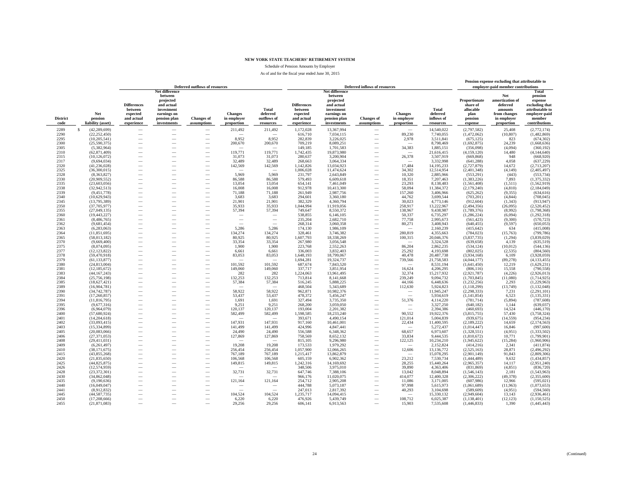Schedule of Pension Amounts by Employer

|                         |              |                                     |                                                                       |                                                                                                                  | <b>Deferred outflows of resources</b>                |                                             |                                               |                                                                       |                                                                                                                  | <b>Deferred inflows of resources</b>                 | Pension expense excluding that attributable to<br>employer-paid member contributions |                                              |                                                                      |                                                                                            |                                                                                                              |
|-------------------------|--------------|-------------------------------------|-----------------------------------------------------------------------|------------------------------------------------------------------------------------------------------------------|------------------------------------------------------|---------------------------------------------|-----------------------------------------------|-----------------------------------------------------------------------|------------------------------------------------------------------------------------------------------------------|------------------------------------------------------|--------------------------------------------------------------------------------------|----------------------------------------------|----------------------------------------------------------------------|--------------------------------------------------------------------------------------------|--------------------------------------------------------------------------------------------------------------|
| <b>District</b><br>code |              | Net<br>pension<br>liability (asset) | <b>Differences</b><br>between<br>expected<br>and actual<br>experience | Net difference<br>between<br>projected<br>and actual<br>investment<br>earnings on<br>pension plan<br>investments | <b>Changes</b> of<br>assumptions                     | <b>Changes</b><br>in employer<br>proportion | Total<br>deferred<br>outflows of<br>resources | <b>Differences</b><br>between<br>expected<br>and actual<br>experience | Net difference<br>between<br>projected<br>and actual<br>investment<br>earnings on<br>pension plan<br>investments | <b>Changes</b> of<br>assumptions                     | <b>Changes</b><br>in employer<br>proportion                                          | Total<br>deferred<br>inflows of<br>resources | Proportionate<br>share of<br>allocable<br>plan<br>pension<br>expense | Net<br>amortization of<br>deferred<br>amounts<br>from changes<br>in employer<br>proportion | Total<br>pension<br>expense<br>excluding that<br>attributable to<br>employer-paid<br>member<br>contributions |
| 2289                    | $\mathbb{S}$ | (42, 289, 699)                      |                                                                       |                                                                                                                  |                                                      | 211,492                                     | 211,492                                       | 1,172,028                                                             | 13,367,994                                                                                                       |                                                      |                                                                                      | 14,540,022                                   | (2,797,582)                                                          | 25,408                                                                                     | (2,772,174)                                                                                                  |
| 2290                    |              | (22, 252, 450)                      |                                                                       | $\overline{\phantom{0}}$                                                                                         | -                                                    |                                             |                                               | 616,710                                                               | 7,034,115                                                                                                        | $\overline{\phantom{a}}$                             | 89,230                                                                               | 7,740,055                                    | (1,472,062)                                                          | (10, 807)                                                                                  | (1,482,869)                                                                                                  |
| 2295                    |              | (10,205,541)                        | ÷,                                                                    | $\overline{\phantom{0}}$                                                                                         | -                                                    | 8,952                                       | 8,952                                         | 282,839                                                               | 3,226,025                                                                                                        |                                                      | 2,978                                                                                | 3,511,841                                    | (675, 125)                                                           | 823                                                                                        | (674, 302)                                                                                                   |
| 2300                    |              | (25,590,375)                        |                                                                       |                                                                                                                  |                                                      | 200,670                                     | 200,670                                       | 709,219                                                               | 8,089,251                                                                                                        |                                                      |                                                                                      | 8,798,469                                    | (1,692,875)                                                          | 24,239                                                                                     | (1,668,636)                                                                                                  |
| 2305                    |              | (5,382,964)                         |                                                                       |                                                                                                                  |                                                      |                                             |                                               | 149,185                                                               | 1,701,583                                                                                                        |                                                      | 34,383                                                                               | 1,885,151                                    | (356,098)                                                            | (4,094)                                                                                    | (360, 192)                                                                                                   |
| 2310<br>2315            |              | (62, 871, 409)<br>(10.126.072)      |                                                                       | $\overline{\phantom{0}}$                                                                                         | $\overline{\phantom{a}}$                             | 119,771<br>31,073                           | 119,771<br>31.073                             | 1,742,435<br>280,637                                                  | 19,873,980<br>3.200.904                                                                                          |                                                      | 26,378                                                                               | 21,616,415<br>3.507.919                      | (4,159,120)<br>(669, 868)                                            | 14,480<br>948                                                                              | (4,144,640)<br>(668,920)                                                                                     |
| 2317                    |              | (9,694,034)                         | $\overline{\phantom{a}}$                                              | $\overline{\phantom{0}}$<br>-                                                                                    | -<br>$\overline{\phantom{a}}$                        | 32.489                                      | 32.489                                        | 268,663                                                               | 3,064,334                                                                                                        | $\overline{\phantom{a}}$<br>$\overline{\phantom{a}}$ |                                                                                      | 3,332,998                                    | (641, 288)                                                           | 4,058                                                                                      | (637, 229)                                                                                                   |
| 2320                    |              | (41, 236, 028)                      | $\overline{\phantom{a}}$                                              | -                                                                                                                | -                                                    | 142,569                                     | 142,569                                       | 1,142,826                                                             | 13,034,923                                                                                                       | $\overline{\phantom{a}}$                             | 17,484                                                                               | 14,195,233                                   | (2,727,879)                                                          | 14,672                                                                                     | (2,713,207)                                                                                                  |
| 2325                    |              | (36,300,015)                        | $\overline{\phantom{a}}$                                              | -                                                                                                                | -                                                    |                                             |                                               | 1,006,028                                                             | 11,474,624                                                                                                       | $\overline{\phantom{a}}$                             | 34,302                                                                               | 12,514,954                                   | (2,401,348)                                                          | (4,149)                                                                                    | (2,405,497)                                                                                                  |
| 2328                    |              | (8,363,827)                         | $\overline{\phantom{a}}$                                              | -                                                                                                                | -                                                    | 5,969                                       | 5,969                                         | 231,797                                                               | 2,643,849                                                                                                        | $\overline{\phantom{a}}$                             | 10,320                                                                               | 2,885,966                                    | (553, 291)                                                           | (443)                                                                                      | (553, 734)                                                                                                   |
| 2330                    |              | (20,909,552)                        |                                                                       | -                                                                                                                | -                                                    | 86,588                                      | 86,588                                        | 579,493                                                               | 6,609,618                                                                                                        |                                                      | 18,351                                                                               | 7,207,463                                    | (1,383,226)                                                          | 7,893                                                                                      | (1,375,332)                                                                                                  |
| 2335                    |              | (23,603,056)                        | $\overline{\phantom{a}}$                                              | $\overline{\phantom{a}}$                                                                                         |                                                      | 13,054                                      | 13,054                                        | 654,141                                                               | 7,461,049                                                                                                        |                                                      | 23,293                                                                               | 8,138,483                                    | (1, 561, 408)                                                        | (1, 511)                                                                                   | (1, 562, 919)                                                                                                |
| 2338                    |              | (32,942,513)                        |                                                                       |                                                                                                                  |                                                      | 16,008                                      | 16,008                                        | 912,978                                                               | 10,413,300                                                                                                       |                                                      | 58,094                                                                               | 11,384,372                                   | (2,179,240)                                                          | (4,810)                                                                                    | (2,184,049)                                                                                                  |
| 2339<br>2340            |              | (9,451,778)<br>(10,629,943)         |                                                                       |                                                                                                                  |                                                      | 71,188<br>3,683                             | 71,188<br>3,683                               | 261,949<br>294,601                                                    | 2,987,756<br>3,360,180                                                                                           |                                                      | 157,260<br>44,762                                                                    | 3,406,966<br>3,699,544                       | (625, 262)<br>(703, 201)                                             | (9,355)<br>(4,844)                                                                         | (634, 616)<br>(708, 045)                                                                                     |
| 2345                    |              | (13,795,389)                        |                                                                       | $\overline{\phantom{0}}$                                                                                         | -                                                    | 21,901                                      | 21,901                                        | 382,329                                                               | 4,360,794                                                                                                        |                                                      | 30,023                                                                               | 4,773,146                                    | (912, 604)                                                           | (1,343)                                                                                    | (913, 947)                                                                                                   |
| 2350                    |              | (37,705,977)                        |                                                                       | $\overline{\phantom{0}}$                                                                                         |                                                      | 35.933                                      | 35.933                                        | 1.044.994                                                             | 11.919.056                                                                                                       | $\overline{\phantom{a}}$                             | 258.917                                                                              | 13.222.967                                   | (2,494,356)                                                          | (26,095)                                                                                   | (2,520,452)                                                                                                  |
| 2355                    |              | (27.049.135)                        | $\overline{\phantom{a}}$                                              | $\overline{\phantom{0}}$                                                                                         | $\overline{\phantom{a}}$                             | 57,394                                      | 57,394                                        | 749.647                                                               | 8,550,372                                                                                                        | $\overline{\phantom{a}}$                             | 138,967                                                                              | 9.438.987                                    | (1,789,376)                                                          | (8,992)                                                                                    | (1,798,368)                                                                                                  |
| 2360                    |              | (19, 443, 227)                      |                                                                       | $\overline{\phantom{0}}$                                                                                         |                                                      | -                                           | -                                             | 538,855                                                               | 6,146,105                                                                                                        | $\overline{\phantom{a}}$                             | 50,337                                                                               | 6,735,297                                    | (1, 286, 224)                                                        | (6,094)                                                                                    | (1, 292, 318)                                                                                                |
| 2361                    |              | (8,486,765)                         | $\overline{\phantom{a}}$                                              | $\overline{\phantom{0}}$                                                                                         | $\overline{\phantom{a}}$                             | $\overline{\phantom{a}}$                    | $\overline{\phantom{a}}$                      | 235,204                                                               | 2,682,710                                                                                                        | $\overline{\phantom{a}}$                             | 77,758                                                                               | 2,995,673                                    | (561, 423)                                                           | (9,300)                                                                                    | (570, 723)                                                                                                   |
| 2362<br>2363            |              | (9,681,454)<br>(6,283,063)          | $\overline{\phantom{a}}$<br>$\overline{\phantom{a}}$                  | -<br>-                                                                                                           | $\overline{\phantom{a}}$                             | 5,286                                       | 5,286                                         | 268,314<br>174,130                                                    | 3,060,358                                                                                                        | $\overline{\phantom{a}}$                             | 80,271                                                                               | 3.408.943<br>2,160,239                       | (640, 455)                                                           | (9,597)<br>634                                                                             | (650, 053)                                                                                                   |
| 2364                    |              | (11,851,695)                        | $\overline{\phantom{a}}$                                              | $\overline{\phantom{a}}$                                                                                         | $\overline{\phantom{a}}$<br>$\overline{\phantom{a}}$ | 134,274                                     | 134,274                                       | 328,461                                                               | 1,986,109<br>3,746,382                                                                                           | $\overline{\phantom{a}}$<br>$\overline{\phantom{a}}$ | 280,819                                                                              | 4,355,663                                    | (415, 642)<br>(784, 023)                                             | (15,763)                                                                                   | (415,008)<br>(799, 786)                                                                                      |
| 2365                    |              | (58,013,182)                        | $\overline{\phantom{a}}$                                              | $\overline{\phantom{0}}$                                                                                         |                                                      | 80,925                                      | 80,925                                        | 1,607,793                                                             | 18,338,269                                                                                                       | $\overline{\phantom{a}}$                             | 100,315                                                                              | 20,046,376                                   | (3,837,735)                                                          | (1,294)                                                                                    | (3,839,029)                                                                                                  |
| 2370                    |              | (9,669,400)                         | $\overline{\phantom{a}}$                                              | -                                                                                                                | $\overline{\phantom{a}}$                             | 33,354                                      | 33,354                                        | 267,980                                                               | 3,056,548                                                                                                        | $\overline{\phantom{a}}$                             |                                                                                      | 3,324,528                                    | (639, 658)                                                           | 4,139                                                                                      | (635, 519)                                                                                                   |
| 2375                    |              | (8,074,095)                         |                                                                       | $\overline{\phantom{0}}$                                                                                         | -                                                    | 1,900                                       | 1,900                                         | 223,768                                                               | 2,552,263                                                                                                        | $\overline{\phantom{a}}$                             | 86,204                                                                               | 2,862,235                                    | (534, 124)                                                           | (10,012)                                                                                   | (544, 136)                                                                                                   |
| 2377                    |              | (12, 123, 822)                      | Ξ                                                                     | $\overline{\phantom{0}}$                                                                                         | $\overline{\phantom{0}}$                             | 6,661                                       | 6,661                                         | 336,003                                                               | 3,832,403                                                                                                        |                                                      | 25,292                                                                               | 4,193,698                                    | (802, 025)                                                           | (2, 535)                                                                                   | (804, 560)                                                                                                   |
| 2378                    |              | (59, 470, 918)                      |                                                                       | $\overline{\phantom{0}}$                                                                                         |                                                      | 83,053                                      | 83,053                                        | 1,648,193                                                             | 18,799,067                                                                                                       | $\overline{\phantom{a}}$                             | 40,478                                                                               | 20,487,738                                   | (3,934,168)                                                          | 6,109                                                                                      | (3,928,059)                                                                                                  |
| 2379<br>2380            |              | (61, 133, 877)<br>(24,813,004)      |                                                                       | $\overline{\phantom{0}}$                                                                                         | -                                                    | 101,592                                     | 101,592                                       | 1,694,281<br>687,674                                                  | 19,324,737<br>7,843,520                                                                                          | $\overline{\phantom{a}}$                             | 739,566                                                                              | 21,758,583<br>8,531,194                      | (4,044,177)<br>(1,641,450)                                           | (89, 278)<br>12,219                                                                        | (4, 133, 455)<br>(1,629,231)                                                                                 |
| 2381                    |              | (12, 185, 672)                      |                                                                       | $\overline{\phantom{0}}$                                                                                         | -                                                    | 149,060                                     | 149,060                                       | 337,717                                                               | 3,851,954                                                                                                        | $\overline{\phantom{a}}$                             | 16,624                                                                               | 4,206,295                                    | (806, 116)                                                           | 15,558                                                                                     | (790, 558)                                                                                                   |
| 2383                    |              | (44, 167, 243)                      | $\overline{\phantom{a}}$                                              | $\overline{\phantom{0}}$                                                                                         | $\overline{\phantom{a}}$                             | 282                                         | 282                                           | 1,224,063                                                             | 13,961,495                                                                                                       | $\overline{\phantom{a}}$                             | 32,374                                                                               | 15,217,932                                   | (2,921,787)                                                          | (4,226)                                                                                    | (2,926,013)                                                                                                  |
| 2384                    |              | (25,756,198)                        | $\overline{\phantom{a}}$                                              | -                                                                                                                | -                                                    | 132,253                                     | 132.253                                       | 713,814                                                               | 8,141,668                                                                                                        | $\overline{\phantom{a}}$                             | 239,249                                                                              | 9,094,732                                    | (1,703,845)                                                          | (11,080)                                                                                   | (1,714,925)                                                                                                  |
| 2385                    |              | (18,627,421)                        | $\overline{\phantom{a}}$                                              | -                                                                                                                | -                                                    | 57,384                                      | 57,384                                        | 516,245                                                               | 5,888,225                                                                                                        | $\overline{\phantom{a}}$                             | 44,166                                                                               | 6,448,636                                    | (1,232,256)                                                          | 2,293                                                                                      | (1,229,963)                                                                                                  |
| 2389                    |              | (16,904,781)                        | $\overline{\phantom{a}}$                                              | -                                                                                                                | -                                                    |                                             |                                               | 468,504                                                               | 5,343,689                                                                                                        | $\overline{\phantom{a}}$                             | 112,630                                                                              | 5,924,823                                    | (1, 118, 299)                                                        | (13,749)                                                                                   | (1, 132, 048)                                                                                                |
| 2390                    |              | (34, 742, 787)                      | $\overline{\phantom{a}}$                                              | -                                                                                                                | -                                                    | 58,922                                      | 58,922                                        | 962,871                                                               | 10,982,376                                                                                                       | $\overline{\phantom{a}}$                             | $\overline{\phantom{a}}$<br>$\sim$                                                   | 11,945,247                                   | (2, 298, 333)                                                        | 7,231                                                                                      | (2, 291, 101)                                                                                                |
| 2391<br>2394            |              | (17,260,857)<br>(11,816,795)        |                                                                       | $\overline{\phantom{0}}$                                                                                         |                                                      | 53,437<br>1,691                             | 53,437<br>1,691                               | 478,372<br>327,494                                                    | 5,456,247<br>3,735,350                                                                                           |                                                      | 51,376                                                                               | 5,934,619<br>4,114,220                       | (1,141,854)<br>(781, 714)                                            | 6,523<br>(5,894)                                                                           | (1, 135, 331)<br>(787, 608)                                                                                  |
| 2395                    |              | (9,677,316)                         |                                                                       |                                                                                                                  |                                                      | 9,251                                       | 9.251                                         | 268,200                                                               | 3,059,050                                                                                                        |                                                      |                                                                                      | 3,327,250                                    | (640, 182)                                                           | 1,144                                                                                      | (639, 037)                                                                                                   |
| 2396                    |              | (6,964,079)                         |                                                                       |                                                                                                                  |                                                      | 120,137                                     | 120,137                                       | 193,004                                                               | 2,201,382                                                                                                        |                                                      |                                                                                      | 2,394,386                                    | (460, 693)                                                           | 14,524                                                                                     | (446, 170)                                                                                                   |
| 2400                    |              | (57,680,924)                        |                                                                       | $\overline{\phantom{0}}$                                                                                         |                                                      | 582,499                                     | 582,499                                       | 1,598,585                                                             | 18,233,240                                                                                                       |                                                      | 90,552                                                                               | 19,922,376                                   | (3,815,755)                                                          | 57,430                                                                                     | (3,758,324)                                                                                                  |
| 2401                    |              | (14.204.618)                        |                                                                       | $\overline{\phantom{0}}$                                                                                         |                                                      |                                             |                                               | 393,671                                                               | 4.490.154                                                                                                        |                                                      | 121.014                                                                              | 5.004.839                                    | (939, 675)                                                           | (14, 559)                                                                                  | (954, 234)                                                                                                   |
| 2402                    |              | (33.093.415)                        |                                                                       | $\overline{\phantom{0}}$                                                                                         |                                                      | 147,931                                     | 147.931                                       | 917,160                                                               | 10,461,001                                                                                                       | $\overline{\phantom{a}}$                             | 22,434                                                                               | 11,400,595                                   | (2,189,222)                                                          | 14,659                                                                                     | (2,174,563)                                                                                                  |
| 2403<br>2405            |              | (15, 334, 899)                      | -                                                                     | $\overline{\phantom{0}}$                                                                                         | $\overline{\phantom{a}}$                             | 141,499                                     | 141,499                                       | 424,996<br>556,588                                                    | 4,847,441<br>6,348,362                                                                                           | $\overline{\phantom{a}}$                             | 68,657                                                                               | 5,272,437<br>6,973,607                       | (1,014,447)<br>(1,328,551)                                           | 16,846<br>(4,951)                                                                          | (997, 600)<br>(1,333,502)                                                                                    |
| 2406                    |              | (20,083,066)<br>(27, 371, 053)      | $\overline{\phantom{a}}$                                              | $\overline{\phantom{0}}$<br>-                                                                                    | $\overline{\phantom{a}}$<br>$\sim$                   | 24,490<br>127,869                           | 24,490<br>127,869                             | 758,569                                                               | 8,652,132                                                                                                        | $\overline{\phantom{a}}$<br>$\overline{\phantom{a}}$ | 33,834                                                                               | 9,444,535                                    | (1,810,672)                                                          | 10,771                                                                                     | (1,799,901)                                                                                                  |
| 2408                    |              | (29, 411, 031)                      | $\overline{\phantom{a}}$                                              | -                                                                                                                | $\overline{\phantom{a}}$                             |                                             |                                               | 815,105                                                               | 9,296,980                                                                                                        | $\overline{\phantom{a}}$                             | 122,125                                                                              | 10,234,210                                   | (1,945,622)                                                          | (15, 284)                                                                                  | (1,960,906)                                                                                                  |
| 2409                    |              | (6,261,497)                         | $\overline{\phantom{a}}$                                              | -                                                                                                                | $\overline{\phantom{a}}$                             | 19,208                                      | 19,208                                        | 173,533                                                               | 1,979,292                                                                                                        | $\overline{\phantom{a}}$                             |                                                                                      | 2,152,824                                    | (414, 216)                                                           | 2,341                                                                                      | (411, 874)                                                                                                   |
| 2410                    |              | (38, 171, 675)                      | $\overline{\phantom{a}}$                                              | $\overline{\phantom{0}}$                                                                                         | $\overline{\phantom{a}}$                             | 256,454                                     | 256,454                                       | 1,057,900                                                             | 12,066,265                                                                                                       | $\overline{\phantom{a}}$                             | 12,606                                                                               | 13,136,772                                   | (2,525,163)                                                          | 28,871                                                                                     | (2,496,292)                                                                                                  |
| 2415                    |              | (43,855,268)                        | $\overline{\phantom{a}}$                                              | $\overline{\phantom{0}}$                                                                                         | $\overline{\phantom{a}}$                             | 767,189                                     | 767,189                                       | 1,215,417                                                             | 13,862,879                                                                                                       | $\overline{\phantom{a}}$                             |                                                                                      | 15,078,295                                   | (2,901,149)                                                          | 91,843                                                                                     | (2,809,306)                                                                                                  |
| 2420                    |              | (21,835,650)                        | $\overline{\phantom{a}}$                                              | $\overline{\phantom{0}}$                                                                                         |                                                      | 106,568                                     | 106,568                                       | 605,159                                                               | 6,902,362                                                                                                        | $\overline{\phantom{a}}$                             | 23,212                                                                               | 7,530,734                                    | (1,444,489)                                                          | 9,632                                                                                      | (1,434,857)                                                                                                  |
| 2425<br>2426            |              | (44,825,875)<br>(12, 574, 959)      | ÷,                                                                    | $\overline{\phantom{0}}$                                                                                         | $\overline{\phantom{0}}$                             | 149,815                                     | 149,815                                       | 1,242,316<br>348,506                                                  | 14,169,692<br>3,975,010                                                                                          |                                                      | 28,255<br>39,890                                                                     | 15,440,264<br>4,363,406                      | (2,965,357)<br>(831, 869)                                            | 14,117<br>(4,851)                                                                          | (2,951,240)<br>(836, 720)                                                                                    |
| 2428                    |              | (23,372,301)                        |                                                                       |                                                                                                                  |                                                      | 32,731                                      | 32,731                                        | 647,746                                                               | 7,388,106                                                                                                        |                                                      | 13,042                                                                               | 8,048,894                                    | (1,546,143)                                                          | 2,181                                                                                      | (1,543,963)                                                                                                  |
| 2430                    |              | (34,862,048)                        |                                                                       |                                                                                                                  |                                                      |                                             |                                               | 966,176                                                               | 11,020,075                                                                                                       |                                                      | 414,077                                                                              | 12,400,328                                   | (2,306,222)                                                          | (49,378)                                                                                   | (2,355,600)                                                                                                  |
| 2435                    |              | (9,190,636)                         |                                                                       | $\overline{\phantom{0}}$                                                                                         |                                                      | 121,164                                     | 121,164                                       | 254,712                                                               | 2,905,208                                                                                                        | $\overline{\phantom{a}}$                             | 11,086                                                                               | 3,171,005                                    | (607,986)                                                            | 12,966                                                                                     | (595, 021)                                                                                                   |
| 2440                    |              | (16.049.047)                        | $\overline{\phantom{a}}$                                              | -                                                                                                                | -                                                    |                                             | -                                             | 444,788                                                               | 5,073,187                                                                                                        | $\overline{\phantom{a}}$                             | 97,998                                                                               | 5,615,973                                    | (1,061,689)                                                          | (11,963)                                                                                   | (1,073,653)                                                                                                  |
| 2441                    |              | (8,912,832)                         | -                                                                     | -                                                                                                                | -                                                    |                                             |                                               | 247,013                                                               | 2,817,392                                                                                                        |                                                      | 40,293                                                                               | 3,104,698                                    | (589, 609)                                                           | (4,951)                                                                                    | (594, 560)                                                                                                   |
| 2445<br>2450            |              | (44, 587, 735)                      |                                                                       | -                                                                                                                | -                                                    | 104,524                                     | 104,524<br>6.220                              | 1,235,717                                                             | 14,094,415<br>5,439,749                                                                                          |                                                      | 108,712                                                                              | 15,330,132                                   | (2,949,604)                                                          | 13,143                                                                                     | (2,936,461)<br>(1,150,525)                                                                                   |
| 2455                    |              | (17,208,666)<br>(21, 871, 083)      |                                                                       |                                                                                                                  |                                                      | 6,220<br>29,256                             | 29,256                                        | 476,926<br>606,141                                                    | 6,913,563                                                                                                        |                                                      | 15,903                                                                               | 6,025,387<br>7,535,608                       | (1, 138, 401)<br>(1,446,833)                                         | (12, 123)<br>1,390                                                                         | (1,445,443)                                                                                                  |
|                         |              |                                     |                                                                       |                                                                                                                  |                                                      |                                             |                                               |                                                                       |                                                                                                                  |                                                      |                                                                                      |                                              |                                                                      |                                                                                            |                                                                                                              |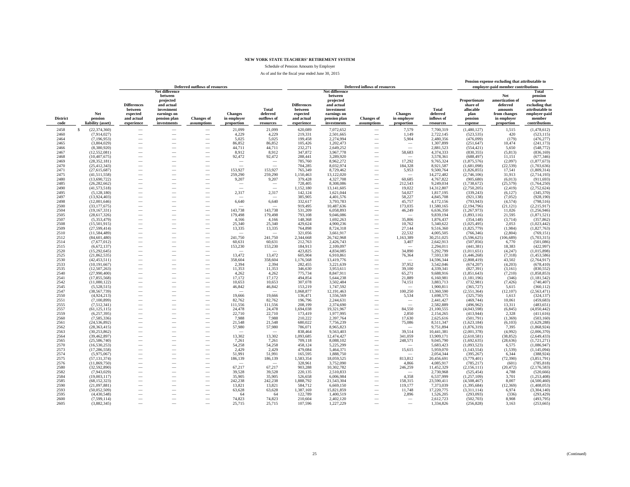Schedule of Pension Amounts by Employer

|                         |                                     | <b>Deferred outflows of resources</b>                                 |                                                                                                                  |                                                      |                                             |                                               |                                                                       |                                                                                                                  | <b>Deferred inflows of resources</b>                 | Pension expense excluding that attributable to<br>employer-paid member contributions |                                              |                                                                             |                                                                                            |                                                                                                              |
|-------------------------|-------------------------------------|-----------------------------------------------------------------------|------------------------------------------------------------------------------------------------------------------|------------------------------------------------------|---------------------------------------------|-----------------------------------------------|-----------------------------------------------------------------------|------------------------------------------------------------------------------------------------------------------|------------------------------------------------------|--------------------------------------------------------------------------------------|----------------------------------------------|-----------------------------------------------------------------------------|--------------------------------------------------------------------------------------------|--------------------------------------------------------------------------------------------------------------|
| <b>District</b><br>code | Net<br>pension<br>liability (asset) | <b>Differences</b><br>between<br>expected<br>and actual<br>experience | Net difference<br>between<br>projected<br>and actual<br>investment<br>earnings on<br>pension plan<br>investments | <b>Changes of</b><br>assumptions                     | <b>Changes</b><br>in employer<br>proportion | Total<br>deferred<br>outflows of<br>resources | <b>Differences</b><br>between<br>expected<br>and actual<br>experience | Net difference<br>between<br>projected<br>and actual<br>investment<br>earnings on<br>pension plan<br>investments | <b>Changes of</b><br>assumptions                     | <b>Changes</b><br>in employer<br>proportion                                          | Total<br>deferred<br>inflows of<br>resources | <b>Proportionate</b><br>share of<br>allocable<br>plan<br>pension<br>expense | Net<br>amortization of<br>deferred<br>amounts<br>from changes<br>in employer<br>proportion | Total<br>pension<br>expense<br>excluding that<br>attributable to<br>employer-paid<br>member<br>contributions |
| 2458                    | s<br>(22.374.360)                   |                                                                       |                                                                                                                  |                                                      | 21,099                                      | 21,099                                        | 620,089                                                               | 7,072,652                                                                                                        |                                                      | 7,579                                                                                | 7,700,319                                    | (1,480,127)                                                                 | 1,515                                                                                      | (1,478,612)                                                                                                  |
| 2460                    | (7,914,027)                         |                                                                       |                                                                                                                  |                                                      | 4,229                                       | 4,229                                         | 219,331                                                               | 2,501,665                                                                                                        |                                                      | 1,149                                                                                | 2,722,145                                    | (523, 535)                                                                  | 420                                                                                        | (523, 115)                                                                                                   |
| 2464                    | (7,196,953)                         |                                                                       | $\overline{\phantom{0}}$                                                                                         | $\overline{\phantom{m}}$                             | 5,025                                       | 5,025                                         | 199,458                                                               | 2,274,994                                                                                                        | $\overline{\phantom{a}}$                             | 5,904                                                                                | 2,480,356                                    | (476,099)                                                                   | (179)                                                                                      | (476, 277)                                                                                                   |
| 2465                    | (3.804.029)                         |                                                                       |                                                                                                                  | -                                                    | 86.852                                      | 86.852                                        | 105.426                                                               | 1.202.473                                                                                                        |                                                      | $\overline{\phantom{m}}$                                                             | 1.307.899                                    | (251.647)                                                                   | 10.474                                                                                     | (241, 173)                                                                                                   |
| 2466                    | (8,380,920)                         |                                                                       | -                                                                                                                | $\overline{\phantom{a}}$                             | 44.711                                      | 44.711                                        | 232,271                                                               | 2.649.252                                                                                                        | $\overline{\phantom{a}}$                             |                                                                                      | 2.881.523                                    | (554.421)                                                                   | 5.650                                                                                      | (548, 772)                                                                                                   |
| 2467                    | (12, 552, 081)                      |                                                                       | -                                                                                                                | $\overline{\phantom{m}}$                             | 8.912                                       | 8.912                                         | 347,872                                                               | 3,967,778                                                                                                        | $\overline{\phantom{a}}$                             | 58,683                                                                               | 4,374,333                                    | (830, 355)                                                                  | (5, 813)                                                                                   | (836, 169)                                                                                                   |
| 2468                    | (10, 407, 675)                      |                                                                       | $\overline{\phantom{0}}$                                                                                         | $\overline{\phantom{m}}$                             | 92,472                                      | 92.472                                        | 288,441                                                               | 3,289,920                                                                                                        | $\overline{\phantom{a}}$                             |                                                                                      | 3,578,361                                    | (688, 497)                                                                  | 11,151                                                                                     | (677, 346)                                                                                                   |
| 2469                    | (28, 352, 181)                      | $\overline{\phantom{a}}$                                              | -                                                                                                                | $\overline{\phantom{a}}$                             | $\overline{\phantom{a}}$                    | $\overline{\phantom{a}}$                      | 785,760                                                               | 8,962,272                                                                                                        | $\overline{\phantom{a}}$                             | 17,292                                                                               | 9,765,324                                    | (1,875,576)                                                                 | (2,097)                                                                                    | (1,877,673)                                                                                                  |
| 2470                    | (25, 412, 343)                      |                                                                       |                                                                                                                  |                                                      |                                             |                                               | 704,285                                                               | 8,032,974                                                                                                        |                                                      | 184,328                                                                              | 8,921,587                                    | (1,681,098)                                                                 | (22, 539)                                                                                  | (1,703,636)                                                                                                  |
| 2471                    | (27,615,687)                        |                                                                       |                                                                                                                  |                                                      | 153,927                                     | 153,927                                       | 765,349                                                               | 8,729,462                                                                                                        |                                                      | 5,953                                                                                | 9,500,764                                    | (1,826,855)                                                                 | 17,541                                                                                     | (1,809,314)                                                                                                  |
| 2475                    | (41,511,558)                        |                                                                       |                                                                                                                  | -                                                    | 259,290                                     | 259,290                                       | 1,150,463                                                             | 13,122,020                                                                                                       |                                                      | 60,685                                                                               | 14,272,482                                   | (2,746,106)                                                                 | 31,913                                                                                     | (2,714,193)                                                                                                  |
| 2480<br>2485            | (13,690,722)<br>(26.282.662)        |                                                                       | -                                                                                                                | $\overline{\phantom{0}}$                             | 9,207                                       | 9,207<br>$\overline{\phantom{a}}$             | 379,428<br>728,405                                                    | 4,327,708<br>8.308.086                                                                                           | $\overline{\phantom{a}}$                             | 212.543                                                                              | 4,767,822<br>9.249.034                       | (905, 680)<br>(1,738,672)                                                   | (6,013)<br>(25.579)                                                                        | (911, 693)<br>(1,764,250)                                                                                    |
| 2490                    | (41, 573, 518)                      |                                                                       | $\overline{\phantom{0}}$                                                                                         | $\overline{\phantom{0}}$                             |                                             |                                               | 1,152,180                                                             | 13,141,605                                                                                                       | $\overline{\phantom{a}}$                             | 19,022                                                                               | 14,312,807                                   | (2,750,205)                                                                 | (2, 419)                                                                                   | (2,752,624)                                                                                                  |
| 2495                    | (5,128,180)                         |                                                                       | $\overline{\phantom{0}}$                                                                                         | $\overline{\phantom{a}}$                             | 2,317                                       | 2,317                                         | 142,124                                                               | 1,621,044                                                                                                        | $\overline{\phantom{a}}$                             | 54,027                                                                               | 1,817,195                                    | (339, 243)                                                                  | (6,127)                                                                                    | (345, 370)                                                                                                   |
| 2497                    | (13,924,403)                        | $\overline{\phantom{a}}$                                              | -                                                                                                                | $\overline{\phantom{a}}$                             |                                             |                                               | 385,905                                                               | 4,401,576                                                                                                        | $\overline{\phantom{a}}$                             | 58,227                                                                               | 4,845,708                                    | (921, 138)                                                                  | (7,052)                                                                                    | (928, 190)                                                                                                   |
| 2498                    | (12,001,646)                        | $\overline{\phantom{a}}$                                              | -                                                                                                                | $\overline{\phantom{m}}$                             | 6,640                                       | 6,640                                         | 332,617                                                               | 3,793,783                                                                                                        | $\overline{\phantom{a}}$                             | 45,757                                                                               | 4,172,156                                    | (793, 943)                                                                  | (4,574)                                                                                    | (798, 516)                                                                                                   |
| 2500                    | (33, 177, 675)                      |                                                                       | $\overline{\phantom{a}}$                                                                                         | $\overline{\phantom{a}}$                             |                                             |                                               | 919,495                                                               | 10,487,636                                                                                                       | $\overline{\phantom{a}}$                             | 173,035                                                                              | 11,580,165                                   | (2,194,796)                                                                 | (21, 121)                                                                                  | (2, 215, 917)                                                                                                |
| 2504                    | (19, 167, 331)                      |                                                                       | $\overline{\phantom{a}}$                                                                                         | $\overline{\phantom{a}}$                             | 143,738                                     | 143,738                                       | 531,209                                                               | 6,058,893                                                                                                        | $\overline{\phantom{a}}$                             | 46,249                                                                               | 6,636,350                                    | (1,267,973)                                                                 | 11,026                                                                                     | (1,256,946)                                                                                                  |
| 2505                    | (28,617,326)                        |                                                                       | $\overline{\phantom{0}}$                                                                                         | $\overline{\phantom{a}}$                             | 179,498                                     | 179,498                                       | 793,108                                                               | 9,046,086                                                                                                        | $\overline{\phantom{a}}$                             |                                                                                      | 9,839,194                                    | (1,893,116)                                                                 | 21,595                                                                                     | (1,871,521)                                                                                                  |
| 2507                    | (5,353,479)                         | $\overline{\phantom{0}}$                                              | -                                                                                                                | -                                                    | 4,166                                       | 4,166                                         | 148,368                                                               | 1,692,263                                                                                                        |                                                      | 35,806                                                                               | 1,876,437                                    | (354, 148)                                                                  | (3,714)                                                                                    | (357, 862)                                                                                                   |
| 2508                    | (15,501,915)                        |                                                                       |                                                                                                                  |                                                      | 25,340                                      | 25,340                                        | 429,624                                                               | 4,900,236                                                                                                        |                                                      | 10,762                                                                               | 5,340,622                                    | (1,025,495)                                                                 | 2,053                                                                                      | (1,023,442)                                                                                                  |
| 2509                    | (27,599,414)                        |                                                                       | -                                                                                                                | $\overline{\phantom{a}}$                             | 13,335                                      | 13,335                                        | 764,898                                                               | 8,724,318                                                                                                        | $\overline{\phantom{a}}$                             | 27,144                                                                               | 9,516,360                                    | (1,825,779)                                                                 | (1,984)                                                                                    | (1,827,763)                                                                                                  |
| 2510<br>2512            | (11, 584, 489)<br>(84, 601, 480)    |                                                                       | $\overline{\phantom{0}}$<br>$\overline{\phantom{0}}$                                                             | $\overline{\phantom{0}}$<br>$\overline{\phantom{m}}$ | 241.750                                     | 241.750                                       | 321,056<br>2.344.668                                                  | 3,661,917<br>26,742,968                                                                                          | $\overline{\phantom{a}}$<br>$\overline{\phantom{a}}$ | 22,532<br>1.163.389                                                                  | 4,005,505<br>30.251.025                      | (766, 346)<br>(5.596.625)                                                   | (2,804)<br>(106, 689)                                                                      | (769, 151)<br>(5,703,315)                                                                                    |
| 2514                    | (7,677,012)                         |                                                                       | -                                                                                                                | $\overline{\phantom{a}}$                             | 60,631                                      | 60,631                                        | 212,763                                                               | 2,426,743                                                                                                        | $\overline{\phantom{a}}$                             | 3,407                                                                                | 2,642,913                                    | (507, 856)                                                                  | 6,770                                                                                      | (501,086)                                                                                                    |
| 2515                    | (6,672,137)                         |                                                                       | $\overline{\phantom{0}}$                                                                                         | $\overline{\phantom{m}}$                             | 153,230                                     | 153,230                                       | 184,913                                                               | 2,109,097                                                                                                        | $\overline{\phantom{a}}$                             | $\overline{\phantom{a}}$                                                             | 2,294,011                                    | (441, 381)                                                                  | 18,383                                                                                     | (422, 997)                                                                                                   |
| 2520                    | (15,292,645)                        | $\overline{\phantom{a}}$                                              | -                                                                                                                | $\overline{\phantom{a}}$                             |                                             |                                               | 423,825                                                               | 4,834,085                                                                                                        | $\overline{\phantom{a}}$                             | 34,890                                                                               | 5,292,799                                    | (1,011,651)                                                                 | (4, 247)                                                                                   | (1,015,898)                                                                                                  |
| 2525                    | (21,862,535)                        | $\overline{\phantom{a}}$                                              | -                                                                                                                | $\overline{\phantom{a}}$                             | 13,472                                      | 13,472                                        | 605,904                                                               | 6,910,861                                                                                                        | $\overline{\phantom{a}}$                             | 76,364                                                                               | 7,593,130                                    | (1,446,268)                                                                 | (7,318)                                                                                    | (1,453,586)                                                                                                  |
| 2530                    | (42, 453, 511)                      | $\overline{\phantom{a}}$                                              | -                                                                                                                | -                                                    | 358,604                                     | 358,604                                       | 1,176,568                                                             | 13,419,776                                                                                                       | $\overline{\phantom{a}}$                             | $\sim$                                                                               | 14,596,344                                   | (2,808,419)                                                                 | 43,502                                                                                     | (2,764,917)                                                                                                  |
| 2533                    | (10, 191, 667)                      | $\overline{\phantom{a}}$                                              | -                                                                                                                | -                                                    | 2,394                                       | 2.394                                         | 282,455                                                               | 3,221,639                                                                                                        | $\overline{\phantom{a}}$                             | 37,952                                                                               | 3,542,046                                    | (674, 207)                                                                  | (4,203)                                                                                    | (678, 410)                                                                                                   |
| 2535                    | (12,507,263)                        | $\overline{\phantom{a}}$                                              | -                                                                                                                | -                                                    | 11,353                                      | 11,353                                        | 346,630                                                               | 3,953,611                                                                                                        |                                                      | 39,100                                                                               | 4,339,341                                    | (827, 391)                                                                  | (3,161)                                                                                    | (830, 552)                                                                                                   |
| 2540                    | (27,990,400)                        |                                                                       | -                                                                                                                |                                                      | 4,262                                       | 4,262                                         | 775,734                                                               | 8,847,911                                                                                                        |                                                      | 65,271                                                                               | 9,688,916                                    | (1,851,643)                                                                 | (7,210)                                                                                    | (1,858,853)                                                                                                  |
| 2541                    | (17.855.568)                        |                                                                       | -                                                                                                                | $\overline{\phantom{0}}$                             | 17.172                                      | 17.172                                        | 494.854                                                               | 5.644.238                                                                                                        | $\overline{\phantom{a}}$                             | 21.889                                                                               | 6.160.981                                    | (1, 181, 196)                                                               | (346)                                                                                      | (1, 181, 542)                                                                                                |
| 2542                    | (11,080,122)                        |                                                                       | -                                                                                                                | -                                                    | 10,653                                      | 10,653                                        | 307,078                                                               | 3,502,484                                                                                                        | $\overline{\phantom{a}}$                             | 74,151                                                                               | 3,883,713                                    | (732,981)                                                                   | (7, 426)                                                                                   | (740, 407)                                                                                                   |
| 2545                    | (5,528,515)                         |                                                                       | $\overline{\phantom{0}}$                                                                                         | $\overline{\phantom{m}}$                             | 46,842                                      | 46,842                                        | 153,219                                                               | 1,747,592                                                                                                        | $\overline{\phantom{a}}$                             |                                                                                      | 1,900,811                                    | (365, 727)                                                                  | 5,615                                                                                      | (360, 112)                                                                                                   |
| 2547                    | (38, 567, 739)                      | $\overline{\phantom{a}}$                                              | -                                                                                                                | -                                                    |                                             |                                               | 1,068,877                                                             | 12,191,463                                                                                                       | $\overline{\phantom{a}}$                             | 100.250                                                                              | 13,360,590                                   | (2,551,364)                                                                 | (12, 107)                                                                                  | (2, 563, 471)                                                                                                |
| 2550<br>2551            | (4,924,213)                         |                                                                       | -<br>$\overline{\phantom{a}}$                                                                                    | $\overline{\phantom{a}}$<br>$\overline{\phantom{a}}$ | 19,666<br>82,762                            | 19,666<br>82,762                              | 136,471<br>196,796                                                    | 1,556,569<br>2,244,631                                                                                           | $\sim$<br>$\overline{\phantom{a}}$                   | 5,534                                                                                | 1,698,575                                    | (325,750)<br>(469, 744)                                                     | 1,613<br>10,061                                                                            | (324, 137)<br>(459, 683)                                                                                     |
| 2555                    | (7,100,899)<br>(7,512,341)          |                                                                       | $\overline{\phantom{a}}$                                                                                         | $\overline{\phantom{a}}$                             | 111,556                                     | 111,556                                       | 208,199                                                               | 2,374,690                                                                                                        | $\overline{\phantom{a}}$                             | -                                                                                    | 2,441,427<br>2,582,889                       | (496,962)                                                                   | 13,311                                                                                     | (483, 651)                                                                                                   |
| 2557                    | (61, 125, 115)                      |                                                                       | $\overline{\phantom{0}}$                                                                                         |                                                      | 24,478                                      | 24,478                                        | 1,694,038                                                             | 19,321,967                                                                                                       |                                                      | 84,550                                                                               | 21,100,555                                   | (4,043,598)                                                                 | (6, 845)                                                                                   | (4,050,442)                                                                                                  |
| 2559                    | (6,257,395)                         |                                                                       | $\overline{\phantom{0}}$                                                                                         | -                                                    | 22,710                                      | 22,710                                        | 173,419                                                               | 1,977,995                                                                                                        |                                                      | 2,850                                                                                | 2,154,265                                    | (413,944)                                                                   | 2,328                                                                                      | (411, 616)                                                                                                   |
| 2560                    | (7,585,336)                         |                                                                       |                                                                                                                  |                                                      | 7,988                                       | 7,988                                         | 210,222                                                               | 2,397,764                                                                                                        |                                                      | 17,630                                                                               | 2,625,616                                    | (501,791)                                                                   | (1, 369)                                                                                   | (503, 160)                                                                                                   |
| 2561                    | (24, 536, 892)                      |                                                                       | -                                                                                                                | -                                                    | 21,548                                      | 21,548                                        | 680,022                                                               | 7,756,239                                                                                                        |                                                      | 75,086                                                                               | 8,511,347                                    | (1,623,184)                                                                 | (6,103)                                                                                    | (1,629,288)                                                                                                  |
| 2562                    | (28, 363, 415)                      |                                                                       | $\overline{\phantom{0}}$                                                                                         | $\overline{\phantom{a}}$                             | 57,980                                      | 57,980                                        | 786,071                                                               | 8,965,823                                                                                                        | $\overline{\phantom{a}}$                             |                                                                                      | 9,751,894                                    | (1,876,319)                                                                 | 7,395                                                                                      | (1,868,924)                                                                                                  |
| 2563                    | (30.253.862)                        |                                                                       | $\overline{\phantom{0}}$                                                                                         | $\overline{\phantom{a}}$                             |                                             |                                               | 838,464                                                               | 9.563.403                                                                                                        | $\overline{\phantom{a}}$                             | 39.514                                                                               | 10,441,381                                   | (2,001,378)                                                                 | (4.992)                                                                                    | (2,006,370)                                                                                                  |
| 2564                    | (39, 462, 897)                      | -                                                                     | -                                                                                                                | $\overline{\phantom{a}}$                             | 13.302                                      | 13.302                                        | 1,093,685                                                             | 12,474,427                                                                                                       | $\overline{\phantom{a}}$                             | 341,059                                                                              | 13,909,171                                   | (2,610,581)                                                                 | (38, 852)                                                                                  | (2,649,433)                                                                                                  |
| 2565                    | (25, 586, 740)                      |                                                                       | -                                                                                                                | $\overline{\phantom{m}}$                             | 7,261                                       | 7,261                                         | 709,118                                                               | 8,088,102                                                                                                        | $\overline{\phantom{a}}$                             | 248,571                                                                              | 9,045,790                                    | (1,692,635)                                                                 | (28, 636)                                                                                  | (1,721,271)                                                                                                  |
| 2570                    | (16, 530, 253)                      | $\overline{\phantom{a}}$                                              | -                                                                                                                | $\overline{\phantom{a}}$                             | 54,258                                      | 54.258                                        | 458,124                                                               | 5,225,299                                                                                                        | $\overline{\phantom{a}}$                             |                                                                                      | 5,683,423                                    | (1,093,523)                                                                 | 6,575                                                                                      | (1,086,947)                                                                                                  |
| 2573<br>2574            | (17, 286, 558)<br>(5,975,067)       | $\overline{\phantom{a}}$<br>$\overline{\phantom{a}}$                  | -<br>-                                                                                                           | $\overline{\phantom{a}}$<br>-                        | 2,429<br>51,991                             | 2,429<br>51,991                               | 479,084<br>165,595                                                    | 5,464,371<br>1,888,750                                                                                           | $\overline{\phantom{a}}$<br>$\overline{\phantom{a}}$ | 15,615                                                                               | 5,959,070<br>2,054,344                       | (1, 143, 554)<br>(395, 267)                                                 | (1, 539)<br>6,344                                                                          | (1,145,094)<br>(388, 924)                                                                                    |
| 2575                    | (57, 131, 374)                      | $\overline{\phantom{a}}$                                              | $\overline{\phantom{a}}$                                                                                         | -                                                    | 186,139                                     | 186,139                                       | 1,583,354                                                             | 18,059,525                                                                                                       | $\overline{\phantom{a}}$                             | 813,812                                                                              | 20,456,691                                   | (3,779,401)                                                                 | (72, 390)                                                                                  | (3,851,791)                                                                                                  |
| 2576                    | (11,869,750)                        | $\overline{\phantom{a}}$                                              | -                                                                                                                |                                                      |                                             |                                               | 328,961                                                               | 3,752,090                                                                                                        | $\overline{\phantom{a}}$                             | 4,866                                                                                | 4,085,917                                    | (785, 217)                                                                  | (601)                                                                                      | (785, 818)                                                                                                   |
| 2580                    | (32,592,890)                        | $\overline{\phantom{a}}$                                              | ÷                                                                                                                |                                                      | 67,217                                      | 67,217                                        | 903,288                                                               | 10,302,782                                                                                                       |                                                      | 246,259                                                                              | 11,452,329                                   | (2,156,111)                                                                 | (20, 472)                                                                                  | (2,176,583)                                                                                                  |
| 2582                    | (7,943,029)                         |                                                                       |                                                                                                                  |                                                      | 39,528                                      | 39.528                                        | 220,135                                                               | 2,510,833                                                                                                        |                                                      |                                                                                      | 2,730,968                                    | (525, 454)                                                                  | 4,788                                                                                      | (520, 666)                                                                                                   |
| 2584                    | (19,003,117)                        |                                                                       |                                                                                                                  |                                                      | 35,905                                      | 35,905                                        | 526,658                                                               | 6,006,984                                                                                                        |                                                      | 4,358                                                                                | 6,537,999                                    | (1,257,109)                                                                 | 3,701                                                                                      | (1,253,408)                                                                                                  |
| 2585                    | (68, 152, 323)                      |                                                                       |                                                                                                                  | $\overline{\phantom{m}}$                             | 242,238                                     | 242,238                                       | 1,888,792                                                             | 21,543,304                                                                                                       |                                                      | 158,315                                                                              | 23,590,411                                   | (4,508,467)                                                                 | 8,007                                                                                      | (4,500,460)                                                                                                  |
| 2590                    | (21,097,881)                        | $\overline{\phantom{a}}$                                              | -                                                                                                                | $\overline{\phantom{m}}$                             | 13,821                                      | 13,821                                        | 584,712                                                               | 6,669,150                                                                                                        | $\overline{\phantom{a}}$                             | 119,177                                                                              | 7,373,039                                    | (1,395,684)                                                                 | (12, 369)                                                                                  | (1,408,053)                                                                                                  |
| 2593                    | (50,052,509)                        | $\overline{\phantom{a}}$                                              | -                                                                                                                | $\overline{\phantom{a}}$                             | 63,628                                      | 63,628                                        | 1,387,169                                                             | 15,821,859                                                                                                       |                                                      | 11,748                                                                               | 17,220,775                                   | (3,311,114)                                                                 | 6,974                                                                                      | (3,304,140)                                                                                                  |
| 2595                    | (4,430,548)                         |                                                                       | $\overline{\phantom{0}}$                                                                                         | $\overline{\phantom{a}}$                             | 64                                          | 64                                            | 122,789                                                               | 1,400,519                                                                                                        |                                                      | 2,896                                                                                | 1,526,205                                    | (293,093)                                                                   | (336)                                                                                      | (293, 429)                                                                                                   |
| 2600                    | (7,599,114)                         |                                                                       |                                                                                                                  |                                                      | 74,823                                      | 74,823<br>25,715                              | 210,604                                                               | 2,402,120<br>1,227,229                                                                                           |                                                      |                                                                                      | 2,612,723                                    | (502,703)<br>(256, 828)                                                     | 8,908                                                                                      | (493, 795)                                                                                                   |
| 2605                    | (3,882,345)                         |                                                                       |                                                                                                                  |                                                      | 25,715                                      |                                               | 107,596                                                               |                                                                                                                  |                                                      |                                                                                      | 1,334,826                                    |                                                                             | 3,163                                                                                      | (253, 665)                                                                                                   |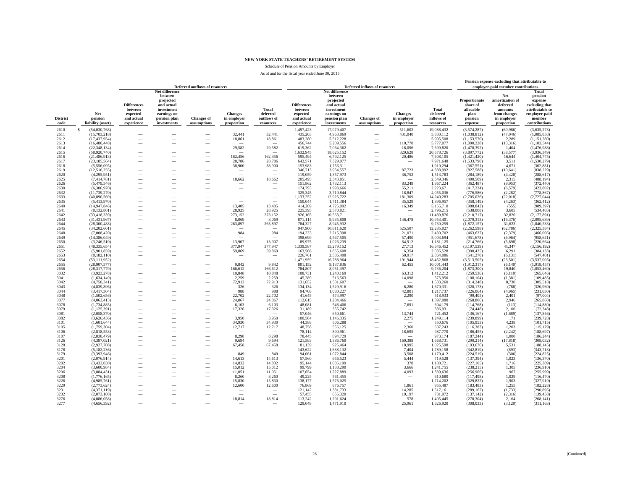Schedule of Pension Amounts by Employer

|                         |                                     | <b>Deferred outflows of resources</b>                                 |                                                                                                                  |                                                      |                                             |                                                      |                                                                       |                                                                                                                  | <b>Deferred inflows of resources</b>                 | Pension expense excluding that attributable to<br>employer-paid member contributions |                                              |                                                                      |                                                                                            |                                                                                                              |
|-------------------------|-------------------------------------|-----------------------------------------------------------------------|------------------------------------------------------------------------------------------------------------------|------------------------------------------------------|---------------------------------------------|------------------------------------------------------|-----------------------------------------------------------------------|------------------------------------------------------------------------------------------------------------------|------------------------------------------------------|--------------------------------------------------------------------------------------|----------------------------------------------|----------------------------------------------------------------------|--------------------------------------------------------------------------------------------|--------------------------------------------------------------------------------------------------------------|
| <b>District</b><br>code | Net<br>pension<br>liability (asset) | <b>Differences</b><br>between<br>expected<br>and actual<br>experience | Net difference<br>between<br>projected<br>and actual<br>investment<br>earnings on<br>pension plan<br>investments | <b>Changes</b> of<br>assumptions                     | <b>Changes</b><br>in employer<br>proportion | <b>Total</b><br>deferred<br>outflows of<br>resources | <b>Differences</b><br>between<br>expected<br>and actual<br>experience | Net difference<br>between<br>projected<br>and actual<br>investment<br>earnings on<br>pension plan<br>investments | <b>Changes</b> of<br>assumptions                     | <b>Changes</b><br>in employer<br>proportion                                          | Total<br>deferred<br>inflows of<br>resources | Proportionate<br>share of<br>allocable<br>plan<br>pension<br>expense | Net<br>amortization of<br>deferred<br>amounts<br>from changes<br>in employer<br>proportion | Total<br>pension<br>expense<br>excluding that<br>attributable to<br>employer-paid<br>member<br>contributions |
| 2610                    | $\mathbf{s}$<br>(54,030,768)        |                                                                       |                                                                                                                  |                                                      |                                             |                                                      | 1,497,423                                                             | 17,079,407                                                                                                       |                                                      | 511,602                                                                              | 19,088,432                                   | (3,574,287)                                                          | (60, 986)                                                                                  | (3,635,273)                                                                                                  |
| 2611                    | (15,703,218)                        | $\overline{\phantom{a}}$                                              | $\overline{\phantom{0}}$                                                                                         | $\overline{\phantom{a}}$                             | 32,441                                      | 32,441                                               | 435,203                                                               | 4,963,869                                                                                                        | $\overline{\phantom{a}}$                             | 431,040                                                                              | 5,830,112                                    | (1,038,812)                                                          | (47,046)                                                                                   | (1,085,858)                                                                                                  |
| 2612                    | (17, 437, 954)                      |                                                                       | $\overline{\phantom{0}}$                                                                                         |                                                      | 18,861                                      | 18,861                                               | 483,280                                                               | 5,512,228                                                                                                        | $\overline{\phantom{a}}$                             |                                                                                      | 5,995,508                                    | (1, 153, 570)                                                        | 2,289                                                                                      | (1,151,280)                                                                                                  |
| 2613                    | (16, 480, 448)                      | $\overline{\phantom{a}}$                                              | $\overline{\phantom{0}}$                                                                                         | -                                                    |                                             |                                                      | 456,744                                                               | 5.209.556                                                                                                        | $\sim$                                               | 110,778                                                                              | 5,777,077                                    | (1,090,228)                                                          | (13,316)                                                                                   | (1, 103, 544)                                                                                                |
| 2614                    | (22.348.134)                        | $\overline{\phantom{a}}$                                              | -                                                                                                                | -                                                    | 29,582                                      | 29,582                                               | 619,362                                                               | 7,064,362                                                                                                        | $\overline{\phantom{a}}$                             | 16,096                                                                               | 7,699,820                                    | (1,478,392)                                                          | 1.404                                                                                      | (1,476,988)                                                                                                  |
| 2615                    | (58.920.740)                        | $\overline{\phantom{a}}$                                              | $\overline{\phantom{0}}$                                                                                         | $\overline{\phantom{a}}$                             |                                             |                                                      | 1,632,945                                                             | 18.625.152                                                                                                       | $\overline{\phantom{a}}$                             | 320,628                                                                              | 20,578,726                                   | (3,897,772)                                                          | (38,577)                                                                                   | (3,936,349)                                                                                                  |
| 2616                    | (21, 486, 913)                      | $\overline{\phantom{a}}$                                              | -                                                                                                                | $\overline{\phantom{a}}$                             | 162,456                                     | 162,456                                              | 595,494                                                               | 6,792,125                                                                                                        | $\overline{\phantom{a}}$                             | 20,486                                                                               | 7,408,105                                    | (1,421,420)                                                          | 16,644                                                                                     | (1,404,775)                                                                                                  |
| 2617<br>2618            | (23, 185, 564)<br>(5,556,095)       | $\overline{\phantom{a}}$                                              | -                                                                                                                | -                                                    | 28,786<br>38,900                            | 28,786<br>38,900                                     | 642,571<br>153,983                                                    | 7,329,077<br>1,756,311                                                                                           | $\overline{\phantom{a}}$                             | $\overline{\phantom{a}}$                                                             | 7,971,648<br>1,910,294                       | (1,533,790)<br>(367, 551)                                            | 3,511                                                                                      | (1, 530, 279)<br>(362, 881)                                                                                  |
| 2619                    | (12,510,255)                        |                                                                       |                                                                                                                  |                                                      |                                             |                                                      | 346,713                                                               | 3,954,557                                                                                                        |                                                      | 87,723                                                                               | 4,388,992                                    | (827, 588)                                                           | 4,671<br>(10, 641)                                                                         | (838, 229)                                                                                                   |
| 2620                    | (4,295,951)                         |                                                                       | $\overline{\phantom{0}}$                                                                                         |                                                      |                                             |                                                      | 119,059                                                               | 1,357,973                                                                                                        | $\overline{\phantom{a}}$                             | 36,752                                                                               | 1,513,783                                    | (284, 189)                                                           | (4, 428)                                                                                   | (288, 617)                                                                                                   |
| 2625                    | (7.414.781)                         | $\overline{\phantom{a}}$                                              | -                                                                                                                | $\overline{\phantom{0}}$                             | 18.662                                      | 18.662                                               | 205.495                                                               | 2.343.851                                                                                                        |                                                      |                                                                                      | 2.549.346                                    | (490, 509)                                                           | 2.315                                                                                      | (488.194)                                                                                                    |
| 2626                    | (5,479,546)                         | $\overline{\phantom{a}}$                                              | $\overline{\phantom{0}}$                                                                                         | $\overline{\phantom{a}}$                             |                                             |                                                      | 151,862                                                               | 1,732,113                                                                                                        | $\overline{\phantom{a}}$                             | 83.249                                                                               | 1,967,224                                    | (362, 487)                                                           | (9,953)                                                                                    | (372, 440)                                                                                                   |
| 2630                    | (6,306,970)                         |                                                                       | $\overline{\phantom{0}}$                                                                                         | $\overline{\phantom{a}}$                             |                                             | $\overline{\phantom{0}}$                             | 174,793                                                               | 1,993,666                                                                                                        | $\overline{\phantom{a}}$                             | 55,211                                                                               | 2,223,671                                    | (417, 224)                                                           | (6, 579)                                                                                   | (423, 802)                                                                                                   |
| 2632                    | (11, 739, 270)                      | $\overline{\phantom{a}}$                                              | -                                                                                                                | $\overline{\phantom{a}}$                             | $\overline{\phantom{a}}$                    | -                                                    | 325,345                                                               | 3,710,844                                                                                                        | $\overline{\phantom{a}}$                             | 18,847                                                                               | 4,055,036                                    | (776, 586)                                                           | (2, 282)                                                                                   | (778, 867)                                                                                                   |
| 2633                    | (40,890,569)                        | $\overline{\phantom{a}}$                                              | -                                                                                                                | $\overline{\phantom{a}}$                             | -                                           | -                                                    | 1,133,252                                                             | 12,925,722                                                                                                       | $\overline{\phantom{a}}$                             | 181,309                                                                              | 14,240,283                                   | (2,705,026)                                                          | (22,018)                                                                                   | (2,727,044)                                                                                                  |
| 2635                    | (5,413,970)                         | $\overline{\phantom{a}}$                                              | $\overline{\phantom{0}}$                                                                                         | $\overline{\phantom{a}}$                             |                                             |                                                      | 150,044                                                               | 1,711,384                                                                                                        | $\overline{\phantom{a}}$                             | 35,529                                                                               | 1,896,957                                    | (358, 149)                                                           | (4,263)                                                                                    | (362, 412)                                                                                                   |
| 2640<br>2641            | (14, 947, 846)<br>(8,132,801)       | $\overline{\phantom{a}}$                                              | $\overline{\phantom{a}}$<br>$\overline{\phantom{0}}$                                                             | $\overline{\phantom{a}}$                             | 13,405<br>28,925                            | 13,405<br>28,925                                     | 414,269<br>225,395                                                    | 4,725,092<br>2,570,821                                                                                           | $\overline{\phantom{a}}$<br>$\overline{\phantom{a}}$ | 16,349                                                                               | 5,155,710                                    | (988, 842)<br>(538,008)                                              | (555)<br>3,605                                                                             | (989, 397)<br>(534, 403)                                                                                     |
| 2642                    | (33, 418, 339)                      |                                                                       | $\overline{\phantom{0}}$                                                                                         | -<br>-                                               | 273,152                                     | 273,152                                              | 926,165                                                               | 10,563,711                                                                                                       |                                                      |                                                                                      | 2,796,215<br>11,489,876                      | (2,210,717)                                                          | 32,826                                                                                     | (2,177,891)                                                                                                  |
| 2643                    | (31, 431, 967)                      |                                                                       |                                                                                                                  |                                                      | 8,069                                       | 8.069                                                | 871,114                                                               | 9,935,808                                                                                                        |                                                      | 146,478                                                                              | 10,953,401                                   | (2,079,313)                                                          | (16,376)                                                                                   | (2,095,689)                                                                                                  |
| 2644                    | (28,300,488)                        |                                                                       | $\overline{\phantom{0}}$                                                                                         | $\overline{\phantom{0}}$                             | 263,897                                     | 263,897                                              | 784,327                                                               | 8,945,932                                                                                                        |                                                      |                                                                                      | 9,730,259                                    | (1,872,157)                                                          | 31,623                                                                                     | (1,840,533)                                                                                                  |
| 2645                    | (34.202.601)                        |                                                                       | $\overline{\phantom{0}}$                                                                                         | -                                                    |                                             |                                                      | 947,900                                                               | 10.811.620                                                                                                       | $\overline{\phantom{a}}$                             | 525.507                                                                              | 12.285.027                                   | (2.262.598)                                                          | (62, 786)                                                                                  | (2.325.384)                                                                                                  |
| 2648                    | (7,008,420)                         | $\overline{\phantom{a}}$                                              | $\overline{\phantom{0}}$                                                                                         | $\overline{\phantom{0}}$                             | 984                                         | 984                                                  | 194,233                                                               | 2,215,398                                                                                                        | $\overline{\phantom{a}}$                             | 21.071                                                                               | 2,430,702                                    | (463, 627)                                                           | (2,379)                                                                                    | (466,006)                                                                                                    |
| 2649                    | (14.386.049)                        | $\overline{\phantom{a}}$                                              | $\overline{\phantom{0}}$                                                                                         | $\overline{\phantom{0}}$                             | $\overline{\phantom{a}}$                    | $\overline{\phantom{a}}$                             | 398,699                                                               | 4,547,505                                                                                                        | $\overline{\phantom{a}}$                             | 57,490                                                                               | 5,003,694                                    | (951, 678)                                                           | (6,964)                                                                                    | (958, 641)                                                                                                   |
| 2650                    | (3,246,510)                         | $\overline{\phantom{a}}$                                              | $\overline{\phantom{0}}$                                                                                         | $\overline{\phantom{0}}$                             | 13,907                                      | 13.907                                               | 89,975                                                                | 1,026,239                                                                                                        | $\overline{\phantom{a}}$                             | 64.912                                                                               | 1,181,125                                    | (214, 766)                                                           | (5,898)                                                                                    | (220, 664)                                                                                                   |
| 2651                    | (48, 335, 654)                      | $\overline{\phantom{a}}$                                              | -                                                                                                                | -                                                    | 377,947                                     | 377,947                                              | 1,339,587                                                             | 15,279,152                                                                                                       | $\overline{\phantom{a}}$                             | 27,713                                                                               | 16,646,452                                   | (3,197,539)                                                          | 41,347                                                                                     | (3, 156, 192)                                                                                                |
| 2652<br>2653            | (5,901,859)<br>(8,182,110)          | $\overline{\phantom{a}}$<br>$\overline{\phantom{a}}$                  | -<br>-                                                                                                           | -<br>-                                               | 59,869                                      | 59,869                                               | 163,566<br>226,761                                                    | 1,865,608<br>2,586,408                                                                                           | $\overline{\phantom{a}}$<br>$\overline{\phantom{a}}$ | 6,354<br>50,917                                                                      | 2,035,528<br>2,864,086                       | (390, 425)<br>(541, 270)                                             | 6,291<br>(6, 131)                                                                          | (384, 133)<br>(547, 401)                                                                                     |
| 2654                    | (53, 111, 952)                      | $\overline{\phantom{a}}$                                              | -                                                                                                                | -                                                    |                                             |                                                      | 1,471,959                                                             | 16,788,964                                                                                                       | $\overline{\phantom{a}}$                             | 191,944                                                                              | 18,452,868                                   | (3,513,505)                                                          | (23,501)                                                                                   | (3,537,005)                                                                                                  |
| 2655                    | (28,907,577)                        |                                                                       |                                                                                                                  |                                                      | 9,842                                       | 9,842                                                | 801,152                                                               | 9,137,836                                                                                                        |                                                      | 62,455                                                                               | 10,001,443                                   | (1,912,317)                                                          | (6,140)                                                                                    | (1,918,457)                                                                                                  |
| 2656                    | (28, 317, 779)                      |                                                                       |                                                                                                                  |                                                      | 166,612                                     | 166,612                                              | 784,807                                                               | 8,951,397                                                                                                        |                                                      |                                                                                      | 9,736,204                                    | (1,873,300)                                                          | 19,840                                                                                     | (1,853,460)                                                                                                  |
| 3032                    | (3,923,278)                         |                                                                       |                                                                                                                  |                                                      | 10,848                                      | 10,848                                               | 108,731                                                               | 1,240,169                                                                                                        |                                                      | 63,312                                                                               | 1,412,212                                    | (259, 536)                                                           | (6,110)                                                                                    | (265, 646)                                                                                                   |
| 3041                    | (1,634,149)                         |                                                                       | $\overline{\phantom{0}}$                                                                                         | $\overline{\phantom{a}}$                             | 2,259                                       | 2.259                                                | 45,289                                                                | 516,563                                                                                                          | $\overline{\phantom{a}}$                             | 14,098                                                                               | 575,950                                      | (108, 104)                                                           | (1,381)                                                                                    | (109, 485)                                                                                                   |
| 3042                    | (4,750,341)                         | $\overline{\phantom{a}}$                                              | -                                                                                                                | $\overline{\phantom{a}}$                             | 72,913                                      | 72,913                                               | 131,652                                                               | 1,501,607                                                                                                        | $\sim$                                               |                                                                                      | 1,633,260                                    | (314, 248)                                                           | 8,730                                                                                      | (305, 518)                                                                                                   |
| 3043                    | (4,839,896)                         | $\overline{\phantom{a}}$                                              | -                                                                                                                | $\overline{\phantom{a}}$                             | 326                                         | 326                                                  | 134,134                                                               | 1,529,916                                                                                                        | $\overline{\phantom{a}}$                             | 6,280                                                                                | 1,670,331                                    | (320, 173)                                                           | (788)                                                                                      | (320,960)                                                                                                    |
| 3044<br>3048            | (3,417,304)                         | $\overline{\phantom{a}}$                                              | $\overline{\phantom{0}}$                                                                                         | $\overline{\phantom{a}}$                             | 988<br>22,702                               | 988<br>22,702                                        | 94,708                                                                | 1,080,227<br>474,997                                                                                             | $\overline{\phantom{a}}$                             | 42,801<br>2,290                                                                      | 1,217,737                                    | (226,064)                                                            | (4,965)                                                                                    | (231,030)                                                                                                    |
| 3077                    | (1,502,656)<br>(4,063,413)          | $\overline{\phantom{a}}$                                              | -<br>$\overline{\phantom{0}}$                                                                                    | $\overline{\phantom{a}}$<br>-                        | 24,067                                      | 24,067                                               | 41,645<br>112,615                                                     | 1,284,466                                                                                                        | $\overline{\phantom{a}}$<br>$\overline{\phantom{a}}$ |                                                                                      | 518,933<br>1,397,080                         | (99, 405)<br>(268, 806)                                              | 2,401<br>2,946                                                                             | (97,004)<br>(265, 860)                                                                                       |
| 3078                    | (1,734,885)                         |                                                                       |                                                                                                                  |                                                      | 6,103                                       | 6,103                                                | 48,081                                                                | 548,406                                                                                                          |                                                      | 7,691                                                                                | 604,179                                      | (114, 768)                                                           | (113)                                                                                      | (114, 880)                                                                                                   |
| 3079                    | (1,125,391)                         |                                                                       | $\overline{\phantom{0}}$                                                                                         | $\overline{\phantom{0}}$                             | 17,326                                      | 17,326                                               | 31,189                                                                | 355,742                                                                                                          |                                                      |                                                                                      | 386,931                                      | (74, 448)                                                            | 2,100                                                                                      | (72, 348)                                                                                                    |
| 3081                    | (2,058,370)                         |                                                                       |                                                                                                                  | $\overline{\phantom{0}}$                             |                                             |                                                      | 57,046                                                                | 650,661                                                                                                          |                                                      | 13,744                                                                               | 721,452                                      | (136, 167)                                                           | (1,689)                                                                                    | (137, 856)                                                                                                   |
| 3082                    | (3.626.436)                         |                                                                       | $\overline{\phantom{0}}$                                                                                         | $\overline{\phantom{0}}$                             | 3.950                                       | 3.950                                                | 100.504                                                               | 1.146.335                                                                                                        | $\overline{\phantom{a}}$                             | 2,275                                                                                | 1.249.114                                    | (239.899)                                                            | 171                                                                                        | (239, 728)                                                                                                   |
| 3101                    | (1.601.644)                         | $\overline{\phantom{a}}$                                              | $\overline{\phantom{0}}$                                                                                         | -                                                    | 34.930                                      | 34.930                                               | 44.388                                                                | 506,288                                                                                                          | $\overline{\phantom{a}}$                             |                                                                                      | 550,676                                      | (105, 953)                                                           | 4.238                                                                                      | (101, 715)                                                                                                   |
| 3105                    | (1,759,304)                         | $\overline{\phantom{a}}$                                              | $\overline{\phantom{0}}$                                                                                         | $\overline{\phantom{0}}$                             | 12,717                                      | 12,717                                               | 48,758                                                                | 556,125                                                                                                          | $\overline{\phantom{a}}$                             | 2.360                                                                                | 607,243                                      | (116, 383)                                                           | 1,203                                                                                      | (115, 179)                                                                                                   |
| 3106                    | (2,818,558)                         | $\overline{\phantom{a}}$                                              | -                                                                                                                | $\overline{\phantom{0}}$                             |                                             | 8.298                                                | 78,114                                                                | 890.961                                                                                                          | $\overline{\phantom{a}}$                             | 18,695                                                                               | 987,770                                      | (186, 455)                                                           | (2, 242)                                                                                   | (188, 697)                                                                                                   |
| 3107<br>3126            | (2,830,479)<br>(4,387,021)          | $\overline{\phantom{a}}$<br>$\overline{\phantom{a}}$                  | -<br>-                                                                                                           | $\overline{\phantom{a}}$<br>-                        | 8,298<br>9,694                              | 9,694                                                | 78,445<br>121,583                                                     | 894,729<br>1,386,760                                                                                             | $\overline{\phantom{a}}$<br>$\overline{\phantom{a}}$ | 160,388                                                                              | 973,174<br>1,668,731                         | (187, 244)<br>(290, 214)                                             | 1,000<br>(17, 818)                                                                         | (186, 244)<br>(308, 032)                                                                                     |
| 3128                    | (2,927,708)                         | $\overline{\phantom{a}}$                                              | -                                                                                                                | -                                                    | 67,458                                      | 67,458                                               | 81,139                                                                | 925,464                                                                                                          | $\overline{\phantom{a}}$                             | 18,995                                                                               | 1,025,598                                    | (193, 676)                                                           | 5,531                                                                                      | (188, 145)                                                                                                   |
| 3178                    | (5,182,236)                         | $\overline{\phantom{a}}$                                              | -                                                                                                                | -                                                    |                                             |                                                      | 143,622                                                               | 1,638,132                                                                                                        | $\overline{\phantom{a}}$                             | 7,404                                                                                | 1,789,158                                    | (342, 819)                                                           | (893)                                                                                      | (343,713)                                                                                                    |
| 3179                    | (3,393,946)                         |                                                                       |                                                                                                                  |                                                      | 849                                         | 849                                                  | 94,061                                                                | 1,072,844                                                                                                        |                                                      | 3,508                                                                                | 1,170,412                                    | (224, 519)                                                           | (306)                                                                                      | (224, 825)                                                                                                   |
| 3201                    | (2,076,914)                         |                                                                       |                                                                                                                  |                                                      | 14,613                                      | 14,613                                               | 57,560                                                                | 656,523                                                                                                          |                                                      | 5.444                                                                                | 719,528                                      | (137, 394)                                                           | 1,023                                                                                      | (136, 370)                                                                                                   |
| 3202                    | (3,433,030)                         |                                                                       |                                                                                                                  | $\overline{\phantom{0}}$                             | 14,832                                      | 14,832                                               | 95,144                                                                | 1,085,199                                                                                                        |                                                      | 378                                                                                  | 1,180,721                                    | (227, 105)                                                           | 1,716                                                                                      | (225, 389)                                                                                                   |
| 3204                    | (3,600,984)                         |                                                                       | $\overline{\phantom{0}}$                                                                                         |                                                      | 15,012                                      | 15,012                                               | 99,799                                                                | 1,138,290                                                                                                        |                                                      | 3,666                                                                                | 1,241,755                                    | (238, 215)                                                           | 1,305                                                                                      | (236.910)                                                                                                    |
| 3206                    | (3,884,431)                         | $\overline{\phantom{a}}$                                              | -                                                                                                                | $\overline{\phantom{0}}$                             | 11.051                                      | 11.051                                               | 107,654                                                               | 1.227.889                                                                                                        | $\overline{\phantom{a}}$                             | 4.093                                                                                | 1,339,636                                    | (256,966)                                                            | 967                                                                                        | (255.999)                                                                                                    |
| 3208                    | (1,776,165)                         | -                                                                     | -                                                                                                                | $\overline{\phantom{0}}$                             | 8.260                                       | 8,260                                                | 49,225                                                                | 561,455                                                                                                          | $\overline{\phantom{a}}$                             | $\overline{\phantom{a}}$                                                             | 610,680                                      | (117, 498)                                                           | 1,029                                                                                      | (116, 470)                                                                                                   |
| 3226<br>3229            | (4,985,761)<br>(2,773,624)          | $\overline{\phantom{a}}$<br>$\overline{\phantom{a}}$                  | -<br>-                                                                                                           | $\overline{\phantom{0}}$<br>$\overline{\phantom{a}}$ | 15,830<br>12,600                            | 15,830<br>12,600                                     | 138,177<br>76,869                                                     | 1,576,025<br>876,757                                                                                             |                                                      | 1,861                                                                                | 1,714,202<br>955,487                         | (329, 822)<br>(183, 483)                                             | 1,903<br>1,255                                                                             | (327.919)<br>(182, 228)                                                                                      |
| 3231                    | (4,371,119)                         |                                                                       |                                                                                                                  |                                                      |                                             |                                                      | 121,142                                                               | 1,381,733                                                                                                        |                                                      | 14,285                                                                               | 1,517,161                                    | (289, 162)                                                           | (1,733)                                                                                    | (290, 895)                                                                                                   |
| 3232                    | (2,073,108)                         |                                                                       |                                                                                                                  |                                                      |                                             |                                                      | 57,455                                                                | 655,320                                                                                                          |                                                      | 19.197                                                                               | 731,972                                      | (137, 142)                                                           | (2,316)                                                                                    | (139, 458)                                                                                                   |
| 3276                    | (4,086,058)                         |                                                                       |                                                                                                                  |                                                      | 18,814                                      | 18,814                                               | 113,242                                                               | 1,291,624                                                                                                        |                                                      | 578                                                                                  | 1,405,445                                    | (270, 304)                                                           | 2,164                                                                                      | (268, 141)                                                                                                   |
| 3277                    | (4,656,392)                         |                                                                       |                                                                                                                  |                                                      |                                             |                                                      | 129,048                                                               | 1,471,910                                                                                                        |                                                      | 25,961                                                                               | 1,626,920                                    | (308, 033)                                                           | (3,129)                                                                                    | (311, 163)                                                                                                   |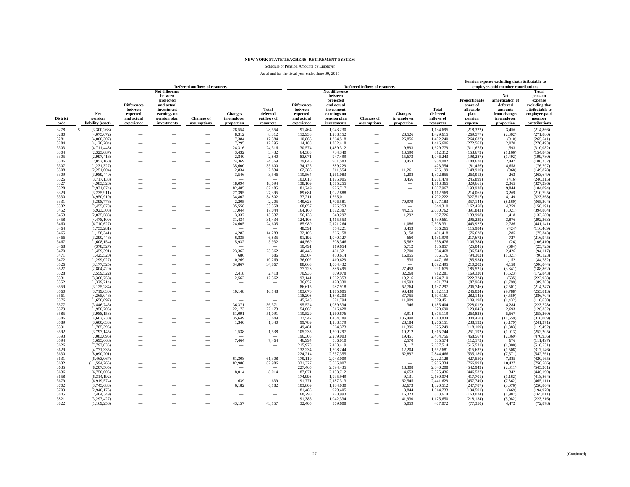Schedule of Pension Amounts by Employer

|                         |                                     | <b>Deferred outflows of resources</b>                                 |                                                                                                                  |                                                      |                                             |                                                      |                                                                       |                                                                                                                  | <b>Deferred inflows of resources</b>                 | Pension expense excluding that attributable to<br>employer-paid member contributions |                                              |                                                                      |                                                                                            |                                                                                                              |
|-------------------------|-------------------------------------|-----------------------------------------------------------------------|------------------------------------------------------------------------------------------------------------------|------------------------------------------------------|---------------------------------------------|------------------------------------------------------|-----------------------------------------------------------------------|------------------------------------------------------------------------------------------------------------------|------------------------------------------------------|--------------------------------------------------------------------------------------|----------------------------------------------|----------------------------------------------------------------------|--------------------------------------------------------------------------------------------|--------------------------------------------------------------------------------------------------------------|
| <b>District</b><br>code | Net<br>pension<br>liability (asset) | <b>Differences</b><br>between<br>expected<br>and actual<br>experience | Net difference<br>between<br>projected<br>and actual<br>investment<br>earnings on<br>pension plan<br>investments | <b>Changes</b> of<br>assumptions                     | <b>Changes</b><br>in employer<br>proportion | <b>Total</b><br>deferred<br>outflows of<br>resources | <b>Differences</b><br>between<br>expected<br>and actual<br>experience | Net difference<br>between<br>projected<br>and actual<br>investment<br>earnings on<br>pension plan<br>investments | <b>Changes</b> of<br>assumptions                     | <b>Changes</b><br>in employer<br>proportion                                          | Total<br>deferred<br>inflows of<br>resources | Proportionate<br>share of<br>allocable<br>plan<br>pension<br>expense | Net<br>amortization of<br>deferred<br>amounts<br>from changes<br>in employer<br>proportion | Total<br>pension<br>expense<br>excluding that<br>attributable to<br>employer-paid<br>member<br>contributions |
| 3278                    | s<br>(3,300,263)                    |                                                                       |                                                                                                                  |                                                      | 28,554                                      | 28,554                                               | 91,464                                                                | 1,043,230                                                                                                        |                                                      |                                                                                      | 1,134,695                                    | (218, 322)                                                           | 3,456                                                                                      | (214, 866)                                                                                                   |
| 3280                    | (4,075,072)                         |                                                                       | -                                                                                                                | $\overline{\phantom{m}}$                             | 8,312                                       | 8,312                                                | 112,938                                                               | 1,288,152                                                                                                        | $\overline{\phantom{a}}$                             | 28,526                                                                               | 1,429,615                                    | (269, 577)                                                           | (2,302)                                                                                    | (271, 880)                                                                                                   |
| 3281                    | (4,000,307)                         |                                                                       | $\overline{\phantom{0}}$                                                                                         | $\overline{\phantom{m}}$                             | 17.384                                      | 17.384                                               | 110,866                                                               | 1.264.518                                                                                                        | $\overline{\phantom{a}}$                             | 26,856                                                                               | 1.402.240                                    | (264.632)                                                            | (910)                                                                                      | (265, 541)                                                                                                   |
| 3284                    | (4,120,204)                         | -                                                                     | -                                                                                                                | $\overline{\phantom{a}}$                             | 17,295                                      | 17,295                                               | 114,188                                                               | 1,302,418                                                                                                        | $\overline{\phantom{a}}$                             |                                                                                      | 1,416,606                                    | (272, 563)                                                           | 2.070                                                                                      | (270, 493)                                                                                                   |
| 3303                    | (4,711,443)                         |                                                                       | $\overline{\phantom{0}}$                                                                                         | $\overline{\phantom{m}}$                             | 24,316                                      | 24,316                                               | 130,574                                                               | 1,489,312                                                                                                        | $\overline{\phantom{a}}$                             | 9,893                                                                                | 1,629,779                                    | (311, 675)                                                           | 1.593                                                                                      | (310,082)                                                                                                    |
| 3304                    | (2,323,087)                         | $\overline{\phantom{a}}$                                              | -                                                                                                                | $\overline{\phantom{a}}$                             | 3,432                                       | 3,432                                                | 64,383                                                                | 734,340                                                                                                          | $\overline{\phantom{a}}$                             | 13,590                                                                               | 812,312                                      | (153, 679)                                                           | (1, 166)                                                                                   | (154, 845)                                                                                                   |
| 3305                    | (2,997,416)                         | $\overline{\phantom{a}}$                                              | -                                                                                                                | -                                                    | 2,840                                       | 2,840                                                | 83,071                                                                | 947,499                                                                                                          | $\overline{\phantom{a}}$                             | 15,673                                                                               | 1,046,243                                    | (198, 287)                                                           | (1, 492)                                                                                   | (199, 780)                                                                                                   |
| 3306                    | (2,852,160)                         | $\overline{\phantom{a}}$                                              | -                                                                                                                | $\overline{\phantom{a}}$                             | 24,369                                      | 24,369                                               | 79,046                                                                | 901,583                                                                                                          | $\overline{\phantom{a}}$                             | 3,453                                                                                | 984,082                                      | (188, 678)                                                           | 2,447                                                                                      | (186, 232)                                                                                                   |
| 3307                    | (1,231,327)                         |                                                                       |                                                                                                                  |                                                      | 35,600                                      | 35,600                                               | 34,125                                                                | 389,229                                                                                                          |                                                      |                                                                                      | 423,354                                      | (81, 456)                                                            | 4,658                                                                                      | (76, 797)                                                                                                    |
| 3308                    | (2,251,004)                         |                                                                       | $\overline{\phantom{0}}$                                                                                         | $\overline{\phantom{0}}$                             | 2,834                                       | 2,834                                                | 62,385                                                                | 711,554                                                                                                          |                                                      | 11,261                                                                               | 785,199                                      | (148,910)                                                            | (968)                                                                                      | (149, 878)                                                                                                   |
| 3309                    | (3.989.440)                         |                                                                       | $\overline{\phantom{0}}$                                                                                         | $\overline{\phantom{0}}$                             | 3,546                                       | 3.546                                                | 110,564                                                               | 1.261.083                                                                                                        | $\overline{\phantom{a}}$                             | 1.208                                                                                | 1.372.855                                    | (263.913)                                                            | 263                                                                                        | (263, 649)                                                                                                   |
| 3326<br>3327            | (3,717,133)<br>(4,983,326)          |                                                                       | $\overline{\phantom{0}}$<br>$\overline{\phantom{0}}$                                                             | $\overline{\phantom{m}}$<br>$\overline{\phantom{a}}$ | 18,094                                      | 18,094                                               | 103,018<br>138,109                                                    | 1,175,005<br>1,575,255                                                                                           | $\overline{\phantom{a}}$<br>$\overline{\phantom{a}}$ | 3,456<br>$\overline{\phantom{a}}$                                                    | 1,281,479<br>1,713,365                       | (245, 899)<br>(329, 661)                                             | (416)<br>2,365                                                                             | (246, 315)<br>(327, 296)                                                                                     |
| 3328                    | (2,931,674)                         | $\overline{\phantom{a}}$                                              | -                                                                                                                | $\sim$                                               | 82.485                                      | 82.485                                               | 81,249                                                                | 926,717                                                                                                          | $\overline{\phantom{a}}$                             | $\sim$                                                                               | 1,007,967                                    | (193,938)                                                            | 9,844                                                                                      | (184,094)                                                                                                    |
| 3329                    | (3,235,911)                         | $\overline{\phantom{a}}$                                              | -                                                                                                                | $\overline{\phantom{a}}$                             | 27,395                                      | 27,395                                               | 89,681                                                                | 1,022,888                                                                                                        | $\overline{\phantom{a}}$                             | $\overline{\phantom{a}}$                                                             | 1,112,569                                    | (214,065)                                                            | 3,269                                                                                      | (210, 795)                                                                                                   |
| 3330                    | (4,950,919)                         |                                                                       | $\overline{\phantom{0}}$                                                                                         | $\overline{\phantom{a}}$                             | 34,802                                      | 34,802                                               | 137,211                                                               | 1,565,011                                                                                                        | $\overline{\phantom{a}}$                             |                                                                                      | 1,702,222                                    | (327,517)                                                            | 4,149                                                                                      | (323, 368)                                                                                                   |
| 3331                    | (5,398,776)                         |                                                                       | -                                                                                                                | $\overline{\phantom{a}}$                             | 2,205                                       | 2,205                                                | 149,623                                                               | 1,706,581                                                                                                        | $\overline{\phantom{a}}$                             | 70,979                                                                               | 1,927,183                                    | (357, 144)                                                           | (8,160)                                                                                    | (365, 304)                                                                                                   |
| 3332                    | (2,455,678)                         | $\overline{\phantom{0}}$                                              | $\overline{\phantom{0}}$                                                                                         | -                                                    | 35,558                                      | 35,558                                               | 68,057                                                                | 776,253                                                                                                          |                                                      |                                                                                      | 844,310                                      | (162, 450)                                                           | 4,259                                                                                      | (158, 191)                                                                                                   |
| 3452                    | (5,923,303)                         |                                                                       |                                                                                                                  |                                                      | 17,044                                      | 17.044                                               | 164,160                                                               | 1,872,387                                                                                                        |                                                      | 44.215                                                                               | 2,080,762                                    | (391, 843)                                                           | (3,021)                                                                                    | (394, 864)                                                                                                   |
| 3453                    | (2,025,583)                         |                                                                       | $\overline{\phantom{0}}$                                                                                         | $\overline{\phantom{a}}$                             | 13,337                                      | 13,337                                               | 56,138                                                                | 640,297                                                                                                          | $\overline{\phantom{a}}$                             | 1,292                                                                                | 697,726                                      | (133,998)                                                            | 1,418                                                                                      | (132, 580)                                                                                                   |
| 3458                    | (4,478,109)                         |                                                                       | -                                                                                                                | $\overline{\phantom{0}}$                             | 31,434                                      | 31,434                                               | 124,108                                                               | 1,415,553                                                                                                        |                                                      |                                                                                      | 1,539,661                                    | (296, 239)                                                           | 3,876                                                                                      | (292, 363)                                                                                                   |
| 3460                    | (6.710.627)                         |                                                                       | $\overline{\phantom{0}}$                                                                                         | $\overline{\phantom{m}}$                             | 24,605                                      | 24,605                                               | 185.980                                                               | 2.121.264                                                                                                        | $\overline{\phantom{a}}$                             | 1.086                                                                                | 2.308.331                                    | (443,927)                                                            | 2.786                                                                                      | (441, 141)                                                                                                   |
| 3464                    | (1,753,281)                         |                                                                       | -                                                                                                                | $\overline{\phantom{a}}$                             | $\overline{\phantom{a}}$                    | $\sim$                                               | 48,591                                                                | 554,221                                                                                                          | $\overline{\phantom{a}}$                             | 3.453                                                                                | 606,265                                      | (115,984)                                                            | (424)                                                                                      | (116, 409)                                                                                                   |
| 3465<br>3466            | (1,158,341)                         |                                                                       | $\overline{\phantom{0}}$                                                                                         | $\overline{\phantom{m}}$                             | 14,283                                      | 14,283                                               | 32,103                                                                | 366,158<br>1,040,127                                                                                             | $\overline{\phantom{a}}$                             | 3,158<br>660                                                                         | 401,418                                      | (76, 628)                                                            | 1,285                                                                                      | (75, 343)                                                                                                    |
| 3467                    | (3,290,446)<br>(1,608,154)          | $\overline{\phantom{a}}$<br>$\overline{\phantom{a}}$                  | -<br>-                                                                                                           | -<br>-                                               | 6,835<br>5,932                              | 6,835<br>5,932                                       | 91,192                                                                | 508,346                                                                                                          | $\overline{\phantom{a}}$<br>$\overline{\phantom{a}}$ | 5,562                                                                                | 1,131,979<br>558,476                         | (217, 672)<br>(106, 384)                                             | 727<br>(26)                                                                                | (216, 945)<br>(106, 410)                                                                                     |
| 3468                    | (378, 527)                          | $\overline{\phantom{a}}$                                              | -                                                                                                                | -                                                    |                                             |                                                      | 44,569<br>10,491                                                      | 119,654                                                                                                          | $\overline{\phantom{a}}$                             | 5,712                                                                                | 135,857                                      | (25,041)                                                             | (684)                                                                                      | (25, 725)                                                                                                    |
| 3470                    | (1,459,391)                         | $\overline{\phantom{a}}$                                              | -                                                                                                                | $\overline{\phantom{0}}$                             | 23,362                                      | 23,362                                               | 40,446                                                                | 461,321                                                                                                          | $\overline{\phantom{a}}$                             | 2,700                                                                                | 504,468                                      | (96, 543)                                                            | 2,426                                                                                      | (94, 117)                                                                                                    |
| 3471                    | (1,425,520)                         | $\overline{\phantom{a}}$                                              | -                                                                                                                | $\overline{\phantom{0}}$                             | 686                                         | 686                                                  | 39,507                                                                | 450,614                                                                                                          |                                                      | 16,055                                                                               | 506,176                                      | (94, 302)                                                            | (1,821)                                                                                    | (96, 123)                                                                                                    |
| 3472                    | (1,299,027)                         |                                                                       |                                                                                                                  |                                                      | 10,269                                      | 10.269                                               | 36,002                                                                | 410,629                                                                                                          |                                                      | 535                                                                                  | 447,166                                      | (85,934)                                                             | 1,152                                                                                      | (84, 782)                                                                                                    |
| 3526                    | (3,177,525)                         |                                                                       |                                                                                                                  |                                                      | 34,867                                      | 34,867                                               | 88,063                                                                | 1,004,432                                                                                                        |                                                      |                                                                                      | 1,092,495                                    | (210, 202)                                                           | 4,158                                                                                      | (206, 044)                                                                                                   |
| 3527                    | (2,804,429)                         |                                                                       | -                                                                                                                | $\overline{\phantom{0}}$                             |                                             |                                                      | 77,723                                                                | 886,495                                                                                                          |                                                      | 27,458                                                                               | 991,675                                      | (185, 521)                                                           | (3,341)                                                                                    | (188, 862)                                                                                                   |
| 3528                    | (2,559,522)                         |                                                                       | $\overline{\phantom{0}}$                                                                                         | $\overline{\phantom{0}}$                             | 2.418                                       | 2.418                                                | 70,935                                                                | 809,078                                                                                                          |                                                      | 32.268                                                                               | 912,281                                      | (169, 320)                                                           | (3,523)                                                                                    | (172, 843)                                                                                                   |
| 3531                    | (3,360,758)                         | $\overline{\phantom{a}}$                                              | -                                                                                                                | $\overline{\phantom{a}}$                             | 12,562                                      | 12,562                                               | 93,141                                                                | 1,062,353                                                                                                        | $\overline{\phantom{a}}$                             | 19,216                                                                               | 1,174,710                                    | (222, 324)                                                           | (635)                                                                                      | (222, 958)                                                                                                   |
| 3552                    | (1,329,714)                         |                                                                       | $\overline{\phantom{a}}$                                                                                         | $\overline{\phantom{a}}$                             | -                                           | -                                                    | 36,852                                                                | 420,330                                                                                                          | $\overline{\phantom{a}}$                             | 14,593                                                                               | 471,774                                      | (87,964)                                                             | (1,799)                                                                                    | (89, 763)                                                                                                    |
| 3559                    | (3,125,284)                         |                                                                       | -                                                                                                                | $\overline{\phantom{a}}$                             |                                             |                                                      | 86,615                                                                | 987,918                                                                                                          |                                                      | 62,764                                                                               | 1,137,297                                    | (206,746)                                                            | (7,501)                                                                                    | (214, 247)                                                                                                   |
| 3560                    | (3,719,030)                         |                                                                       | $\overline{\phantom{0}}$                                                                                         | $\overline{\phantom{a}}$                             | 10,148                                      | 10,148                                               | 103,070                                                               | 1,175,605                                                                                                        |                                                      | 93,438                                                                               | 1,372,113                                    | (246, 024)                                                           | (9,788)                                                                                    | (255, 813)                                                                                                   |
| 3561<br>3576            | (4,265,046)<br>(1,650,697)          |                                                                       |                                                                                                                  |                                                      |                                             |                                                      | 118,203<br>45,748                                                     | 1,348,203<br>521,794                                                                                             |                                                      | 37,755<br>11,909                                                                     | 1,504,161<br>579,451                         | (282, 145)<br>(109, 198)                                             | (4, 559)<br>(1, 432)                                                                       | (286, 704)<br>(110, 630)                                                                                     |
| 3577                    | (3,446,745)                         |                                                                       | $\overline{\phantom{0}}$                                                                                         | $\overline{\phantom{a}}$                             | 36,371                                      | 36,371                                               | 95,524                                                                | 1,089,534                                                                                                        | $\overline{\phantom{a}}$                             | 346                                                                                  | 1,185,404                                    | (228, 012)                                                           | 4,284                                                                                      | (223, 728)                                                                                                   |
| 3579                    | (1.950.705)                         |                                                                       | $\overline{\phantom{0}}$                                                                                         | $\overline{\phantom{m}}$                             | 22.173                                      | 22.173                                               | 54.062                                                                | 616,628                                                                                                          | $\overline{\phantom{a}}$                             |                                                                                      | 670,690                                      | (129.045)                                                            | 2.693                                                                                      | (126, 352)                                                                                                   |
| 3585                    | (3.988.153)                         |                                                                       | -                                                                                                                | $\overline{\phantom{a}}$                             | 51.091                                      | 51.091                                               | 110,529                                                               | 1,260,676                                                                                                        | $\overline{\phantom{a}}$                             | 3,914                                                                                | 1,375,119                                    | (263, 828)                                                           | 5.567                                                                                      | (258, 260)                                                                                                   |
| 3586                    | (4,602,230)                         |                                                                       | $\overline{\phantom{0}}$                                                                                         | $\overline{\phantom{m}}$                             | 35,649                                      | 35,649                                               | 127,547                                                               | 1,454,789                                                                                                        | $\overline{\phantom{a}}$                             | 136,498                                                                              | 1,718,834                                    | (304, 450)                                                           | (11, 559)                                                                                  | (316,009)                                                                                                    |
| 3589                    | (3,600,633)                         | $\overline{\phantom{a}}$                                              | -                                                                                                                | $\overline{\phantom{a}}$                             | 1,340                                       | 1.340                                                | 99,789                                                                | 1,138,179                                                                                                        | $\overline{\phantom{a}}$                             | 28,184                                                                               | 1,266,151                                    | (238, 192)                                                           | (3,179)                                                                                    | (241, 371)                                                                                                   |
| 3591                    | (1,785,395)                         | $\overline{\phantom{a}}$                                              | -                                                                                                                | -                                                    |                                             |                                                      | 49,481                                                                | 564,373                                                                                                          | $\overline{\phantom{a}}$                             | 11,395                                                                               | 625,249                                      | (118, 109)                                                           | (1, 383)                                                                                   | (119, 492)                                                                                                   |
| 3592                    | (3,797,145)                         | $\overline{\phantom{a}}$                                              | -                                                                                                                | -                                                    | 1,538                                       | 1,538                                                | 105,235                                                               | 1,200,297                                                                                                        |                                                      | 10,212                                                                               | 1,315,744                                    | (251, 192)                                                           | (1,013)                                                                                    | (252, 205)                                                                                                   |
| 3593                    | (7,083,095)                         | $\overline{\phantom{a}}$                                              | $\overline{\phantom{a}}$                                                                                         | -                                                    |                                             |                                                      | 196,303                                                               | 2,239,003                                                                                                        | $\overline{\phantom{a}}$                             | 19,451                                                                               | 2,454,756                                    | (468, 567)                                                           | (2,369)                                                                                    | (470, 936)                                                                                                   |
| 3594                    | (1,695,668)                         | $\overline{\phantom{a}}$                                              |                                                                                                                  |                                                      | 7,464                                       | 7,464                                                | 46,994                                                                | 536,010                                                                                                          |                                                      | 2,570                                                                                | 585,574                                      | (112, 173)                                                           | 676                                                                                        | (111, 497)                                                                                                   |
| 3626<br>3629            | (7,793,035)<br>(4,771,335)          |                                                                       |                                                                                                                  |                                                      |                                             |                                                      | 215,978<br>132,234                                                    | 2,463,419<br>1,508,244                                                                                           |                                                      | 8,117<br>12,204                                                                      | 2,687,514<br>1,652,681                       | (515, 531)<br>(315, 637)                                             | (1,000)<br>(1,508)                                                                         | (516, 531)<br>(317, 146)                                                                                     |
| 3630                    | (8,090,201)                         |                                                                       |                                                                                                                  |                                                      |                                             |                                                      | 224,214                                                               | 2,557,355                                                                                                        |                                                      | 62,897                                                                               | 2,844,466                                    | (535, 189)                                                           | (7, 571)                                                                                   | (542, 761)                                                                                                   |
| 3631                    | (6,463,067)                         |                                                                       | $\overline{\phantom{0}}$                                                                                         | $\overline{\phantom{0}}$                             | 61.308                                      | 61.308                                               | 179,119                                                               | 2.043.009                                                                                                        | -                                                    | $\overline{\phantom{a}}$                                                             | 2.222.128                                    | (427, 550)                                                           | 7.385                                                                                      | (420, 165)                                                                                                   |
| 3632                    | (11, 594, 265)                      |                                                                       | $\overline{\phantom{0}}$                                                                                         | $\overline{\phantom{m}}$                             | 82,986                                      | 82,986                                               | 321,327                                                               | 3,665,007                                                                                                        | $\overline{\phantom{a}}$                             |                                                                                      | 3,986,334                                    | (766,993)                                                            | 10,427                                                                                     | (756, 566)                                                                                                   |
| 3635                    | (8,207,505)                         |                                                                       | $\overline{\phantom{0}}$                                                                                         |                                                      |                                             |                                                      | 227,465                                                               | 2,594,435                                                                                                        | $\overline{\phantom{a}}$                             | 18,308                                                                               | 2,840,208                                    | (542, 949)                                                           | (2,311)                                                                                    | (545, 261)                                                                                                   |
| 3636                    | (6,750,005)                         | $\overline{\phantom{a}}$                                              | -                                                                                                                | $\sim$                                               | 8,014                                       | 8,014                                                | 187,071                                                               | 2,133,712                                                                                                        | $\overline{\phantom{a}}$                             | 4,653                                                                                | 2,325,436                                    | (446, 532)                                                           | 342                                                                                        | (446, 190)                                                                                                   |
| 3658                    | (6,314,192)                         | $\overline{\phantom{a}}$                                              | -                                                                                                                | $\overline{\phantom{a}}$                             |                                             |                                                      | 174,993                                                               | 1,995,949                                                                                                        | $\overline{\phantom{a}}$                             | 9,131                                                                                | 2,180,074                                    | (417,701)                                                            | (1, 162)                                                                                   | (418, 864)                                                                                                   |
| 3679                    | (6,919,574)                         |                                                                       | $\overline{\phantom{a}}$                                                                                         | $\overline{\phantom{a}}$                             | 639                                         | 639                                                  | 191,771                                                               | 2,187,313                                                                                                        | $\overline{\phantom{a}}$                             | 62,545                                                                               | 2,441,629                                    | (457,749)                                                            | (7, 362)                                                                                   | (465, 111)                                                                                                   |
| 3702                    | (3,745,683)                         |                                                                       | -                                                                                                                | $\overline{\phantom{a}}$                             | 6,182                                       | 6,182                                                | 103,809                                                               | 1,184,030                                                                                                        |                                                      | 32,673                                                                               | 1,320,512                                    | (247, 787)                                                           | (3,076)                                                                                    | (250, 864)                                                                                                   |
| 3709                    | (2,940,175)                         |                                                                       | -                                                                                                                | -                                                    |                                             |                                                      | 81,485                                                                | 929,405                                                                                                          |                                                      | 3,844                                                                                | 1,014,733                                    | (194, 501)                                                           | (469)                                                                                      | (194, 970)                                                                                                   |
| 3805<br>3821            | (2.464.349)<br>(3,297,427)          | -                                                                     | $\overline{\phantom{0}}$<br>-                                                                                    | $\overline{\phantom{m}}$<br>$\overline{\phantom{a}}$ | $\overline{\phantom{0}}$                    |                                                      | 68.298<br>91.386                                                      | 778,993<br>1.042.334                                                                                             | $\overline{\phantom{a}}$                             | 16.323<br>41.930                                                                     | 863.614<br>1,175,650                         | (163, 024)<br>(218, 134)                                             | (1.987)<br>(5,082)                                                                         | (165, 011)<br>(223, 216)                                                                                     |
| 3822                    | (1,169,256)                         |                                                                       |                                                                                                                  |                                                      | 43.157                                      | 43.157                                               | 32,405                                                                | 369,608                                                                                                          |                                                      | 5.059                                                                                | 407,072                                      | (77, 350)                                                            | 4,472                                                                                      | (72, 878)                                                                                                    |
|                         |                                     |                                                                       |                                                                                                                  |                                                      |                                             |                                                      |                                                                       |                                                                                                                  |                                                      |                                                                                      |                                              |                                                                      |                                                                                            |                                                                                                              |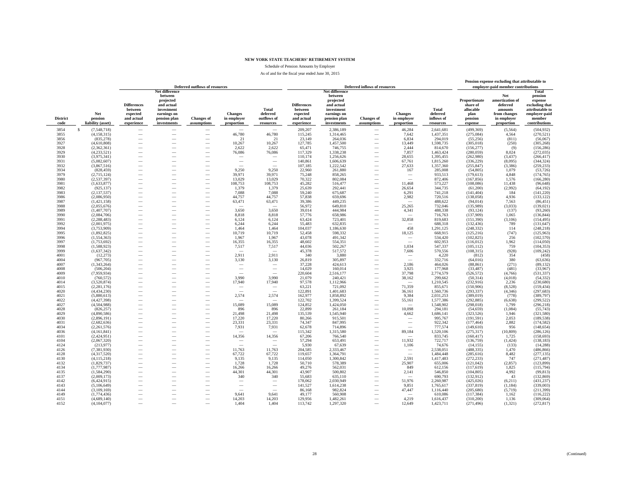Schedule of Pension Amounts by Employer

|                         |                                     | <b>Deferred outflows of resources</b>                                 |                                                                                                                  |                                  |                                             |                                               |                                                                       |                                                                                                                  | <b>Deferred inflows of resources</b>                 | Pension expense excluding that attributable to<br>employer-paid member contributions |                                              |                                                                             |                                                                                            |                                                                                                              |
|-------------------------|-------------------------------------|-----------------------------------------------------------------------|------------------------------------------------------------------------------------------------------------------|----------------------------------|---------------------------------------------|-----------------------------------------------|-----------------------------------------------------------------------|------------------------------------------------------------------------------------------------------------------|------------------------------------------------------|--------------------------------------------------------------------------------------|----------------------------------------------|-----------------------------------------------------------------------------|--------------------------------------------------------------------------------------------|--------------------------------------------------------------------------------------------------------------|
| <b>District</b><br>code | Net<br>pension<br>liability (asset) | <b>Differences</b><br>between<br>expected<br>and actual<br>experience | Net difference<br>between<br>projected<br>and actual<br>investment<br>earnings on<br>pension plan<br>investments | <b>Changes of</b><br>assumptions | <b>Changes</b><br>in employer<br>proportion | Total<br>deferred<br>outflows of<br>resources | <b>Differences</b><br>between<br>expected<br>and actual<br>experience | Net difference<br>between<br>projected<br>and actual<br>investment<br>earnings on<br>pension plan<br>investments | <b>Changes of</b><br>assumptions                     | <b>Changes</b><br>in employer<br>proportion                                          | Total<br>deferred<br>inflows of<br>resources | <b>Proportionate</b><br>share of<br>allocable<br>plan<br>pension<br>expense | Net<br>amortization of<br>deferred<br>amounts<br>from changes<br>in employer<br>proportion | Total<br>pension<br>expense<br>excluding that<br>attributable to<br>employer-paid<br>member<br>contributions |
| 3854                    | s<br>(7,548,718)                    |                                                                       |                                                                                                                  |                                  |                                             |                                               | 209,207                                                               | 2,386,189                                                                                                        |                                                      | 46,284                                                                               | 2,641,681                                    | (499, 369)                                                                  | (5,564)                                                                                    | (504, 932)                                                                                                   |
| 3855                    | (4,158,315)                         |                                                                       |                                                                                                                  |                                  | 46,780                                      | 46,780                                        | 115,245                                                               | 1,314,465                                                                                                        |                                                      | 7,642                                                                                | 1,437,351                                    | (275,084)                                                                   | 4,564                                                                                      | (270, 521)                                                                                                   |
| 3856                    | (835, 278)                          |                                                                       | -                                                                                                                | $\overline{\phantom{m}}$         | 21                                          | 21                                            | 23,149                                                                | 264,036                                                                                                          |                                                      | 6,834                                                                                | 294,019                                      | (55, 256)                                                                   | (811)                                                                                      | (56,067)                                                                                                     |
| 3927                    | (4.610.808)                         |                                                                       |                                                                                                                  | -                                | 10,267                                      | 10.267                                        | 127,785                                                               | 1.457.500                                                                                                        |                                                      | 13.449                                                                               | 1.598.735                                    | (305.018)                                                                   | (250)                                                                                      | (305, 268)                                                                                                   |
| 3928                    | (2.362.361)                         |                                                                       | -                                                                                                                | $\overline{\phantom{a}}$         | 2.622                                       | 2.622                                         | 65,471                                                                | 746,755                                                                                                          | $\sim$                                               | 2.444                                                                                | 814,670                                      | (156, 277)                                                                  | (9)                                                                                        | (156, 286)                                                                                                   |
| 3929                    | (4,233,521)                         |                                                                       | -                                                                                                                | $\overline{\phantom{0}}$         | 76,086                                      | 76,086                                        | 117,329                                                               | 1,338,238                                                                                                        | $\overline{\phantom{a}}$                             | 7,857                                                                                | 1,463,424                                    | (280,059)                                                                   | 8,024                                                                                      | (272, 035)                                                                                                   |
| 3930                    | (3,975,341)                         |                                                                       | $\overline{\phantom{0}}$                                                                                         | $\overline{\phantom{m}}$         | $\overline{\phantom{a}}$                    | $\overline{\phantom{a}}$                      | 110,174                                                               | 1,256,626                                                                                                        | $\overline{\phantom{a}}$                             | 28,655                                                                               | 1,395,455                                    | (262,980)                                                                   | (3, 437)                                                                                   | (266, 417)                                                                                                   |
| 3931                    | (5,082,607)                         | $\overline{\phantom{a}}$                                              | -                                                                                                                | -                                | $\overline{\phantom{a}}$                    | $\overline{\phantom{a}}$                      | 140,861                                                               | 1,606,639                                                                                                        | $\overline{\phantom{a}}$                             | 67,761                                                                               | 1,815,260                                    | (336, 229)                                                                  | (8,095)                                                                                    | (344, 324)                                                                                                   |
| 3932                    | (3,867,516)                         |                                                                       |                                                                                                                  |                                  |                                             |                                               | 107,185                                                               | 1,222,542                                                                                                        |                                                      | 27,633                                                                               | 1,357,360                                    | (255, 847)                                                                  | (3,386)                                                                                    | (259, 233)                                                                                                   |
| 3934                    | (828, 459)                          |                                                                       |                                                                                                                  |                                  | 9.250                                       | 9.250                                         | 22,960                                                                | 261,880                                                                                                          |                                                      | 167                                                                                  | 285,008                                      | (54, 805)                                                                   | 1,079                                                                                      | (53, 726)                                                                                                    |
| 3979                    | (2,715,124)                         |                                                                       |                                                                                                                  |                                  | 39,971                                      | 39,971                                        | 75,248                                                                | 858,265                                                                                                          |                                                      | -                                                                                    | 933,513                                      | (179, 613)                                                                  | 4,848                                                                                      | (174, 765)                                                                                                   |
| 3980<br>3981            | (2,537,397)<br>(1,633,877)          |                                                                       | -                                                                                                                | $\overline{\phantom{0}}$         | 13,029<br>108.753                           | 13,029<br>108.753                             | 70,322<br>45.282                                                      | 802,084<br>516,477                                                                                               | $\overline{\phantom{a}}$                             | 11.468                                                                               | 872,406<br>573.227                           | (167, 856)<br>(108.086)                                                     | 1,576<br>11.438                                                                            | (166, 280)<br>(96, 648)                                                                                      |
| 3982                    | (925, 137)                          |                                                                       | -                                                                                                                | $\overline{\phantom{m}}$         | 1,379                                       | 1,379                                         | 25,639                                                                | 292,441                                                                                                          | $\overline{\phantom{a}}$                             | 26,654                                                                               | 344,735                                      | (61,200)                                                                    | (2,992)                                                                                    | (64, 192)                                                                                                    |
| 3983                    | (2,137,537)                         |                                                                       | $\overline{\phantom{0}}$                                                                                         | $\overline{\phantom{a}}$         | 7.088                                       | 7,088                                         | 59,240                                                                | 675,687                                                                                                          | $\overline{\phantom{a}}$                             | 6,291                                                                                | 741,218                                      | (141, 404)                                                                  | 184                                                                                        | (141, 220)                                                                                                   |
| 3986                    | (2,086,950)                         | $\overline{\phantom{a}}$                                              | -                                                                                                                | $\overline{\phantom{a}}$         | 44,757                                      | 44,757                                        | 57,838                                                                | 659,696                                                                                                          | $\overline{\phantom{a}}$                             | 2,982                                                                                | 720,516                                      | (138,058)                                                                   | 4.936                                                                                      | (133, 122)                                                                                                   |
| 3987                    | (1,421,158)                         | $\overline{\phantom{a}}$                                              | -                                                                                                                | $\overline{\phantom{a}}$         | 63,471                                      | 63,471                                        | 39,386                                                                | 449,235                                                                                                          |                                                      |                                                                                      | 488,622                                      | (94, 014)                                                                   | 7,563                                                                                      | (86, 451)                                                                                                    |
| 3988                    | (2,055,676)                         |                                                                       | $\overline{\phantom{a}}$                                                                                         | $\overline{\phantom{a}}$         |                                             |                                               | 56,972                                                                | 649,810                                                                                                          | $\overline{\phantom{a}}$                             | 25,265                                                                               | 732,046                                      | (135,989)                                                                   | (3,033)                                                                                    | (139, 021)                                                                                                   |
| 3989                    | (1,407,707)                         |                                                                       | $\overline{\phantom{a}}$                                                                                         | $\overline{\phantom{a}}$         | 3,650                                       | 3,650                                         | 39,014                                                                | 444,984                                                                                                          | $\overline{\phantom{a}}$                             | 4,341                                                                                | 488,338                                      | (93, 124)                                                                   | (137)                                                                                      | (93, 260)                                                                                                    |
| 3990                    | (2,084,706)                         |                                                                       | $\overline{\phantom{0}}$                                                                                         | $\overline{\phantom{a}}$         | 8,818                                       | 8,818                                         | 57,776                                                                | 658,986                                                                                                          |                                                      |                                                                                      | 716,763                                      | (137,909)                                                                   | 1,065                                                                                      | (136, 844)                                                                                                   |
| 3991                    | (2, 288, 483)                       | $\overline{\phantom{0}}$                                              | -                                                                                                                | -                                | 6,124                                       | 6,124                                         | 63,424                                                                | 723,401                                                                                                          |                                                      | 32,858                                                                               | 819,683                                      | (151,390)                                                                   | (3,106)                                                                                    | (154, 495)                                                                                                   |
| 3992                    | (2,001,975)                         |                                                                       |                                                                                                                  |                                  | 6,244                                       | 6,244                                         | 55,483                                                                | 632,835                                                                                                          |                                                      |                                                                                      | 688,318                                      | (132, 436)                                                                  | 789                                                                                        | (131, 647)                                                                                                   |
| 3994                    | (3,753,909)                         |                                                                       | -                                                                                                                | $\overline{\phantom{0}}$         | 1,464                                       | 1,464                                         | 104,037                                                               | 1,186,630                                                                                                        |                                                      | 458                                                                                  | 1,291,125                                    | (248, 332)                                                                  | 114                                                                                        | (248, 218)                                                                                                   |
| 3995<br>3996            | (1,892,825)<br>(1.554.363)          |                                                                       | $\overline{\phantom{0}}$<br>$\overline{\phantom{0}}$                                                             | $\overline{\phantom{m}}$         | 10,719<br>1.967                             | 10,719<br>1.967                               | 52,458<br>43.078                                                      | 598,332<br>491.342                                                                                               | $\overline{\phantom{a}}$                             | 18,125                                                                               | 668,915<br>534.420                           | (125, 216)<br>(102.825)                                                     | (747)<br>256                                                                               | (125, 963)<br>(102, 570)                                                                                     |
| 3997                    | (1,753,692)                         |                                                                       | -                                                                                                                | $\overline{\phantom{a}}$         | 16,355                                      | 16.355                                        | 48,602                                                                | 554.351                                                                                                          | $\overline{\phantom{a}}$<br>$\overline{\phantom{a}}$ | $\overline{\phantom{a}}$<br>$\overline{\phantom{a}}$                                 | 602,953                                      | (116, 012)                                                                  | 1.962                                                                                      | (114,050)                                                                                                    |
| 3998                    | (1,588,923)                         |                                                                       | $\overline{\phantom{0}}$                                                                                         | $\overline{\phantom{m}}$         | 7,517                                       | 7,517                                         | 44,036                                                                | 502,267                                                                                                          | $\overline{\phantom{a}}$                             | 1.034                                                                                | 547,337                                      | (105, 112)                                                                  | 759                                                                                        | (104, 353)                                                                                                   |
| 3999                    | (1,637,342)                         | $\overline{\phantom{a}}$                                              | -                                                                                                                | -                                |                                             | $\sim$                                        | 45,378                                                                | 517,572                                                                                                          | $\overline{\phantom{a}}$                             | 7,606                                                                                | 570,556                                      | (108, 315)                                                                  | (928)                                                                                      | (109, 242)                                                                                                   |
| 4001                    | (12, 273)                           | $\overline{\phantom{a}}$                                              | -                                                                                                                | -                                | 2.911                                       | 2.911                                         | 340                                                                   | 3,880                                                                                                            | $\overline{\phantom{a}}$                             | $\overline{\phantom{a}}$                                                             | 4,220                                        | (812)                                                                       | 354                                                                                        | (458)                                                                                                        |
| 4004                    | (967, 705)                          | $\overline{\phantom{a}}$                                              | -                                                                                                                | -                                | 3,130                                       | 3,130                                         | 26,819                                                                | 305,897                                                                                                          |                                                      | $\overline{\phantom{a}}$                                                             | 332,716                                      | (64, 016)                                                                   | 380                                                                                        | (63, 636)                                                                                                    |
| 4007                    | (1,343,264)                         | $\overline{\phantom{a}}$                                              | -                                                                                                                | -                                |                                             |                                               | 37,228                                                                | 424,613                                                                                                          |                                                      | 2,186                                                                                | 464,026                                      | (88, 861)                                                                   | (271)                                                                                      | (89, 132)                                                                                                    |
| 4008                    | (506, 204)                          | $\overline{\phantom{a}}$                                              | -                                                                                                                | -                                | $\overline{\phantom{0}}$                    | $\overline{\phantom{a}}$                      | 14,029                                                                | 160,014                                                                                                          |                                                      | 3,925                                                                                | 177,968                                      | (33, 487)                                                                   | (481)                                                                                      | (33,967)                                                                                                     |
| 4009                    | (7,959,934)                         |                                                                       | -                                                                                                                |                                  |                                             | $\overline{\phantom{a}}$                      | 220,604                                                               | 2,516,177                                                                                                        |                                                      | 37,798                                                                               | 2,774,579                                    | (526, 572)                                                                  | (4,766)                                                                                    | (531, 337)                                                                                                   |
| 4010                    | (760, 572)                          |                                                                       | -                                                                                                                | $\overline{\phantom{0}}$         | 3.990                                       | 3.990                                         | 21,079                                                                | 240,421                                                                                                          | $\overline{\phantom{a}}$                             | 38,162                                                                               | 299,662                                      | (50,314)                                                                    | (4.018)                                                                                    | (54, 332)                                                                                                    |
| 4014                    | (3,520,874)                         |                                                                       | -                                                                                                                | -                                | 17,940                                      | 17,940                                        | 97,578                                                                | 1,112,966                                                                                                        | $\overline{\phantom{a}}$                             |                                                                                      | 1,210,545                                    | (232,916)                                                                   | 2.236                                                                                      | (230, 680)                                                                                                   |
| 4015                    | (2, 281, 176)                       |                                                                       | $\overline{\phantom{0}}$                                                                                         | $\overline{\phantom{m}}$         |                                             |                                               | 63,221                                                                | 721,092                                                                                                          | $\overline{\phantom{a}}$                             | 71,359                                                                               | 855,671                                      | (150,906)                                                                   | (8,528)                                                                                    | (159, 434)                                                                                                   |
| 4020<br>4021            | (4,434,230)<br>(5,880,613)          | $\overline{\phantom{a}}$                                              | -<br>-                                                                                                           | -<br>$\overline{\phantom{a}}$    | 2,574                                       | 2,574                                         | 122,891<br>162,977                                                    | 1,401,683<br>1,858,892                                                                                           | $\sim$                                               | 36,161<br>9,384                                                                      | 1,560,736<br>2,031,253                       | (293, 337)<br>(389, 019)                                                    | (4, 346)<br>(778)                                                                          | (297, 683)<br>(389, 797)                                                                                     |
| 4022                    | (4,427,398)                         |                                                                       | $\overline{\phantom{a}}$                                                                                         | $\overline{\phantom{a}}$         |                                             |                                               | 122,702                                                               | 1,399,524                                                                                                        | $\overline{\phantom{a}}$                             | 55,161                                                                               | 1,577,386                                    | (292, 885)                                                                  | (6, 638)                                                                                   | (299, 522)                                                                                                   |
| 4027                    | (4,504,988)                         |                                                                       | $\overline{\phantom{a}}$                                                                                         | $\overline{\phantom{a}}$         | 15,089                                      | 15,089                                        | 124,852                                                               | 1,424,050                                                                                                        | $\overline{\phantom{a}}$                             |                                                                                      | 1,548,902                                    | (298, 018)                                                                  | 1,799                                                                                      | (296, 218)                                                                                                   |
| 4028                    | (826, 257)                          |                                                                       | $\overline{\phantom{0}}$                                                                                         |                                  | 896                                         | 896                                           | 22,899                                                                | 261,184                                                                                                          |                                                      | 10,098                                                                               | 294,181                                      | (54, 659)                                                                   | (1,084)                                                                                    | (55, 743)                                                                                                    |
| 4029                    | (4,890,586)                         |                                                                       | $\overline{\phantom{0}}$                                                                                         |                                  | 21,498                                      | 21,498                                        | 135,539                                                               | 1,545,940                                                                                                        |                                                      | 4,662                                                                                | 1,686,141                                    | (323, 526)                                                                  | 1,946                                                                                      | (321, 580)                                                                                                   |
| 4030                    | (2,896,191)                         |                                                                       |                                                                                                                  |                                  | 17,220                                      | 17,220                                        | 80,266                                                                | 915,501                                                                                                          |                                                      |                                                                                      | 995,767                                      | (191, 591)                                                                  | 2,053                                                                                      | (189, 538)                                                                                                   |
| 4031                    | (2,682,636)                         |                                                                       |                                                                                                                  | -                                | 23,331                                      | 23,331                                        | 74,347                                                                | 847,995                                                                                                          |                                                      |                                                                                      | 922,342                                      | (177, 464)                                                                  | 2,882                                                                                      | (174, 582)                                                                                                   |
| 4034                    | (2,261,576)                         |                                                                       | $\overline{\phantom{0}}$                                                                                         | $\overline{\phantom{a}}$         | 7,931                                       | 7,931                                         | 62,678                                                                | 714,896                                                                                                          | -                                                    |                                                                                      | 777,574                                      | (149,610)                                                                   | 956                                                                                        | (148, 654)                                                                                                   |
| 4036                    | (4,161,841)                         |                                                                       | -                                                                                                                | $\overline{\phantom{a}}$         |                                             |                                               | 115.342                                                               | 1.315.580                                                                                                        | $\overline{\phantom{a}}$                             | 89,184                                                                               | 1,520,106                                    | (275, 317)                                                                  | (10, 809)                                                                                  | (286, 126)                                                                                                   |
| 4101                    | (2,424,951)                         | -                                                                     | -                                                                                                                | $\overline{\phantom{a}}$         | 14,356                                      | 14,356                                        | 67,206                                                                | 766,540                                                                                                          | $\overline{\phantom{a}}$                             |                                                                                      | 833,745                                      | (160, 417)                                                                  | 1,725                                                                                      | (158, 693)                                                                                                   |
| 4104<br>4124            | (2,067,320)<br>(213,977)            | $\overline{\phantom{a}}$                                              | -<br>-                                                                                                           | $\overline{\phantom{m}}$<br>-    | $\overline{\phantom{a}}$<br>$\sim$          | $\overline{\phantom{a}}$                      | 57,294<br>5,930                                                       | 653,491<br>67,639                                                                                                | $\overline{\phantom{a}}$<br>$\overline{\phantom{a}}$ | 11,932<br>1,106                                                                      | 722,717<br>74,676                            | (136,759)<br>(14, 155)                                                      | (1, 424)<br>(133)                                                                          | (138, 183)<br>(14, 288)                                                                                      |
| 4126                    | (7, 381, 930)                       | $\overline{\phantom{a}}$                                              | -                                                                                                                | -                                | 11,763                                      | 11,763                                        | 204,585                                                               | 2,333,467                                                                                                        | $\overline{\phantom{a}}$                             | $\hspace{0.1mm}$                                                                     | 2,538,051                                    | (488, 335)                                                                  | 1,470                                                                                      | (486, 866)                                                                                                   |
| 4128                    | (4,317,520)                         | $\overline{\phantom{a}}$                                              | -                                                                                                                | -                                | 67,722                                      | 67,722                                        | 119,657                                                               | 1,364,791                                                                                                        |                                                      | $\sim$                                                                               | 1,484,448                                    | (285, 616)                                                                  | 8,482                                                                                      | (277, 135)                                                                                                   |
| 4130                    | (4,115,218)                         | $\overline{\phantom{a}}$                                              | $\overline{\phantom{a}}$                                                                                         | -                                | 9,135                                       | 9,135                                         | 114,050                                                               | 1,300,842                                                                                                        | $\overline{\phantom{a}}$                             | 2,591                                                                                | 1,417,483                                    | (272, 233)                                                                  | 747                                                                                        | (271, 487)                                                                                                   |
| 4132                    | (1,829,737)                         | $\overline{\phantom{a}}$                                              | -                                                                                                                | $\overline{\phantom{0}}$         | 1,728                                       | 1,728                                         | 50,710                                                                | 578,389                                                                                                          |                                                      | 25,907                                                                               | 655,006                                      | (121, 042)                                                                  | (2, 857)                                                                                   | (123, 899)                                                                                                   |
| 4134                    | (1,777,987)                         | $\overline{\phantom{a}}$                                              |                                                                                                                  |                                  | 16,266                                      | 16,266                                        | 49,276                                                                | 562,031                                                                                                          |                                                      | 849                                                                                  | 612,156                                      | (117,619)                                                                   | 1,825                                                                                      | (115,794)                                                                                                    |
| 4135                    | (1,584,290)                         |                                                                       |                                                                                                                  |                                  | 44,301                                      | 44.301                                        | 43,907                                                                | 500,802                                                                                                          |                                                      | 2,141                                                                                | 546,850                                      | (104, 805)                                                                  | 4,992                                                                                      | (99, 813)                                                                                                    |
| 4137                    | (2,009,173)                         |                                                                       |                                                                                                                  | $\overline{\phantom{0}}$         | 340                                         | 340                                           | 55,683                                                                | 635,110                                                                                                          |                                                      |                                                                                      | 690,793                                      | (132,912)                                                                   | 43                                                                                         | (132, 869)                                                                                                   |
| 4142                    | (6,424,915)                         |                                                                       |                                                                                                                  | $\overline{\phantom{0}}$         |                                             |                                               | 178,062                                                               | 2,030,949                                                                                                        |                                                      | 51,976                                                                               | 2,260,987                                    | (425, 026)                                                                  | (6,211)                                                                                    | (431, 237)                                                                                                   |
| 4143                    | (5,106,649)                         | $\overline{\phantom{a}}$                                              | -                                                                                                                | $\overline{\phantom{0}}$         | -                                           | -                                             | 141,527                                                               | 1,614,238                                                                                                        |                                                      | 9,851                                                                                | 1,765,617                                    | (337, 819)                                                                  | (1, 184)                                                                                   | (339,003)                                                                                                    |
| 4144<br>4149            | (3,109,169)<br>(1,774,436)          | $\overline{\phantom{a}}$                                              | -<br>$\overline{\phantom{0}}$                                                                                    | $\overline{\phantom{a}}$         | 9.641                                       | 9,641                                         | 86,168<br>49,177                                                      | 982,824<br>560,908                                                                                               |                                                      | 47,447                                                                               | 1,116,440<br>610,086                         | (205, 680)<br>(117, 384)                                                    | (5,719)<br>1,162                                                                           | (211, 399)<br>(116, 222)                                                                                     |
| 4151                    | (4,689,140)                         |                                                                       |                                                                                                                  |                                  | 14,203                                      | 14,203                                        | 129,956                                                               | 1,482,261                                                                                                        |                                                      | 4,219                                                                                | 1,616,437                                    | (310, 200)                                                                  | 1,136                                                                                      | (309, 064)                                                                                                   |
| 4152                    | (4,104,077)                         |                                                                       |                                                                                                                  |                                  | 1,404                                       | 1,404                                         | 113,742                                                               | 1,297,320                                                                                                        |                                                      | 12,649                                                                               | 1,423,711                                    | (271, 496)                                                                  | (1,321)                                                                                    | (272, 817)                                                                                                   |
|                         |                                     |                                                                       |                                                                                                                  |                                  |                                             |                                               |                                                                       |                                                                                                                  |                                                      |                                                                                      |                                              |                                                                             |                                                                                            |                                                                                                              |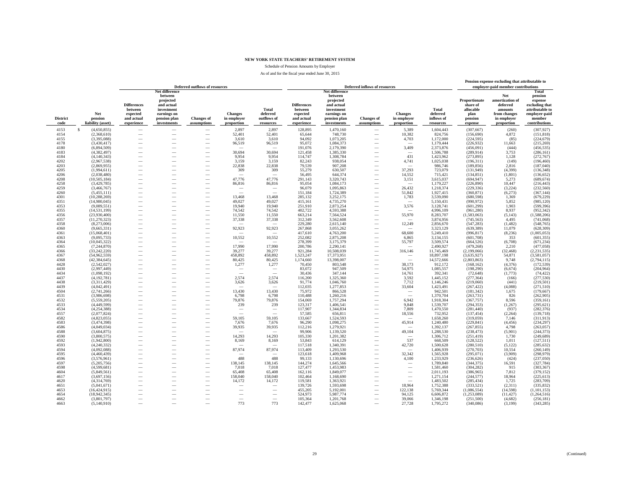Schedule of Pension Amounts by Employer

|                         |   |                                     | <b>Deferred outflows of resources</b>                                 |                                                                                                                  |                                                      |                                             |                                                      |                                                                       |                                                                                                                  | <b>Deferred inflows of resources</b> | Pension expense excluding that attributable to<br>employer-paid member contributions |                                                     |                                                                             |                                                                                            |                                                                                                              |
|-------------------------|---|-------------------------------------|-----------------------------------------------------------------------|------------------------------------------------------------------------------------------------------------------|------------------------------------------------------|---------------------------------------------|------------------------------------------------------|-----------------------------------------------------------------------|------------------------------------------------------------------------------------------------------------------|--------------------------------------|--------------------------------------------------------------------------------------|-----------------------------------------------------|-----------------------------------------------------------------------------|--------------------------------------------------------------------------------------------|--------------------------------------------------------------------------------------------------------------|
| <b>District</b><br>code |   | Net<br>pension<br>liability (asset) | <b>Differences</b><br>between<br>expected<br>and actual<br>experience | Net difference<br>between<br>projected<br>and actual<br>investment<br>earnings on<br>pension plan<br>investments | <b>Changes</b> of<br>assumptions                     | <b>Changes</b><br>in employer<br>proportion | <b>Total</b><br>deferred<br>outflows of<br>resources | <b>Differences</b><br>between<br>expected<br>and actual<br>experience | Net difference<br>between<br>projected<br>and actual<br>investment<br>earnings on<br>pension plan<br>investments | <b>Changes</b> of<br>assumptions     | <b>Changes</b><br>in employer<br>proportion                                          | <b>Total</b><br>deferred<br>inflows of<br>resources | <b>Proportionate</b><br>share of<br>allocable<br>plan<br>pension<br>expense | Net<br>amortization of<br>deferred<br>amounts<br>from changes<br>in employer<br>proportion | Total<br>pension<br>expense<br>excluding that<br>attributable to<br>employer-paid<br>member<br>contributions |
| 4153                    | s | (4,650,855)                         |                                                                       |                                                                                                                  |                                                      | 2,897                                       | 2,897                                                | 128,895                                                               | 1,470,160                                                                                                        |                                      | 5,389                                                                                | 1,604,443                                           | (307, 667)                                                                  | (260)                                                                                      | (307.927)                                                                                                    |
| 4154                    |   | (2,368,610)                         | $\overline{\phantom{a}}$                                              | $\overline{\phantom{0}}$                                                                                         |                                                      | 52,401                                      | 52,401                                               | 65,644                                                                | 748,730                                                                                                          |                                      | 10,382                                                                               | 824,756                                             | (156,690)                                                                   | 4,872                                                                                      | (151, 818)                                                                                                   |
| 4155                    |   | (3,395,088)                         |                                                                       |                                                                                                                  |                                                      | 3,610                                       | 3,610                                                | 94,092                                                                | 1,073,205                                                                                                        |                                      | 4,703                                                                                | 1,172,000                                           | (224, 595)                                                                  | (85)                                                                                       | (224, 679)                                                                                                   |
| 4178                    |   | (3,430,417)                         |                                                                       | $\overline{\phantom{0}}$                                                                                         | $\overline{\phantom{0}}$                             | 96,519                                      | 96,519                                               | 95,072                                                                | 1,084,373                                                                                                        |                                      |                                                                                      | 1,179,444                                           | (226, 932)                                                                  | 11,663                                                                                     | (215, 269)                                                                                                   |
| 4180                    |   | (6.894.509)                         | $\overline{\phantom{a}}$                                              | -                                                                                                                | $\overline{\phantom{0}}$                             |                                             |                                                      | 191.076                                                               | 2.179.390                                                                                                        | -                                    | 3.409                                                                                | 2.373.876                                           | (456.091)                                                                   | (444)                                                                                      | (456, 535)                                                                                                   |
| 4183                    |   | (4.382.497)                         | $\sim$                                                                | $\overline{\phantom{0}}$                                                                                         | $\overline{\phantom{a}}$                             | 30,694                                      | 30.694                                               | 121.458                                                               | 1,385,330                                                                                                        | -                                    |                                                                                      | 1,506,788                                           | (289, 914)                                                                  | 3,753                                                                                      | (286, 161)                                                                                                   |
| 4184                    |   | (4,140,343)                         | $\overline{\phantom{a}}$                                              | $\overline{\phantom{0}}$                                                                                         | $\overline{\phantom{0}}$                             | 9,954                                       | 9.954                                                | 114,747                                                               | 1,308,784                                                                                                        | -                                    | 431                                                                                  | 1,423,962                                           | (273, 895)                                                                  | 1,128                                                                                      | (272, 767)                                                                                                   |
| 4202                    |   | (2,967,538)                         | $\overline{\phantom{a}}$                                              | $\overline{\phantom{0}}$                                                                                         | $\overline{\phantom{a}}$                             | 3,159                                       | 3,159                                                | 82,243                                                                | 938,054                                                                                                          | $\overline{\phantom{a}}$             | 4,741                                                                                | 1,025,038                                           | (196,311)                                                                   | (149)                                                                                      | (196, 460)                                                                                                   |
| 4203                    |   | (2,869,955)                         |                                                                       | -                                                                                                                | -                                                    | 22,838                                      | 22,838                                               | 79,539                                                                | 907,208                                                                                                          |                                      |                                                                                      | 986,746                                             | (189, 856)                                                                  | 2,816                                                                                      | (187,040)                                                                                                    |
| 4205                    |   | (1,994,611)                         |                                                                       |                                                                                                                  |                                                      | 309                                         | 309                                                  | 55,279                                                                | 630,507                                                                                                          |                                      | 37,293                                                                               | 723,079                                             | (131, 949)                                                                  | (4,399)                                                                                    | (136, 348)                                                                                                   |
| 4206                    |   | (2,038,480)                         |                                                                       |                                                                                                                  |                                                      |                                             |                                                      | 56,495                                                                | 644,374                                                                                                          |                                      | 14,552                                                                               | 715,421                                             | (134, 851)                                                                  | (1.801)                                                                                    | (136, 652)                                                                                                   |
| 4208<br>4258            |   | (10, 505, 184)<br>(3,429,785)       |                                                                       | $\overline{\phantom{0}}$                                                                                         |                                                      | 47,776                                      | 47,776<br>86,816                                     | 291,143<br>95,054                                                     | 3,320,743<br>1,084,173                                                                                           |                                      | 3,151                                                                                | 3,615,037<br>1,179,227                              | (694, 947)<br>(226, 890)                                                    | 5,273<br>10,447                                                                            | (689, 674)<br>(216, 443)                                                                                     |
| 4259                    |   | (3,466,767)                         |                                                                       | $\overline{\phantom{0}}$                                                                                         |                                                      | 86,816                                      | -                                                    | 96.079                                                                | 1.095.863                                                                                                        | -                                    | 26.432                                                                               | 1.218.374                                           | (229.336)                                                                   | (3.224)                                                                                    | (232, 560)                                                                                                   |
| 4260                    |   | (5,455,111)                         |                                                                       | $\overline{\phantom{0}}$                                                                                         | $\overline{\phantom{0}}$                             |                                             |                                                      | 151,184                                                               | 1,724,389                                                                                                        | -                                    | 51,842                                                                               | 1.927.415                                           | (360, 871)                                                                  | (6,273)                                                                                    | (367, 144)                                                                                                   |
| 4301                    |   | (10, 288, 269)                      |                                                                       | $\overline{\phantom{0}}$                                                                                         | $\overline{\phantom{a}}$                             | 13.468                                      | 13.468                                               | 285,132                                                               | 3,252,175                                                                                                        | $\overline{\phantom{a}}$             | 1,783                                                                                | 3,539,090                                           | (680, 598)                                                                  | 1,369                                                                                      | (679, 229)                                                                                                   |
| 4351                    |   | (14.980.045)                        | $\overline{\phantom{a}}$                                              | $\overline{\phantom{0}}$                                                                                         | $\overline{\phantom{a}}$                             | 49.027                                      | 49.027                                               | 415,161                                                               | 4,735,270                                                                                                        | $\overline{\phantom{a}}$             |                                                                                      | 5,150,431                                           | (990, 972)                                                                  | 5,852                                                                                      | (985, 120)                                                                                                   |
| 4353                    |   | (9,089,551)                         | $\overline{\phantom{a}}$                                              | -                                                                                                                | $\overline{\phantom{a}}$                             | 19,940                                      | 19,940                                               | 251,910                                                               | 2,873,254                                                                                                        | $\overline{\phantom{a}}$             | 3,576                                                                                | 3,128,741                                           | (601, 299)                                                                  | 1,903                                                                                      | (599, 396)                                                                                                   |
| 4355                    |   | (14, 531, 199)                      | $\overline{\phantom{a}}$                                              | -                                                                                                                | $\overline{\phantom{a}}$                             | 74,542                                      | 74,542                                               | 402,722                                                               | 4,593,388                                                                                                        | $\overline{\phantom{a}}$             |                                                                                      | 4,996,109                                           | (961, 280)                                                                  | 8,937                                                                                      | (952, 342)                                                                                                   |
| 4356                    |   | (23,930,400)                        | $\overline{\phantom{a}}$                                              | $\overline{\phantom{0}}$                                                                                         |                                                      | 11,550                                      | 11,550                                               | 663,214                                                               | 7,564,524                                                                                                        | $\overline{\phantom{a}}$             | 55,970                                                                               | 8,283,707                                           | (1,583,063)                                                                 | (5, 143)                                                                                   | (1,588,206)                                                                                                  |
| 4357                    |   | (11, 270, 323)                      | $\overline{\phantom{a}}$                                              | $\overline{\phantom{0}}$                                                                                         |                                                      | 37,338                                      | 37,338                                               | 312,349                                                               | 3,562,608                                                                                                        | $\overline{\phantom{0}}$             |                                                                                      | 3,874,956                                           | (745, 563)                                                                  | 4,495                                                                                      | (741, 068)                                                                                                   |
| 4358                    |   | (8,273,006)                         |                                                                       | $\overline{\phantom{0}}$                                                                                         |                                                      |                                             |                                                      | 229,280                                                               | 2,615,140                                                                                                        | $\overline{\phantom{0}}$             | 12,249                                                                               | 2,856,670                                           | (547, 283)                                                                  | (1, 482)                                                                                   | (548, 765)                                                                                                   |
| 4360                    |   | (9,665,331)                         | $\overline{\phantom{0}}$                                              | $\overline{\phantom{0}}$                                                                                         | $\overline{\phantom{0}}$                             | 92,923                                      | 92,923                                               | 267,868                                                               | 3,055,262                                                                                                        |                                      |                                                                                      | 3.323.129                                           | (639, 389)                                                                  | 11,079                                                                                     | (628, 309)                                                                                                   |
| 4361                    |   | (15,068,401)                        |                                                                       |                                                                                                                  |                                                      |                                             |                                                      | 417,610                                                               | 4,763,200                                                                                                        |                                      | 68,600                                                                               | 5,249,410                                           | (996, 817)                                                                  | (8,236)                                                                                    | (1,005,053)                                                                                                  |
| 4363<br>4364            |   | (9,095,733)<br>(10,045,322)         |                                                                       | $\overline{\phantom{0}}$<br>-                                                                                    | $\overline{\phantom{0}}$<br>-                        | 10,552                                      | 10,552                                               | 252,082<br>278,399                                                    | 2,875,208<br>3,175,379                                                                                           | $\overline{\phantom{0}}$             | 6,865<br>55,797                                                                      | 3,134,155<br>3,509,574                              | (601,708)<br>(664, 526)                                                     | 353<br>(6,708)                                                                             | (601, 355)<br>(671, 234)                                                                                     |
| 4365                    |   | (7.244.870)                         | $\overline{\phantom{a}}$                                              | $\overline{\phantom{0}}$                                                                                         | $\overline{\phantom{a}}$                             | 17.990                                      | 17,990                                               | 200.786                                                               | 2.290.141                                                                                                        | $\overline{\phantom{m}}$             |                                                                                      | 2.490.927                                           | (479, 268)                                                                  | 2.210                                                                                      | (477, 058)                                                                                                   |
| 4366                    |   | (33,242,220)                        | -                                                                     | $\overline{\phantom{0}}$                                                                                         | $\overline{\phantom{0}}$                             | 39,277                                      | 39,277                                               | 921,284                                                               | 10,508,039                                                                                                       |                                      | 316,146                                                                              | 11,745,469                                          | (2,199,066)                                                                 | (32, 468)                                                                                  | (2, 231, 535)                                                                                                |
| 4367                    |   | (54,962,559)                        | $\overline{\phantom{a}}$                                              | $\overline{\phantom{0}}$                                                                                         | $\overline{\phantom{a}}$                             | 458,892                                     | 458,892                                              | 1,523,247                                                             | 17,373,951                                                                                                       |                                      | $\hspace{0.1mm}-\hspace{0.1mm}$                                                      | 18,897,198                                          | (3,635,927)                                                                 | 54,871                                                                                     | (3,581,057)                                                                                                  |
| 4368                    |   | (42, 384, 645)                      | $\overline{\phantom{a}}$                                              | -                                                                                                                | -                                                    | 80,425                                      | 80,425                                               | 1,174,660                                                             | 13,398,007                                                                                                       |                                      | $\sim$                                                                               | 14,572,666                                          | (2,803,863)                                                                 | 9,748                                                                                      | (2,794,115)                                                                                                  |
| 4428                    |   | (2,542,027)                         | $\overline{\phantom{a}}$                                              | -                                                                                                                | -                                                    | 1,277                                       | 1,277                                                | 70,450                                                                | 803,548                                                                                                          | -                                    | 38,173                                                                               | 912,172                                             | (168, 162)                                                                  | (4, 376)                                                                                   | (172, 539)                                                                                                   |
| 4430                    |   | (2,997,449)                         | $\overline{\phantom{a}}$                                              | $\overline{\phantom{a}}$                                                                                         | -                                                    | $\overline{\phantom{a}}$                    | $\overline{\phantom{a}}$                             | 83,072                                                                | 947,509                                                                                                          | -                                    | 54,975                                                                               | 1,085,557                                           | (198, 290)                                                                  | (6,674)                                                                                    | (204, 964)                                                                                                   |
| 4434                    |   | (1,098,192)                         | $\overline{\phantom{a}}$                                              | -                                                                                                                | -                                                    | $\sim$                                      | $\sim$                                               | 30,436                                                                | 347,144                                                                                                          | -                                    | 14,761                                                                               | 392,341                                             | (72, 648)                                                                   | (1,773)                                                                                    | (74, 422)                                                                                                    |
| 4437                    |   | (4,192,781)                         |                                                                       | $\overline{\phantom{0}}$                                                                                         | -                                                    | 2,574                                       | 2.574                                                | 116,200                                                               | 1,325,360                                                                                                        |                                      | 3,592                                                                                | 1,445,152                                           | (277, 364)                                                                  | (166)                                                                                      | (277, 530)                                                                                                   |
| 4438                    |   | (3,311,429)                         |                                                                       | $\overline{\phantom{0}}$                                                                                         |                                                      | 3,626                                       | 3,626                                                | 91,774                                                                | 1,046,760                                                                                                        |                                      | 7,712                                                                                | 1,146,246                                           | (219,060)                                                                   | (441)                                                                                      | (219, 501)                                                                                                   |
| 4439                    |   | (4,042,491)                         | $\overline{\phantom{a}}$                                              | $\overline{\phantom{0}}$                                                                                         | $\overline{\phantom{0}}$                             |                                             |                                                      | 112,035                                                               | 1,277,853                                                                                                        | -                                    | 33,604                                                                               | 1.423.491                                           | (267, 422)                                                                  | (4.088)                                                                                    | (271, 510)                                                                                                   |
| 4504                    |   | (2,741,266)                         | $\overline{\phantom{a}}$                                              | $\overline{\phantom{0}}$                                                                                         | $\overline{\phantom{0}}$                             | 13.430                                      | 13.430                                               | 75,972                                                                | 866,528                                                                                                          | -                                    | $\hspace{0.1mm}-\hspace{0.1mm}$<br>$\sim$                                            | 942,501                                             | (181, 342)                                                                  | 1,675                                                                                      | (179, 667)                                                                                                   |
| 4531<br>4532            |   | (3,986,698)<br>(5,559,205)          | $\overline{\phantom{a}}$                                              | $\overline{\phantom{0}}$<br>-                                                                                    | $\overline{\phantom{a}}$<br>$\overline{\phantom{a}}$ | 6,798<br>79,876                             | 6,798<br>79,876                                      | 110,488<br>154,069                                                    | 1,260,216<br>1,757,294                                                                                           | $\overline{\phantom{a}}$<br>-        | 6,942                                                                                | 1,370,704<br>1,918,304                              | (263, 731)<br>(367, 757)                                                    | 826<br>8.596                                                                               | (262,905)<br>(359, 161)                                                                                      |
| 4533                    |   | (4,449,599)                         | $\overline{\phantom{a}}$                                              | -                                                                                                                | $\overline{\phantom{a}}$                             | 239                                         | 239                                                  | 123,317                                                               | 1,406,541                                                                                                        | $\overline{\phantom{a}}$             | 9,848                                                                                | 1,539,707                                           | (294, 353)                                                                  | (1, 267)                                                                                   | (295, 621)                                                                                                   |
| 4534                    |   | (4, 254, 388)                       | $\overline{\phantom{a}}$                                              | $\overline{\phantom{a}}$                                                                                         | $\overline{\phantom{a}}$                             | $\overline{\phantom{a}}$                    | -                                                    | 117,907                                                               | 1,344,834                                                                                                        | $\overline{\phantom{a}}$             | 7,809                                                                                | 1,470,550                                           | (281, 440)                                                                  | (937)                                                                                      | (282, 376)                                                                                                   |
| 4557                    |   | (2,077,824)                         | $\overline{\phantom{a}}$                                              | $\overline{\phantom{0}}$                                                                                         | $\overline{\phantom{a}}$                             |                                             |                                                      | 57,585                                                                | 656,811                                                                                                          | $\overline{\phantom{a}}$             | 18,556                                                                               | 732,952                                             | (137, 454)                                                                  | (2, 264)                                                                                   | (139, 718)                                                                                                   |
| 4582                    |   | (4,823,055)                         | $\overline{\phantom{a}}$                                              | $\overline{\phantom{0}}$                                                                                         | $\overline{\phantom{a}}$                             | 59,105                                      | 59,105                                               | 133,667                                                               | 1,524,593                                                                                                        | $\overline{\phantom{0}}$             |                                                                                      | 1,658,260                                           | (319,059)                                                                   | 7,146                                                                                      | (311, 913)                                                                                                   |
| 4583                    |   | (3,474,398)                         |                                                                       | $\overline{\phantom{0}}$                                                                                         | -                                                    | 7,676                                       | 7,676                                                | 96,290                                                                | 1,098,275                                                                                                        | $\overline{\phantom{0}}$             | 45,914                                                                               | 1,240,480                                           | (229, 841)                                                                  | (4, 456)                                                                                   | (234, 297)                                                                                                   |
| 4586                    |   | (4,049,034)                         |                                                                       |                                                                                                                  |                                                      | 39,935                                      | 39,935                                               | 112,216                                                               | 1,279,921                                                                                                        |                                      |                                                                                      | 1,392,137                                           | (267, 855)                                                                  | 4.798                                                                                      | (263, 057)                                                                                                   |
| 4588                    |   | (3,604,875)                         |                                                                       | $\overline{\phantom{0}}$                                                                                         | $\overline{\phantom{0}}$                             |                                             |                                                      | 99,906                                                                | 1,139,520                                                                                                        |                                      | 49,104                                                                               | 1,288,530                                           | (238, 473)                                                                  | (5,901)                                                                                    | (244, 373)                                                                                                   |
| 4590                    |   | (3,800,575)                         |                                                                       | $\overline{\phantom{0}}$                                                                                         | $\overline{\phantom{0}}$                             | 14,293                                      | 14,293                                               | 105,330                                                               | 1,201,382                                                                                                        |                                      |                                                                                      | 1,306,712                                           | (251, 419)                                                                  | 1,730                                                                                      | (249, 689)                                                                                                   |
| 4592                    |   | (1.942.800)                         |                                                                       | $\overline{\phantom{0}}$                                                                                         | $\overline{\phantom{a}}$                             | 8,169                                       | 8.169                                                | 53.843                                                                | 614.129                                                                                                          | -                                    | 537                                                                                  | 668,509                                             | (128.522)                                                                   | 1.011                                                                                      | (127, 511)                                                                                                   |
| 4593<br>4594            |   | (4.240.332)                         | $\overline{\phantom{a}}$                                              | $\overline{\phantom{0}}$                                                                                         |                                                      |                                             |                                                      | 117,518                                                               | 1,340,391                                                                                                        | -                                    | 42,720                                                                               | 1,500,628                                           | (280, 510)                                                                  | (5, 122)<br>10.554                                                                         | (285, 632)                                                                                                   |
| 4595                    |   | (4,092,088)<br>(4.460.439)          | $\overline{\phantom{a}}$<br>$\overline{\phantom{a}}$                  | $\overline{\phantom{0}}$<br>$\overline{\phantom{0}}$                                                             | $\overline{\phantom{a}}$                             | 87,974                                      | 87,974                                               | 113,409<br>123,618                                                    | 1,293,530<br>1,409,968                                                                                           | $\overline{\phantom{a}}$<br>-        | 32.342                                                                               | 1,406,939<br>1,565,928                              | (270, 703)<br>(295,071)                                                     | (3,909)                                                                                    | (260, 149)<br>(298, 979)                                                                                     |
| 4596                    |   | (3,576,961)                         | $\overline{\phantom{a}}$                                              | -                                                                                                                | -                                                    | 488                                         | 488                                                  | 99,133                                                                | 1,130,696                                                                                                        | -                                    | 4,100                                                                                | 1,233,929                                           | (236, 626)                                                                  | (424)                                                                                      | (237,050)                                                                                                    |
| 4597                    |   | (5,205,756)                         | $\overline{\phantom{a}}$                                              | -                                                                                                                | -                                                    | 138,145                                     | 138,145                                              | 144,274                                                               | 1,645,566                                                                                                        |                                      | $\sim$                                                                               | 1,789,840                                           | (344, 375)                                                                  | 16,591                                                                                     | (327, 784)                                                                                                   |
| 4598                    |   | (4,599,681)                         | $\overline{\phantom{a}}$                                              | -                                                                                                                | -                                                    | 7,018                                       | 7.018                                                | 127,477                                                               | 1,453,983                                                                                                        |                                      | $\sim$                                                                               | 1,581,460                                           | (304, 282)                                                                  | 915                                                                                        | (303, 367)                                                                                                   |
| 4604                    |   | (5,849,561)                         | $\overline{\phantom{a}}$                                              | -                                                                                                                | -                                                    | 65,408                                      | 65,408                                               | 162,116                                                               | 1,849,077                                                                                                        |                                      | $\sim$                                                                               | 2,011,193                                           | (386,965)                                                                   | 7,812                                                                                      | (379, 152)                                                                                                   |
| 4617                    |   | (3,697,156)                         |                                                                       | -                                                                                                                |                                                      | 158,040                                     | 158,040                                              | 102,464                                                               | 1,168,690                                                                                                        |                                      | $\sim$                                                                               | 1,271,154                                           | (244, 577)                                                                  | 18,964                                                                                     | (225, 613)                                                                                                   |
| 4620                    |   | (4,314,769)                         |                                                                       |                                                                                                                  | $\overline{\phantom{a}}$                             | 14,172                                      | 14,172                                               | 119,581                                                               | 1,363,921                                                                                                        |                                      |                                                                                      | 1,483,502                                           | (285, 434)                                                                  | 1,725                                                                                      | (283,709)                                                                                                    |
| 4651                    |   | (5,041,671)                         |                                                                       |                                                                                                                  |                                                      |                                             |                                                      | 139,726                                                               | 1,593,698                                                                                                        |                                      | 18,964                                                                               | 1,752,388                                           | (333, 521)                                                                  | (2,311)                                                                                    | (335, 832)                                                                                                   |
| 4653                    |   | (16, 424, 915)                      | -                                                                     | -                                                                                                                | -                                                    | $\overline{\phantom{a}}$                    | -                                                    | 455,205                                                               | 5,192,001                                                                                                        | -                                    | 122.138                                                                              | 5,769,344                                           | (1,086,554)                                                                 | (14, 598)                                                                                  | (1, 101, 153)                                                                                                |
| 4654                    |   | (18.942.345)                        |                                                                       | -                                                                                                                | -                                                    | $\overline{\phantom{a}}$                    | $\overline{\phantom{a}}$                             | 524,973                                                               | 5,987,774                                                                                                        |                                      | 94,125                                                                               | 6,606,872                                           | (1.253.089)                                                                 | (11, 427)                                                                                  | (1,264,516)                                                                                                  |
| 4662                    |   | (3,801,797)                         |                                                                       | -                                                                                                                | -                                                    | $\overline{\phantom{a}}$                    | $\overline{\phantom{a}}$                             | 105,364                                                               | 1,201,768                                                                                                        |                                      | 39,066                                                                               | 1,346,198                                           | (251, 500)                                                                  | (4,682)                                                                                    | (256, 181)                                                                                                   |
| 4663                    |   | (5,140,910)                         |                                                                       |                                                                                                                  |                                                      | 773                                         | 773                                                  | 142,477                                                               | 1,625,068                                                                                                        |                                      | 27,728                                                                               | 1,795,272                                           | (340,086)                                                                   | (3,199)                                                                                    | (343, 285)                                                                                                   |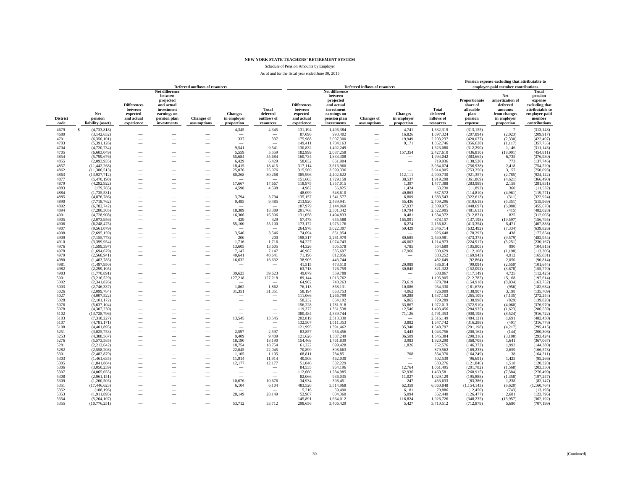Schedule of Pension Amounts by Employer

|                         |                                     | <b>Deferred outflows of resources</b>                                 |                                                                                                                  |                                                      |                                             |                                                      |                                                                       |                                                                                                                  | <b>Deferred inflows of resources</b>                 | Pension expense excluding that attributable to<br>employer-paid member contributions |                                              |                                                                             |                                                                                            |                                                                                                              |
|-------------------------|-------------------------------------|-----------------------------------------------------------------------|------------------------------------------------------------------------------------------------------------------|------------------------------------------------------|---------------------------------------------|------------------------------------------------------|-----------------------------------------------------------------------|------------------------------------------------------------------------------------------------------------------|------------------------------------------------------|--------------------------------------------------------------------------------------|----------------------------------------------|-----------------------------------------------------------------------------|--------------------------------------------------------------------------------------------|--------------------------------------------------------------------------------------------------------------|
| <b>District</b><br>code | Net<br>pension<br>liability (asset) | <b>Differences</b><br>between<br>expected<br>and actual<br>experience | Net difference<br>between<br>projected<br>and actual<br>investment<br>earnings on<br>pension plan<br>investments | <b>Changes of</b><br>assumptions                     | <b>Changes</b><br>in employer<br>proportion | Total<br>deferred<br>outflows of<br>resources        | <b>Differences</b><br>between<br>expected<br>and actual<br>experience | Net difference<br>between<br>projected<br>and actual<br>investment<br>earnings on<br>pension plan<br>investments | <b>Changes of</b><br>assumptions                     | <b>Changes</b><br>in employer<br>proportion                                          | Total<br>deferred<br>inflows of<br>resources | <b>Proportionate</b><br>share of<br>allocable<br>plan<br>pension<br>expense | Net<br>amortization of<br>deferred<br>amounts<br>from changes<br>in employer<br>proportion | Total<br>pension<br>expense<br>excluding that<br>attributable to<br>employer-paid<br>member<br>contributions |
| 4679                    | s<br>(4,733,818)                    |                                                                       |                                                                                                                  |                                                      | 4,345                                       | 4,345                                                | 131,194                                                               | 1,496,384                                                                                                        |                                                      | 4.741                                                                                | 1,632,319                                    | (313, 155)                                                                  | $\overline{7}$                                                                             | (313, 148)                                                                                                   |
| 4680                    | (3,142,632)                         |                                                                       |                                                                                                                  |                                                      |                                             |                                                      | 87,096                                                                | 993,402                                                                                                          |                                                      | 16,826                                                                               | 1,097,324                                    | (207, 894)                                                                  | (2,023)                                                                                    | (209.917)                                                                                                    |
| 4701                    | (6,350,101)                         |                                                                       | $\overline{\phantom{0}}$                                                                                         | $\overline{\phantom{m}}$                             | 337                                         | 337                                                  | 175,988                                                               | 2,007,300                                                                                                        | $\overline{\phantom{a}}$                             | 19,949                                                                               | 2,203,237                                    | (420, 077)                                                                  | (2,330)                                                                                    | (422, 407)                                                                                                   |
| 4703                    | (5.391.126)                         |                                                                       |                                                                                                                  | -                                                    |                                             |                                                      | 149.411                                                               | 1.704.163                                                                                                        | -                                                    | 9,171                                                                                | 1.862.746                                    | (356.638)                                                                   | (1.117)                                                                                    | (357, 755)                                                                                                   |
| 4704                    | (4.720.734)                         |                                                                       | -                                                                                                                | $\overline{\phantom{a}}$                             | 9.541                                       | 9.541                                                | 130,832                                                               | 1.492.249                                                                                                        | $\sim$                                               |                                                                                      | 1.623.080                                    | (312, 290)                                                                  | 1.146                                                                                      | (311, 143)                                                                                                   |
| 4705                    | (6,603,049)                         |                                                                       | -                                                                                                                | $\overline{\phantom{m}}$                             | 5,559                                       | 5,559                                                | 182,999                                                               | 2,087,258                                                                                                        | $\overline{\phantom{a}}$                             | 157,354                                                                              | 2,427,610                                    | (436, 810)                                                                  | (18,001)                                                                                   | (454, 811)                                                                                                   |
| 4854                    | (5.799.676)                         |                                                                       | $\overline{\phantom{0}}$                                                                                         | $\overline{\phantom{m}}$                             | 55,684                                      | 55,684                                               | 160,734                                                               | 1,833,308                                                                                                        | $\overline{\phantom{a}}$                             | $\overline{\phantom{a}}$                                                             | 1,994,042                                    | (383, 665)                                                                  | 6,735                                                                                      | (376, 930)                                                                                                   |
| 4855                    | (2,093,935)                         | $\overline{\phantom{a}}$                                              | -                                                                                                                | $\overline{\phantom{a}}$                             | 6,429                                       | 6,429                                                | 58,032                                                                | 661,904                                                                                                          | $\overline{\phantom{a}}$                             | $\sim$                                                                               | 719,936                                      | (138, 520)                                                                  | 773                                                                                        | (137,746)                                                                                                    |
| 4857                    | (11, 442, 268)                      |                                                                       |                                                                                                                  |                                                      | 18,415                                      | 18,415                                               | 317,114                                                               | 3,616,960                                                                                                        |                                                      | $\overline{\phantom{a}}$                                                             | 3,934,074                                    | (756, 938)                                                                  | 2,418                                                                                      | (754, 520)                                                                                                   |
| 4862                    | (11, 386, 513)                      |                                                                       |                                                                                                                  |                                                      | 25,076                                      | 25,076                                               | 315,569                                                               | 3,599,336                                                                                                        |                                                      |                                                                                      | 3,914,905                                    | (753, 250)                                                                  | 3,157                                                                                      | (750,093)                                                                                                    |
| 4863<br>4877            | (13,927,712)<br>(5,470,198)         |                                                                       |                                                                                                                  | -                                                    | 80,268                                      | 80,268                                               | 385,996<br>151,603                                                    | 4,402,622<br>1,729,158                                                                                           |                                                      | 112,111<br>38,537                                                                    | 4,900,730<br>1,919,298                       | (921, 357)<br>(361, 869)                                                    | (2,785)<br>(4,621)                                                                         | (924, 142)<br>(366, 490)                                                                                     |
| 4879                    | (4.292.922)                         |                                                                       | -                                                                                                                | $\overline{\phantom{m}}$                             | 17,667                                      | 17.667                                               | 118,975                                                               | 1.357.015                                                                                                        | $\overline{\phantom{a}}$                             | 1.397                                                                                | 1,477,388                                    | (283.989)                                                                   | 2.158                                                                                      | (281, 831)                                                                                                   |
| 4883                    | (179, 765)                          |                                                                       | -                                                                                                                | $\overline{\phantom{m}}$                             | 4,598                                       | 4,598                                                | 4,982                                                                 | 56,825                                                                                                           | $\sim$                                               | 1,424                                                                                | 63.230                                       | (11,892)                                                                    | 360                                                                                        | (11, 532)                                                                                                    |
| 4884                    | (1,735,531)                         |                                                                       | $\overline{\phantom{0}}$                                                                                         | $\overline{\phantom{m}}$                             |                                             |                                                      | 48,099                                                                | 548,610                                                                                                          | $\overline{\phantom{a}}$                             | 40,863                                                                               | 637,572                                      | (114, 810)                                                                  | (4,961)                                                                                    | (119, 771)                                                                                                   |
| 4885                    | (4,876,786)                         | $\overline{\phantom{a}}$                                              | -                                                                                                                | $\sim$                                               | 3,794                                       | 3.794                                                | 135,157                                                               | 1,541,577                                                                                                        | $\overline{\phantom{a}}$                             | 6,809                                                                                | 1.683.543                                    | (322, 613)                                                                  | (311)                                                                                      | (322, 924)                                                                                                   |
| 4890                    | (7,718,762)                         | $\overline{\phantom{a}}$                                              | -                                                                                                                | $\overline{\phantom{m}}$                             | 9,485                                       | 9,485                                                | 213,920                                                               | 2,439,941                                                                                                        | $\overline{\phantom{a}}$                             | 55,436                                                                               | 2,709,296                                    | (510, 618)                                                                  | (5, 351)                                                                                   | (515,969)                                                                                                    |
| 4892                    | (6,782,742)                         |                                                                       | $\overline{\phantom{a}}$                                                                                         | $\overline{\phantom{a}}$                             |                                             |                                                      | 187,979                                                               | 2,144,060                                                                                                        | $\overline{\phantom{a}}$                             | 57,937                                                                               | 2,389,975                                    | (448, 697)                                                                  | (6,980)                                                                                    | (455, 678)                                                                                                   |
| 4894                    | (7,280,305)                         |                                                                       | $\overline{\phantom{a}}$                                                                                         | $\overline{\phantom{a}}$                             | 18,389                                      | 18.389                                               | 201,768                                                               | 2,301,342                                                                                                        | $\overline{\phantom{a}}$                             | 19,794                                                                               | 2,522,905                                    | (481, 613)                                                                  | (415)                                                                                      | (482, 028)                                                                                                   |
| 4901                    | (4,728,908)                         |                                                                       | $\overline{\phantom{0}}$                                                                                         | $\overline{\phantom{a}}$                             | 16,306                                      | 16,306                                               | 131,058                                                               | 1,494,833                                                                                                        | $\overline{\phantom{a}}$                             | 8,481                                                                                | 1,634,372                                    | (312, 831)                                                                  | 825                                                                                        | (312,005)                                                                                                    |
| 4905                    | (2,073,956)                         | $\overline{\phantom{0}}$                                              | -                                                                                                                | -                                                    | 429                                         | 429                                                  | 57,478                                                                | 655,588                                                                                                          |                                                      | 165,091                                                                              | 878,157                                      | (137, 198)                                                                  | (19, 597)                                                                                  | (156, 795)                                                                                                   |
| 4906                    | (6,248,475)                         |                                                                       |                                                                                                                  |                                                      | 55,100                                      | 55,100                                               | 173,172                                                               | 1,975,176                                                                                                        |                                                      | 8,274                                                                                | 2,156,621                                    | (413, 354)                                                                  | 5,471                                                                                      | (407, 883)                                                                                                   |
| 4907                    | (9,561,079)                         |                                                                       | $\overline{\phantom{0}}$                                                                                         |                                                      |                                             |                                                      | 264,978                                                               | 3,022,307                                                                                                        | $\overline{\phantom{a}}$                             | 59,429                                                                               | 3,346,714                                    | (632, 492)                                                                  | (7, 334)                                                                                   | (639, 826)                                                                                                   |
| 4908<br>4909            | (2,695,159)<br>(7.155.778)          |                                                                       | $\overline{\phantom{0}}$<br>$\overline{\phantom{0}}$                                                             | $\overline{\phantom{0}}$<br>$\overline{\phantom{m}}$ | 3,546<br>200                                | 3,546<br>200                                         | 74,694<br>198.317                                                     | 851,954<br>2.261.979                                                                                             | $\overline{\phantom{a}}$<br>$\overline{\phantom{a}}$ | 80.685                                                                               | 926,648<br>2.540.981                         | (178, 292)<br>(473.375)                                                     | 438<br>(9.579)                                                                             | (177, 854)<br>(482, 954)                                                                                     |
| 4910                    | (3,399,954)                         |                                                                       | -                                                                                                                | $\overline{\phantom{a}}$                             | 1,716                                       | 1,716                                                | 94,227                                                                | 1,074,743                                                                                                        | $\overline{\phantom{a}}$                             | 46,002                                                                               | 1,214,973                                    | (224, 917)                                                                  | (5,251)                                                                                    | (230, 167)                                                                                                   |
| 4976                    | (1,599,397)                         |                                                                       | $\overline{\phantom{0}}$                                                                                         | $\overline{\phantom{m}}$                             | 13,605                                      | 13,605                                               | 44,326                                                                | 505,578                                                                                                          | $\overline{\phantom{a}}$                             | 4,785                                                                                | 554,689                                      | (105, 805)                                                                  | 990                                                                                        | (104, 815)                                                                                                   |
| 4978                    | (1,694,679)                         | $\overline{\phantom{a}}$                                              | -                                                                                                                | $\overline{\phantom{a}}$                             | 7,147                                       | 7,147                                                | 46,967                                                                | 535,697                                                                                                          | $\overline{\phantom{a}}$                             | 17,966                                                                               | 600,629                                      | (112, 108)                                                                  | (1,198)                                                                                    | (113, 306)                                                                                                   |
| 4979                    | (2,568,941)                         | $\overline{\phantom{a}}$                                              | -                                                                                                                | $\overline{\phantom{a}}$                             | 40,641                                      | 40,641                                               | 71,196                                                                | 812,056                                                                                                          | $\overline{\phantom{a}}$                             | $\overline{\phantom{a}}$                                                             | 883.252                                      | (169, 943)                                                                  | 4,912                                                                                      | (165, 031)                                                                                                   |
| 4980                    | (1,403,785)                         | $\overline{\phantom{a}}$                                              | -                                                                                                                | -                                                    | 16,632                                      | 16,632                                               | 38,905                                                                | 443,744                                                                                                          | $\overline{\phantom{a}}$                             | $\overline{\phantom{a}}$                                                             | 482,649                                      | (92, 864)                                                                   | 2,050                                                                                      | (90, 814)                                                                                                    |
| 4981                    | (1,497,950)                         | $\overline{\phantom{a}}$                                              | -                                                                                                                | -                                                    |                                             |                                                      | 41,515                                                                | 473,510                                                                                                          | $\overline{\phantom{a}}$                             | 20.989                                                                               | 536,014                                      | (99,094)                                                                    | (2,550)                                                                                    | (101, 644)                                                                                                   |
| 4982                    | (2, 299, 105)                       | $\overline{\phantom{a}}$                                              | -                                                                                                                | -                                                    |                                             | -                                                    | 63,718                                                                | 726,759                                                                                                          | $\overline{\phantom{a}}$                             | 30,845                                                                               | 821,322                                      | (152,092)                                                                   | (3,678)                                                                                    | (155, 770)                                                                                                   |
| 4983                    | (1,770,891)                         |                                                                       | -                                                                                                                | -                                                    | 39,623                                      | 39,623                                               | 49,079                                                                | 559,788                                                                                                          |                                                      |                                                                                      | 608,867                                      | (117, 149)                                                                  | 4,725                                                                                      | (112, 425)                                                                                                   |
| 5001                    | (3.216.529)                         |                                                                       | -                                                                                                                | $\overline{\phantom{0}}$                             | 127,218                                     | 127,218                                              | 89.144                                                                | 1,016,762                                                                                                        | $\overline{\phantom{a}}$                             |                                                                                      | 1,105,905                                    | (212, 782)                                                                  | 15,168                                                                                     | (197, 614)                                                                                                   |
| 5002                    | (2,341,826)                         |                                                                       | -                                                                                                                | -                                                    |                                             |                                                      | 64,902                                                                | 740,263                                                                                                          | $\overline{\phantom{a}}$                             | 73.619                                                                               | 878,784                                      | (154, 918)                                                                  | (8, 834)                                                                                   | (163, 752)                                                                                                   |
| 5003                    | (2,746,337)                         |                                                                       | $\overline{\phantom{0}}$                                                                                         | $\overline{\phantom{a}}$                             | 1,862                                       | 1,862                                                | 76,113                                                                | 868,131                                                                                                          | $\overline{\phantom{a}}$                             | 10,086                                                                               | 954,330                                      | (181,678)                                                                   | (956)                                                                                      | (182, 634)                                                                                                   |
| 5026                    | (2,099,784)                         | $\overline{\phantom{a}}$                                              | -                                                                                                                | $\overline{\phantom{a}}$                             | 31,351                                      | 31,351                                               | 58,194                                                                | 663,753                                                                                                          | $\overline{\phantom{a}}$                             | 4,062                                                                                | 726,009                                      | (138,907)                                                                   | 3,198                                                                                      | (135,709)                                                                                                    |
| 5027                    | (4,007,522)                         |                                                                       | -                                                                                                                | $\overline{\phantom{a}}$                             |                                             | $\overline{\phantom{a}}$                             | 111,066                                                               | 1,266,799                                                                                                        | $\sim$                                               | 59,288                                                                               | 1,437,152                                    | (265, 109)                                                                  | (7, 135)                                                                                   | (272, 244)                                                                                                   |
| 5028<br>5076            | (2,101,172)<br>(5,637,104)          |                                                                       | $\overline{\phantom{a}}$<br>$\overline{\phantom{a}}$                                                             | $\overline{\phantom{a}}$<br>$\overline{\phantom{a}}$ | $\overline{\phantom{a}}$                    | $\overline{\phantom{a}}$<br>$\overline{\phantom{a}}$ | 58,232<br>156,228                                                     | 664,192<br>1,781,918                                                                                             | $\overline{\phantom{a}}$                             | 6,865<br>33,867                                                                      | 729,289<br>1,972,013                         | (138,998)<br>(372,910)                                                      | (829)<br>(4,060)                                                                           | (139, 828)<br>(376,970)                                                                                      |
| 5078                    | (4,307,230)                         |                                                                       | $\overline{\phantom{0}}$                                                                                         |                                                      |                                             | $\overline{\phantom{a}}$                             | 119,372                                                               | 1,361,538                                                                                                        |                                                      | 12,546                                                                               | 1,493,456                                    | (284, 935)                                                                  | (1,623)                                                                                    | (286, 559)                                                                                                   |
| 5102                    | (13,728,796)                        |                                                                       | $\overline{\phantom{0}}$                                                                                         |                                                      |                                             |                                                      | 380,484                                                               | 4,339,744                                                                                                        |                                                      | 71,126                                                                               | 4,791,353                                    | (908, 198)                                                                  | (8,524)                                                                                    | (916, 722)                                                                                                   |
| 5103                    | (7,318,227)                         |                                                                       |                                                                                                                  |                                                      | 13,545                                      | 13,545                                               | 202,819                                                               | 2,313,330                                                                                                        |                                                      |                                                                                      | 2,516,149                                    | (484, 121)                                                                  | 1,691                                                                                      | (482, 430)                                                                                                   |
| 5107                    | (4,781,171)                         |                                                                       | $\overline{\phantom{0}}$                                                                                         | $\overline{\phantom{0}}$                             |                                             | -                                                    | 132,507                                                               | 1,511,353                                                                                                        |                                                      | 3,882                                                                                | 1,647,742                                    | (316, 288)                                                                  | (491)                                                                                      | (316, 778)                                                                                                   |
| 5108                    | (4,401,895)                         |                                                                       | $\overline{\phantom{0}}$                                                                                         | $\overline{\phantom{a}}$                             |                                             |                                                      | 121,995                                                               | 1,391,462                                                                                                        | $\overline{\phantom{a}}$                             | 35,340                                                                               | 1,548,797                                    | (291, 198)                                                                  | (4,217)                                                                                    | (295, 415)                                                                                                   |
| 5251                    | (3.025.753)                         |                                                                       | -                                                                                                                | $\overline{\phantom{a}}$                             | 2,597                                       | 2.597                                                | 83,857                                                                | 956,456                                                                                                          | $\overline{\phantom{a}}$                             | 3.443                                                                                | 1.043.756                                    | (200, 162)                                                                  | (144)                                                                                      | (200, 306)                                                                                                   |
| 5253                    | (4,388,567)                         | -                                                                     | -                                                                                                                | $\overline{\phantom{a}}$                             | 9.409                                       | 9.409                                                | 121,626                                                               | 1,387,249                                                                                                        | $\overline{\phantom{a}}$                             | 36.509                                                                               | 1.545.384                                    | (290, 316)                                                                  | (3.108)                                                                                    | (293, 424)                                                                                                   |
| 5276                    | (5,573,585)                         |                                                                       | $\overline{\phantom{0}}$                                                                                         | $\overline{\phantom{m}}$                             | 18,190                                      | 18,190                                               | 154,468                                                               | 1,761,839                                                                                                        | $\overline{\phantom{a}}$                             | 3,983                                                                                | 1,920,290                                    | (368, 708)                                                                  | 1,641                                                                                      | (367,067)                                                                                                    |
| 5281                    | (2.212.642)                         | $\overline{\phantom{a}}$                                              | -                                                                                                                | $\overline{\phantom{a}}$                             | 18,754                                      | 18,754                                               | 61,322                                                                | 699,428                                                                                                          | $\overline{\phantom{a}}$                             | 1,826                                                                                | 762,576                                      | (146,372)                                                                   | 1.992                                                                                      | (144, 380)                                                                                                   |
| 5282                    | (2,558,208)                         | $\overline{\phantom{a}}$                                              | -                                                                                                                | -                                                    | 22,045                                      | 22,045                                               | 70,899                                                                | 808,663                                                                                                          | $\overline{\phantom{a}}$                             |                                                                                      | 879,562                                      | (169, 233)                                                                  | 2,659                                                                                      | (166, 573)                                                                                                   |
| 5301<br>5303            | (2,482,879)<br>(1,461,635)          | $\overline{\phantom{a}}$<br>$\overline{\phantom{a}}$                  | -<br>$\overline{\phantom{a}}$                                                                                    | $\overline{\phantom{a}}$<br>$\overline{\phantom{a}}$ | 1,105<br>11,914                             | 1,105<br>11,914                                      | 68,811<br>40,508                                                      | 784,851<br>462,030                                                                                               | $\overline{\phantom{a}}$                             | 708<br>$\overline{\phantom{a}}$                                                      | 854,370<br>502,539                           | (164, 249)<br>(96, 691)                                                     | 38<br>1,425                                                                                | (164, 211)<br>(95, 266)                                                                                      |
| 5305                    | (1,841,884)                         | $\overline{\phantom{a}}$                                              | -                                                                                                                | -                                                    | 12,177                                      | 12,177                                               | 51,046                                                                | 582,229                                                                                                          |                                                      | $\sim$                                                                               | 633,276                                      | (121, 846)                                                                  | 1,518                                                                                      | (120, 328)                                                                                                   |
| 5306                    | (3,050,239)                         | $\overline{\phantom{a}}$                                              | ÷                                                                                                                |                                                      |                                             |                                                      | 84,535                                                                | 964,196                                                                                                          |                                                      | 12,764                                                                               | 1,061,495                                    | (201, 782)                                                                  | (1, 568)                                                                                   | (203, 350)                                                                                                   |
| 5307                    | (4,065,055)                         |                                                                       |                                                                                                                  |                                                      | $\overline{\phantom{a}}$                    | $\overline{\phantom{a}}$                             | 112,660                                                               | 1,284,985                                                                                                        |                                                      | 62,936                                                                               | 1,460,581                                    | (268, 915)                                                                  | (7, 584)                                                                                   | (276, 499)                                                                                                   |
| 5308                    | (2,961,151)                         |                                                                       |                                                                                                                  | $\overline{\phantom{0}}$                             |                                             |                                                      | 82,066                                                                | 936,035                                                                                                          |                                                      | 11,027                                                                               | 1,029,129                                    | (195, 888)                                                                  | (1,358)                                                                                    | (197, 247)                                                                                                   |
| 5309                    | (1,260,503)                         |                                                                       |                                                                                                                  | $\overline{\phantom{0}}$                             | 10,676                                      | 10,676                                               | 34,934                                                                | 398,451                                                                                                          |                                                      | 247                                                                                  | 433,633                                      | (83, 386)                                                                   | 1,238                                                                                      | (82, 147)                                                                                                    |
| 5351                    | (17, 446, 623)                      | $\overline{\phantom{a}}$                                              | -                                                                                                                | $\overline{\phantom{m}}$                             | 6,104                                       | 6,104                                                | 483,520                                                               | 5,514,968                                                                                                        |                                                      | 62,359                                                                               | 6,060,848                                    | (1,154,143)                                                                 | (6,620)                                                                                    | (1,160,764)                                                                                                  |
| 5352                    | (188, 196)                          | $\overline{\phantom{a}}$                                              | -                                                                                                                | $\overline{\phantom{a}}$                             |                                             |                                                      | 5,216                                                                 | 59,490                                                                                                           |                                                      | 6,181                                                                                | 70,886                                       | (12, 450)                                                                   | (743)                                                                                      | (13, 193)                                                                                                    |
| 5353                    | (1,911,895)                         |                                                                       | $\overline{\phantom{0}}$                                                                                         |                                                      | 28,149                                      | 28,149                                               | 52,987                                                                | 604,360                                                                                                          |                                                      | 5.094                                                                                | 662,440                                      | (126, 477)                                                                  | 2,681                                                                                      | (123, 796)                                                                                                   |
| 5354                    | (5,264,107)                         |                                                                       |                                                                                                                  |                                                      | 53,712                                      | 53,712                                               | 145,891                                                               | 1,664,012                                                                                                        |                                                      | 116,824<br>5,427                                                                     | 1,926,726                                    | (348, 235)<br>(712, 879)                                                    | (13,957)                                                                                   | (362, 192)                                                                                                   |
| 5355                    | (10,776,251)                        |                                                                       |                                                                                                                  |                                                      |                                             |                                                      | 298,656                                                               | 3,406,429                                                                                                        |                                                      |                                                                                      | 3,710,512                                    |                                                                             | 5,680                                                                                      | (707, 199)                                                                                                   |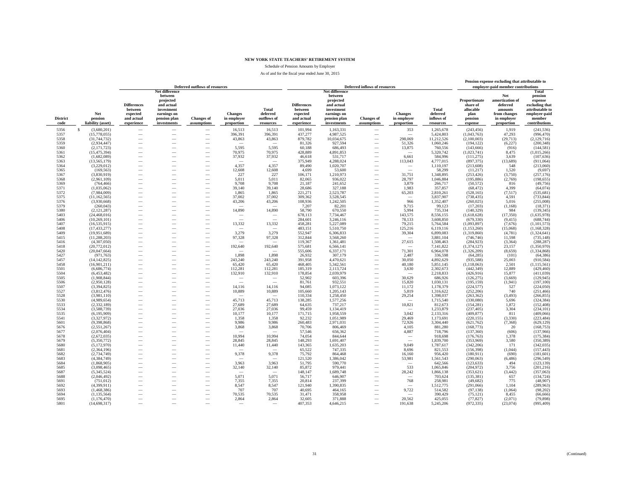Schedule of Pension Amounts by Employer

|                         |                                     | <b>Deferred outflows of resources</b>                                 |                                                                                                                  |                                                      |                                             |                                               |                                                                       |                                                                                                                  | <b>Deferred inflows of resources</b>                 | Pension expense excluding that attributable to<br>employer-paid member contributions |                                              |                                                                             |                                                                                            |                                                                                                              |
|-------------------------|-------------------------------------|-----------------------------------------------------------------------|------------------------------------------------------------------------------------------------------------------|------------------------------------------------------|---------------------------------------------|-----------------------------------------------|-----------------------------------------------------------------------|------------------------------------------------------------------------------------------------------------------|------------------------------------------------------|--------------------------------------------------------------------------------------|----------------------------------------------|-----------------------------------------------------------------------------|--------------------------------------------------------------------------------------------|--------------------------------------------------------------------------------------------------------------|
| <b>District</b><br>code | Net<br>pension<br>liability (asset) | <b>Differences</b><br>between<br>expected<br>and actual<br>experience | Net difference<br>between<br>projected<br>and actual<br>investment<br>earnings on<br>pension plan<br>investments | <b>Changes of</b><br>assumptions                     | <b>Changes</b><br>in employer<br>proportion | Total<br>deferred<br>outflows of<br>resources | <b>Differences</b><br>between<br>expected<br>and actual<br>experience | Net difference<br>between<br>projected<br>and actual<br>investment<br>earnings on<br>pension plan<br>investments | <b>Changes of</b><br>assumptions                     | <b>Changes</b><br>in employer<br>proportion                                          | Total<br>deferred<br>inflows of<br>resources | <b>Proportionate</b><br>share of<br>allocable<br>plan<br>pension<br>expense | Net<br>amortization of<br>deferred<br>amounts<br>from changes<br>in employer<br>proportion | Total<br>pension<br>expense<br>excluding that<br>attributable to<br>employer-paid<br>member<br>contributions |
| 5356                    | s<br>(3.680.201)                    |                                                                       |                                                                                                                  |                                                      | 16,513                                      | 16,513                                        | 101,994                                                               | 1,163,331                                                                                                        |                                                      | 353                                                                                  | 1,265,678                                    | (243, 456)                                                                  | 1.919                                                                                      | (241, 536)                                                                                                   |
| 5357                    | (15,778,055)                        |                                                                       |                                                                                                                  |                                                      | 396,391                                     | 396,391                                       | 437,277                                                               | 4,987,525                                                                                                        |                                                      |                                                                                      | 5,424,803                                    | (1,043,763)                                                                 | 47,293                                                                                     | (996, 470)                                                                                                   |
| 5358                    | (31, 744, 732)                      |                                                                       | $\overline{\phantom{0}}$                                                                                         | $\overline{\phantom{m}}$                             | 43,863                                      | 43,863                                        | 879,782                                                               | 10,034,675                                                                                                       | $\overline{\phantom{a}}$                             | 298,069                                                                              | 11,212,526                                   | (2,100,003)                                                                 | (29, 713)                                                                                  | (2,129,716)                                                                                                  |
| 5359                    | (2.934.447)                         |                                                                       |                                                                                                                  | -                                                    |                                             |                                               | 81,326                                                                | 927.594                                                                                                          | $\overline{\phantom{a}}$                             | 51.326                                                                               | 1.060.246                                    | (194.122)                                                                   | (6,227)                                                                                    | (200, 348)                                                                                                   |
| 5360                    | (2.171.723)                         |                                                                       | -                                                                                                                | $\overline{\phantom{a}}$                             | 5.595                                       | 5.595                                         | 60,188                                                                | 686,493                                                                                                          | $\overline{\phantom{a}}$                             | 13,875                                                                               | 760,556                                      | (143, 666)                                                                  | (916)                                                                                      | (144, 581)                                                                                                   |
| 5361                    | (15, 475, 394)                      |                                                                       | -                                                                                                                | $\overline{\phantom{m}}$                             | 70,975                                      | 70,975                                        | 428,889                                                               | 4,891,853                                                                                                        | $\overline{\phantom{a}}$                             | $\overline{\phantom{a}}$                                                             | 5,320,742                                    | (1,023,741)                                                                 | 8,475                                                                                      | (1,015,266)                                                                                                  |
| 5362                    | (1,682,089)                         |                                                                       | $\overline{\phantom{0}}$                                                                                         | $\overline{\phantom{m}}$                             | 37,932                                      | 37,932                                        | 46,618                                                                | 531,717                                                                                                          | $\overline{\phantom{a}}$                             | 6,661                                                                                | 584,996                                      | (111, 275)                                                                  | 3.639                                                                                      | (107, 636)                                                                                                   |
| 5363                    | (13, 565, 179)                      | $\overline{\phantom{a}}$                                              | -                                                                                                                | $\overline{\phantom{a}}$                             |                                             |                                               | 375,949                                                               | 4,288,024                                                                                                        | $\overline{\phantom{a}}$                             | 113,043                                                                              | 4,777,015                                    | (897, 375)                                                                  | (13,689)                                                                                   | (911,064)                                                                                                    |
| 5364                    | (3,229,012)                         |                                                                       |                                                                                                                  |                                                      | 4,357                                       | 4,357                                         | 89,490                                                                | 1,020,707                                                                                                        |                                                      |                                                                                      | 1,110,197                                    | (213,608)                                                                   | 548                                                                                        | (213,060)                                                                                                    |
| 5365                    | (169, 563)                          |                                                                       |                                                                                                                  |                                                      | 12,608                                      | 12,608                                        | 4,699                                                                 | 53,600                                                                                                           |                                                      |                                                                                      | 58,299                                       | (11,217)                                                                    | 1,520                                                                                      | (9,697)                                                                                                      |
| 5367                    | (3,830,919)                         |                                                                       |                                                                                                                  |                                                      | 227                                         | 227                                           | 106,171                                                               | 1,210,973                                                                                                        |                                                      | 31,751                                                                               | 1,348,895                                    | (253, 426)                                                                  | (3,750)                                                                                    | (257, 176)                                                                                                   |
| 5368                    | (2,961,109)                         |                                                                       |                                                                                                                  | $\overline{\phantom{0}}$                             | 5,011                                       | 5,011                                         | 82,065                                                                | 936,022                                                                                                          |                                                      | 28,797                                                                               | 1,046,884                                    | (195, 886)                                                                  | (2,769)                                                                                    | (198, 655)                                                                                                   |
| 5369                    | (764, 466)                          |                                                                       | -                                                                                                                | $\overline{\phantom{a}}$                             | 9.708                                       | 9.708                                         | 21.187                                                                | 241.652                                                                                                          | $\overline{\phantom{a}}$                             | 3.879                                                                                | 266,717                                      | (50.572)                                                                    | 816                                                                                        | (49, 756)                                                                                                    |
| 5371                    | (1,035,062)                         |                                                                       | -                                                                                                                | $\overline{\phantom{m}}$                             | 39,140                                      | 39.140                                        | 28,686                                                                | 327,188                                                                                                          | $\overline{\phantom{a}}$                             | 1.983                                                                                | 357,857                                      | (68, 472)                                                                   | 4.399                                                                                      | (64,074)                                                                                                     |
| 5372<br>5375            | (7,984,009)<br>(11, 162, 565)       | $\overline{\phantom{a}}$                                              | $\overline{\phantom{0}}$<br>-                                                                                    | $\overline{\phantom{a}}$<br>$\overline{\phantom{a}}$ | 1,865<br>37,002                             | 1,865<br>37,002                               | 221,271<br>309,362                                                    | 2,523,787<br>3.528.545                                                                                           | $\overline{\phantom{a}}$<br>$\overline{\phantom{a}}$ | 65,203                                                                               | 2,810,261<br>3,837,907                       | (528, 165)<br>(738, 435)                                                    | (7,517)<br>4.591                                                                           | (535, 681)<br>(733, 844)                                                                                     |
| 5376                    | (3,930,668)                         | $\overline{\phantom{a}}$                                              | -                                                                                                                | $\overline{\phantom{m}}$                             | 43,206                                      | 43,206                                        | 108,936                                                               | 1,242,505                                                                                                        | $\overline{\phantom{a}}$                             | $\sim$<br>966                                                                        | 1,352,407                                    | (260, 025)                                                                  | 5,016                                                                                      | (255,008)                                                                                                    |
| 5379                    | (260, 043)                          |                                                                       | $\overline{\phantom{a}}$                                                                                         | $\overline{\phantom{a}}$                             |                                             |                                               | 7,207                                                                 | 82,201                                                                                                           | $\overline{\phantom{a}}$                             | 9,715                                                                                | 99,123                                       | (17,203)                                                                    | (1,168)                                                                                    | (18, 371)                                                                                                    |
| 5380                    | (2,121,287)                         |                                                                       | $\overline{\phantom{a}}$                                                                                         | $\overline{\phantom{a}}$                             | 14,890                                      | 14,890                                        | 58,790                                                                | 670,550                                                                                                          | $\overline{\phantom{a}}$                             | 5.994                                                                                | 735,334                                      | (140, 329)                                                                  | 984                                                                                        | (139, 345)                                                                                                   |
| 5403                    | (24, 468, 016)                      |                                                                       | $\overline{\phantom{0}}$                                                                                         | $\overline{\phantom{a}}$                             |                                             |                                               | 678,113                                                               | 7,734,467                                                                                                        | $\overline{\phantom{a}}$                             | 143,575                                                                              | 8,556,155                                    | (1,618,628)                                                                 | (17, 350)                                                                                  | (1,635,978)                                                                                                  |
| 5406                    | (10, 269, 101)                      | $\overline{\phantom{0}}$                                              | -                                                                                                                | -                                                    |                                             |                                               | 284,601                                                               | 3,246,116                                                                                                        |                                                      | 78,133                                                                               | 3,608,850                                    | (679, 330)                                                                  | (9,415)                                                                                    | (688, 744)                                                                                                   |
| 5407                    | (16, 535, 915)                      |                                                                       |                                                                                                                  |                                                      | 13,332                                      | 13,332                                        | 458,281                                                               | 5,227,089                                                                                                        |                                                      | 79,215                                                                               | 5,764,584                                    | (1,093,897)                                                                 | (7,676)                                                                                    | (1, 101, 573)                                                                                                |
| 5408                    | (17, 433, 277)                      |                                                                       | -                                                                                                                | $\overline{\phantom{a}}$                             |                                             |                                               | 483,151                                                               | 5,510,750                                                                                                        | $\overline{\phantom{a}}$                             | 125,216                                                                              | 6,119,116                                    | (1,153,260)                                                                 | (15,068)                                                                                   | (1,168,328)                                                                                                  |
| 5409                    | (19,951,689)                        |                                                                       | $\overline{\phantom{0}}$                                                                                         | $\overline{\phantom{0}}$                             | 3,279                                       | 3,279                                         | 552,947                                                               | 6,306,833                                                                                                        | $\overline{\phantom{a}}$                             | 39,304                                                                               | 6,899,083                                    | (1,319,860)                                                                 | (4,781)                                                                                    | (1,324,641)                                                                                                  |
| 5415                    | (11.288.203)                        |                                                                       | $\overline{\phantom{0}}$                                                                                         | $\overline{\phantom{m}}$                             | 97,328                                      | 97,328                                        | 312,844                                                               | 3.568.260                                                                                                        | $\overline{\phantom{a}}$                             |                                                                                      | 3.881.104                                    | (746, 746)                                                                  | 11.598                                                                                     | (735, 148)                                                                                                   |
| 5416                    | (4,307,050)                         |                                                                       | -                                                                                                                | $\overline{\phantom{a}}$                             |                                             |                                               | 119,367                                                               | 1,361,481                                                                                                        | $\overline{\phantom{a}}$                             | 27,615                                                                               | 1,508,463                                    | (284, 923)                                                                  | (3,364)                                                                                    | (288, 287)                                                                                                   |
| 5418                    | (20,772,012)                        |                                                                       | $\overline{\phantom{0}}$                                                                                         | $\overline{\phantom{m}}$                             | 192,640                                     | 192,640                                       | 575,681                                                               | 6,566,141                                                                                                        | $\overline{\phantom{a}}$                             | $\overline{\phantom{m}}$                                                             | 7,141,822                                    | (1, 374, 127)                                                               | 23,157                                                                                     | (1,350,970)                                                                                                  |
| 5420<br>5427            | (20,047,664)                        | $\overline{\phantom{a}}$                                              | -                                                                                                                | $\overline{\phantom{a}}$                             |                                             |                                               | 555,606                                                               | 6,337,171                                                                                                        | $\overline{\phantom{a}}$                             | 71,301                                                                               | 6,964,078                                    | (1,326,209)                                                                 | (8,659)                                                                                    | (1, 334, 868)                                                                                                |
| 5457                    | (971, 763)<br>(14, 142, 825)        | $\overline{\phantom{a}}$<br>$\overline{\phantom{a}}$                  | -<br>-                                                                                                           | $\overline{\phantom{a}}$<br>$\overline{\phantom{a}}$ | 1,898                                       | 1,898<br>243,240                              | 26,932<br>391,958                                                     | 307,179<br>4,470,621                                                                                             | $\overline{\phantom{a}}$<br>$\overline{\phantom{a}}$ | 2,487<br>30,050                                                                      | 336,598<br>4,892,629                         | (64, 285)<br>(935, 588)                                                     | (101)<br>25,003                                                                            | (64, 386)<br>(910, 584)                                                                                      |
| 5458                    | (16,901,211)                        | $\overline{\phantom{a}}$                                              | -                                                                                                                | -                                                    | 243,240<br>65,420                           | 65,420                                        | 468,405                                                               | 5,342,561                                                                                                        |                                                      | 40,180                                                                               | 5,851,145                                    | (1, 118, 063)                                                               | 2,501                                                                                      | (1, 115, 561)                                                                                                |
| 5501                    | (6,686,774)                         | $\overline{\phantom{a}}$                                              | -                                                                                                                | -                                                    | 112,281                                     | 112,281                                       | 185,319                                                               | 2,113,724                                                                                                        |                                                      | 3,630                                                                                | 2,302,673                                    | (442, 349)                                                                  | 12,889                                                                                     | (429, 460)                                                                                                   |
| 5504                    | (6,453,482)                         |                                                                       | -                                                                                                                |                                                      | 132,910                                     | 132,910                                       | 178,854                                                               | 2,039,979                                                                                                        |                                                      |                                                                                      | 2,218,833                                    | (426,916)                                                                   | 15,877                                                                                     | (411, 039)                                                                                                   |
| 5505                    | (1.908.844)                         |                                                                       | -                                                                                                                | -                                                    | $\overline{\phantom{a}}$                    |                                               | 52,902                                                                | 603.396                                                                                                          | $\overline{\phantom{a}}$                             | 30.629                                                                               | 686,926                                      | (126, 275)                                                                  | (3,669)                                                                                    | (129.945)                                                                                                    |
| 5506                    | (2,950,128)                         |                                                                       | -                                                                                                                | -                                                    | -                                           |                                               | 81,761                                                                | 932,551                                                                                                          | $\overline{\phantom{a}}$                             | 15,820                                                                               | 1,030,131                                    | (195, 159)                                                                  | (1, 941)                                                                                   | (197, 100)                                                                                                   |
| 5507                    | (3,394,825)                         |                                                                       | $\overline{\phantom{0}}$                                                                                         | $\overline{\phantom{m}}$                             | 14,116                                      | 14,116                                        | 94,085                                                                | 1,073,122                                                                                                        | $\overline{\phantom{a}}$                             | 11,172                                                                               | 1,178,379                                    | (224, 577)                                                                  | 527                                                                                        | (224, 050)                                                                                                   |
| 5527                    | (3,812,476)                         | $\overline{\phantom{a}}$                                              | -                                                                                                                | $\overline{\phantom{a}}$                             | 10,889                                      | 10,889                                        | 105,660                                                               | 1,205,143                                                                                                        |                                                      | 5,819                                                                                | 1,316,622                                    | (252, 206)                                                                  | 740                                                                                        | (251, 466)                                                                                                   |
| 5528                    | (3,981,110)                         |                                                                       | -                                                                                                                | $\overline{\phantom{a}}$                             |                                             |                                               | 110,334                                                               | 1,258,450                                                                                                        | $\sim$                                               | 29,254                                                                               | 1,398,037                                    | (263, 362)                                                                  | (3, 493)                                                                                   | (266, 855)                                                                                                   |
| 5530                    | (4,989,654)                         |                                                                       | $\overline{\phantom{a}}$                                                                                         | $\overline{\phantom{a}}$                             | 45,713                                      | 45,713                                        | 138,285                                                               | 1,577,256                                                                                                        |                                                      |                                                                                      | 1,715,540                                    | (330,080)                                                                   | 5,696                                                                                      | (324, 384)                                                                                                   |
| 5533                    | (2,332,189)                         |                                                                       | $\overline{\phantom{a}}$                                                                                         | $\overline{\phantom{a}}$                             | 27,689                                      | 27,689                                        | 64,635                                                                | 737,217                                                                                                          | $\overline{\phantom{a}}$                             | 10,821                                                                               | 812,673                                      | (154, 281)                                                                  | 1,872                                                                                      | (152, 408)                                                                                                   |
| 5534                    | (3,588,739)                         |                                                                       | $\overline{\phantom{0}}$                                                                                         |                                                      | 27,036                                      | 27,036                                        | 99,459                                                                | 1,134,419                                                                                                        |                                                      |                                                                                      | 1,233,879                                    | (237, 405)                                                                  | 3,304                                                                                      | (234, 101)                                                                                                   |
| 5535<br>5541            | (6,195,909)                         |                                                                       | $\overline{\phantom{0}}$                                                                                         |                                                      | 10,177<br>1,358                             | 10,177<br>1,358                               | 171,715<br>92,232                                                     | 1,958,559<br>1,051,989                                                                                           |                                                      | 3,042<br>29,469                                                                      | 2,133,316<br>1,173,691                       | (409, 877)<br>(220, 155)                                                    | 811<br>(3,330)                                                                             | (409,066)<br>(223, 484)                                                                                      |
| 5601                    | (3,327,972)<br>(9,398,868)          |                                                                       |                                                                                                                  | $\overline{\phantom{a}}$                             | 9,986                                       | 9,986                                         | 260,483                                                               | 2,971,031                                                                                                        |                                                      | 72,926                                                                               | 3,304,440                                    | (621, 762)                                                                  | (7,368)                                                                                    | (629, 129)                                                                                                   |
| 5676                    | (2,551,267)                         |                                                                       | $\overline{\phantom{0}}$                                                                                         | -                                                    | 3,868                                       | 3,868                                         | 70,706                                                                | 806,469                                                                                                          | $\overline{\phantom{a}}$                             | 4,105                                                                                | 881,280                                      | (168, 773)                                                                  | 20                                                                                         | (168, 753)                                                                                                   |
| 5677                    | (2.076, 404)                        |                                                                       | $\overline{\phantom{0}}$                                                                                         | $\overline{\phantom{a}}$                             |                                             |                                               | 57,546                                                                | 656.362                                                                                                          | $\sim$                                               | 4,887                                                                                | 718,796                                      | (137,360)                                                                   | (606)                                                                                      | (137,966)                                                                                                    |
| 5678                    | (2,672,035)                         | -                                                                     | -                                                                                                                | $\overline{\phantom{a}}$                             | 10.994                                      | 10.994                                        | 74.054                                                                | 844,644                                                                                                          | $\overline{\phantom{a}}$                             | $\overline{\phantom{a}}$                                                             | 918,698                                      | (176, 763)                                                                  | 1.378                                                                                      | (175, 384)                                                                                                   |
| 5679                    | (5,350,772)                         |                                                                       | $\overline{\phantom{0}}$                                                                                         | $\overline{\phantom{m}}$                             | 28,845                                      | 28,845                                        | 148,293                                                               | 1,691,407                                                                                                        | $\overline{\phantom{a}}$                             | $\sim$                                                                               | 1,839,700                                    | (353,969)                                                                   | 3,580                                                                                      | (350, 389)                                                                                                   |
| 5680                    | (5,172,970)                         | $\overline{\phantom{a}}$                                              | -                                                                                                                | $\overline{\phantom{a}}$                             | 11,440                                      | 11,440                                        | 143,365                                                               | 1,635,203                                                                                                        | $\overline{\phantom{a}}$                             | 9.049                                                                                | 1,787,617                                    | (342, 206)                                                                  | 171                                                                                        | (342, 035)                                                                                                   |
| 5681                    | (2,364,196)                         | $\overline{\phantom{a}}$                                              | -                                                                                                                | $\overline{\phantom{a}}$                             |                                             |                                               | 65,522                                                                | 747,335                                                                                                          | $\overline{\phantom{a}}$                             | 8,696                                                                                | 821,553                                      | (156, 398)                                                                  | (1,044)                                                                                    | (157, 443)                                                                                                   |
| 5682                    | (2,734,749)                         | $\overline{\phantom{a}}$                                              | -                                                                                                                | -                                                    | 9,378                                       | 9,378                                         | 75,792                                                                | 864,468                                                                                                          |                                                      | 16,160                                                                               | 956,420                                      | (180, 911)                                                                  | (690)                                                                                      | (181, 601)                                                                                                   |
| 5683                    | (4, 384, 749)                       | $\overline{\phantom{a}}$                                              | $\overline{\phantom{a}}$                                                                                         | -                                                    |                                             |                                               | 121,520                                                               | 1,386,042                                                                                                        | $\overline{\phantom{a}}$                             | 53,981                                                                               | 1,561,543                                    | (290,063)                                                                   | (6, 486)                                                                                   | (296, 549)                                                                                                   |
| 5684                    | (1,868,905)                         | $\overline{\phantom{a}}$                                              | -                                                                                                                |                                                      | 3,963                                       | 3,963                                         | 51,795                                                                | 590,770                                                                                                          |                                                      |                                                                                      | 642,566                                      | (123, 633)                                                                  | 494                                                                                        | (123, 139)                                                                                                   |
| 5685<br>5687            | (3,098,465)<br>(5,345,524)          | $\overline{\phantom{a}}$                                              | ÷                                                                                                                | -                                                    | 32,140                                      | 32,140                                        | 85,872<br>148,147                                                     | 979,441<br>1,689,748                                                                                             |                                                      | 533<br>28,242                                                                        | 1,065,846<br>1,866,138                       | (204, 972)<br>(353, 621)                                                    | 3,756<br>(3, 442)                                                                          | (201, 216)<br>(357,063)                                                                                      |
| 5688                    | (2,046,492)                         |                                                                       |                                                                                                                  |                                                      | 5,071                                       | 5,071                                         | 56,717                                                                | 646,907                                                                                                          |                                                      |                                                                                      | 703,624                                      | (135, 381)                                                                  | 657                                                                                        | (134, 724)                                                                                                   |
| 5691                    | (751, 012)                          |                                                                       |                                                                                                                  | $\overline{\phantom{a}}$                             | 7,355                                       | 7,355                                         | 20,814                                                                | 237,399                                                                                                          |                                                      | 768                                                                                  | 258,981                                      | (49, 682)                                                                   | 775                                                                                        | (48,907)                                                                                                     |
| 5692                    | (4,399,911)                         | $\overline{\phantom{a}}$                                              | -                                                                                                                | $\overline{\phantom{m}}$                             | 8.547                                       | 8.547                                         | 121,940                                                               | 1,390,835                                                                                                        |                                                      | $\overline{\phantom{a}}$                                                             | 1,512,775                                    | (291,066)                                                                   | 1,104                                                                                      | (289, 963)                                                                                                   |
| 5693                    | (1,468,386)                         | $\overline{\phantom{a}}$                                              | -                                                                                                                | $\overline{\phantom{a}}$                             | 707                                         | 707                                           | 40,695                                                                | 464,165                                                                                                          |                                                      | 9,722                                                                                | 514,582                                      | (97, 138)                                                                   | (1,064)                                                                                    | (98, 202)                                                                                                    |
| 5694                    | (1,135,564)                         |                                                                       | $\overline{\phantom{0}}$                                                                                         |                                                      | 70,535                                      | 70,535                                        | 31,471                                                                | 358,958                                                                                                          |                                                      |                                                                                      | 390,429                                      | (75, 121)                                                                   | 8,455                                                                                      | (66, 666)                                                                                                    |
| 5695                    | (1,176,470)                         |                                                                       |                                                                                                                  | $\overline{\phantom{a}}$                             | 2,864                                       | 2,864                                         | 32,605                                                                | 371,888                                                                                                          |                                                      | 20,562                                                                               | 425,055                                      | (77, 827)                                                                   | (2,071)                                                                                    | (79, 898)                                                                                                    |
| 5801                    | (14,698,317)                        |                                                                       |                                                                                                                  |                                                      |                                             |                                               | 407,353                                                               | 4,646,215                                                                                                        |                                                      | 191,638                                                                              | 5,245,206                                    | (972, 335)                                                                  | (23,074)                                                                                   | (995, 409)                                                                                                   |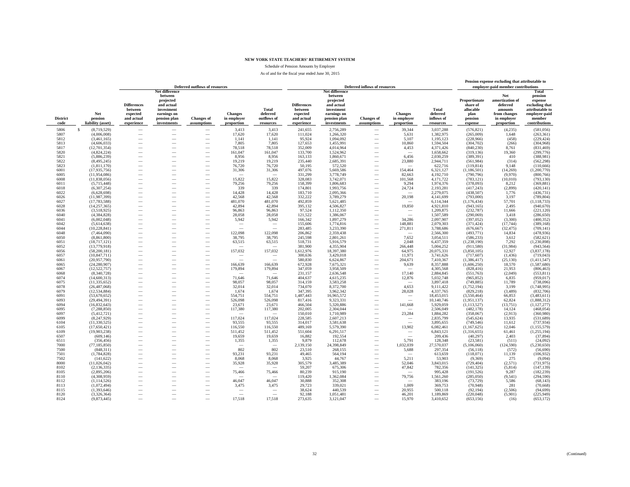Schedule of Pension Amounts by Employer

|                         |                                     | <b>Deferred outflows of resources</b>                                 |                                                                                                                         |                                                      |                                             |                                                      |                                                                       |                                                                                                                  | <b>Deferred inflows of resources</b>                 | Pension expense excluding that attributable to<br>employer-paid member contributions |                                              |                                                                      |                                                                                            |                                                                                                              |
|-------------------------|-------------------------------------|-----------------------------------------------------------------------|-------------------------------------------------------------------------------------------------------------------------|------------------------------------------------------|---------------------------------------------|------------------------------------------------------|-----------------------------------------------------------------------|------------------------------------------------------------------------------------------------------------------|------------------------------------------------------|--------------------------------------------------------------------------------------|----------------------------------------------|----------------------------------------------------------------------|--------------------------------------------------------------------------------------------|--------------------------------------------------------------------------------------------------------------|
| <b>District</b><br>code | Net<br>pension<br>liability (asset) | <b>Differences</b><br>between<br>expected<br>and actual<br>experience | <b>Net difference</b><br>between<br>projected<br>and actual<br>investment<br>earnings on<br>pension plan<br>investments | <b>Changes</b> of<br>assumptions                     | <b>Changes</b><br>in employer<br>proportion | <b>Total</b><br>deferred<br>outflows of<br>resources | <b>Differences</b><br>between<br>expected<br>and actual<br>experience | Net difference<br>between<br>projected<br>and actual<br>investment<br>earnings on<br>pension plan<br>investments | <b>Changes</b> of<br>assumptions                     | <b>Changes</b><br>in employer<br>proportion                                          | Total<br>deferred<br>inflows of<br>resources | Proportionate<br>share of<br>allocable<br>plan<br>pension<br>expense | Net<br>amortization of<br>deferred<br>amounts<br>from changes<br>in employer<br>proportion | Total<br>pension<br>expense<br>excluding that<br>attributable to<br>employer-paid<br>member<br>contributions |
| 5806                    | s<br>(8,719,529)                    |                                                                       |                                                                                                                         |                                                      | 3,413                                       | 3,413                                                | 241,655                                                               | 2,756,289                                                                                                        |                                                      | 39,344                                                                               | 3,037,288                                    | (576, 821)                                                           | (4,235)                                                                                    | (581, 056)                                                                                                   |
| 5807                    | (4,006,008)                         |                                                                       | -                                                                                                                       | $\overline{\phantom{0}}$                             | 17,620                                      | 17,620                                               | 111,024                                                               | 1,266,320                                                                                                        | $\overline{\phantom{a}}$                             | 5,631                                                                                | 1,382,975                                    | (265,009)                                                            | 1,648                                                                                      | (263, 361)                                                                                                   |
| 5812                    | (3,461,165)                         |                                                                       |                                                                                                                         |                                                      | 1,141                                       | 1,141                                                | 95,924                                                                | 1,094,092                                                                                                        |                                                      | 5,107                                                                                | 1,195,123                                    | (228,966)                                                            | (458)                                                                                      | (229, 424)                                                                                                   |
| 5813                    | (4,606,033)                         |                                                                       |                                                                                                                         | $\overline{\phantom{0}}$                             | 7,805                                       | 7,805                                                | 127,653                                                               | 1,455,991                                                                                                        |                                                      | 10,860                                                                               | 1,594,504                                    | (304, 702)                                                           | (266)                                                                                      | (304, 968)                                                                                                   |
| 5817                    | (12,701,354)                        |                                                                       | -                                                                                                                       | $\overline{\phantom{m}}$                             | 78,518                                      | 78.518                                               | 352,009                                                               | 4,014,964                                                                                                        | $\overline{\phantom{a}}$                             | 4,453                                                                                | 4,371,426                                    | (840, 230)                                                           | 8,761                                                                                      | (831, 469)                                                                                                   |
| 5820                    | (4,824,224)                         |                                                                       | $\overline{\phantom{0}}$                                                                                                | $\overline{\phantom{m}}$                             | 161,047                                     | 161,047                                              | 133,700                                                               | 1,524,962                                                                                                        | $\overline{\phantom{a}}$                             | $\sim$                                                                               | 1,658,662                                    | (319, 136)                                                           | 19,360                                                                                     | (299, 776)                                                                                                   |
| 5821<br>5822            | (5,886,239)                         |                                                                       | -<br>$\overline{\phantom{a}}$                                                                                           | $\overline{\phantom{a}}$<br>$\sim$                   | 8,956                                       | 8,956<br>19,219                                      | 163,133<br>235,440                                                    | 1,860,671<br>2,685,391                                                                                           | $\overline{\phantom{a}}$                             | 6,456<br>23,880                                                                      | 2,030,259                                    | (389, 391)                                                           | 410                                                                                        | (388, 981)                                                                                                   |
|                         | (8,495,245)                         |                                                                       |                                                                                                                         |                                                      | 19,219                                      |                                                      |                                                                       | 572,520                                                                                                          | $\overline{\phantom{a}}$                             |                                                                                      | 2,944,711                                    | (561,984)                                                            | (314)                                                                                      | (562, 298)                                                                                                   |
| 5823<br>6001            | (1.811.170)<br>(17,935,756)         | $\overline{\phantom{0}}$                                              | $\overline{\phantom{0}}$<br>$\overline{\phantom{0}}$                                                                    | -<br>$\overline{\phantom{m}}$                        | 76.720<br>31,306                            | 76.720<br>31,306                                     | 50,195<br>497,076                                                     | 5,669,586                                                                                                        | $\overline{\phantom{a}}$<br>$\overline{\phantom{a}}$ | 154,464                                                                              | 622,716<br>6,321,127                         | (119, 814)<br>(1,186,501)                                            | 9.148<br>(14, 269)                                                                         | (110.666)<br>(1,200,770)                                                                                     |
| 6005                    | (11,954,086)                        |                                                                       | $\overline{\phantom{0}}$                                                                                                | $\overline{\phantom{m}}$                             |                                             | $\sim$                                               | 331,299                                                               | 3,778,749                                                                                                        | $\overline{\phantom{a}}$                             | 82,663                                                                               | 4,192,710                                    | (790, 796)                                                           | (9,970)                                                                                    | (800, 766)                                                                                                   |
| 6008                    | (11,838,056)                        | $\overline{\phantom{a}}$                                              | -                                                                                                                       | $\overline{\phantom{a}}$                             | 15,822                                      | 15,822                                               | 328,083                                                               | 3,742,071                                                                                                        | $\overline{\phantom{a}}$                             | 101,568                                                                              | 4,171,722                                    | (783, 121)                                                           | (10,010)                                                                                   | (793, 130)                                                                                                   |
| 6011                    | (5,715,448)                         | $\overline{\phantom{a}}$                                              | -                                                                                                                       | -                                                    | 79,256                                      | 79,256                                               | 158,399                                                               | 1,806,683                                                                                                        | $\overline{\phantom{a}}$                             | 9,294                                                                                | 1,974,376                                    | (378,093)                                                            | 8,212                                                                                      | (369, 881)                                                                                                   |
| 6018                    | (6,307,254)                         |                                                                       | ÷                                                                                                                       |                                                      | 339                                         | 339                                                  | 174,801                                                               | 1,993,756                                                                                                        | $\overline{\phantom{a}}$                             | 24,724                                                                               | 2,193,281                                    | (417, 243)                                                           | (2,899)                                                                                    | (420, 141)                                                                                                   |
| 6022                    | (6,628,698)                         |                                                                       |                                                                                                                         |                                                      | 14,428                                      | 14,428                                               | 183,710                                                               | 2,095,366                                                                                                        |                                                      |                                                                                      | 2,279,075                                    | (438, 507)                                                           | 1,776                                                                                      | (436, 731)                                                                                                   |
| 6026                    | (11.987.399)                        |                                                                       | -                                                                                                                       | $\overline{\phantom{0}}$                             | 42.568                                      | 42.568                                               | 332.222                                                               | 3,789,279                                                                                                        | $\overline{\phantom{a}}$                             | 20,198                                                                               | 4,141,699                                    | (793,000)                                                            | 3.197                                                                                      | (789, 804)                                                                                                   |
| 6027                    | (17, 783, 588)                      |                                                                       | $\overline{\phantom{0}}$                                                                                                | $\overline{\phantom{m}}$                             | 481,070                                     | 481,070                                              | 492,859                                                               | 5,621,485                                                                                                        | $\overline{\phantom{a}}$                             |                                                                                      | 6,114,344                                    | (1, 176, 434)                                                        | 57,701                                                                                     | (1, 118, 733)                                                                                                |
| 6028                    | (14, 257, 365)                      | $\overline{\phantom{a}}$                                              | -                                                                                                                       | $\overline{\phantom{a}}$                             | 42,894                                      | 42,894                                               | 395,132                                                               | 4,506,827                                                                                                        | $\overline{\phantom{a}}$                             | 19,850                                                                               | 4,921,810                                    | (943, 165)                                                           | 2,495                                                                                      | (940, 670)                                                                                                   |
| 6036                    | (3,518,925)                         |                                                                       | -                                                                                                                       | $\overline{\phantom{a}}$                             | 96,863                                      | 96,863                                               | 97,524                                                                | 1,112,350                                                                                                        | $\overline{\phantom{a}}$                             | -<br>$\sim$                                                                          | 1,209,875                                    | (232, 787)                                                           | 11,666<br>3,418                                                                            | (221, 120)                                                                                                   |
| 6040<br>6041            | (4,384,828)<br>(6.002.048)          |                                                                       | $\overline{\phantom{0}}$                                                                                                | $\overline{\phantom{a}}$                             | 28,058<br>5,942                             | 28,058<br>5,942                                      | 121,522<br>166,342                                                    | 1,386,067<br>1,897,279                                                                                           | $\overline{\phantom{a}}$                             | 34,286                                                                               | 1,507,589<br>2,097,907                       | (290,069)<br>(397, 052)                                              | (3,300)                                                                                    | (286, 650)<br>(400, 352)                                                                                     |
| 6042                    | (5,614,638)                         |                                                                       |                                                                                                                         | $\overline{\phantom{0}}$                             |                                             |                                                      | 155,606                                                               | 1,774,816                                                                                                        | $\overline{\phantom{a}}$                             | 148,881                                                                              | 2,079,303                                    | (371, 424)                                                           | (17,744)                                                                                   | (389, 168)                                                                                                   |
| 6044                    | (10.228.841)                        |                                                                       | $\overline{\phantom{0}}$                                                                                                | $\overline{\phantom{m}}$                             |                                             |                                                      | 283.485                                                               | 3.233.390                                                                                                        | $\overline{\phantom{a}}$                             | 271,811                                                                              | 3.788.686                                    | (676, 667)                                                           | (32.475)                                                                                   | (709, 141)                                                                                                   |
| 6048                    | (7,464,090)                         |                                                                       | $\overline{\phantom{0}}$                                                                                                | $\overline{\phantom{m}}$                             | 122,098                                     | 122,098                                              | 206,862                                                               | 2,359,438                                                                                                        | $\overline{\phantom{a}}$                             | $\sim$                                                                               | 2,566,300                                    | (493, 771)                                                           | 14,834                                                                                     | (478, 936)                                                                                                   |
| 6050                    | (8,861,800)                         | $\overline{\phantom{a}}$                                              | -                                                                                                                       | $\overline{\phantom{a}}$                             | 38,795                                      | 38,795                                               | 245,598                                                               | 2,801,261                                                                                                        | $\overline{\phantom{a}}$                             | 7,652                                                                                | 3,054,511                                    | (586, 233)                                                           | 3,612                                                                                      | (582, 621)                                                                                                   |
| 6051                    | (18,717,121)                        | $\overline{\phantom{a}}$                                              | $\overline{\phantom{a}}$                                                                                                | $\sim$                                               | 63,515                                      | 63,515                                               | 518,731                                                               | 5,916,579                                                                                                        | $\sim$                                               | 2,048                                                                                | 6,437,359                                    | (1,238,190)                                                          | 7,292                                                                                      | (1, 230, 898)                                                                                                |
| 6052                    | (13,779,918)                        | $\overline{\phantom{a}}$                                              | -                                                                                                                       |                                                      |                                             |                                                      | 381,900                                                               | 4,355,904                                                                                                        | $\overline{\phantom{a}}$                             | 266,448                                                                              | 5,004,252                                    | (911, 580)                                                           | (31,984)                                                                                   | (943, 564)                                                                                                   |
| 6056                    | (58,200,181)                        |                                                                       |                                                                                                                         |                                                      | 157,032                                     | 157,032                                              | 1,612,976                                                             | 18,397,380                                                                                                       |                                                      | 64,975                                                                               | 20,075,331                                   | (3,850,105)                                                          | 12,927                                                                                     | (3,837,178)                                                                                                  |
| 6057                    | (10, 847, 711)                      |                                                                       |                                                                                                                         |                                                      |                                             |                                                      | 300,636                                                               | 3,429,018                                                                                                        |                                                      | 11,971                                                                               | 3,741,626                                    | (717, 607)                                                           | (1, 436)                                                                                   | (719, 043)                                                                                                   |
| 6061                    | (20,957,790)                        |                                                                       | -                                                                                                                       | $\overline{\phantom{0}}$                             |                                             |                                                      | 580,830                                                               | 6,624,867                                                                                                        | $\overline{\phantom{a}}$                             | 204,671                                                                              | 7,410,367                                    | (1,386,417)                                                          | (25, 130)                                                                                  | (1,411,547)                                                                                                  |
| 6065<br>6067            | (24, 280, 907)<br>(12, 522, 757)    | $\overline{\phantom{a}}$                                              | $\overline{\phantom{0}}$<br>-                                                                                           | $\overline{\phantom{a}}$<br>$\overline{\phantom{a}}$ | 166,639                                     | 166,639<br>179,894                                   | 672,928<br>347,059                                                    | 7,675,321<br>3,958,509                                                                                           | $\overline{\phantom{a}}$<br>$\overline{\phantom{a}}$ | 9,639                                                                                | 8,357,888<br>4,305,568                       | (1,606,250)<br>(828, 416)                                            | 18,570<br>21,953                                                                           | (1,587,680)<br>(806, 463)                                                                                    |
| 6068                    | (8,340,728)                         |                                                                       | $\overline{\phantom{0}}$                                                                                                | $\overline{\phantom{a}}$                             | 179,894                                     |                                                      | 231,157                                                               | 2,636,548                                                                                                        | $\overline{\phantom{a}}$                             | 17,140                                                                               | 2,884,845                                    | (551,763)                                                            | (2,049)                                                                                    | (553, 811)                                                                                                   |
| 6074                    | (14,600,313)                        | -                                                                     | $\overline{\phantom{0}}$                                                                                                | $\overline{\phantom{a}}$                             | 71,646                                      | 71,646                                               | 404,637                                                               | 4,615,235                                                                                                        | $\overline{\phantom{a}}$                             | 12,876                                                                               | 5,032,748                                    | (965, 852)                                                           | 6,835                                                                                      | (959, 017)                                                                                                   |
| 6075                    | (11.335.652)                        |                                                                       | $\overline{\phantom{0}}$                                                                                                | $\overline{\phantom{m}}$                             | 98.057                                      | 98.057                                               | 314,159                                                               | 3,583,258                                                                                                        | $\overline{\phantom{a}}$                             | $\sim$                                                                               | 3,897,418                                    | (749, 885)                                                           | 11,789                                                                                     | (738,096)                                                                                                    |
| 6078                    | (26, 487, 068)                      |                                                                       | $\overline{\phantom{0}}$                                                                                                | $\overline{\phantom{m}}$                             | 32,014                                      | 32,014                                               | 734,070                                                               | 8,372,700                                                                                                        | $\overline{\phantom{a}}$                             | 4.653                                                                                | 9,111,422                                    | (1,752,194)                                                          | 3,199                                                                                      | (1,748,995)                                                                                                  |
| 6079                    | (12, 534, 884)                      | $\overline{\phantom{a}}$                                              | -                                                                                                                       | $\overline{\phantom{a}}$                             | 1,674                                       | 1,674                                                | 347,395                                                               | 3,962,342                                                                                                        | $\overline{\phantom{a}}$                             | 28,028                                                                               | 4,337,765                                    | (829, 218)                                                           | (3,489)                                                                                    | (832,706)                                                                                                    |
| 6091                    | (53,670,652)                        | $\overline{\phantom{a}}$                                              | $\overline{\phantom{a}}$                                                                                                | $\overline{\phantom{a}}$                             | 554,751                                     | 554,751                                              | 1,487,443                                                             | 16,965,572                                                                                                       | $\overline{\phantom{a}}$                             | $\overline{\phantom{a}}$                                                             | 18,453,015                                   | (3,550,464)                                                          | 66,853                                                                                     | (3,483,611)                                                                                                  |
| 6093                    | (29, 494, 391)                      | $\overline{\phantom{a}}$                                              | -                                                                                                                       | $\overline{\phantom{0}}$                             | 526,098                                     | 526,098                                              | 817,416                                                               | 9,323,331                                                                                                        |                                                      |                                                                                      | 10,140,746                                   | (1,951,137)                                                          | 62,824                                                                                     | (1,888,312)                                                                                                  |
| 6094                    | (16,832,643)                        | L.                                                                    |                                                                                                                         |                                                      | 23,671                                      | 23,671                                               | 466,504                                                               | 5,320,886                                                                                                        |                                                      | 141,668                                                                              | 5,929,059                                    | (1, 113, 527)                                                        | (13,751)                                                                                   | (1, 127, 277)                                                                                                |
| 6095                    | (7,288,850)                         |                                                                       |                                                                                                                         |                                                      | 117,380                                     | 117,380                                              | 202,005                                                               | 2,304,044                                                                                                        |                                                      |                                                                                      | 2,506,049                                    | (482, 178)                                                           | 14,124                                                                                     | (468, 054)                                                                                                   |
| 6097<br>6099            | (5,412,721)<br>(8,247,929)          |                                                                       | $\overline{\phantom{0}}$<br>$\overline{\phantom{0}}$                                                                    | $\overline{\phantom{m}}$<br>$\overline{\phantom{0}}$ | 117,024                                     | 117,024                                              | 150,010<br>228,585                                                    | 1,710,989<br>2,607,213                                                                                           | $\overline{\phantom{a}}$<br>$\overline{\phantom{a}}$ | 23,284                                                                               | 1,884,282<br>2,835,799                       | (358,067)<br>(545, 624)                                              | (2,913)<br>13,935                                                                          | (360,980)<br>(531, 689)                                                                                      |
| 6104                    | (11, 330, 525)                      |                                                                       | -                                                                                                                       | $\overline{\phantom{a}}$                             | 93,555                                      | 93,555                                               | 314,017                                                               | 3,581,638                                                                                                        | $\overline{\phantom{a}}$                             | $\overline{\phantom{a}}$<br>$\sim$                                                   | 3,895,655                                    | (749, 546)                                                           | 11,612                                                                                     | (737, 934)                                                                                                   |
| 6105                    | (17,650,421)                        |                                                                       | -                                                                                                                       | $\overline{\phantom{a}}$                             | 116,550                                     | 116,550                                              | 489,169                                                               | 5,579,390                                                                                                        | $\overline{\phantom{a}}$                             | 13,902                                                                               | 6,082,461                                    | (1,167,625)                                                          | 12,046                                                                                     | (1, 155, 579)                                                                                                |
| 6109                    | (19,903,238)                        | -                                                                     | $\overline{\phantom{0}}$                                                                                                | -                                                    | 511,452                                     | 511,452                                              | 551,604                                                               | 6,291,517                                                                                                        | $\overline{\phantom{a}}$                             |                                                                                      | 6,843,121                                    | (1,316,655)                                                          | 61,461                                                                                     | (1,255,194)                                                                                                  |
| 6507                    | (609, 146)                          |                                                                       |                                                                                                                         |                                                      | 19,659                                      | 19,659                                               | 16,882                                                                | 192,554                                                                                                          |                                                      |                                                                                      | 209,436                                      | (40, 297)                                                            | 2,403                                                                                      | (37, 894)                                                                                                    |
| 6511                    | (356.456)                           |                                                                       | $\overline{\phantom{0}}$                                                                                                | $\overline{\phantom{m}}$                             | 1,355                                       | 1,355                                                | 9.879                                                                 | 112,678                                                                                                          | $\overline{\phantom{a}}$                             | 5,791                                                                                | 128,348                                      | (23, 581)                                                            | (511)                                                                                      | (24,092)                                                                                                     |
| 7000                    | (77, 185, 850)                      |                                                                       | -                                                                                                                       | $\overline{\phantom{a}}$                             |                                             |                                                      | 2,139,150                                                             | 24,398,849                                                                                                       | $\overline{\phantom{a}}$                             | 1.032.039                                                                            | 27,570,037                                   | (5,106,060)                                                          | (124, 590)                                                                                 | (5,230,650)                                                                                                  |
| 7500                    | (848, 311)                          | $\overline{\phantom{a}}$                                              | -                                                                                                                       | $\overline{\phantom{a}}$                             | 802                                         | 802                                                  | 23,510                                                                | 268,155                                                                                                          | $\overline{\phantom{a}}$                             | 5,688                                                                                | 297,354                                      | (56, 118)                                                            | (572)                                                                                      | (56,690)                                                                                                     |
| 7501                    | (1,784,828)                         | $\overline{\phantom{a}}$                                              | -                                                                                                                       | $\overline{\phantom{a}}$                             | 93,231                                      | 93,231                                               | 49,465                                                                | 564,194                                                                                                          | $\overline{\phantom{a}}$                             |                                                                                      | 613,659                                      | (118,071)                                                            | 11,139                                                                                     | (106, 932)                                                                                                   |
| 7502<br>8000            | (141, 622)<br>(11,026,042)          | $\overline{\phantom{a}}$                                              | -                                                                                                                       | $\overline{\phantom{0}}$                             | 8,068<br>35,928                             | 8,068<br>35,928                                      | 3,925<br>305,579                                                      | 44,767<br>3,485,389                                                                                              | $\overline{\phantom{a}}$                             | 5,211<br>52,046                                                                      | 53,903<br>3,843,015                          | (9,369)<br>(729, 404)                                                | 275<br>(2,571)                                                                             | (9,094)<br>(731.975)                                                                                         |
| 8102                    | (2, 136, 335)                       |                                                                       |                                                                                                                         | $\overline{\phantom{0}}$                             |                                             |                                                      | 59,207                                                                | 675,306                                                                                                          |                                                      | 47,842                                                                               | 782,356                                      | (141, 325)                                                           | (5,814)                                                                                    | (147, 139)                                                                                                   |
| 8105                    | (2.895.206)                         | $\overline{\phantom{a}}$                                              | -                                                                                                                       | $\overline{\phantom{m}}$                             | 75,466                                      | 75,466                                               | 80.239                                                                | 915.190                                                                                                          |                                                      |                                                                                      | 995.428                                      | (191, 526)                                                           | 9.287                                                                                      | (182, 239)                                                                                                   |
| 8110                    | (4,308,959)                         | -                                                                     | -                                                                                                                       | $\overline{\phantom{m}}$                             |                                             |                                                      | 119,420                                                               | 1,362,084                                                                                                        | $\overline{\phantom{a}}$                             | 79,756                                                                               | 1,561,260                                    | (285,050)                                                            | (9, 541)                                                                                   | (294, 590)                                                                                                   |
| 8112                    | (1, 114, 526)                       | $\overline{\phantom{a}}$                                              | -                                                                                                                       | $\overline{\phantom{a}}$                             | 46,047                                      | 46,047                                               | 30,888                                                                | 352,308                                                                                                          |                                                      |                                                                                      | 383,196                                      | (73, 729)                                                            | 5,586                                                                                      | (68, 143)                                                                                                    |
| 8113                    | (1,072,494)                         | $\overline{\phantom{a}}$                                              | $\overline{\phantom{a}}$                                                                                                | $\overline{\phantom{a}}$                             | 3,475                                       | 3,475                                                | 29,723                                                                | 339,021                                                                                                          |                                                      | 1.009                                                                                | 369,753                                      | (70, 948)                                                            | 281                                                                                        | (70, 668)                                                                                                    |
| 8115                    | (1,393,646)                         |                                                                       |                                                                                                                         |                                                      |                                             |                                                      | 38,624                                                                | 440,539                                                                                                          |                                                      | 20,955                                                                               | 500,118                                      | (92, 194)                                                            | (2,506)                                                                                    | (94, 699)                                                                                                    |
| 8120                    | (3,326,364)                         | $\overline{\phantom{a}}$                                              | -                                                                                                                       | $\overline{\phantom{a}}$                             |                                             |                                                      | 92.188                                                                | 1.051.481                                                                                                        | $\overline{\phantom{a}}$                             | 46.201                                                                               | 1.189.869                                    | (220.048)                                                            | (5,901)                                                                                    | (225, 949)                                                                                                   |
| 8124                    | (9,873,445)                         |                                                                       |                                                                                                                         |                                                      | 17,518                                      | 17,518                                               | 273,635                                                               | 3,121,047                                                                                                        |                                                      | 15,970                                                                               | 3,410,652                                    | (653, 156)                                                           | (16)                                                                                       | (653, 172)                                                                                                   |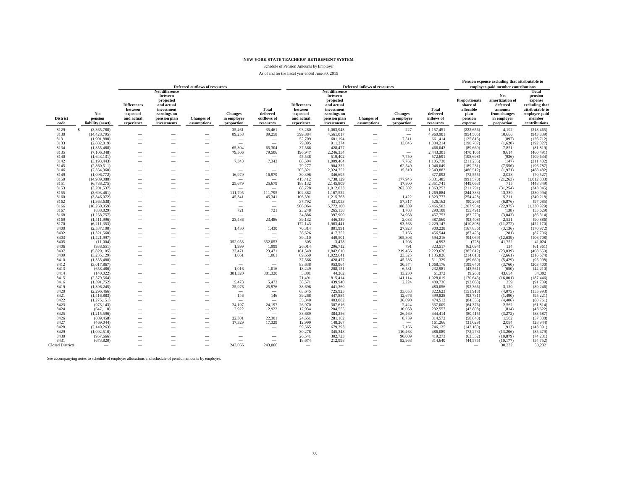Schedule of Pension Amounts by Employer

As of and for the fiscal year ended June 30, 2015

|                         |   |                                     |                                                                       |                                                                                                                         | <b>Deferred outflows of resources</b>                |                                                                           |                                                      |                                                                       |                                                                                                                         | <b>Deferred inflows of resources</b>                 |                                               |                                              |                                                                      | Pension expense excluding that attributable to<br>employer-paid member contributions       |                                                                                                                     |
|-------------------------|---|-------------------------------------|-----------------------------------------------------------------------|-------------------------------------------------------------------------------------------------------------------------|------------------------------------------------------|---------------------------------------------------------------------------|------------------------------------------------------|-----------------------------------------------------------------------|-------------------------------------------------------------------------------------------------------------------------|------------------------------------------------------|-----------------------------------------------|----------------------------------------------|----------------------------------------------------------------------|--------------------------------------------------------------------------------------------|---------------------------------------------------------------------------------------------------------------------|
| <b>District</b><br>code |   | Net<br>pension<br>liability (asset) | <b>Differences</b><br>between<br>expected<br>and actual<br>experience | Net difference<br>between<br>projected<br>and actual<br>investment<br>earnings on<br>pension plan<br><i>investments</i> | <b>Changes</b> of<br>assumptions                     | <b>Changes</b><br>in employer<br>proportion                               | <b>Total</b><br>deferred<br>outflows of<br>resources | <b>Differences</b><br>between<br>expected<br>and actual<br>experience | <b>Net difference</b><br>between<br>projected<br>and actual<br>investment<br>earnings on<br>pension plan<br>investments | <b>Changes</b> of<br>assumptions                     | <b>Changes</b><br>in employer<br>proportion   | Total<br>deferred<br>inflows of<br>resources | Proportionate<br>share of<br>allocable<br>plan<br>pension<br>expense | Net<br>amortization of<br>deferred<br>amounts<br>from changes<br>in employer<br>proportion | <b>Total</b><br>pension<br>expense<br>excluding that<br>attributable to<br>employer-paid<br>member<br>contributions |
| 8129                    | s | (3,365,788)                         | $\overline{\phantom{a}}$                                              |                                                                                                                         | $\overline{\phantom{m}}$                             | 35,461                                                                    | 35,461                                               | 93,280                                                                | 1,063,943                                                                                                               |                                                      | 227                                           | 1,157,451                                    | (222, 656)                                                           | 4,192                                                                                      | (218, 465)                                                                                                          |
| 8130                    |   | (14, 428, 795)                      | $\overline{\phantom{m}}$                                              | $\hspace{0.1mm}-\hspace{0.1mm}$                                                                                         |                                                      | 89,258                                                                    | 89,258                                               | 399,884                                                               | 4,561,017                                                                                                               | $\qquad \qquad -$                                    |                                               | 4,960,901                                    | (954, 505)                                                           | 10,666                                                                                     | (943, 839)                                                                                                          |
| 8131                    |   | (1,901,880)                         | $\sim$                                                                | $\overline{\phantom{a}}$                                                                                                | $\overline{\phantom{a}}$                             |                                                                           | $\overline{\phantom{a}}$                             | 52,709                                                                | 601,194                                                                                                                 |                                                      | 7.511                                         | 661,414                                      | (125, 815)                                                           | (897)                                                                                      | (126, 712)                                                                                                          |
| 8133                    |   | (2.882.819)                         |                                                                       | $\overline{\phantom{a}}$                                                                                                | -                                                    | $\overline{\phantom{a}}$                                                  |                                                      | 79.895                                                                | 911,274                                                                                                                 | $\qquad \qquad -$                                    | 13,045                                        | 1.004.214                                    | (190, 707)                                                           | (1,620)                                                                                    | (192, 327)                                                                                                          |
| 8134<br>8135            |   | (1,355,488)<br>(7,106,348)          | $\overline{\phantom{a}}$                                              | $\overline{\phantom{a}}$                                                                                                | $\overline{\phantom{a}}$                             | 65,304<br>79,506                                                          | 65,304<br>79,506                                     | 37,566<br>196,947                                                     | 428,477<br>2,246,354                                                                                                    | $\overline{\phantom{m}}$<br>$\overline{\phantom{a}}$ | $\qquad \qquad -$<br>$\overline{\phantom{m}}$ | 466,043<br>2,443,301                         | (89,669)<br>(470, 105)                                               | 7,851<br>9,614                                                                             | (81, 819)<br>(460, 491)                                                                                             |
| 8140                    |   | (1,643,131)                         |                                                                       | $\overline{\phantom{a}}$                                                                                                | -                                                    | -                                                                         |                                                      | 45,538                                                                | 519,402                                                                                                                 |                                                      | 7,750                                         | 572,691                                      | (108, 698)                                                           | (936)                                                                                      | (109, 634)                                                                                                          |
| 8142                    |   | (3,193,443)                         |                                                                       |                                                                                                                         | $\overline{\phantom{a}}$                             | 7,343                                                                     | 7,343                                                | 88.504                                                                | 1,009,464                                                                                                               |                                                      | 7.762                                         | 1,105,730                                    | (211, 255)                                                           | (147)                                                                                      | (211, 402)                                                                                                          |
| 8145                    |   | (2,860,511)                         | $\overline{\phantom{a}}$                                              | $\hspace{0.1mm}-\hspace{0.1mm}$                                                                                         | $\hspace{1.0cm} \rule{1.5cm}{0.15cm}$                | $\qquad \qquad -$                                                         | $\overline{\phantom{0}}$                             | 79,277                                                                | 904,222                                                                                                                 | $\overline{\phantom{m}}$                             | 62,549                                        | 1,046,049                                    | (189, 231)                                                           | (7, 556)                                                                                   | (196, 787)                                                                                                          |
| 8146                    |   | (7,354,360)                         | -                                                                     | -                                                                                                                       | -                                                    | $\overline{\phantom{a}}$                                                  | $\sim$                                               | 203,821                                                               | 2,324,752                                                                                                               |                                                      | 15,310                                        | 2,543,882                                    | (486, 512)                                                           | (1,971)                                                                                    | (488, 482)                                                                                                          |
| 8149                    |   | (1,096,772)                         | $\sim$                                                                | $\hspace{0.1mm}-\hspace{0.1mm}$                                                                                         | $\hspace{1.0cm} \rule{1.5cm}{0.15cm}$                | 16,979                                                                    | 16.979                                               | 30,396                                                                | 346,695                                                                                                                 |                                                      | $\overline{\phantom{a}}$                      | 377,092                                      | (72, 555)                                                            | 2,028                                                                                      | (70, 527)                                                                                                           |
| 8150                    |   | (14.989.088)                        |                                                                       | $\sim$                                                                                                                  | -                                                    | $\overline{\phantom{a}}$                                                  | $\overline{\phantom{a}}$                             | 415.412                                                               | 4,738,129                                                                                                               |                                                      | 177,945                                       | 5,331,485                                    | (991, 570)                                                           | (21, 263)                                                                                  | (1,012,833)                                                                                                         |
| 8151                    |   | (6,788,275)                         | $\overline{\phantom{a}}$                                              | $\overline{\phantom{a}}$                                                                                                |                                                      | 25,679                                                                    | 25,679                                               | 188,132                                                               | 2,145,809                                                                                                               | $\qquad \qquad -$                                    | 17,800                                        | 2,351,741                                    | (449, 063)                                                           | 715                                                                                        | (448, 349)                                                                                                          |
| 8153                    |   | (3,201,537)                         |                                                                       | $\overline{\phantom{a}}$                                                                                                | $\overline{\phantom{a}}$                             |                                                                           |                                                      | 88,728                                                                | 1,012,023                                                                                                               | $\overline{\phantom{a}}$                             | 262,502                                       | 1,363,253                                    | (211, 791)                                                           | (31, 254)                                                                                  | (243, 045)                                                                                                          |
| 8155                    |   | (3,693,461)                         |                                                                       |                                                                                                                         | $\overline{\phantom{a}}$                             | 111,795                                                                   | 111,795                                              | 102,362                                                               | 1,167,522                                                                                                               |                                                      | $\overline{\phantom{m}}$                      | 1,269,884                                    | (244, 333)                                                           | 13,339                                                                                     | (230, 994)                                                                                                          |
| 8160                    |   | (3,846,072)                         |                                                                       | $\overline{\phantom{a}}$                                                                                                | $\hspace{1.0cm} \rule{1.5cm}{0.15cm}$                | 45,341                                                                    | 45,341                                               | 106,591                                                               | 1,215,763                                                                                                               |                                                      | 1,422                                         | 1,323,777                                    | (254, 428)                                                           | 5,211                                                                                      | (249, 218)                                                                                                          |
| 8162                    |   | (1,363,638)                         |                                                                       |                                                                                                                         | -                                                    | -                                                                         | -                                                    | 37.792                                                                | 431,053                                                                                                                 | $\overline{\phantom{m}}$                             | 57,317                                        | 526,162                                      | (90, 208)                                                            | (6, 876)                                                                                   | (97, 085)                                                                                                           |
| 8166                    |   | (18,260,059)                        |                                                                       |                                                                                                                         | $\overline{\phantom{a}}$                             |                                                                           |                                                      | 506,064                                                               | 5,772,100                                                                                                               |                                                      | 188,339                                       | 6,466,502                                    | (1, 207, 954)                                                        | (22.975)                                                                                   | (1, 230, 929)                                                                                                       |
| 8167                    |   | (838, 829)                          |                                                                       |                                                                                                                         |                                                      | 721                                                                       | 721                                                  | 23.248                                                                | 265,158                                                                                                                 | $\overline{\phantom{0}}$                             | 1.703                                         | 290,108                                      | (55, 491)                                                            | (138)                                                                                      | (55, 629)                                                                                                           |
| 8168                    |   | (1, 258, 757)                       |                                                                       |                                                                                                                         | $\overline{\phantom{0}}$                             |                                                                           | $\overline{\phantom{a}}$                             | 34,886                                                                | 397,900                                                                                                                 | $\overline{\phantom{a}}$                             | 24,968                                        | 457,753                                      | (83,270)                                                             | (3,043)                                                                                    | (86, 314)                                                                                                           |
| 8169                    |   | (1,411,996)                         |                                                                       | $\overline{\phantom{a}}$                                                                                                | -                                                    | 23,486                                                                    | 23,486                                               | 39,132                                                                | 446,339                                                                                                                 | $\overline{\phantom{m}}$                             | 2,088                                         | 487,560                                      | (93, 408)                                                            | 2,521                                                                                      | (90, 886)                                                                                                           |
| 8170                    |   | (6,211,353)                         | $\sim$                                                                | $\overline{\phantom{a}}$                                                                                                | $\overline{\phantom{0}}$                             | $\overline{\phantom{a}}$                                                  | $\overline{\phantom{a}}$                             | 172,143                                                               | 1,963,441                                                                                                               | $\overline{\phantom{a}}$                             | 93,563                                        | 2,229,147                                    | (410, 898)                                                           | (11, 272)                                                                                  | (422, 170)                                                                                                          |
| 8400<br>8402            |   | (2,537,100)                         |                                                                       | $\overline{\phantom{a}}$                                                                                                | $\overline{\phantom{0}}$<br>$\overline{\phantom{a}}$ | 1,430                                                                     | 1,430                                                | 70,314<br>36,626                                                      | 801,991<br>417,752                                                                                                      | $\overline{\phantom{a}}$                             | 27,923                                        | 900,228<br>456,544                           | (167, 836)<br>(87, 425)                                              | (3,136)                                                                                    | (170, 972)                                                                                                          |
| 8403                    |   | (1,321,560)<br>(1,421,997)          | $\overline{\phantom{a}}$                                              | $\overline{\phantom{a}}$                                                                                                | $\overline{\phantom{0}}$                             | $\overline{\phantom{a}}$                                                  | $\overline{\phantom{a}}$<br>$\overline{\phantom{a}}$ | 39,410                                                                | 449,501                                                                                                                 | $\overline{\phantom{a}}$<br>$\qquad \qquad -$        | 2,166<br>105,306                              | 594,216                                      | (94,069)                                                             | (281)<br>(12, 639)                                                                         | (87,706)<br>(106, 708)                                                                                              |
| 8405                    |   | (11,004)                            | $\sim$                                                                | $\overline{\phantom{a}}$                                                                                                | $\overline{\phantom{a}}$                             | 352,053                                                                   | 352,053                                              | 305                                                                   | 3,478                                                                                                                   | $\overline{\phantom{a}}$                             | 1,208                                         | 4,992                                        | (728)                                                                | 41,752                                                                                     | 41,024                                                                                                              |
| 8406                    |   | (938, 651)                          | $\overline{\phantom{a}}$                                              | $\overline{\phantom{a}}$                                                                                                | $\overline{\phantom{a}}$                             | 1,999                                                                     | 1,999                                                | 26,014                                                                | 296,712                                                                                                                 | $\overline{\phantom{a}}$                             | 791                                           | 323,517                                      | (62,094)                                                             | 134                                                                                        | (61, 961)                                                                                                           |
| 8407                    |   | (5,829,105)                         |                                                                       | $\overline{\phantom{a}}$                                                                                                | $\overline{\phantom{a}}$                             | 23,471                                                                    | 23,471                                               | 161,549                                                               | 1,842,610                                                                                                               | $\overline{\phantom{a}}$                             | 219,466                                       | 2,223,626                                    | (385, 612)                                                           | (23, 039)                                                                                  | (408, 650)                                                                                                          |
| 8409                    |   | (3,235,129)                         | $\sim$                                                                | $\sim$                                                                                                                  | $\hspace{1.0cm} \rule{1.5cm}{0.15cm}$                | 1,061                                                                     | 1,061                                                | 89,659                                                                | 1,022,641                                                                                                               |                                                      | 23,525                                        | 1,135,826                                    | (214, 013)                                                           | (2,661)                                                                                    | (216, 674)                                                                                                          |
| 8410                    |   | (1,355,488)                         | $\sim$                                                                | $\sim$                                                                                                                  | -                                                    | $\hspace{1.0cm} \rule{1.5cm}{0.15cm} \hspace{1.0cm} \rule{1.5cm}{0.15cm}$ | -                                                    | 37,566                                                                | 428,477                                                                                                                 | $\hspace{1.0cm} \rule{1.5cm}{0.15cm}$                | 45,286                                        | 511,329                                      | (89, 669)                                                            | (5, 429)                                                                                   | (95,098)                                                                                                            |
| 8412                    |   | (3,017,867)                         | $\sim$                                                                | $\sim$                                                                                                                  | $\overline{\phantom{a}}$                             | $\overline{\phantom{a}}$                                                  | ÷                                                    | 83,638                                                                | 953,964                                                                                                                 | $\overline{\phantom{a}}$                             | 30,574                                        | 1,068,176                                    | (199, 640)                                                           | (3,760)                                                                                    | (203, 400)                                                                                                          |
| 8413                    |   | (658, 486)                          | $\overline{\phantom{a}}$                                              | $\overline{\phantom{a}}$                                                                                                | $\overline{\phantom{a}}$                             | 1,016                                                                     | 1.016                                                | 18,249                                                                | 208,151                                                                                                                 | $\overline{\phantom{a}}$                             | 6,581                                         | 232,981                                      | (43, 561)                                                            | (650)                                                                                      | (44,210)                                                                                                            |
| 8414                    |   | (140, 022)                          | $\overline{\phantom{a}}$                                              | $\overline{\phantom{a}}$                                                                                                | $\overline{\phantom{a}}$                             | 381,320                                                                   | 381,320                                              | 3,881                                                                 | 44,262                                                                                                                  | $\overline{\phantom{a}}$                             | 13,230                                        | 61,372                                       | (9, 263)                                                             | 43,654                                                                                     | 34,392                                                                                                              |
| 8415                    |   | (2,579,564)                         | -                                                                     | $\overline{\phantom{a}}$                                                                                                | $\overline{\phantom{0}}$                             | $\overline{\phantom{a}}$                                                  | $\overline{\phantom{a}}$                             | 71,491                                                                | 815,414                                                                                                                 | $\overline{\phantom{a}}$                             | 141.114                                       | 1,028,019                                    | (170, 645)                                                           | (16, 801)                                                                                  | (187, 446)                                                                                                          |
| 8416                    |   | (1,391,752)                         | $\overline{\phantom{a}}$                                              | $\overline{\phantom{a}}$                                                                                                | $\overline{\phantom{a}}$                             | 5,473                                                                     | 5,473                                                | 38,571                                                                | 439,940                                                                                                                 | $\overline{\phantom{a}}$                             | 2,224                                         | 480,736                                      | (92,068)                                                             | 359                                                                                        | (91,709)                                                                                                            |
| 8419                    |   | (1,396,245)                         | -                                                                     | $\overline{\phantom{a}}$                                                                                                | $\overline{\phantom{a}}$                             | 25,976                                                                    | 25,976                                               | 38,696                                                                | 441,360                                                                                                                 | $\overline{\phantom{a}}$                             | $\overline{\phantom{a}}$                      | 480,056                                      | (92, 366)                                                            | 3,120                                                                                      | (89, 246)                                                                                                           |
| 8420                    |   | (2, 296, 466)                       | $\sim$                                                                | $\sim$                                                                                                                  | $\overline{\phantom{a}}$                             | -                                                                         | $\overline{\phantom{a}}$                             | 63,645                                                                | 725,925                                                                                                                 |                                                      | 33,053                                        | 822,623                                      | (151, 918)                                                           | (4,075)                                                                                    | (155, 993)                                                                                                          |
| 8421                    |   | (1,416,883)                         | $\overline{\phantom{a}}$                                              | $\sim$                                                                                                                  | $\overline{\phantom{a}}$                             | 146                                                                       | 146                                                  | 39,268                                                                | 447,884                                                                                                                 |                                                      | 12,676                                        | 499,828                                      | (93, 731)                                                            | (1,490)                                                                                    | (95, 221)                                                                                                           |
| 8422                    |   | (1,275,151)                         | $\sim$                                                                | $\sim$                                                                                                                  | $\overline{\phantom{a}}$                             |                                                                           |                                                      | 35,340                                                                | 403,082                                                                                                                 | $\overline{\phantom{a}}$                             | 36,090                                        | 474,512                                      | (84, 355)                                                            | (4,406)                                                                                    | (88, 761)                                                                                                           |
| 8423                    |   | (973, 143)                          | $\overline{\phantom{a}}$                                              | $\sim$                                                                                                                  | $\overline{\phantom{a}}$                             | 24,197                                                                    | 24,197                                               | 26,970                                                                | 307,616                                                                                                                 | $\overline{\phantom{a}}$                             | 2,424                                         | 337,009                                      | (64, 376)                                                            | 2,562                                                                                      | (61, 814)                                                                                                           |
| 8424<br>8425            |   | (647, 110)<br>(1,215,596)           | $\overline{\phantom{a}}$<br>$\overline{\phantom{a}}$                  | $\sim$<br>$\overline{\phantom{a}}$                                                                                      | $\overline{\phantom{a}}$<br>$\overline{\phantom{a}}$ | 2,922<br>$\overline{\phantom{m}}$                                         | 2,922<br>$\overline{\phantom{m}}$                    | 17,934<br>33,689                                                      | 204,555<br>384,256                                                                                                      | $\overline{\phantom{a}}$<br>$\overline{\phantom{a}}$ | 10,068<br>26,469                              | 232,557<br>444,414                           | (42,808)<br>(80, 415)                                                | (814)<br>(3,272)                                                                           | (43, 622)<br>(83, 687)                                                                                              |
| 8426                    |   | (889, 458)                          | $\overline{\phantom{a}}$                                              | $\overline{\phantom{a}}$                                                                                                |                                                      | 22.301                                                                    | 22.301                                               | 24,651                                                                | 281,162                                                                                                                 |                                                      | 8,759                                         | 314,572                                      | (58, 840)                                                            | 1,502                                                                                      | (57, 338)                                                                                                           |
| 8427                    |   | (469, 044)                          | -                                                                     | $\overline{\phantom{a}}$                                                                                                | $\hspace{1.0cm} \rule{1.5cm}{0.15cm}$                | 17,329                                                                    | 17,329                                               | 12,999                                                                | 148,267                                                                                                                 | $\hspace{1.0cm} \rule{1.5cm}{0.15cm}$                | $\overline{\phantom{a}}$                      | 161,266                                      | (31,029)                                                             | 2,084                                                                                      | (28, 944)                                                                                                           |
| 8428                    |   | (2,149,263)                         | $\overline{\phantom{a}}$                                              | $\hspace{0.1mm}-\hspace{0.1mm}$                                                                                         | $\hspace{1.0cm} \rule{1.5cm}{0.15cm}$                |                                                                           | $\overline{\phantom{a}}$                             | 59,565                                                                | 679,393                                                                                                                 |                                                      | 7,166                                         | 746,125                                      | (142, 180)                                                           | (912)                                                                                      | (143,091)                                                                                                           |
| 8429                    |   | (1,092,510)                         | -                                                                     | $\overline{\phantom{a}}$                                                                                                | $\overline{\phantom{a}}$                             |                                                                           | -                                                    | 30,278                                                                | 345.348                                                                                                                 |                                                      | 110,463                                       | 486,089                                      | (72, 273)                                                            | (13,206)                                                                                   | (85, 479)                                                                                                           |
| 8430                    |   | (957, 666)                          |                                                                       | -                                                                                                                       | $\overline{\phantom{a}}$                             |                                                                           |                                                      | 26.541                                                                | 302,723                                                                                                                 | $\overline{\phantom{a}}$                             | 90.009                                        | 419.273                                      | (63, 352)                                                            | (10, 879)                                                                                  | (74, 231)                                                                                                           |
| 8431                    |   | (673, 820)                          |                                                                       | -                                                                                                                       | -                                                    | $\overline{\phantom{a}}$                                                  | -                                                    | 18,674                                                                | 212,998                                                                                                                 |                                                      | 82,968                                        | 314,640                                      | (44, 575)                                                            | (10, 177)                                                                                  | (54, 752)                                                                                                           |
| <b>Closed Districts</b> |   |                                     |                                                                       |                                                                                                                         |                                                      | 243,066                                                                   | 243,066                                              |                                                                       |                                                                                                                         |                                                      |                                               |                                              |                                                                      | 30,232                                                                                     | 30,232                                                                                                              |

See accompanying notes to schedule of employer allocations and schedule of pension amounts by employer.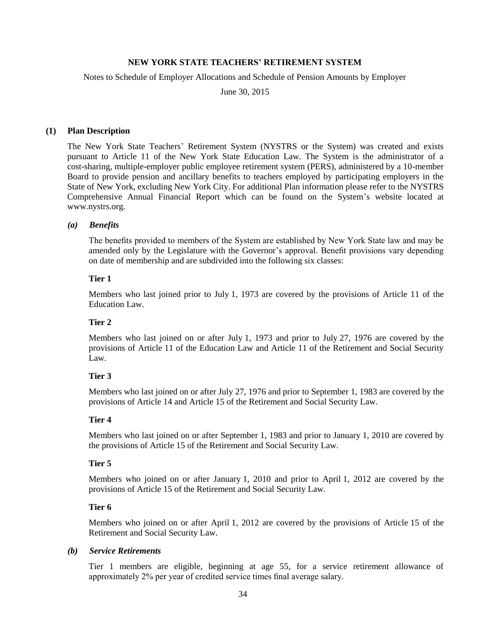Notes to Schedule of Employer Allocations and Schedule of Pension Amounts by Employer

June 30, 2015

#### **(1) Plan Description**

The New York State Teachers' Retirement System (NYSTRS or the System) was created and exists pursuant to Article 11 of the New York State Education Law. The System is the administrator of a cost-sharing, multiple-employer public employee retirement system (PERS), administered by a 10-member Board to provide pension and ancillary benefits to teachers employed by participating employers in the State of New York, excluding New York City. For additional Plan information please refer to the NYSTRS Comprehensive Annual Financial Report which can be found on the System's website located at www.nystrs.org.

#### *(a) Benefits*

The benefits provided to members of the System are established by New York State law and may be amended only by the Legislature with the Governor's approval. Benefit provisions vary depending on date of membership and are subdivided into the following six classes:

#### **Tier 1**

Members who last joined prior to July 1, 1973 are covered by the provisions of Article 11 of the Education Law.

#### **Tier 2**

Members who last joined on or after July 1, 1973 and prior to July 27, 1976 are covered by the provisions of Article 11 of the Education Law and Article 11 of the Retirement and Social Security Law.

#### **Tier 3**

Members who last joined on or after July 27, 1976 and prior to September 1, 1983 are covered by the provisions of Article 14 and Article 15 of the Retirement and Social Security Law.

#### **Tier 4**

Members who last joined on or after September 1, 1983 and prior to January 1, 2010 are covered by the provisions of Article 15 of the Retirement and Social Security Law.

#### **Tier 5**

Members who joined on or after January 1, 2010 and prior to April 1, 2012 are covered by the provisions of Article 15 of the Retirement and Social Security Law.

### **Tier 6**

Members who joined on or after April 1, 2012 are covered by the provisions of Article 15 of the Retirement and Social Security Law.

#### *(b) Service Retirements*

Tier 1 members are eligible, beginning at age 55, for a service retirement allowance of approximately 2% per year of credited service times final average salary.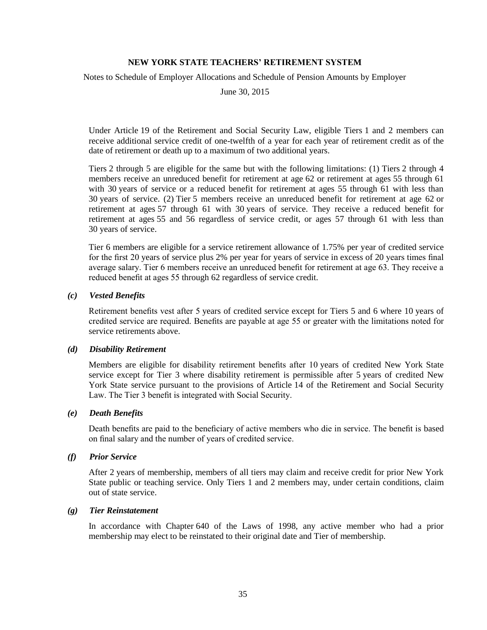Notes to Schedule of Employer Allocations and Schedule of Pension Amounts by Employer

June 30, 2015

Under Article 19 of the Retirement and Social Security Law, eligible Tiers 1 and 2 members can receive additional service credit of one-twelfth of a year for each year of retirement credit as of the date of retirement or death up to a maximum of two additional years.

Tiers 2 through 5 are eligible for the same but with the following limitations: (1) Tiers 2 through 4 members receive an unreduced benefit for retirement at age 62 or retirement at ages 55 through 61 with 30 years of service or a reduced benefit for retirement at ages 55 through 61 with less than 30 years of service. (2) Tier 5 members receive an unreduced benefit for retirement at age 62 or retirement at ages 57 through 61 with 30 years of service. They receive a reduced benefit for retirement at ages 55 and 56 regardless of service credit, or ages 57 through 61 with less than 30 years of service.

Tier 6 members are eligible for a service retirement allowance of 1.75% per year of credited service for the first 20 years of service plus 2% per year for years of service in excess of 20 years times final average salary. Tier 6 members receive an unreduced benefit for retirement at age 63. They receive a reduced benefit at ages 55 through 62 regardless of service credit.

#### *(c) Vested Benefits*

Retirement benefits vest after 5 years of credited service except for Tiers 5 and 6 where 10 years of credited service are required. Benefits are payable at age 55 or greater with the limitations noted for service retirements above.

#### *(d) Disability Retirement*

Members are eligible for disability retirement benefits after 10 years of credited New York State service except for Tier 3 where disability retirement is permissible after 5 years of credited New York State service pursuant to the provisions of Article 14 of the Retirement and Social Security Law. The Tier 3 benefit is integrated with Social Security.

#### *(e) Death Benefits*

Death benefits are paid to the beneficiary of active members who die in service. The benefit is based on final salary and the number of years of credited service.

#### *(f) Prior Service*

After 2 years of membership, members of all tiers may claim and receive credit for prior New York State public or teaching service. Only Tiers 1 and 2 members may, under certain conditions, claim out of state service.

#### *(g) Tier Reinstatement*

In accordance with Chapter 640 of the Laws of 1998, any active member who had a prior membership may elect to be reinstated to their original date and Tier of membership.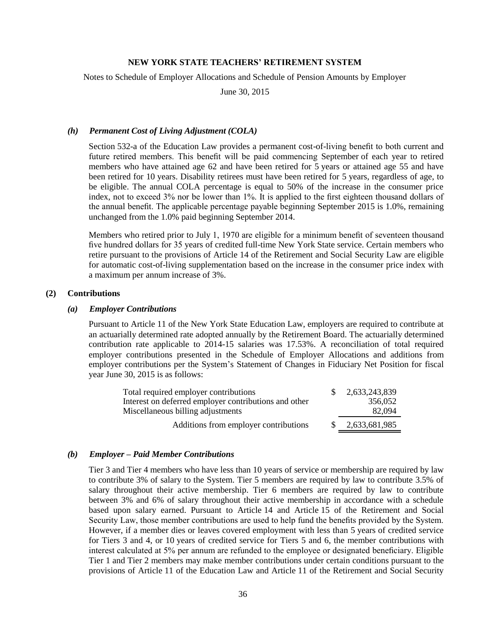Notes to Schedule of Employer Allocations and Schedule of Pension Amounts by Employer

June 30, 2015

### *(h) Permanent Cost of Living Adjustment (COLA)*

Section 532-a of the Education Law provides a permanent cost-of-living benefit to both current and future retired members. This benefit will be paid commencing September of each year to retired members who have attained age 62 and have been retired for 5 years or attained age 55 and have been retired for 10 years. Disability retirees must have been retired for 5 years, regardless of age, to be eligible. The annual COLA percentage is equal to 50% of the increase in the consumer price index, not to exceed 3% nor be lower than 1%. It is applied to the first eighteen thousand dollars of the annual benefit. The applicable percentage payable beginning September 2015 is 1.0%, remaining unchanged from the 1.0% paid beginning September 2014.

Members who retired prior to July 1, 1970 are eligible for a minimum benefit of seventeen thousand five hundred dollars for 35 years of credited full-time New York State service. Certain members who retire pursuant to the provisions of Article 14 of the Retirement and Social Security Law are eligible for automatic cost-of-living supplementation based on the increase in the consumer price index with a maximum per annum increase of 3%.

### **(2) Contributions**

#### *(a) Employer Contributions*

Pursuant to Article 11 of the New York State Education Law, employers are required to contribute at an actuarially determined rate adopted annually by the Retirement Board. The actuarially determined contribution rate applicable to 2014-15 salaries was 17.53%. A reconciliation of total required employer contributions presented in the Schedule of Employer Allocations and additions from employer contributions per the System's Statement of Changes in Fiduciary Net Position for fiscal year June 30, 2015 is as follows:

| Total required employer contributions                 |    | 2,633,243,839 |
|-------------------------------------------------------|----|---------------|
| Interest on deferred employer contributions and other |    | 356,052       |
| Miscellaneous billing adjustments                     |    | 82,094        |
| Additions from employer contributions                 | -S | 2,633,681,985 |
|                                                       |    |               |

#### *(b) Employer – Paid Member Contributions*

Tier 3 and Tier 4 members who have less than 10 years of service or membership are required by law to contribute 3% of salary to the System. Tier 5 members are required by law to contribute 3.5% of salary throughout their active membership. Tier 6 members are required by law to contribute between 3% and 6% of salary throughout their active membership in accordance with a schedule based upon salary earned. Pursuant to Article 14 and Article 15 of the Retirement and Social Security Law, those member contributions are used to help fund the benefits provided by the System. However, if a member dies or leaves covered employment with less than 5 years of credited service for Tiers 3 and 4, or 10 years of credited service for Tiers 5 and 6, the member contributions with interest calculated at 5% per annum are refunded to the employee or designated beneficiary. Eligible Tier 1 and Tier 2 members may make member contributions under certain conditions pursuant to the provisions of Article 11 of the Education Law and Article 11 of the Retirement and Social Security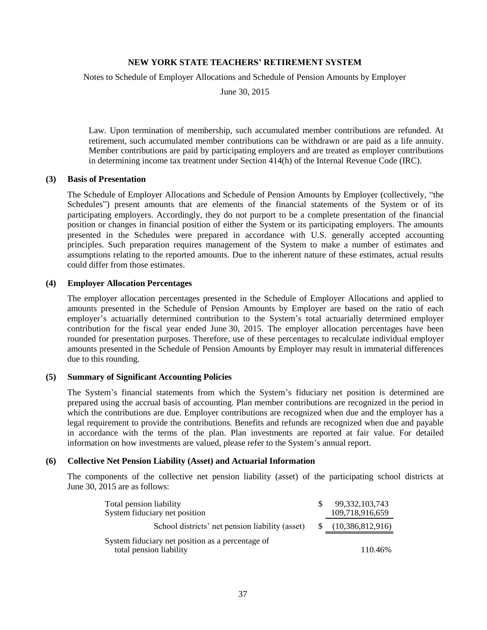Notes to Schedule of Employer Allocations and Schedule of Pension Amounts by Employer

June 30, 2015

Law. Upon termination of membership, such accumulated member contributions are refunded. At retirement, such accumulated member contributions can be withdrawn or are paid as a life annuity. Member contributions are paid by participating employers and are treated as employer contributions in determining income tax treatment under Section 414(h) of the Internal Revenue Code (IRC).

#### **(3) Basis of Presentation**

The Schedule of Employer Allocations and Schedule of Pension Amounts by Employer (collectively, "the Schedules") present amounts that are elements of the financial statements of the System or of its participating employers. Accordingly, they do not purport to be a complete presentation of the financial position or changes in financial position of either the System or its participating employers. The amounts presented in the Schedules were prepared in accordance with U.S. generally accepted accounting principles. Such preparation requires management of the System to make a number of estimates and assumptions relating to the reported amounts. Due to the inherent nature of these estimates, actual results could differ from those estimates.

#### **(4) Employer Allocation Percentages**

The employer allocation percentages presented in the Schedule of Employer Allocations and applied to amounts presented in the Schedule of Pension Amounts by Employer are based on the ratio of each employer's actuarially determined contribution to the System's total actuarially determined employer contribution for the fiscal year ended June 30, 2015. The employer allocation percentages have been rounded for presentation purposes. Therefore, use of these percentages to recalculate individual employer amounts presented in the Schedule of Pension Amounts by Employer may result in immaterial differences due to this rounding.

#### **(5) Summary of Significant Accounting Policies**

The System's financial statements from which the System's fiduciary net position is determined are prepared using the accrual basis of accounting. Plan member contributions are recognized in the period in which the contributions are due. Employer contributions are recognized when due and the employer has a legal requirement to provide the contributions. Benefits and refunds are recognized when due and payable in accordance with the terms of the plan. Plan investments are reported at fair value. For detailed information on how investments are valued, please refer to the System's annual report.

### **(6) Collective Net Pension Liability (Asset) and Actuarial Information**

The components of the collective net pension liability (asset) of the participating school districts at June 30, 2015 are as follows:

| Total pension liability                                                     | 99, 332, 103, 743   |
|-----------------------------------------------------------------------------|---------------------|
| System fiduciary net position                                               | 109,718,916,659     |
| School districts' net pension liability (asset)                             | (10, 386, 812, 916) |
| System fiduciary net position as a percentage of<br>total pension liability | 110.46%             |
|                                                                             |                     |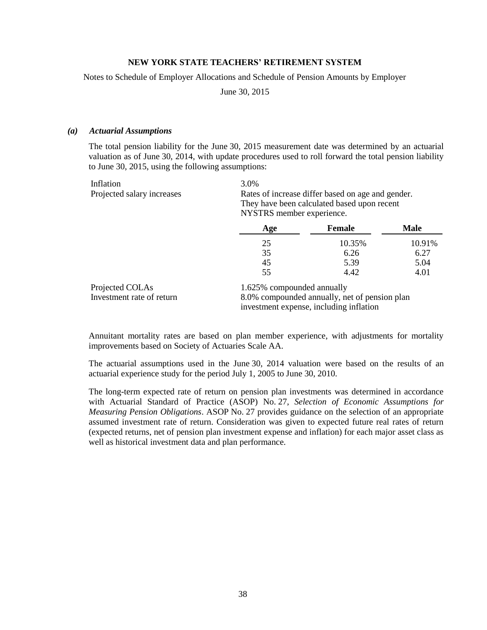Notes to Schedule of Employer Allocations and Schedule of Pension Amounts by Employer

June 30, 2015

#### *(a) Actuarial Assumptions*

The total pension liability for the June 30, 2015 measurement date was determined by an actuarial valuation as of June 30, 2014, with update procedures used to roll forward the total pension liability to June 30, 2015, using the following assumptions:

Inflation 3.0%

Projected salary increases Rates of increase differ based on age and gender. They have been calculated based upon recent NYSTRS member experience.

| Age | <b>Female</b> | Male   |
|-----|---------------|--------|
| 25  | 10.35%        | 10.91% |
| 35  | 6.26          | 6.27   |
| 45  | 5.39          | 5.04   |
| 55  | $-42$         | 4 01   |

Projected COLAs 1.625% compounded annually

Investment rate of return 8.0% compounded annually, net of pension plan investment expense, including inflation

Annuitant mortality rates are based on plan member experience, with adjustments for mortality improvements based on Society of Actuaries Scale AA.

The actuarial assumptions used in the June 30, 2014 valuation were based on the results of an actuarial experience study for the period July 1, 2005 to June 30, 2010.

The long-term expected rate of return on pension plan investments was determined in accordance with Actuarial Standard of Practice (ASOP) No. 27, *Selection of Economic Assumptions for Measuring Pension Obligations*. ASOP No. 27 provides guidance on the selection of an appropriate assumed investment rate of return. Consideration was given to expected future real rates of return (expected returns, net of pension plan investment expense and inflation) for each major asset class as well as historical investment data and plan performance.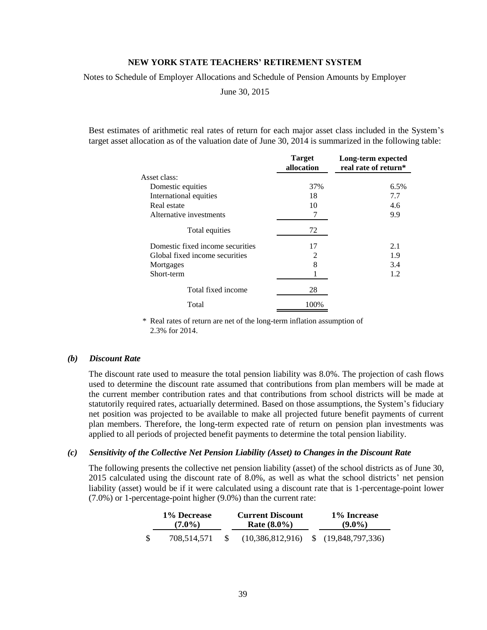Notes to Schedule of Employer Allocations and Schedule of Pension Amounts by Employer

June 30, 2015

Best estimates of arithmetic real rates of return for each major asset class included in the System's target asset allocation as of the valuation date of June 30, 2014 is summarized in the following table:

|                                  | <b>Target</b><br>allocation | Long-term expected<br>real rate of return* |
|----------------------------------|-----------------------------|--------------------------------------------|
| Asset class:                     |                             |                                            |
| Domestic equities                | 37%                         | 6.5%                                       |
| International equities           | 18                          | 7.7                                        |
| Real estate                      | 10                          | 4.6                                        |
| Alternative investments          | 7                           | 9.9                                        |
| Total equities                   | 72                          |                                            |
| Domestic fixed income securities | 17                          | 2.1                                        |
| Global fixed income securities   | 2                           | 1.9                                        |
| Mortgages                        | 8                           | 3.4                                        |
| Short-term                       |                             | 1.2                                        |
| Total fixed income               | 28                          |                                            |
| Total                            | 100%                        |                                            |
|                                  |                             |                                            |

\* Real rates of return are net of the long-term inflation assumption of 2.3% for 2014.

#### *(b) Discount Rate*

The discount rate used to measure the total pension liability was 8.0%. The projection of cash flows used to determine the discount rate assumed that contributions from plan members will be made at the current member contribution rates and that contributions from school districts will be made at statutorily required rates, actuarially determined. Based on those assumptions, the System's fiduciary net position was projected to be available to make all projected future benefit payments of current plan members. Therefore, the long-term expected rate of return on pension plan investments was applied to all periods of projected benefit payments to determine the total pension liability.

#### *(c) Sensitivity of the Collective Net Pension Liability (Asset) to Changes in the Discount Rate*

The following presents the collective net pension liability (asset) of the school districts as of June 30, 2015 calculated using the discount rate of 8.0%, as well as what the school districts' net pension liability (asset) would be if it were calculated using a discount rate that is 1-percentage-point lower (7.0%) or 1-percentage-point higher (9.0%) than the current rate:

| 1% Decrease<br>$(7.0\%)$ | <b>Current Discount</b><br><b>Rate</b> $(8.0\%)$ | 1% Increase<br>$(9.0\%)$ |  |
|--------------------------|--------------------------------------------------|--------------------------|--|
| 708.514.571              |                                                  |                          |  |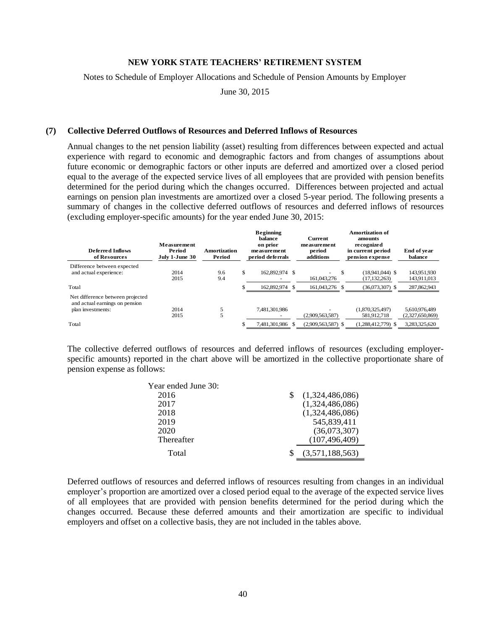Notes to Schedule of Employer Allocations and Schedule of Pension Amounts by Employer

June 30, 2015

#### **(7) Collective Deferred Outflows of Resources and Deferred Inflows of Resources**

Annual changes to the net pension liability (asset) resulting from differences between expected and actual experience with regard to economic and demographic factors and from changes of assumptions about future economic or demographic factors or other inputs are deferred and amortized over a closed period equal to the average of the expected service lives of all employees that are provided with pension benefits determined for the period during which the changes occurred. Differences between projected and actual earnings on pension plan investments are amortized over a closed 5-year period. The following presents a summary of changes in the collective deferred outflows of resources and deferred inflows of resources (excluding employer-specific amounts) for the year ended June 30, 2015:

| Deferred Inflows<br>of Resources                                                        | Measurement<br>Period<br>July 1-June 30 | <b>Amortization</b><br>Period | <b>Beginning</b><br>halance<br>on prior<br><i>measurement</i><br>period deferrals |          | <b>Current</b><br>measurement<br>period<br>additions |     | Amortization of<br>amounts<br>recognized<br>in current period<br>pension expense | End of year<br>balance           |
|-----------------------------------------------------------------------------------------|-----------------------------------------|-------------------------------|-----------------------------------------------------------------------------------|----------|------------------------------------------------------|-----|----------------------------------------------------------------------------------|----------------------------------|
| Difference between expected<br>and actual experience:                                   | 2014<br>2015                            | 9.6<br>9.4                    | \$<br>162,892,974 \$                                                              |          | $\sim$<br>161,043,276                                | \$. | $(18.941.044)$ \$<br>(17, 132, 263)                                              | 143,951,930<br>143,911,013       |
| Total                                                                                   |                                         |                               | 162,892,974                                                                       | - \$     | 161,043,276 \$                                       |     | $(36,073,307)$ \$                                                                | 287,862,943                      |
| Net difference between projected<br>and actual earnings on pension<br>plan investments: | 2014<br>2015                            |                               | 7.481.301.986                                                                     |          | (2,909,563,587)                                      |     | (1,870,325,497)<br>581,912,718                                                   | 5,610,976,489<br>(2,327,650,869) |
| Total                                                                                   |                                         |                               | 7,481,301,986                                                                     | <b>S</b> | $(2,909,563,587)$ \$                                 |     | $(1,288,412,779)$ \$                                                             | 3,283,325,620                    |
|                                                                                         |                                         |                               |                                                                                   |          |                                                      |     |                                                                                  |                                  |

The collective deferred outflows of resources and deferred inflows of resources (excluding employerspecific amounts) reported in the chart above will be amortized in the collective proportionate share of pension expense as follows:

| Year ended June 30: |                 |
|---------------------|-----------------|
| 2016                | (1,324,486,086) |
| 2017                | (1,324,486,086) |
| 2018                | (1,324,486,086) |
| 2019                | 545,839,411     |
| 2020                | (36,073,307)    |
| Thereafter          | (107, 496, 409) |
| Total               | (3,571,188,563) |
|                     |                 |

Deferred outflows of resources and deferred inflows of resources resulting from changes in an individual employer's proportion are amortized over a closed period equal to the average of the expected service lives of all employees that are provided with pension benefits determined for the period during which the changes occurred. Because these deferred amounts and their amortization are specific to individual employers and offset on a collective basis, they are not included in the tables above.